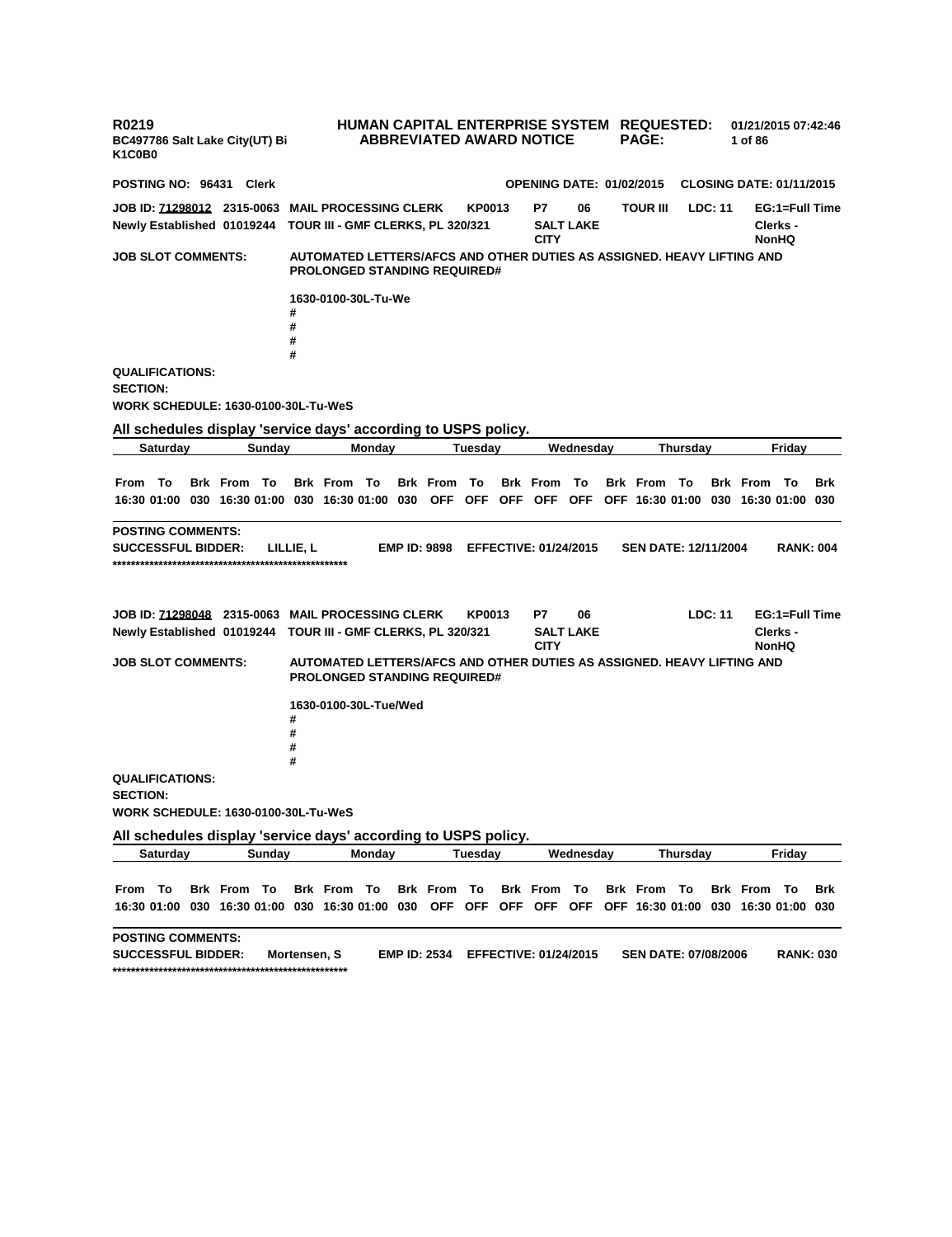| R0219<br>BC497786 Salt Lake City(UT) Bi<br>K <sub>1</sub> C <sub>0</sub> B <sub>0</sub>                                                          |          |  |                    |                                   |                                                                                                               |                                                                                                                               |         |        |                     | <b>ABBREVIATED AWARD NOTICE</b>                                           |                   |                                                                        | HUMAN CAPITAL ENTERPRISE SYSTEM REQUESTED:<br><b>PAGE:</b> |                 |                             | 01/21/2015 07:42:46<br>1 of 86 |                |                                            |                                            |            |  |
|--------------------------------------------------------------------------------------------------------------------------------------------------|----------|--|--------------------|-----------------------------------|---------------------------------------------------------------------------------------------------------------|-------------------------------------------------------------------------------------------------------------------------------|---------|--------|---------------------|---------------------------------------------------------------------------|-------------------|------------------------------------------------------------------------|------------------------------------------------------------|-----------------|-----------------------------|--------------------------------|----------------|--------------------------------------------|--------------------------------------------|------------|--|
| POSTING NO: 96431 Clerk                                                                                                                          |          |  |                    |                                   |                                                                                                               |                                                                                                                               |         |        |                     | <b>OPENING DATE: 01/02/2015</b>                                           |                   |                                                                        |                                                            |                 |                             |                                |                |                                            | <b>CLOSING DATE: 01/11/2015</b>            |            |  |
| JOB ID: 71298012 2315-0063 MAIL PROCESSING CLERK<br>Newly Established 01019244                                                                   |          |  |                    | TOUR III - GMF CLERKS, PL 320/321 |                                                                                                               |                                                                                                                               |         | KP0013 |                     |                                                                           | P7<br><b>CITY</b> | 06<br><b>SALT LAKE</b>                                                 |                                                            | <b>TOUR III</b> |                             | LDC: 11                        |                | EG:1=Full Time<br>Clerks -<br><b>NonHQ</b> |                                            |            |  |
| <b>JOB SLOT COMMENTS:</b>                                                                                                                        |          |  |                    |                                   | AUTOMATED LETTERS/AFCS AND OTHER DUTIES AS ASSIGNED. HEAVY LIFTING AND<br><b>PROLONGED STANDING REQUIRED#</b> |                                                                                                                               |         |        |                     |                                                                           |                   |                                                                        |                                                            |                 |                             |                                |                |                                            |                                            |            |  |
|                                                                                                                                                  |          |  |                    |                                   | #<br>#                                                                                                        | 1630-0100-30L-Tu-We                                                                                                           |         |        |                     |                                                                           |                   |                                                                        |                                                            |                 |                             |                                |                |                                            |                                            |            |  |
|                                                                                                                                                  |          |  |                    |                                   | #<br>#                                                                                                        |                                                                                                                               |         |        |                     |                                                                           |                   |                                                                        |                                                            |                 |                             |                                |                |                                            |                                            |            |  |
| <b>QUALIFICATIONS:</b><br><b>SECTION:</b><br>WORK SCHEDULE: 1630-0100-30L-Tu-WeS                                                                 |          |  |                    |                                   |                                                                                                               |                                                                                                                               |         |        |                     |                                                                           |                   |                                                                        |                                                            |                 |                             |                                |                |                                            |                                            |            |  |
|                                                                                                                                                  | Saturday |  |                    | Sunday                            |                                                                                                               |                                                                                                                               | Monday  |        |                     | All schedules display 'service days' according to USPS policy.<br>Tuesdav |                   |                                                                        | Wednesday                                                  |                 |                             | Thursday                       |                |                                            | Fridav                                     |            |  |
|                                                                                                                                                  |          |  |                    |                                   |                                                                                                               |                                                                                                                               |         |        |                     |                                                                           |                   |                                                                        |                                                            |                 |                             |                                |                |                                            |                                            |            |  |
| From To                                                                                                                                          |          |  | <b>Brk From To</b> |                                   |                                                                                                               | <b>Brk From To</b><br>16:30 01:00 030 16:30 01:00 030 16:30 01:00 030 OFF OFF OFF OFF OFF OFF 16:30 01:00 030 16:30 01:00 030 |         |        | <b>Brk From To</b>  |                                                                           |                   | <b>Brk From To</b>                                                     |                                                            |                 | <b>Brk From To</b>          |                                |                | <b>Brk</b> From                            | - То                                       | <b>Brk</b> |  |
| <b>POSTING COMMENTS:</b>                                                                                                                         |          |  |                    |                                   |                                                                                                               |                                                                                                                               |         |        |                     |                                                                           |                   |                                                                        |                                                            |                 |                             |                                |                |                                            |                                            |            |  |
| <b>SEN DATE: 12/11/2004</b><br><b>SUCCESSFUL BIDDER:</b><br>LILLIE, L<br><b>EMP ID: 9898</b><br><b>EFFECTIVE: 01/24/2015</b><br><b>RANK: 004</b> |          |  |                    |                                   |                                                                                                               |                                                                                                                               |         |        |                     |                                                                           |                   |                                                                        |                                                            |                 |                             |                                |                |                                            |                                            |            |  |
| <b>JOB ID: 71298048 2315-0063 MAIL PROCESSING CLERK</b><br>Newly Established 01019244 TOUR III - GMF CLERKS, PL 320/321                          |          |  |                    |                                   |                                                                                                               |                                                                                                                               |         |        |                     | KP0013                                                                    |                   | Р7<br><b>CITY</b>                                                      | 06<br><b>SALT LAKE</b>                                     |                 |                             |                                | <b>LDC: 11</b> |                                            | EG:1=Full Time<br>Clerks -<br><b>NonHQ</b> |            |  |
| <b>JOB SLOT COMMENTS:</b>                                                                                                                        |          |  |                    |                                   | AUTOMATED LETTERS/AFCS AND OTHER DUTIES AS ASSIGNED. HEAVY LIFTING AND<br><b>PROLONGED STANDING REQUIRED#</b> |                                                                                                                               |         |        |                     |                                                                           |                   |                                                                        |                                                            |                 |                             |                                |                |                                            |                                            |            |  |
|                                                                                                                                                  |          |  |                    |                                   | #<br>#<br>#<br>#                                                                                              | 1630-0100-30L-Tue/Wed                                                                                                         |         |        |                     |                                                                           |                   |                                                                        |                                                            |                 |                             |                                |                |                                            |                                            |            |  |
| <b>QUALIFICATIONS:</b><br><b>SECTION:</b><br><b>WORK SCHEDULE: 1630-0100-30L-Tu-WeS</b>                                                          |          |  |                    |                                   |                                                                                                               |                                                                                                                               |         |        |                     |                                                                           |                   |                                                                        |                                                            |                 |                             |                                |                |                                            |                                            |            |  |
|                                                                                                                                                  |          |  |                    |                                   |                                                                                                               | All schedules display 'service days' according to USPS policy.                                                                |         |        |                     |                                                                           |                   |                                                                        |                                                            |                 |                             |                                |                |                                            |                                            |            |  |
|                                                                                                                                                  | Saturday |  | Sunday<br>Monday   |                                   |                                                                                                               |                                                                                                                               | Tuesday |        |                     | Wednesday                                                                 |                   |                                                                        | Thursday                                                   |                 |                             | Friday                         |                |                                            |                                            |            |  |
| From To                                                                                                                                          |          |  | <b>Brk From To</b> |                                   |                                                                                                               | <b>Brk From To</b><br>16:30 01:00 030 16:30 01:00 030 16:30 01:00 030                                                         |         |        | Brk From To         |                                                                           |                   | Brk From To<br>OFF OFF OFF OFF OFF OFF 16:30 01:00 030 16:30 01:00 030 |                                                            |                 | Brk From To                 |                                |                | <b>Brk</b> From                            | - То                                       | Brk        |  |
| <b>POSTING COMMENTS:</b><br><b>SUCCESSFUL BIDDER:</b>                                                                                            |          |  |                    |                                   | Mortensen, S                                                                                                  |                                                                                                                               |         |        | <b>EMP ID: 2534</b> |                                                                           |                   | <b>EFFECTIVE: 01/24/2015</b>                                           |                                                            |                 | <b>SEN DATE: 07/08/2006</b> |                                |                |                                            | <b>RANK: 030</b>                           |            |  |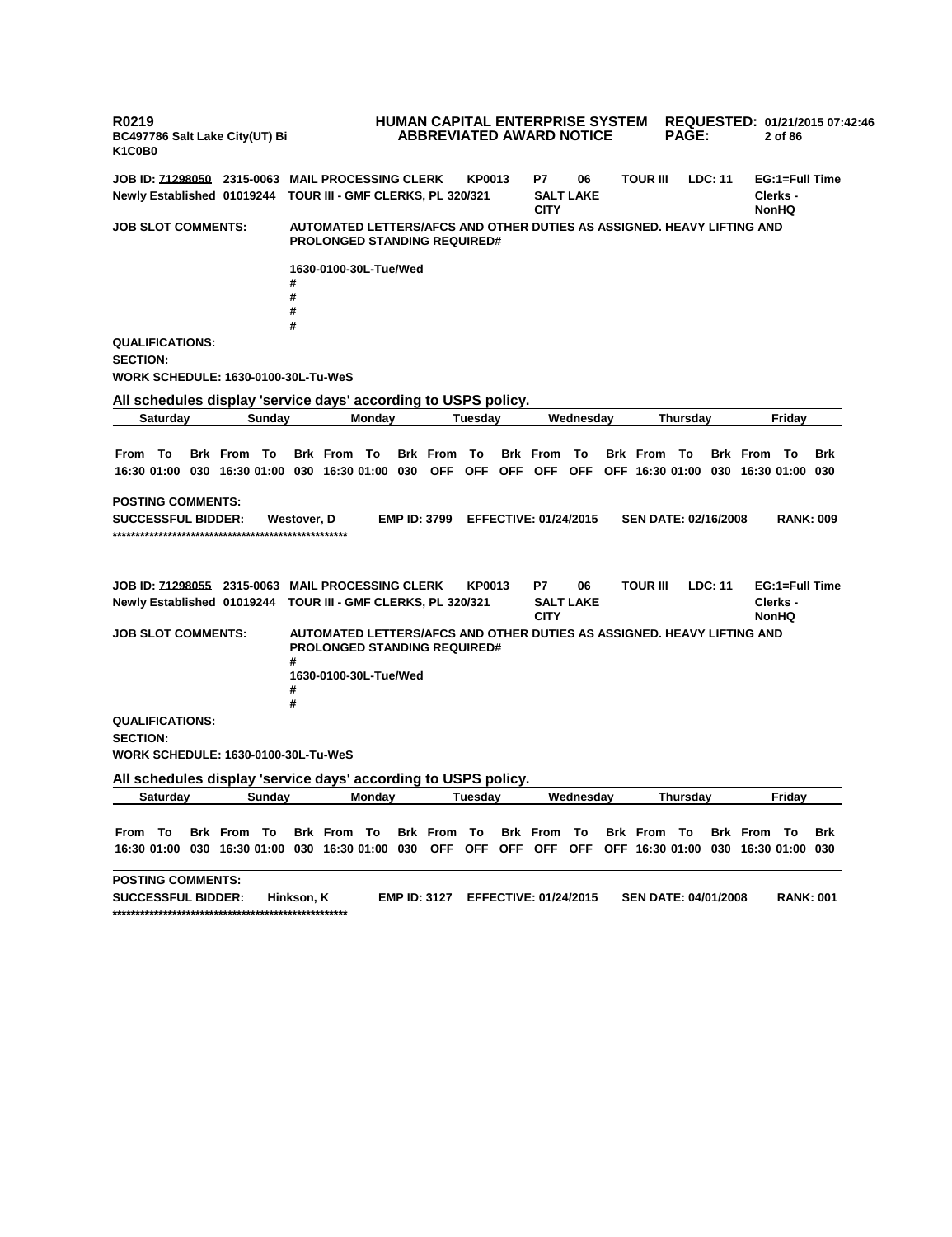**R0219 BC497786 Salt Lake City(UT) Bi K1C0B0 HUMAN CAPITAL ENTERPRISE SYSTEM REQUESTED: 01/21/2015 07:42:46 ABBREVIATED AWARD NOTICE PAGE: 2 of 86 JOB ID: 71298050 2315-0063 MAIL PROCESSING CLERK KP0013 P7 06 TOUR III LDC: 11 EG:1=Full Time Newly Established 01019244 TOUR III - GMF CLERKS, PL 320/321 SALT LAKE CITY Clerks - NonHQ JOB SLOT COMMENTS: AUTOMATED LETTERS/AFCS AND OTHER DUTIES AS ASSIGNED. HEAVY LIFTING AND PROLONGED STANDING REQUIRED# 1630-0100-30L-Tue/Wed # # # # QUALIFICATIONS: SECTION: WORK SCHEDULE: 1630-0100-30L-Tu-WeS All schedules display 'service days' according to USPS policy. Saturday Sunday Monday Tuesday Wednesday Thursday Friday** From To Brk From To Brk From To Brk From To Brk From To Brk From To Brk From To Brk 16:30 01:00 030 16:30 01:00 030 16:30 01:00 030 OFF OFF OFF OFF OFF OFF 16:30 01:00 030 16:30 01:00 030 **POSTING COMMENTS: SUCCESSFUL BIDDER: Westover, D EMP ID: 3799 EFFECTIVE: 01/24/2015 SEN DATE: 02/16/2008 RANK: 009 \*\*\*\*\*\*\*\*\*\*\*\*\*\*\*\*\*\*\*\*\*\*\*\*\*\*\*\*\*\*\*\*\*\*\*\*\*\*\*\*\*\*\*\*\*\*\*\*\*\*\* JOB ID: 71298055 2315-0063 MAIL PROCESSING CLERK KP0013 P7 06 TOUR III LDC: 11 EG:1=Full Time Newly Established 01019244 TOUR III - GMF CLERKS, PL 320/321 SALT LAKE CITY Clerks - NonHQ JOB SLOT COMMENTS: AUTOMATED LETTERS/AFCS AND OTHER DUTIES AS ASSIGNED. HEAVY LIFTING AND PROLONGED STANDING REQUIRED# # 1630-0100-30L-Tue/Wed # # QUALIFICATIONS: SECTION: WORK SCHEDULE: 1630-0100-30L-Tu-WeS All schedules display 'service days' according to USPS policy. Saturday Sunday Monday Tuesday Wednesday Thursday Friday** From To Brk From To Brk From To Brk From To Brk From To Brk From To Brk From To Brk 16:30 01:00 030 16:30 01:00 030 16:30 01:00 030 OFF OFF OFF OFF OFF OFF 16:30 01:00 030 16:30 01:00 030 **POSTING COMMENTS: SUCCESSFUL BIDDER: Hinkson, K EMP ID: 3127 EFFECTIVE: 01/24/2015 SEN DATE: 04/01/2008 RANK: 001 \*\*\*\*\*\*\*\*\*\*\*\*\*\*\*\*\*\*\*\*\*\*\*\*\*\*\*\*\*\*\*\*\*\*\*\*\*\*\*\*\*\*\*\*\*\*\*\*\*\*\***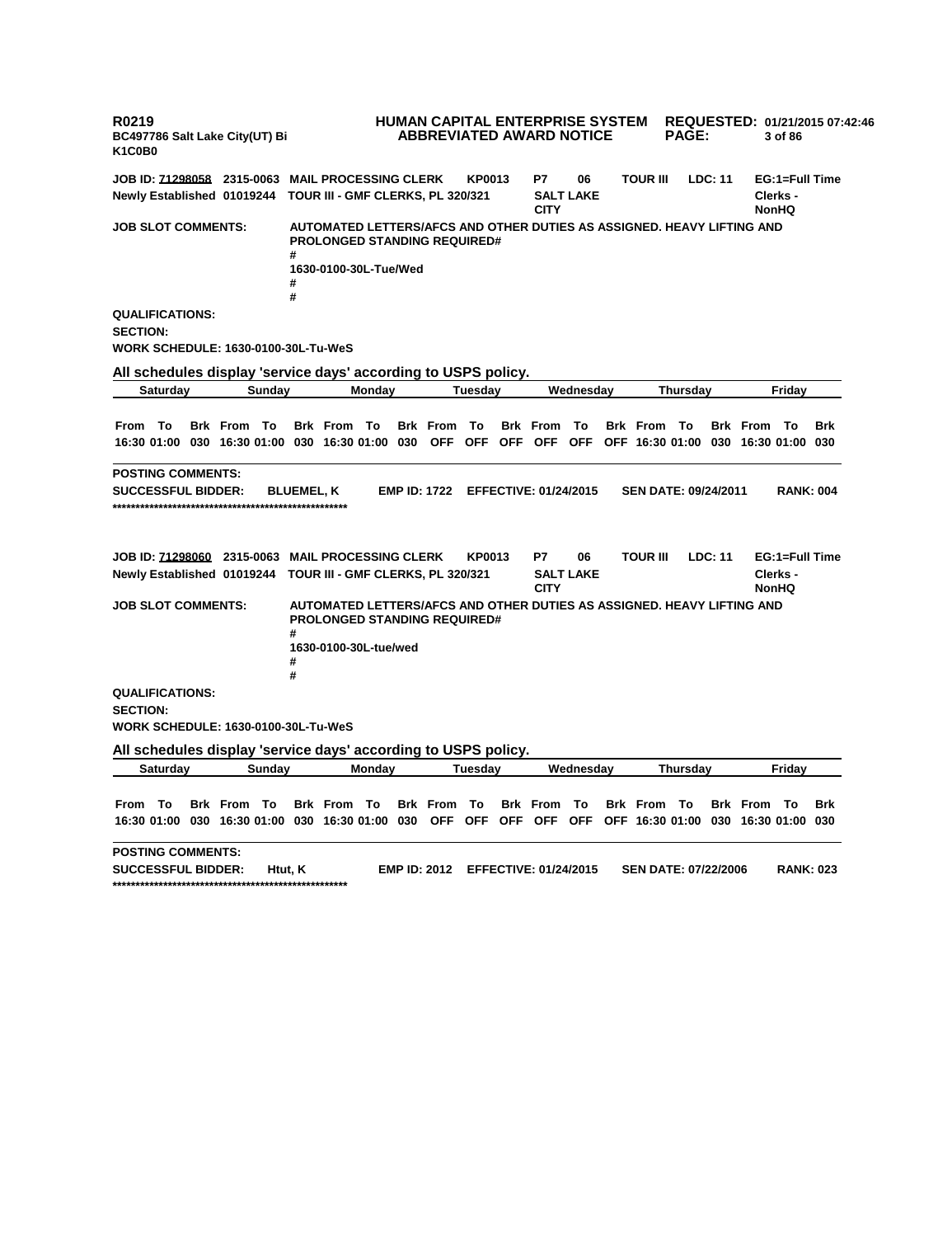**R0219 BC497786 Salt Lake City(UT) Bi K1C0B0 HUMAN CAPITAL ENTERPRISE SYSTEM REQUESTED: 01/21/2015 07:42:46 ABBREVIATED AWARD NOTICE PAGE: 3 of 86 JOB ID: 71298058 2315-0063 MAIL PROCESSING CLERK KP0013 P7 06 TOUR III LDC: 11 EG:1=Full Time Newly Established 01019244 TOUR III - GMF CLERKS, PL 320/321 SALT LAKE CITY Clerks - NonHQ JOB SLOT COMMENTS: AUTOMATED LETTERS/AFCS AND OTHER DUTIES AS ASSIGNED. HEAVY LIFTING AND PROLONGED STANDING REQUIRED# # 1630-0100-30L-Tue/Wed # # QUALIFICATIONS: SECTION: WORK SCHEDULE: 1630-0100-30L-Tu-WeS All schedules display 'service days' according to USPS policy. Saturday Sunday Monday Tuesday Wednesday Thursday Friday** From To Brk From To Brk From To Brk From To Brk From To Brk From To Brk From To Brk 16:30 01:00 030 16:30 01:00 030 16:30 01:00 030 OFF OFF OFF OFF OFF OFF 16:30 01:00 030 16:30 01:00 030 **POSTING COMMENTS: SUCCESSFUL BIDDER: BLUEMEL, K EMP ID: 1722 EFFECTIVE: 01/24/2015 SEN DATE: 09/24/2011 RANK: 004 \*\*\*\*\*\*\*\*\*\*\*\*\*\*\*\*\*\*\*\*\*\*\*\*\*\*\*\*\*\*\*\*\*\*\*\*\*\*\*\*\*\*\*\*\*\*\*\*\*\*\* JOB ID: 71298060 2315-0063 MAIL PROCESSING CLERK KP0013 P7 06 TOUR III LDC: 11 EG:1=Full Time Newly Established 01019244 TOUR III - GMF CLERKS, PL 320/321 SALT LAKE CITY Clerks - NonHQ JOB SLOT COMMENTS: AUTOMATED LETTERS/AFCS AND OTHER DUTIES AS ASSIGNED. HEAVY LIFTING AND PROLONGED STANDING REQUIRED# # 1630-0100-30L-tue/wed # # QUALIFICATIONS: SECTION: WORK SCHEDULE: 1630-0100-30L-Tu-WeS All schedules display 'service days' according to USPS policy. Saturday Sunday Monday Tuesday Wednesday Thursday Friday** From To Brk From To Brk From To Brk From To Brk From To Brk From To Brk From To Brk 16:30 01:00 030 16:30 01:00 030 16:30 01:00 030 OFF OFF OFF OFF OFF OFF 16:30 01:00 030 16:30 01:00 030 **POSTING COMMENTS: SUCCESSFUL BIDDER: Htut, K EMP ID: 2012 EFFECTIVE: 01/24/2015 SEN DATE: 07/22/2006 RANK: 023 \*\*\*\*\*\*\*\*\*\*\*\*\*\*\*\*\*\*\*\*\*\*\*\*\*\*\*\*\*\*\*\*\*\*\*\*\*\*\*\*\*\*\*\*\*\*\*\*\*\*\***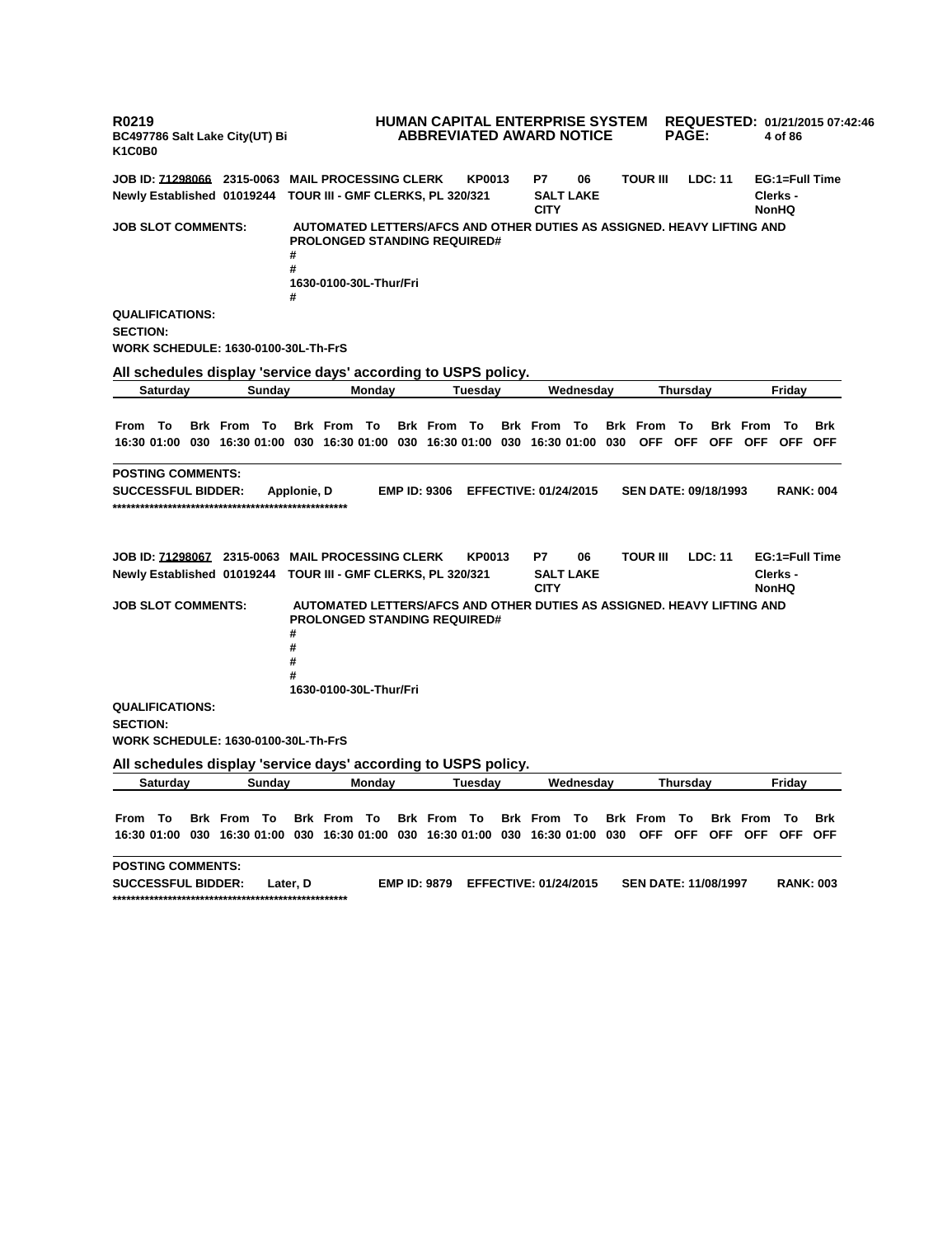**R0219 BC497786 Salt Lake City(UT) Bi K1C0B0 HUMAN CAPITAL ENTERPRISE SYSTEM REQUESTED: 01/21/2015 07:42:46 ABBREVIATED AWARD NOTICE PAGE: 4 of 86 JOB ID: 71298066 2315-0063 MAIL PROCESSING CLERK KP0013 P7 06 TOUR III LDC: 11 EG:1=Full Time Newly Established 01019244 TOUR III - GMF CLERKS, PL 320/321 SALT LAKE CITY Clerks - NonHQ JOB SLOT COMMENTS: AUTOMATED LETTERS/AFCS AND OTHER DUTIES AS ASSIGNED. HEAVY LIFTING AND PROLONGED STANDING REQUIRED# # # 1630-0100-30L-Thur/Fri # QUALIFICATIONS: SECTION: WORK SCHEDULE: 1630-0100-30L-Th-FrS All schedules display 'service days' according to USPS policy. Saturday Sunday Monday Tuesday Wednesday Thursday Friday** From To Brk From To Brk From To Brk From To Brk From To Brk From To Brk From To Brk 16:30 01:00 030 16:30 01:00 030 16:30 01:00 030 16:30 01:00 030 16:30 01:00 030 OFF OFF OFF OFF OFF OFF **POSTING COMMENTS: SUCCESSFUL BIDDER: Applonie, D EMP ID: 9306 EFFECTIVE: 01/24/2015 SEN DATE: 09/18/1993 RANK: 004 \*\*\*\*\*\*\*\*\*\*\*\*\*\*\*\*\*\*\*\*\*\*\*\*\*\*\*\*\*\*\*\*\*\*\*\*\*\*\*\*\*\*\*\*\*\*\*\*\*\*\* JOB ID: 71298067 2315-0063 MAIL PROCESSING CLERK KP0013 P7 06 TOUR III LDC: 11 EG:1=Full Time Newly Established 01019244 TOUR III - GMF CLERKS, PL 320/321 SALT LAKE CITY Clerks - NonHQ JOB SLOT COMMENTS: AUTOMATED LETTERS/AFCS AND OTHER DUTIES AS ASSIGNED. HEAVY LIFTING AND PROLONGED STANDING REQUIRED# # # # # 1630-0100-30L-Thur/Fri QUALIFICATIONS: SECTION: WORK SCHEDULE: 1630-0100-30L-Th-FrS All schedules display 'service days' according to USPS policy. Saturday Sunday Monday Tuesday Wednesday Thursday Friday** From To Brk From To Brk From To Brk From To Brk From To Brk From To Brk From To Brk 16:30 01:00 030 16:30 01:00 030 16:30 01:00 030 16:30 01:00 030 16:30 01:00 030 OFF OFF OFF OFF OFF OFF **POSTING COMMENTS: SUCCESSFUL BIDDER: Later, D EMP ID: 9879 EFFECTIVE: 01/24/2015 SEN DATE: 11/08/1997 RANK: 003 \*\*\*\*\*\*\*\*\*\*\*\*\*\*\*\*\*\*\*\*\*\*\*\*\*\*\*\*\*\*\*\*\*\*\*\*\*\*\*\*\*\*\*\*\*\*\*\*\*\*\***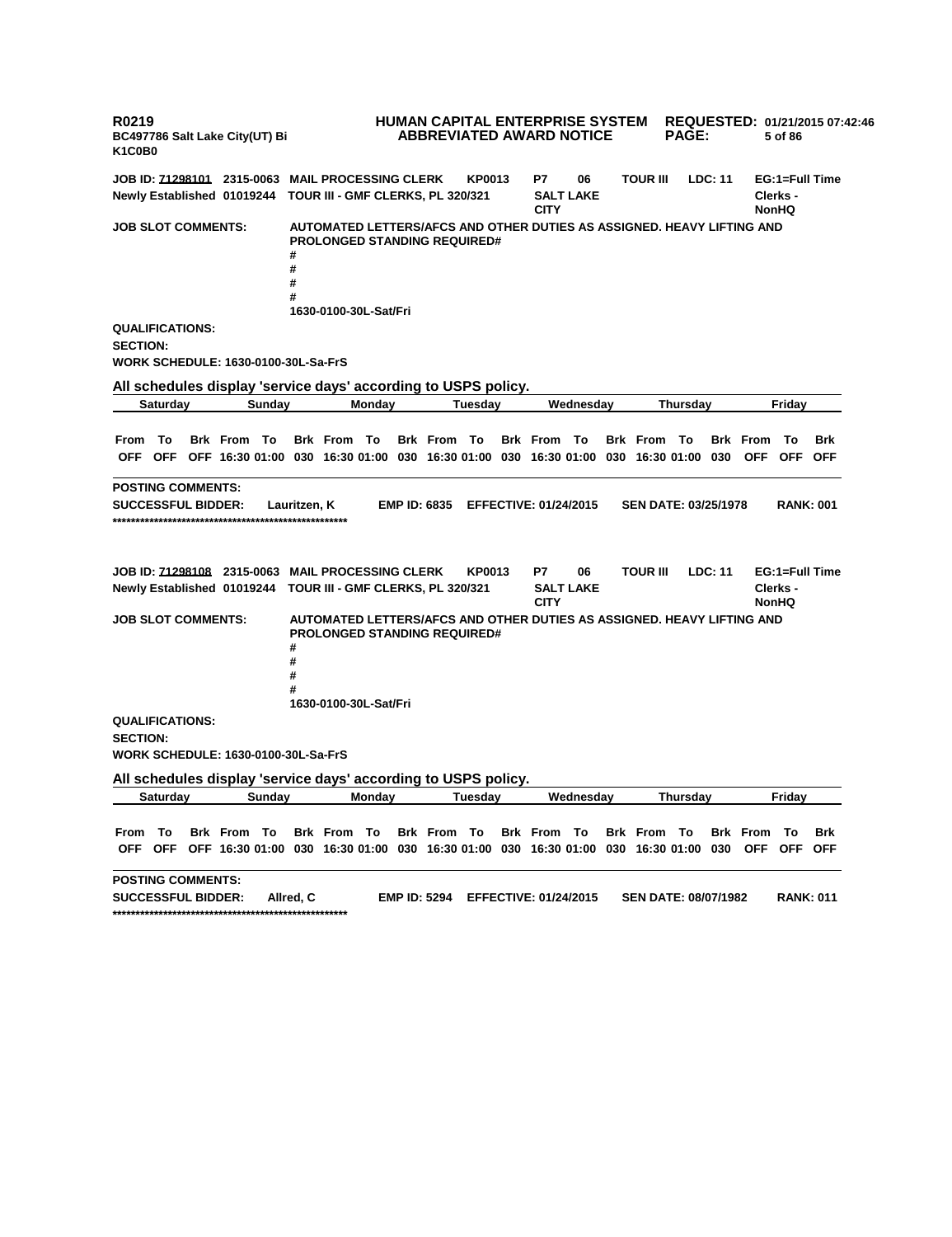**R0219 BC497786 Salt Lake City(UT) Bi K1C0B0 HUMAN CAPITAL ENTERPRISE SYSTEM REQUESTED: 01/21/2015 07:42:46 ABBREVIATED AWARD NOTICE PAGE: 5 of 86 JOB ID: 71298101 2315-0063 MAIL PROCESSING CLERK KP0013 P7 06 TOUR III LDC: 11 EG:1=Full Time Newly Established 01019244 TOUR III - GMF CLERKS, PL 320/321 SALT LAKE CITY Clerks - NonHQ JOB SLOT COMMENTS: AUTOMATED LETTERS/AFCS AND OTHER DUTIES AS ASSIGNED. HEAVY LIFTING AND PROLONGED STANDING REQUIRED# # # # # 1630-0100-30L-Sat/Fri QUALIFICATIONS: SECTION: WORK SCHEDULE: 1630-0100-30L-Sa-FrS All schedules display 'service days' according to USPS policy. Saturday Sunday Monday Tuesday Wednesday Thursday Friday** From To Brk From To Brk From To Brk From To Brk From To Brk From To Brk From To Brk OFF OFF OFF 16:30 01:00 030 16:30 01:00 030 16:30 01:00 030 16:30 01:00 030 16:30 01:00 030 OFF OFF OFF **POSTING COMMENTS: SUCCESSFUL BIDDER: Lauritzen, K EMP ID: 6835 EFFECTIVE: 01/24/2015 SEN DATE: 03/25/1978 RANK: 001 \*\*\*\*\*\*\*\*\*\*\*\*\*\*\*\*\*\*\*\*\*\*\*\*\*\*\*\*\*\*\*\*\*\*\*\*\*\*\*\*\*\*\*\*\*\*\*\*\*\*\* JOB ID: 71298108 2315-0063 MAIL PROCESSING CLERK KP0013 P7 06 TOUR III LDC: 11 EG:1=Full Time Newly Established 01019244 TOUR III - GMF CLERKS, PL 320/321 SALT LAKE CITY Clerks - NonHQ JOB SLOT COMMENTS: AUTOMATED LETTERS/AFCS AND OTHER DUTIES AS ASSIGNED. HEAVY LIFTING AND PROLONGED STANDING REQUIRED# # # # # 1630-0100-30L-Sat/Fri QUALIFICATIONS: SECTION: WORK SCHEDULE: 1630-0100-30L-Sa-FrS All schedules display 'service days' according to USPS policy. Saturday Sunday Monday Tuesday Wednesday Thursday Friday** From To Brk From To Brk From To Brk From To Brk From To Brk From To Brk From To Brk OFF OFF OFF 16:30 01:00 030 16:30 01:00 030 16:30 01:00 030 16:30 01:00 030 16:30 01:00 030 OFF OFF OFF **POSTING COMMENTS: SUCCESSFUL BIDDER: Allred, C EMP ID: 5294 EFFECTIVE: 01/24/2015 SEN DATE: 08/07/1982 RANK: 011 \*\*\*\*\*\*\*\*\*\*\*\*\*\*\*\*\*\*\*\*\*\*\*\*\*\*\*\*\*\*\*\*\*\*\*\*\*\*\*\*\*\*\*\*\*\*\*\*\*\*\***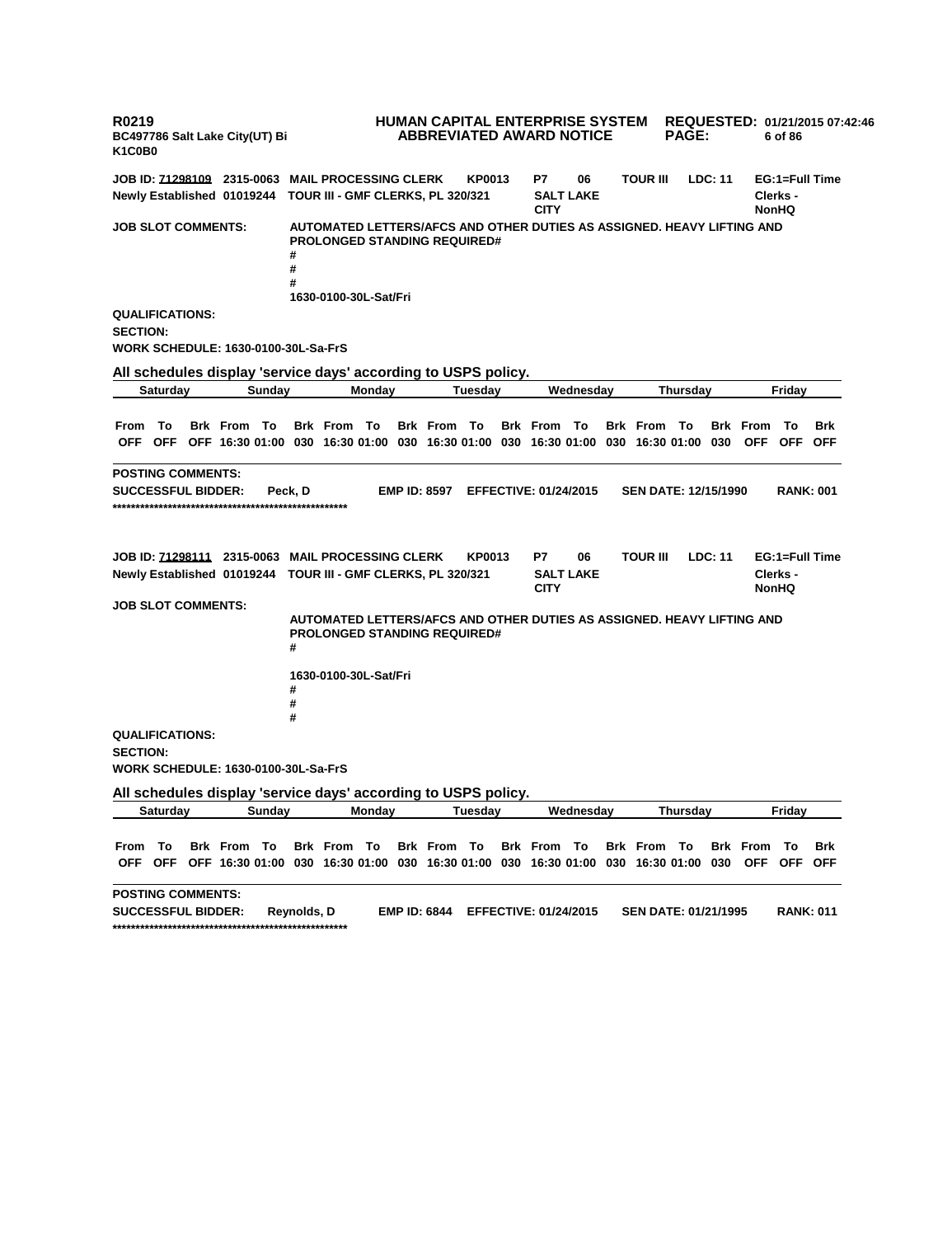**R0219 BC497786 Salt Lake City(UT) Bi K1C0B0 HUMAN CAPITAL ENTERPRISE SYSTEM REQUESTED: 01/21/2015 07:42:46 ABBREVIATED AWARD NOTICE PAGE: 6 of 86 JOB ID: 71298109 2315-0063 MAIL PROCESSING CLERK KP0013 P7 06 TOUR III LDC: 11 EG:1=Full Time Newly Established 01019244 TOUR III - GMF CLERKS, PL 320/321 SALT LAKE CITY Clerks - NonHQ JOB SLOT COMMENTS: AUTOMATED LETTERS/AFCS AND OTHER DUTIES AS ASSIGNED. HEAVY LIFTING AND PROLONGED STANDING REQUIRED# # # # 1630-0100-30L-Sat/Fri QUALIFICATIONS: SECTION: WORK SCHEDULE: 1630-0100-30L-Sa-FrS All schedules display 'service days' according to USPS policy. Saturday Sunday Monday Tuesday Wednesday Thursday Friday** From To Brk From To Brk From To Brk From To Brk From To Brk From To Brk From To Brk OFF OFF OFF 16:30 01:00 030 16:30 01:00 030 16:30 01:00 030 16:30 01:00 030 16:30 01:00 030 OFF OFF OFF **POSTING COMMENTS: SUCCESSFUL BIDDER: Peck, D EMP ID: 8597 EFFECTIVE: 01/24/2015 SEN DATE: 12/15/1990 RANK: 001 \*\*\*\*\*\*\*\*\*\*\*\*\*\*\*\*\*\*\*\*\*\*\*\*\*\*\*\*\*\*\*\*\*\*\*\*\*\*\*\*\*\*\*\*\*\*\*\*\*\*\* JOB ID: 71298111 2315-0063 MAIL PROCESSING CLERK KP0013 P7 06 TOUR III LDC: 11 EG:1=Full Time Newly Established 01019244 TOUR III - GMF CLERKS, PL 320/321 SALT LAKE CITY Clerks - NonHQ JOB SLOT COMMENTS: AUTOMATED LETTERS/AFCS AND OTHER DUTIES AS ASSIGNED. HEAVY LIFTING AND PROLONGED STANDING REQUIRED# # 1630-0100-30L-Sat/Fri # # # QUALIFICATIONS: SECTION: WORK SCHEDULE: 1630-0100-30L-Sa-FrS All schedules display 'service days' according to USPS policy. Saturday Sunday Monday Tuesday Wednesday Thursday Friday** From To Brk From To Brk From To Brk From To Brk From To Brk From To Brk From To Brk OFF OFF OFF 16:30 01:00 030 16:30 01:00 030 16:30 01:00 030 16:30 01:00 030 16:30 01:00 030 OFF OFF OFF **POSTING COMMENTS: SUCCESSFUL BIDDER: Reynolds, D EMP ID: 6844 EFFECTIVE: 01/24/2015 SEN DATE: 01/21/1995 RANK: 011 \*\*\*\*\*\*\*\*\*\*\*\*\*\*\*\*\*\*\*\*\*\*\*\*\*\*\*\*\*\*\*\*\*\*\*\*\*\*\*\*\*\*\*\*\*\*\*\*\*\*\***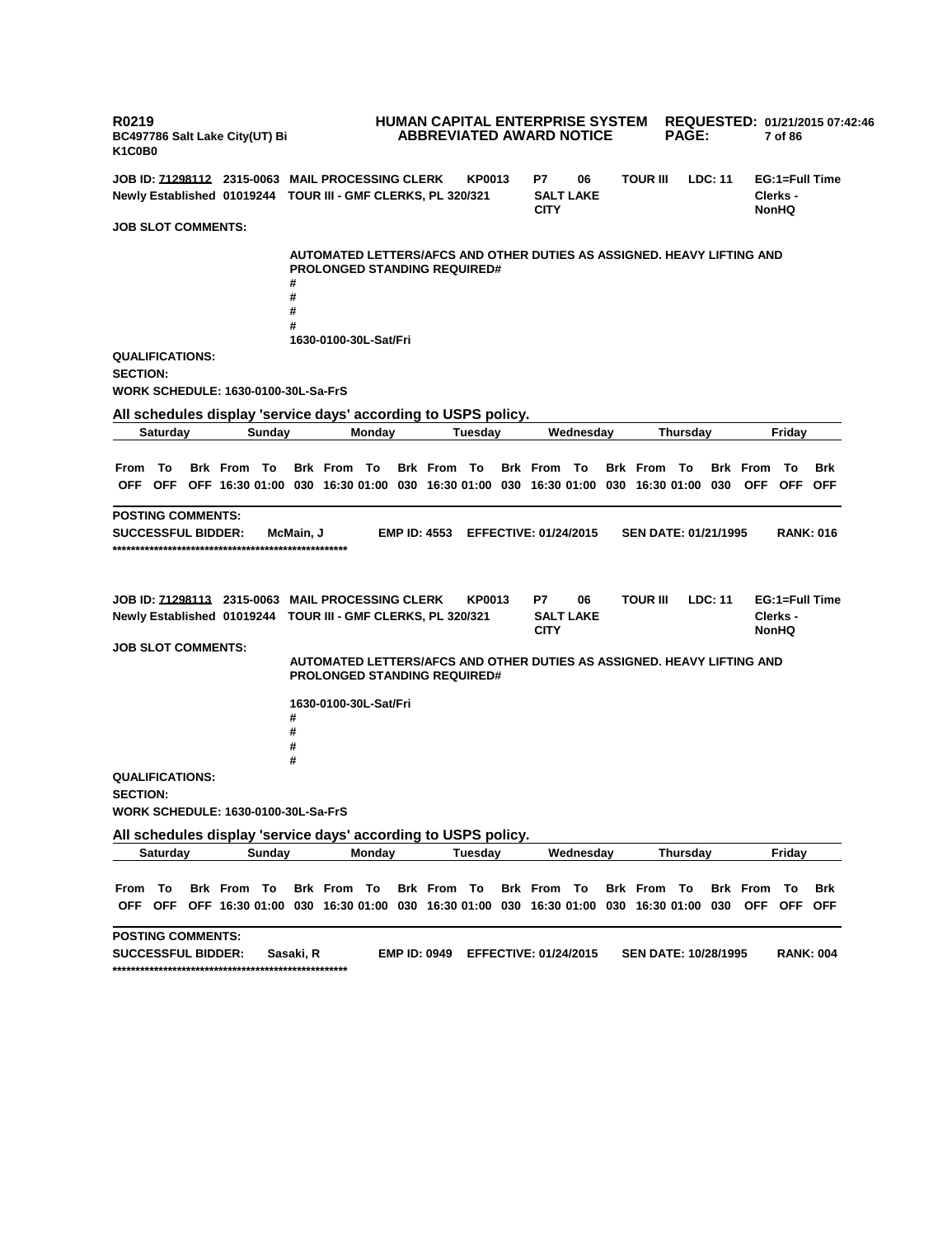**R0219 BC497786 Salt Lake City(UT) Bi K1C0B0 HUMAN CAPITAL ENTERPRISE SYSTEM REQUESTED: 01/21/2015 07:42:46 ABBREVIATED AWARD NOTICE PAGE: 7 of 86 JOB ID: 71298112 2315-0063 MAIL PROCESSING CLERK KP0013 P7 06 TOUR III LDC: 11 EG:1=Full Time Newly Established 01019244 TOUR III - GMF CLERKS, PL 320/321 SALT LAKE CITY Clerks - NonHQ JOB SLOT COMMENTS: AUTOMATED LETTERS/AFCS AND OTHER DUTIES AS ASSIGNED. HEAVY LIFTING AND PROLONGED STANDING REQUIRED# # # # # 1630-0100-30L-Sat/Fri QUALIFICATIONS: SECTION: WORK SCHEDULE: 1630-0100-30L-Sa-FrS All schedules display 'service days' according to USPS policy. Saturday Sunday Monday Tuesday Wednesday Thursday Friday** From To Brk From To Brk From To Brk From To Brk From To Brk From To Brk From To Brk OFF OFF OFF 16:30 01:00 030 16:30 01:00 030 16:30 01:00 030 16:30 01:00 030 16:30 01:00 030 OFF OFF OFF **POSTING COMMENTS: SUCCESSFUL BIDDER: McMain, J EMP ID: 4553 EFFECTIVE: 01/24/2015 SEN DATE: 01/21/1995 RANK: 016 \*\*\*\*\*\*\*\*\*\*\*\*\*\*\*\*\*\*\*\*\*\*\*\*\*\*\*\*\*\*\*\*\*\*\*\*\*\*\*\*\*\*\*\*\*\*\*\*\*\*\* JOB ID: 71298113 2315-0063 MAIL PROCESSING CLERK KP0013 P7 06 TOUR III LDC: 11 EG:1=Full Time Newly Established 01019244 TOUR III - GMF CLERKS, PL 320/321 SALT LAKE CITY Clerks - NonHQ JOB SLOT COMMENTS: AUTOMATED LETTERS/AFCS AND OTHER DUTIES AS ASSIGNED. HEAVY LIFTING AND PROLONGED STANDING REQUIRED# 1630-0100-30L-Sat/Fri # # # # QUALIFICATIONS: SECTION: WORK SCHEDULE: 1630-0100-30L-Sa-FrS All schedules display 'service days' according to USPS policy. Saturday Sunday Monday Tuesday Wednesday Thursday Friday** From To Brk From To Brk From To Brk From To Brk From To Brk From To Brk From To Brk OFF OFF OFF 16:30 01:00 030 16:30 01:00 030 16:30 01:00 030 16:30 01:00 030 16:30 01:00 030 OFF OFF OFF **POSTING COMMENTS: SUCCESSFUL BIDDER: Sasaki, R EMP ID: 0949 EFFECTIVE: 01/24/2015 SEN DATE: 10/28/1995 RANK: 004 \*\*\*\*\*\*\*\*\*\*\*\*\*\*\*\*\*\*\*\*\*\*\*\*\*\*\*\*\*\*\*\*\*\*\*\*\*\*\*\*\*\*\*\*\*\*\*\*\*\*\***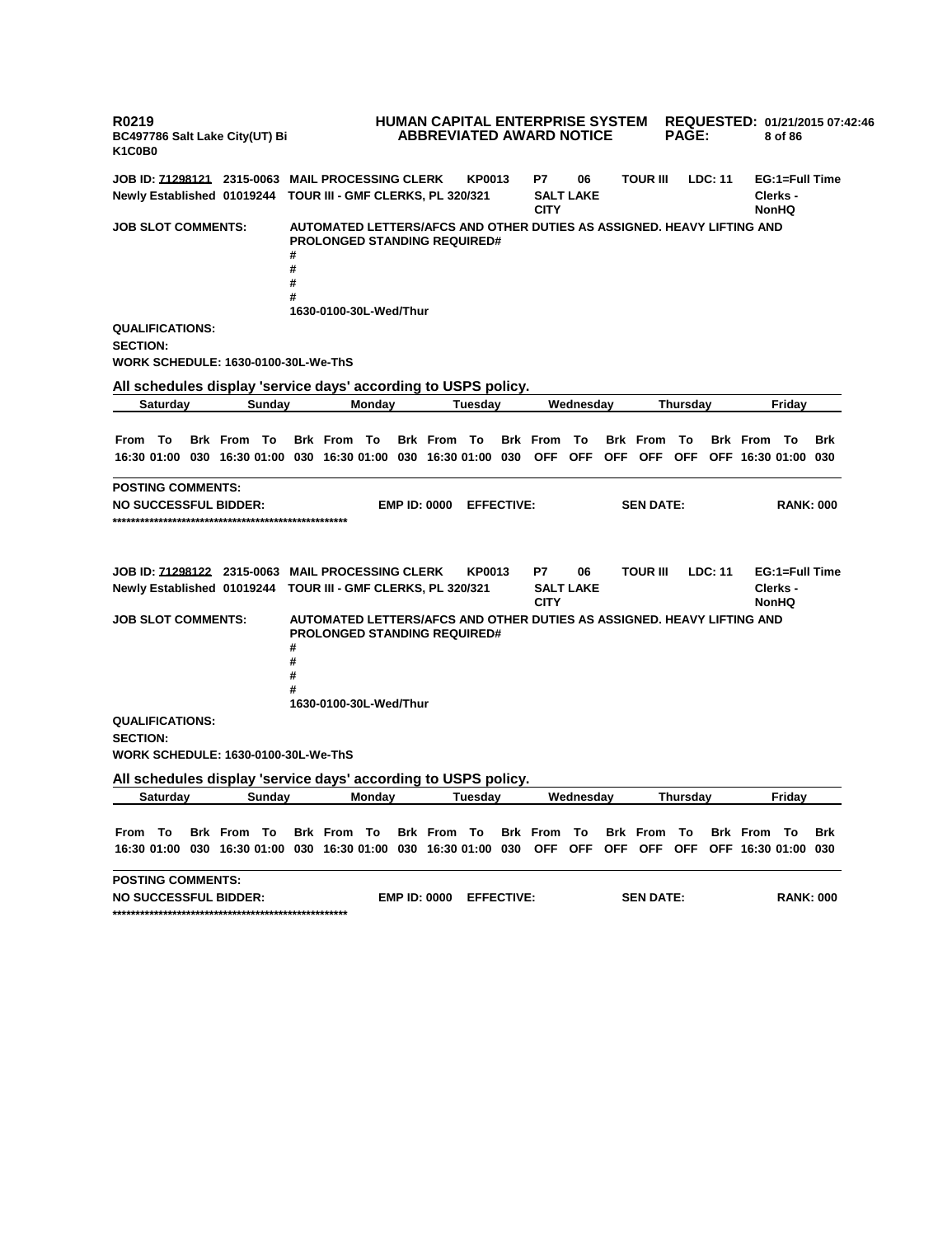**R0219 BC497786 Salt Lake City(UT) Bi K1C0B0 HUMAN CAPITAL ENTERPRISE SYSTEM REQUESTED: 01/21/2015 07:42:46 ABBREVIATED AWARD NOTICE PAGE: 8 of 86 JOB ID: 71298121 2315-0063 MAIL PROCESSING CLERK KP0013 P7 06 TOUR III LDC: 11 EG:1=Full Time Newly Established 01019244 TOUR III - GMF CLERKS, PL 320/321 SALT LAKE CITY Clerks - NonHQ JOB SLOT COMMENTS: AUTOMATED LETTERS/AFCS AND OTHER DUTIES AS ASSIGNED. HEAVY LIFTING AND PROLONGED STANDING REQUIRED# # # # # 1630-0100-30L-Wed/Thur QUALIFICATIONS: SECTION: WORK SCHEDULE: 1630-0100-30L-We-ThS All schedules display 'service days' according to USPS policy. Saturday Sunday Monday Tuesday Wednesday Thursday Friday** From To Brk From To Brk From To Brk From To Brk From To Brk From To Brk From To Brk 16:30 01:00 030 16:30 01:00 030 16:30 01:00 030 16:30 01:00 030 OFF OFF OFF OFF OFF OFF 16:30 01:00 030 **POSTING COMMENTS: NO SUCCESSFUL BIDDER: EMP ID: 0000 EFFECTIVE: SEN DATE: RANK: 000 \*\*\*\*\*\*\*\*\*\*\*\*\*\*\*\*\*\*\*\*\*\*\*\*\*\*\*\*\*\*\*\*\*\*\*\*\*\*\*\*\*\*\*\*\*\*\*\*\*\*\* JOB ID: 71298122 2315-0063 MAIL PROCESSING CLERK KP0013 P7 06 TOUR III LDC: 11 EG:1=Full Time Newly Established 01019244 TOUR III - GMF CLERKS, PL 320/321 SALT LAKE CITY Clerks - NonHQ JOB SLOT COMMENTS: AUTOMATED LETTERS/AFCS AND OTHER DUTIES AS ASSIGNED. HEAVY LIFTING AND PROLONGED STANDING REQUIRED# # # # # 1630-0100-30L-Wed/Thur QUALIFICATIONS: SECTION: WORK SCHEDULE: 1630-0100-30L-We-ThS All schedules display 'service days' according to USPS policy. Saturday Sunday Monday Tuesday Wednesday Thursday Friday** From To Brk From To Brk From To Brk From To Brk From To Brk From To Brk From To Brk 16:30 01:00 030 16:30 01:00 030 16:30 01:00 030 16:30 01:00 030 OFF OFF OFF OFF OFF OFF 16:30 01:00 030 **POSTING COMMENTS: NO SUCCESSFUL BIDDER: EMP ID: 0000 EFFECTIVE: SEN DATE: RANK: 000 \*\*\*\*\*\*\*\*\*\*\*\*\*\*\*\*\*\*\*\*\*\*\*\*\*\*\*\*\*\*\*\*\*\*\*\*\*\*\*\*\*\*\*\*\*\*\*\*\*\*\***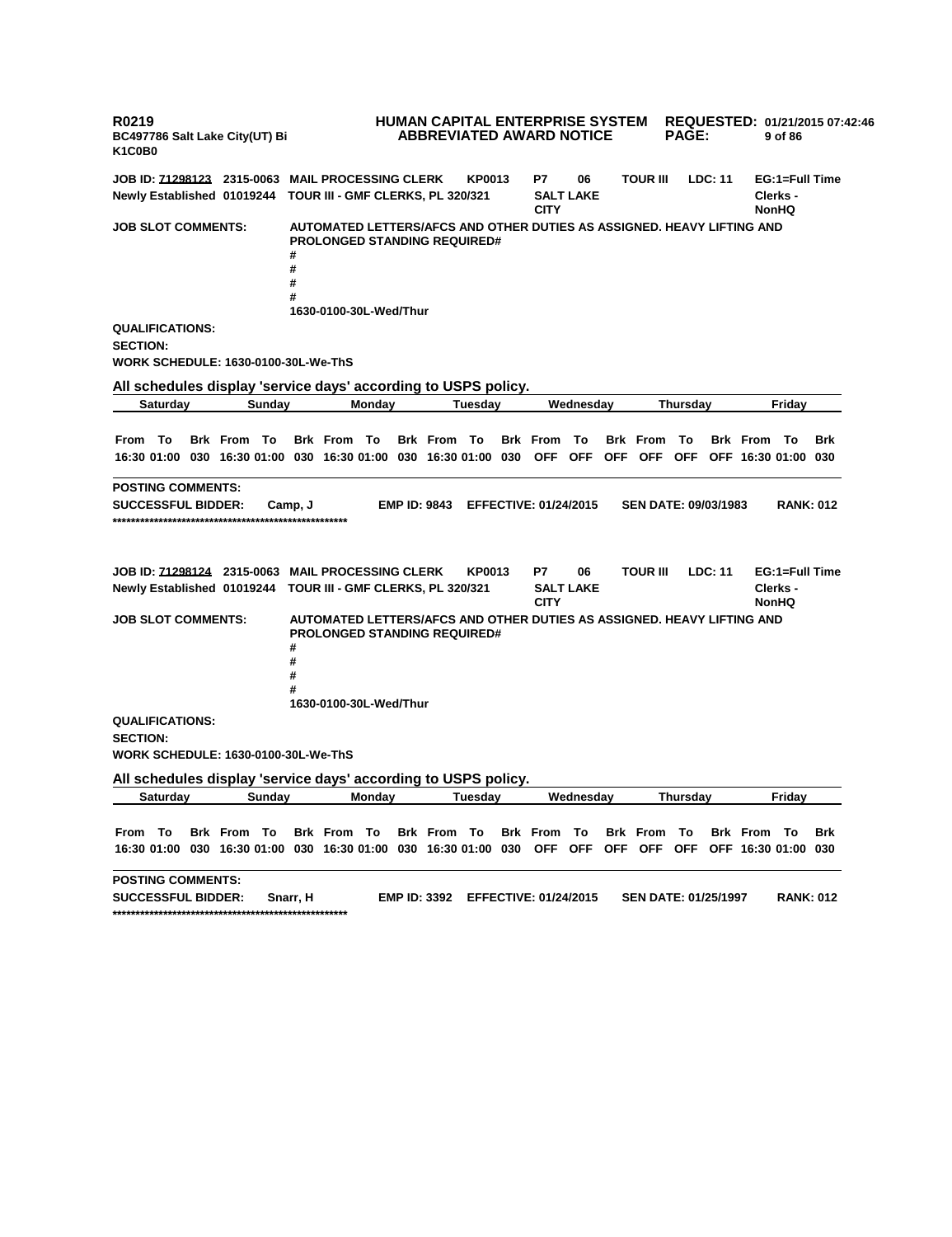**R0219 BC497786 Salt Lake City(UT) Bi K1C0B0 HUMAN CAPITAL ENTERPRISE SYSTEM REQUESTED: 01/21/2015 07:42:46 ABBREVIATED AWARD NOTICE PAGE: 9 of 86 JOB ID: 71298123 2315-0063 MAIL PROCESSING CLERK KP0013 P7 06 TOUR III LDC: 11 EG:1=Full Time Newly Established 01019244 TOUR III - GMF CLERKS, PL 320/321 SALT LAKE CITY Clerks - NonHQ JOB SLOT COMMENTS: AUTOMATED LETTERS/AFCS AND OTHER DUTIES AS ASSIGNED. HEAVY LIFTING AND PROLONGED STANDING REQUIRED# # # # # 1630-0100-30L-Wed/Thur QUALIFICATIONS: SECTION: WORK SCHEDULE: 1630-0100-30L-We-ThS All schedules display 'service days' according to USPS policy. Saturday Sunday Monday Tuesday Wednesday Thursday Friday** From To Brk From To Brk From To Brk From To Brk From To Brk From To Brk From To Brk 16:30 01:00 030 16:30 01:00 030 16:30 01:00 030 16:30 01:00 030 OFF OFF OFF OFF OFF OFF 16:30 01:00 030 **POSTING COMMENTS: SUCCESSFUL BIDDER: Camp, J EMP ID: 9843 EFFECTIVE: 01/24/2015 SEN DATE: 09/03/1983 RANK: 012 \*\*\*\*\*\*\*\*\*\*\*\*\*\*\*\*\*\*\*\*\*\*\*\*\*\*\*\*\*\*\*\*\*\*\*\*\*\*\*\*\*\*\*\*\*\*\*\*\*\*\* JOB ID: 71298124 2315-0063 MAIL PROCESSING CLERK KP0013 P7 06 TOUR III LDC: 11 EG:1=Full Time Newly Established 01019244 TOUR III - GMF CLERKS, PL 320/321 SALT LAKE CITY Clerks - NonHQ JOB SLOT COMMENTS: AUTOMATED LETTERS/AFCS AND OTHER DUTIES AS ASSIGNED. HEAVY LIFTING AND PROLONGED STANDING REQUIRED# # # # # 1630-0100-30L-Wed/Thur QUALIFICATIONS: SECTION: WORK SCHEDULE: 1630-0100-30L-We-ThS All schedules display 'service days' according to USPS policy. Saturday Sunday Monday Tuesday Wednesday Thursday Friday** From To Brk From To Brk From To Brk From To Brk From To Brk From To Brk From To Brk 16:30 01:00 030 16:30 01:00 030 16:30 01:00 030 16:30 01:00 030 OFF OFF OFF OFF OFF OFF 16:30 01:00 030 **POSTING COMMENTS: SUCCESSFUL BIDDER: Snarr, H EMP ID: 3392 EFFECTIVE: 01/24/2015 SEN DATE: 01/25/1997 RANK: 012 \*\*\*\*\*\*\*\*\*\*\*\*\*\*\*\*\*\*\*\*\*\*\*\*\*\*\*\*\*\*\*\*\*\*\*\*\*\*\*\*\*\*\*\*\*\*\*\*\*\*\***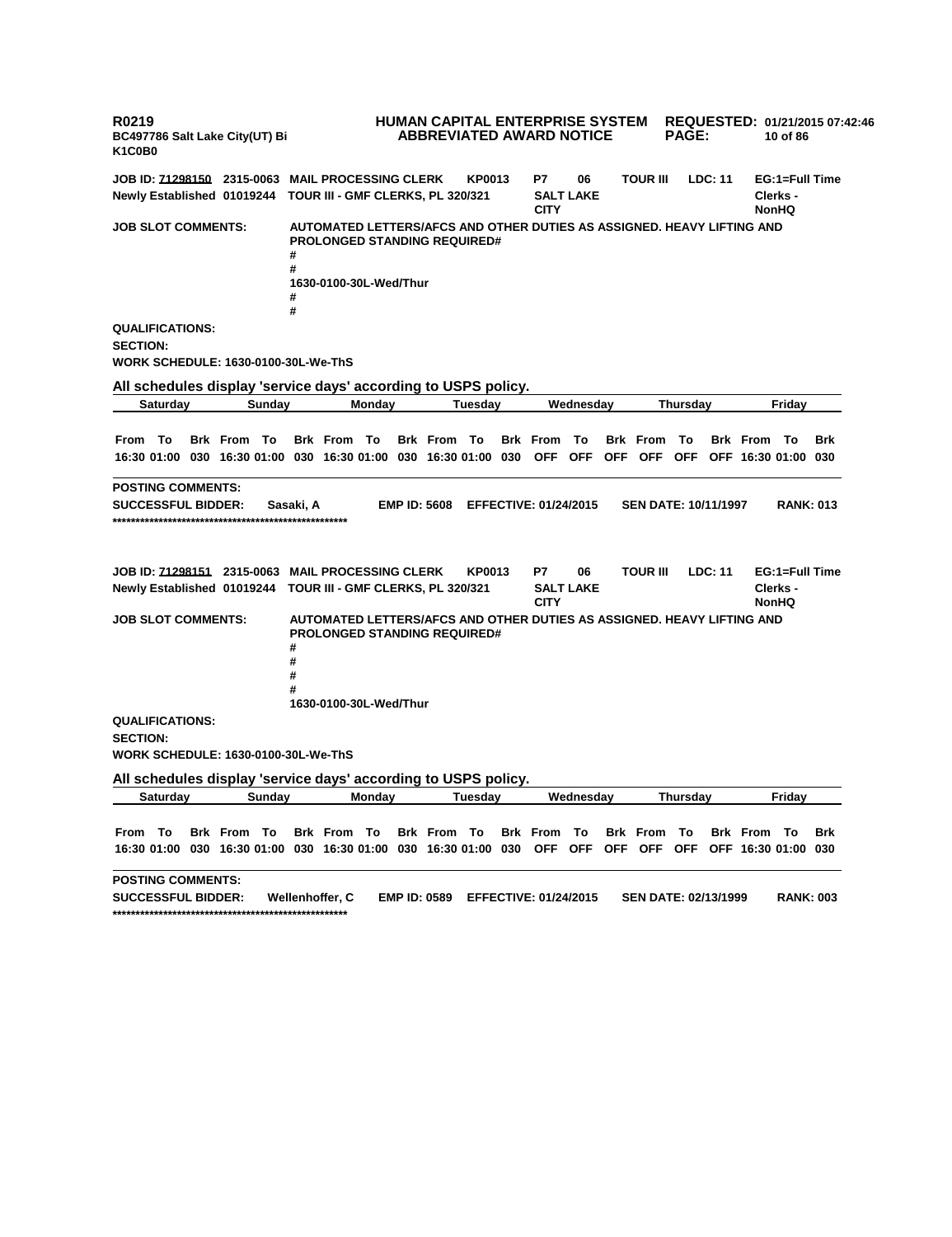**R0219 BC497786 Salt Lake City(UT) Bi K1C0B0 HUMAN CAPITAL ENTERPRISE SYSTEM REQUESTED: 01/21/2015 07:42:46 ABBREVIATED AWARD NOTICE PAGE: 10 of 86 JOB ID: 71298150 2315-0063 MAIL PROCESSING CLERK KP0013 P7 06 TOUR III LDC: 11 EG:1=Full Time Newly Established 01019244 TOUR III - GMF CLERKS, PL 320/321 SALT LAKE CITY Clerks - NonHQ JOB SLOT COMMENTS: AUTOMATED LETTERS/AFCS AND OTHER DUTIES AS ASSIGNED. HEAVY LIFTING AND PROLONGED STANDING REQUIRED# # # 1630-0100-30L-Wed/Thur # # QUALIFICATIONS: SECTION: WORK SCHEDULE: 1630-0100-30L-We-ThS All schedules display 'service days' according to USPS policy. Saturday Sunday Monday Tuesday Wednesday Thursday Friday** From To Brk From To Brk From To Brk From To Brk From To Brk From To Brk From To Brk 16:30 01:00 030 16:30 01:00 030 16:30 01:00 030 16:30 01:00 030 OFF OFF OFF OFF OFF OFF 16:30 01:00 030 **POSTING COMMENTS: SUCCESSFUL BIDDER: Sasaki, A EMP ID: 5608 EFFECTIVE: 01/24/2015 SEN DATE: 10/11/1997 RANK: 013 \*\*\*\*\*\*\*\*\*\*\*\*\*\*\*\*\*\*\*\*\*\*\*\*\*\*\*\*\*\*\*\*\*\*\*\*\*\*\*\*\*\*\*\*\*\*\*\*\*\*\* JOB ID: 71298151 2315-0063 MAIL PROCESSING CLERK KP0013 P7 06 TOUR III LDC: 11 EG:1=Full Time Newly Established 01019244 TOUR III - GMF CLERKS, PL 320/321 SALT LAKE CITY Clerks - NonHQ JOB SLOT COMMENTS: AUTOMATED LETTERS/AFCS AND OTHER DUTIES AS ASSIGNED. HEAVY LIFTING AND PROLONGED STANDING REQUIRED# # # # # 1630-0100-30L-Wed/Thur QUALIFICATIONS: SECTION: WORK SCHEDULE: 1630-0100-30L-We-ThS All schedules display 'service days' according to USPS policy. Saturday Sunday Monday Tuesday Wednesday Thursday Friday** From To Brk From To Brk From To Brk From To Brk From To Brk From To Brk From To Brk 16:30 01:00 030 16:30 01:00 030 16:30 01:00 030 16:30 01:00 030 OFF OFF OFF OFF OFF OFF 16:30 01:00 030 **POSTING COMMENTS: SUCCESSFUL BIDDER: Wellenhoffer, C EMP ID: 0589 EFFECTIVE: 01/24/2015 SEN DATE: 02/13/1999 RANK: 003 \*\*\*\*\*\*\*\*\*\*\*\*\*\*\*\*\*\*\*\*\*\*\*\*\*\*\*\*\*\*\*\*\*\*\*\*\*\*\*\*\*\*\*\*\*\*\*\*\*\*\***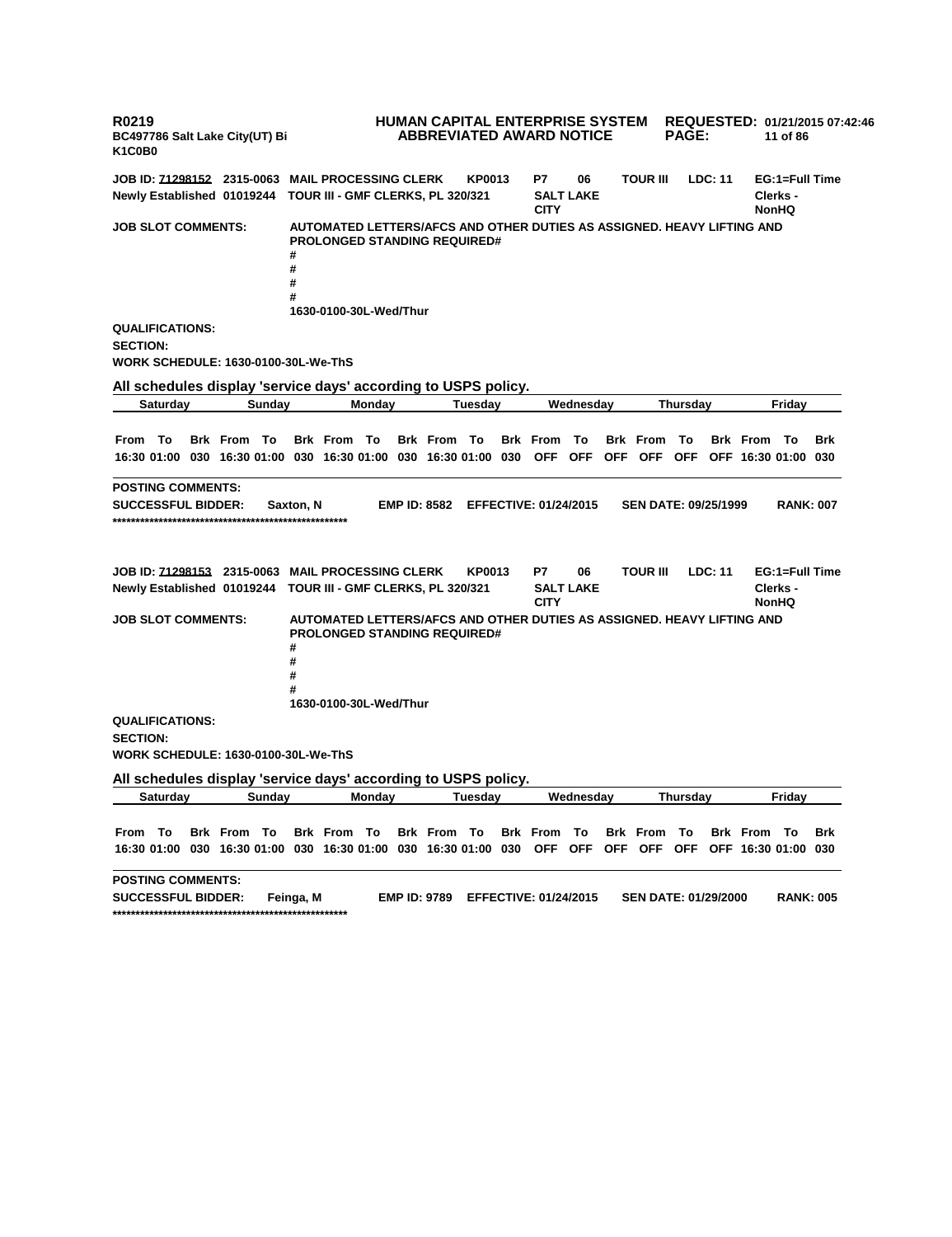**R0219 BC497786 Salt Lake City(UT) Bi K1C0B0 HUMAN CAPITAL ENTERPRISE SYSTEM REQUESTED: 01/21/2015 07:42:46 ABBREVIATED AWARD NOTICE PAGE: 11 of 86 JOB ID: 71298152 2315-0063 MAIL PROCESSING CLERK KP0013 P7 06 TOUR III LDC: 11 EG:1=Full Time Newly Established 01019244 TOUR III - GMF CLERKS, PL 320/321 SALT LAKE CITY Clerks - NonHQ JOB SLOT COMMENTS: AUTOMATED LETTERS/AFCS AND OTHER DUTIES AS ASSIGNED. HEAVY LIFTING AND PROLONGED STANDING REQUIRED# # # # # 1630-0100-30L-Wed/Thur QUALIFICATIONS: SECTION: WORK SCHEDULE: 1630-0100-30L-We-ThS All schedules display 'service days' according to USPS policy. Saturday Sunday Monday Tuesday Wednesday Thursday Friday** From To Brk From To Brk From To Brk From To Brk From To Brk From To Brk From To Brk 16:30 01:00 030 16:30 01:00 030 16:30 01:00 030 16:30 01:00 030 OFF OFF OFF OFF OFF OFF 16:30 01:00 030 **POSTING COMMENTS: SUCCESSFUL BIDDER: Saxton, N EMP ID: 8582 EFFECTIVE: 01/24/2015 SEN DATE: 09/25/1999 RANK: 007 \*\*\*\*\*\*\*\*\*\*\*\*\*\*\*\*\*\*\*\*\*\*\*\*\*\*\*\*\*\*\*\*\*\*\*\*\*\*\*\*\*\*\*\*\*\*\*\*\*\*\* JOB ID: 71298153 2315-0063 MAIL PROCESSING CLERK KP0013 P7 06 TOUR III LDC: 11 EG:1=Full Time Newly Established 01019244 TOUR III - GMF CLERKS, PL 320/321 SALT LAKE CITY Clerks - NonHQ JOB SLOT COMMENTS: AUTOMATED LETTERS/AFCS AND OTHER DUTIES AS ASSIGNED. HEAVY LIFTING AND PROLONGED STANDING REQUIRED# # # # # 1630-0100-30L-Wed/Thur QUALIFICATIONS: SECTION: WORK SCHEDULE: 1630-0100-30L-We-ThS All schedules display 'service days' according to USPS policy. Saturday Sunday Monday Tuesday Wednesday Thursday Friday** From To Brk From To Brk From To Brk From To Brk From To Brk From To Brk From To Brk 16:30 01:00 030 16:30 01:00 030 16:30 01:00 030 16:30 01:00 030 OFF OFF OFF OFF OFF OFF 16:30 01:00 030 **POSTING COMMENTS: SUCCESSFUL BIDDER: Feinga, M EMP ID: 9789 EFFECTIVE: 01/24/2015 SEN DATE: 01/29/2000 RANK: 005 \*\*\*\*\*\*\*\*\*\*\*\*\*\*\*\*\*\*\*\*\*\*\*\*\*\*\*\*\*\*\*\*\*\*\*\*\*\*\*\*\*\*\*\*\*\*\*\*\*\*\***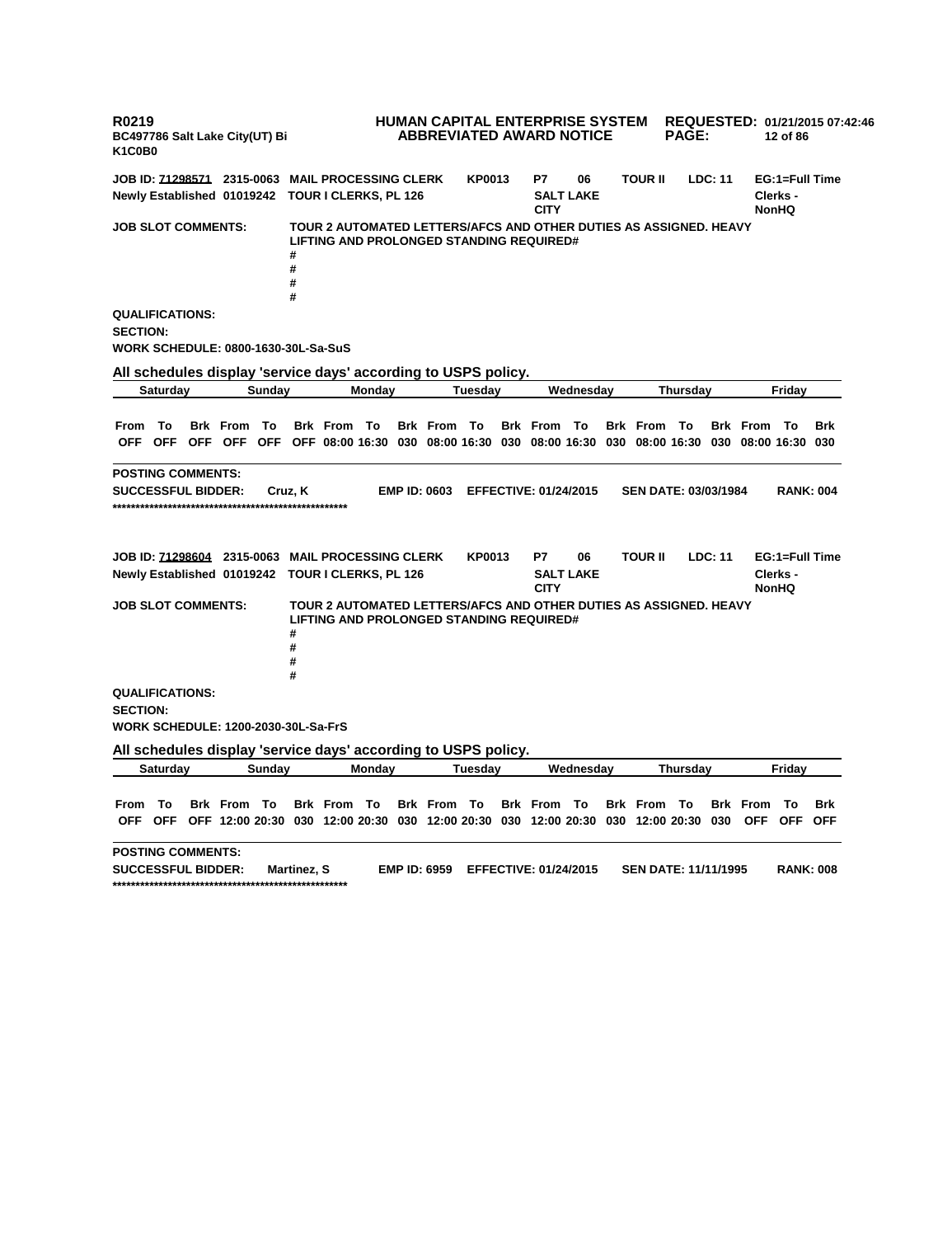**R0219 BC497786 Salt Lake City(UT) Bi K1C0B0 HUMAN CAPITAL ENTERPRISE SYSTEM ABBREVIATED AWARD NOTICE REQUESTED: 01/21/2015 07:42:46 PAGE: 12 of 86 JOB ID: 71298571 2315-0063 MAIL PROCESSING CLERK KP0013 P7 06 TOUR II LDC: 11 EG:1=Full Time Newly Established 01019242 TOUR I CLERKS, PL 126 SALT LAKE CITY Clerks - NonHQ JOB SLOT COMMENTS: TOUR 2 AUTOMATED LETTERS/AFCS AND OTHER DUTIES AS ASSIGNED. HEAVY LIFTING AND PROLONGED STANDING REQUIRED# # # # # QUALIFICATIONS: SECTION: WORK SCHEDULE: 0800-1630-30L-Sa-SuS All schedules display 'service days' according to USPS policy. Saturday Sunday Monday Tuesday Wednesday Thursday Friday** From To Brk From To Brk From To Brk From To Brk From To Brk From To Brk From To Brk OFF OFF OFF OFF OFF OFF 08:00 16:30 030 08:00 16:30 030 08:00 16:30 030 08:00 16:30 030 08:00 16:30 030 **POSTING COMMENTS: SUCCESSFUL BIDDER: Cruz, K EMP ID: 0603 EFFECTIVE: 01/24/2015 SEN DATE: 03/03/1984 RANK: 004 \*\*\*\*\*\*\*\*\*\*\*\*\*\*\*\*\*\*\*\*\*\*\*\*\*\*\*\*\*\*\*\*\*\*\*\*\*\*\*\*\*\*\*\*\*\*\*\*\*\*\* JOB ID: 71298604 2315-0063 MAIL PROCESSING CLERK KP0013 P7 06 TOUR II LDC: 11 EG:1=Full Time Newly Established 01019242 TOUR I CLERKS, PL 126 SALT LAKE CITY Clerks - NonHQ JOB SLOT COMMENTS: TOUR 2 AUTOMATED LETTERS/AFCS AND OTHER DUTIES AS ASSIGNED. HEAVY LIFTING AND PROLONGED STANDING REQUIRED# # # # # QUALIFICATIONS: SECTION: WORK SCHEDULE: 1200-2030-30L-Sa-FrS All schedules display 'service days' according to USPS policy. Saturday Sunday Monday Tuesday Wednesday Thursday Friday** From To Brk From To Brk From To Brk From To Brk From To Brk From To Brk From To Brk OFF OFF OFF 12:00 20:30 030 12:00 20:30 030 12:00 20:30 030 12:00 20:30 030 12:00 20:30 030 OFF OFF OFF **POSTING COMMENTS: SUCCESSFUL BIDDER: Martinez, S EMP ID: 6959 EFFECTIVE: 01/24/2015 SEN DATE: 11/11/1995 RANK: 008 \*\*\*\*\*\*\*\*\*\*\*\*\*\*\*\*\*\*\*\*\*\*\*\*\*\*\*\*\*\*\*\*\*\*\*\*\*\*\*\*\*\*\*\*\*\*\*\*\*\*\***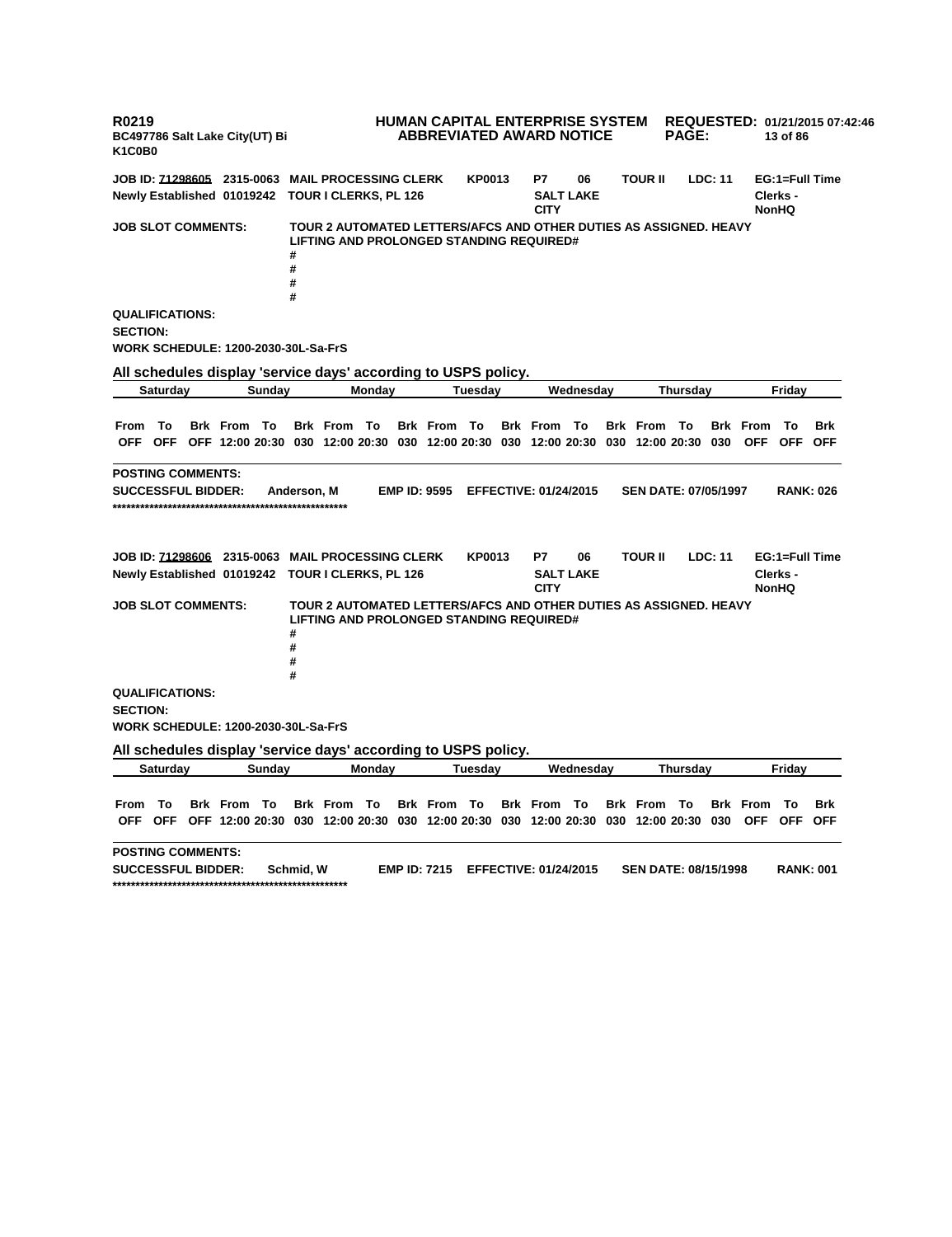**R0219 BC497786 Salt Lake City(UT) Bi K1C0B0 HUMAN CAPITAL ENTERPRISE SYSTEM ABBREVIATED AWARD NOTICE REQUESTED: 01/21/2015 07:42:46 PAGE: 13 of 86 JOB ID: 71298605 2315-0063 MAIL PROCESSING CLERK KP0013 P7 06 TOUR II LDC: 11 EG:1=Full Time Newly Established 01019242 TOUR I CLERKS, PL 126 SALT LAKE CITY Clerks - NonHQ JOB SLOT COMMENTS: TOUR 2 AUTOMATED LETTERS/AFCS AND OTHER DUTIES AS ASSIGNED. HEAVY LIFTING AND PROLONGED STANDING REQUIRED# # # # # QUALIFICATIONS: SECTION: WORK SCHEDULE: 1200-2030-30L-Sa-FrS All schedules display 'service days' according to USPS policy. Saturday Sunday Monday Tuesday Wednesday Thursday Friday** From To Brk From To Brk From To Brk From To Brk From To Brk From To Brk From To Brk OFF OFF OFF 12:00 20:30 030 12:00 20:30 030 12:00 20:30 030 12:00 20:30 030 12:00 20:30 030 OFF OFF OFF **POSTING COMMENTS: SUCCESSFUL BIDDER: Anderson, M EMP ID: 9595 EFFECTIVE: 01/24/2015 SEN DATE: 07/05/1997 RANK: 026 \*\*\*\*\*\*\*\*\*\*\*\*\*\*\*\*\*\*\*\*\*\*\*\*\*\*\*\*\*\*\*\*\*\*\*\*\*\*\*\*\*\*\*\*\*\*\*\*\*\*\* JOB ID: 71298606 2315-0063 MAIL PROCESSING CLERK KP0013 P7 06 TOUR II LDC: 11 EG:1=Full Time Newly Established 01019242 TOUR I CLERKS, PL 126 SALT LAKE CITY Clerks - NonHQ JOB SLOT COMMENTS: TOUR 2 AUTOMATED LETTERS/AFCS AND OTHER DUTIES AS ASSIGNED. HEAVY LIFTING AND PROLONGED STANDING REQUIRED# # # # # QUALIFICATIONS: SECTION: WORK SCHEDULE: 1200-2030-30L-Sa-FrS All schedules display 'service days' according to USPS policy. Saturday Sunday Monday Tuesday Wednesday Thursday Friday** From To Brk From To Brk From To Brk From To Brk From To Brk From To Brk From To Brk OFF OFF OFF 12:00 20:30 030 12:00 20:30 030 12:00 20:30 030 12:00 20:30 030 12:00 20:30 030 OFF OFF OFF **POSTING COMMENTS: SUCCESSFUL BIDDER: Schmid, W EMP ID: 7215 EFFECTIVE: 01/24/2015 SEN DATE: 08/15/1998 RANK: 001 \*\*\*\*\*\*\*\*\*\*\*\*\*\*\*\*\*\*\*\*\*\*\*\*\*\*\*\*\*\*\*\*\*\*\*\*\*\*\*\*\*\*\*\*\*\*\*\*\*\*\***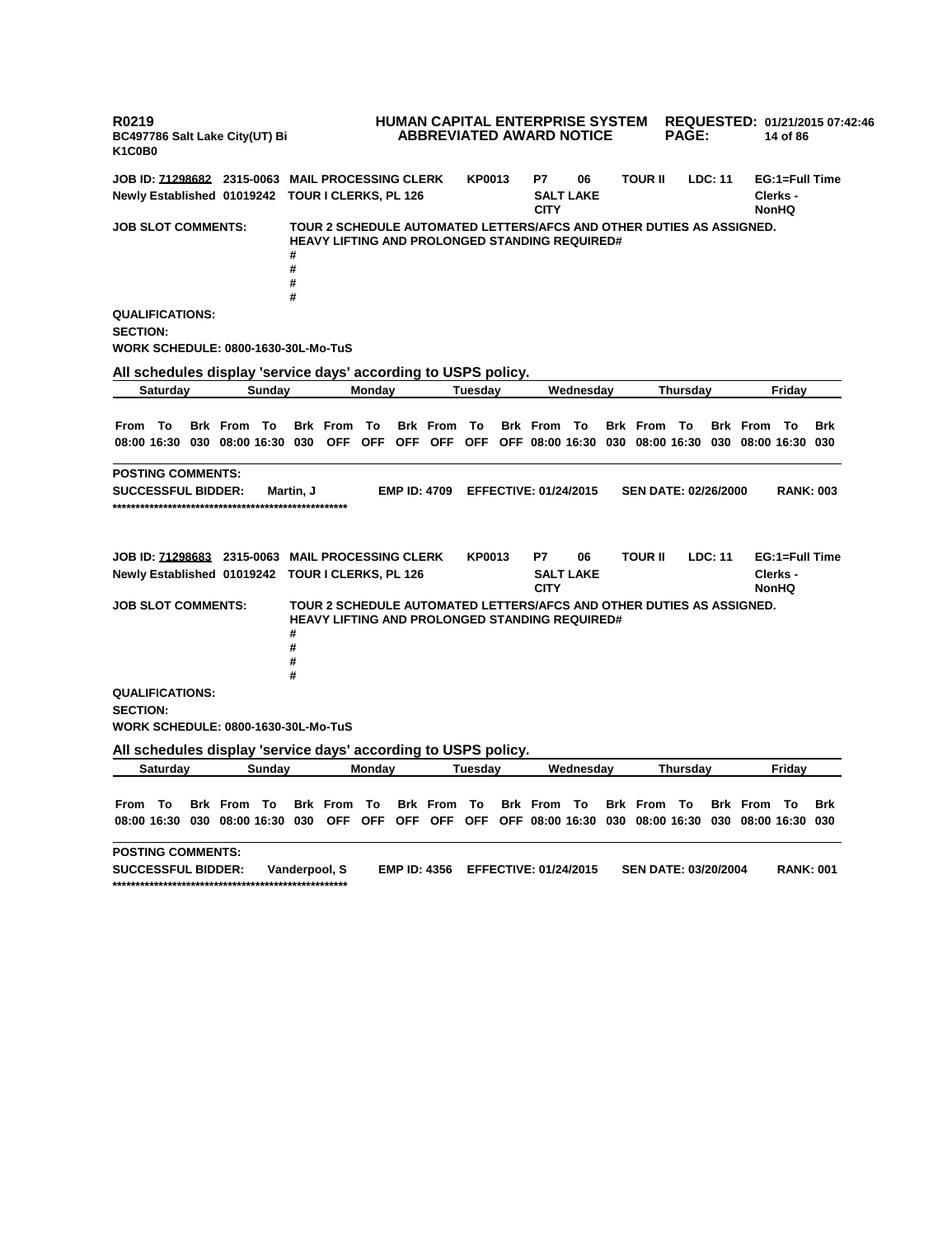**R0219 BC497786 Salt Lake City(UT) Bi K1C0B0 HUMAN CAPITAL ENTERPRISE SYSTEM ABBREVIATED AWARD NOTICE REQUESTED: 01/21/2015 07:42:46 PAGE: 14 of 86 JOB ID: 71298682 2315-0063 MAIL PROCESSING CLERK KP0013 P7 06 TOUR II LDC: 11 EG:1=Full Time Newly Established 01019242 TOUR I CLERKS, PL 126 SALT LAKE CITY Clerks - NonHQ JOB SLOT COMMENTS: TOUR 2 SCHEDULE AUTOMATED LETTERS/AFCS AND OTHER DUTIES AS ASSIGNED. HEAVY LIFTING AND PROLONGED STANDING REQUIRED# # # # # QUALIFICATIONS: SECTION: WORK SCHEDULE: 0800-1630-30L-Mo-TuS All schedules display 'service days' according to USPS policy. Saturday Sunday Monday Tuesday Wednesday Thursday Friday** From To Brk From To Brk From To Brk From To Brk From To Brk From To Brk From To Brk 08:00 16:30 030 08:00 16:30 030 OFF OFF OFF OFF OFF OFF O8:00 16:30 030 08:00 16:30 030 08:00 16:30 030 **POSTING COMMENTS: SUCCESSFUL BIDDER: Martin, J EMP ID: 4709 EFFECTIVE: 01/24/2015 SEN DATE: 02/26/2000 RANK: 003 \*\*\*\*\*\*\*\*\*\*\*\*\*\*\*\*\*\*\*\*\*\*\*\*\*\*\*\*\*\*\*\*\*\*\*\*\*\*\*\*\*\*\*\*\*\*\*\*\*\*\* JOB ID: 71298683 2315-0063 MAIL PROCESSING CLERK KP0013 P7 06 TOUR II LDC: 11 EG:1=Full Time Newly Established 01019242 TOUR I CLERKS, PL 126 SALT LAKE CITY Clerks - NonHQ JOB SLOT COMMENTS: TOUR 2 SCHEDULE AUTOMATED LETTERS/AFCS AND OTHER DUTIES AS ASSIGNED. HEAVY LIFTING AND PROLONGED STANDING REQUIRED# # # # # QUALIFICATIONS: SECTION: WORK SCHEDULE: 0800-1630-30L-Mo-TuS All schedules display 'service days' according to USPS policy. Saturday Sunday Monday Tuesday Wednesday Thursday Friday** From To Brk From To Brk From To Brk From To Brk From To Brk From To Brk From To Brk 08:00 16:30 030 08:00 16:30 030 OFF OFF OFF OFF OFF OFF OF6 08:00 16:30 030 08:00 16:30 030 08:00 16:30 030 **POSTING COMMENTS: SUCCESSFUL BIDDER: Vanderpool, S EMP ID: 4356 EFFECTIVE: 01/24/2015 SEN DATE: 03/20/2004 RANK: 001 \*\*\*\*\*\*\*\*\*\*\*\*\*\*\*\*\*\*\*\*\*\*\*\*\*\*\*\*\*\*\*\*\*\*\*\*\*\*\*\*\*\*\*\*\*\*\*\*\*\*\***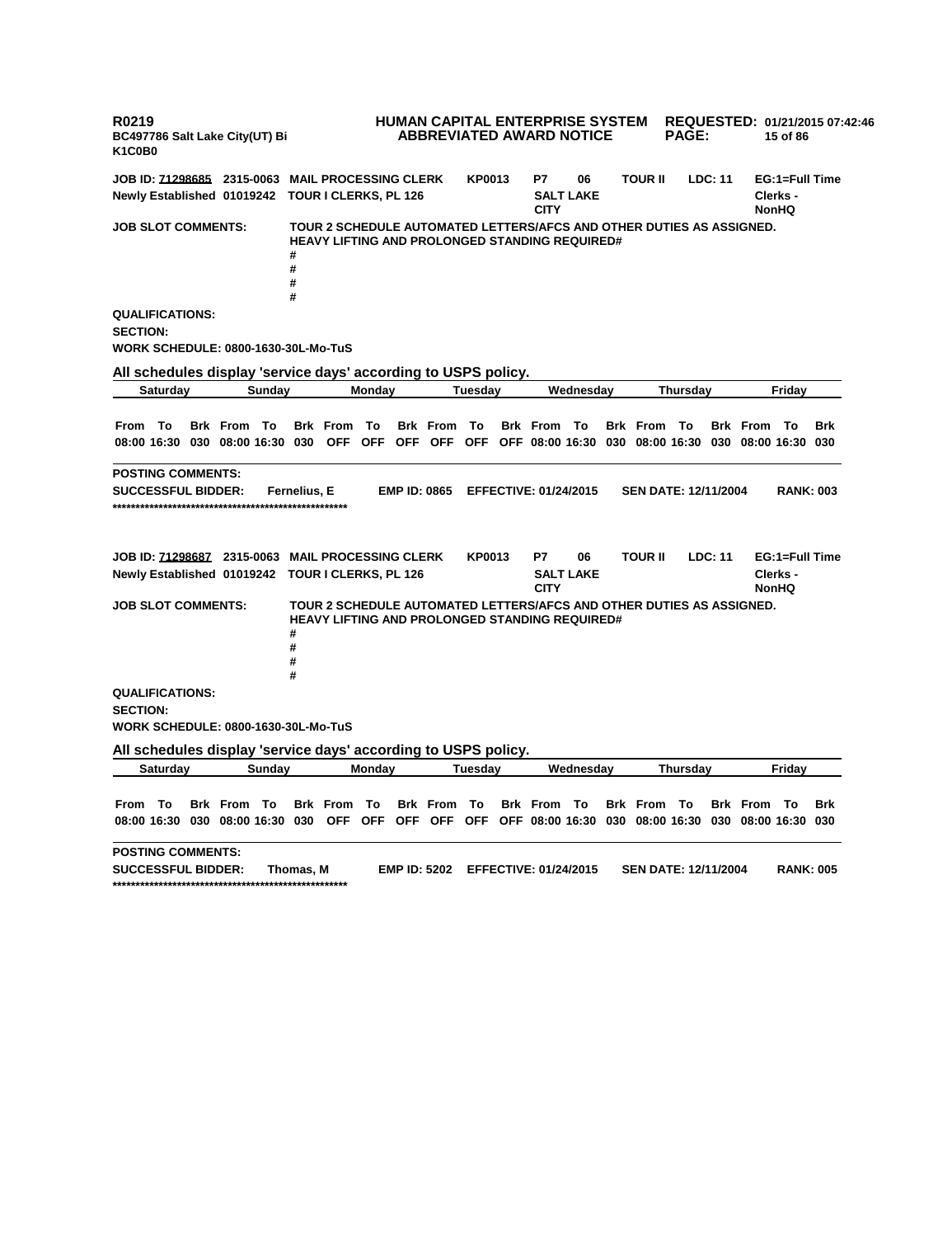**R0219 BC497786 Salt Lake City(UT) Bi K1C0B0 HUMAN CAPITAL ENTERPRISE SYSTEM ABBREVIATED AWARD NOTICE REQUESTED: 01/21/2015 07:42:46 PAGE: 15 of 86 JOB ID: 71298685 2315-0063 MAIL PROCESSING CLERK KP0013 P7 06 TOUR II LDC: 11 EG:1=Full Time Newly Established 01019242 TOUR I CLERKS, PL 126 SALT LAKE CITY Clerks - NonHQ JOB SLOT COMMENTS: TOUR 2 SCHEDULE AUTOMATED LETTERS/AFCS AND OTHER DUTIES AS ASSIGNED. HEAVY LIFTING AND PROLONGED STANDING REQUIRED# # # # # QUALIFICATIONS: SECTION: WORK SCHEDULE: 0800-1630-30L-Mo-TuS All schedules display 'service days' according to USPS policy. Saturday Sunday Monday Tuesday Wednesday Thursday Friday** From To Brk From To Brk From To Brk From To Brk From To Brk From To Brk From To Brk 08:00 16:30 030 08:00 16:30 030 OFF OFF OFF OFF OFF OFF O8:00 16:30 030 08:00 16:30 030 08:00 16:30 030 **POSTING COMMENTS: SUCCESSFUL BIDDER: Fernelius, E EMP ID: 0865 EFFECTIVE: 01/24/2015 SEN DATE: 12/11/2004 RANK: 003 \*\*\*\*\*\*\*\*\*\*\*\*\*\*\*\*\*\*\*\*\*\*\*\*\*\*\*\*\*\*\*\*\*\*\*\*\*\*\*\*\*\*\*\*\*\*\*\*\*\*\* JOB ID: 71298687 2315-0063 MAIL PROCESSING CLERK KP0013 P7 06 TOUR II LDC: 11 EG:1=Full Time Newly Established 01019242 TOUR I CLERKS, PL 126 SALT LAKE CITY Clerks - NonHQ JOB SLOT COMMENTS: TOUR 2 SCHEDULE AUTOMATED LETTERS/AFCS AND OTHER DUTIES AS ASSIGNED. HEAVY LIFTING AND PROLONGED STANDING REQUIRED# # # # # QUALIFICATIONS: SECTION: WORK SCHEDULE: 0800-1630-30L-Mo-TuS All schedules display 'service days' according to USPS policy. Saturday Sunday Monday Tuesday Wednesday Thursday Friday** From To Brk From To Brk From To Brk From To Brk From To Brk From To Brk From To Brk 08:00 16:30 030 08:00 16:30 030 OFF OFF OFF OFF OFF OFF OF6 08:00 16:30 030 08:00 16:30 030 08:00 16:30 030 **POSTING COMMENTS: SUCCESSFUL BIDDER: Thomas, M EMP ID: 5202 EFFECTIVE: 01/24/2015 SEN DATE: 12/11/2004 RANK: 005 \*\*\*\*\*\*\*\*\*\*\*\*\*\*\*\*\*\*\*\*\*\*\*\*\*\*\*\*\*\*\*\*\*\*\*\*\*\*\*\*\*\*\*\*\*\*\*\*\*\*\***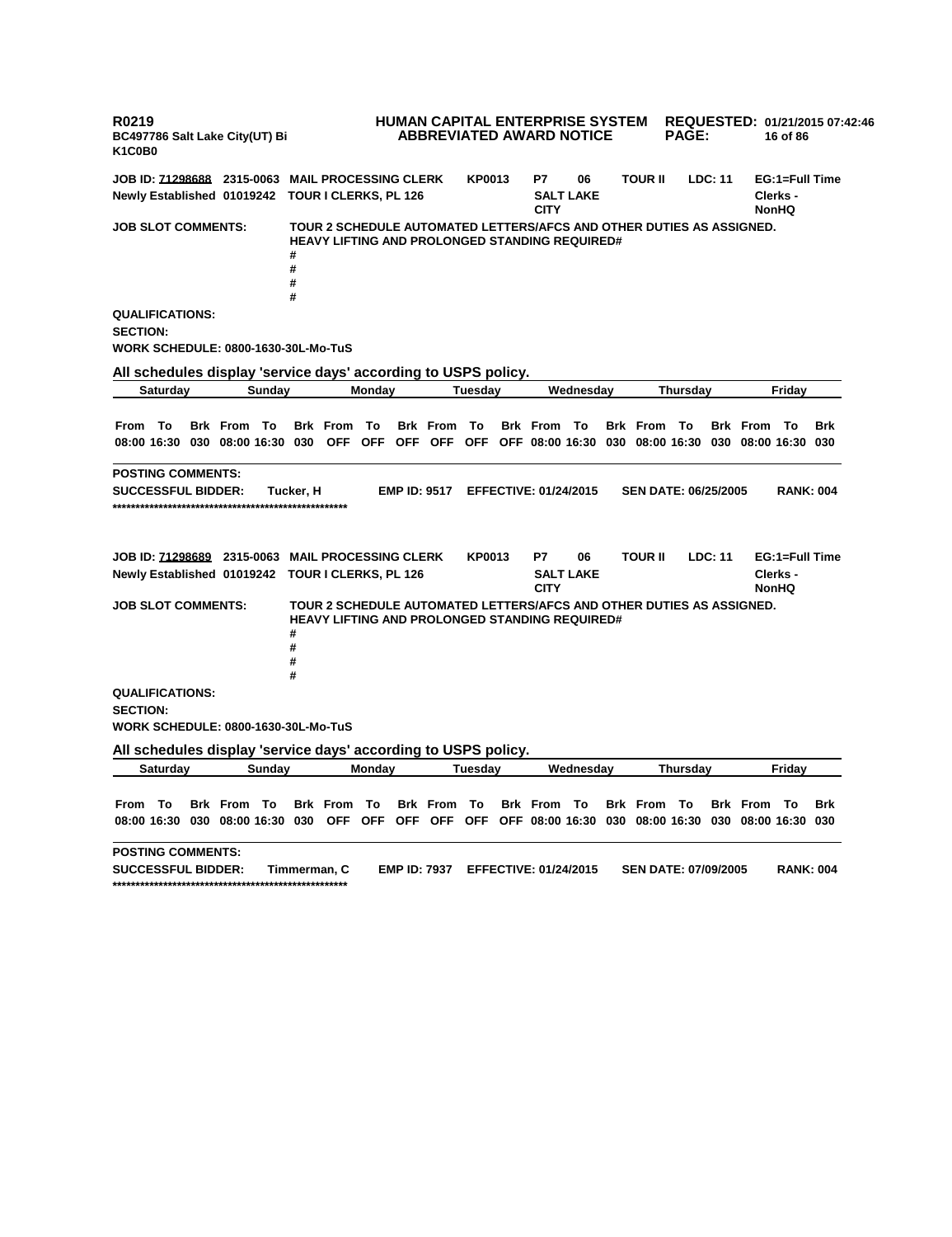**R0219 BC497786 Salt Lake City(UT) Bi K1C0B0 HUMAN CAPITAL ENTERPRISE SYSTEM ABBREVIATED AWARD NOTICE REQUESTED: 01/21/2015 07:42:46 PAGE: 16 of 86 JOB ID: 71298688 2315-0063 MAIL PROCESSING CLERK KP0013 P7 06 TOUR II LDC: 11 EG:1=Full Time Newly Established 01019242 TOUR I CLERKS, PL 126 SALT LAKE CITY Clerks - NonHQ JOB SLOT COMMENTS: TOUR 2 SCHEDULE AUTOMATED LETTERS/AFCS AND OTHER DUTIES AS ASSIGNED. HEAVY LIFTING AND PROLONGED STANDING REQUIRED# # # # # QUALIFICATIONS: SECTION: WORK SCHEDULE: 0800-1630-30L-Mo-TuS All schedules display 'service days' according to USPS policy. Saturday Sunday Monday Tuesday Wednesday Thursday Friday** From To Brk From To Brk From To Brk From To Brk From To Brk From To Brk From To Brk 08:00 16:30 030 08:00 16:30 030 OFF OFF OFF OFF OFF OFF O8:00 16:30 030 08:00 16:30 030 08:00 16:30 030 **POSTING COMMENTS: SUCCESSFUL BIDDER: Tucker, H EMP ID: 9517 EFFECTIVE: 01/24/2015 SEN DATE: 06/25/2005 RANK: 004 \*\*\*\*\*\*\*\*\*\*\*\*\*\*\*\*\*\*\*\*\*\*\*\*\*\*\*\*\*\*\*\*\*\*\*\*\*\*\*\*\*\*\*\*\*\*\*\*\*\*\* JOB ID: 71298689 2315-0063 MAIL PROCESSING CLERK KP0013 P7 06 TOUR II LDC: 11 EG:1=Full Time Newly Established 01019242 TOUR I CLERKS, PL 126 SALT LAKE CITY Clerks - NonHQ JOB SLOT COMMENTS: TOUR 2 SCHEDULE AUTOMATED LETTERS/AFCS AND OTHER DUTIES AS ASSIGNED. HEAVY LIFTING AND PROLONGED STANDING REQUIRED# # # # # QUALIFICATIONS: SECTION: WORK SCHEDULE: 0800-1630-30L-Mo-TuS All schedules display 'service days' according to USPS policy. Saturday Sunday Monday Tuesday Wednesday Thursday Friday** From To Brk From To Brk From To Brk From To Brk From To Brk From To Brk From To Brk 08:00 16:30 030 08:00 16:30 030 OFF OFF OFF OFF OFF OFF OF6 08:00 16:30 030 08:00 16:30 030 08:00 16:30 030 **POSTING COMMENTS: SUCCESSFUL BIDDER: Timmerman, C EMP ID: 7937 EFFECTIVE: 01/24/2015 SEN DATE: 07/09/2005 RANK: 004 \*\*\*\*\*\*\*\*\*\*\*\*\*\*\*\*\*\*\*\*\*\*\*\*\*\*\*\*\*\*\*\*\*\*\*\*\*\*\*\*\*\*\*\*\*\*\*\*\*\*\***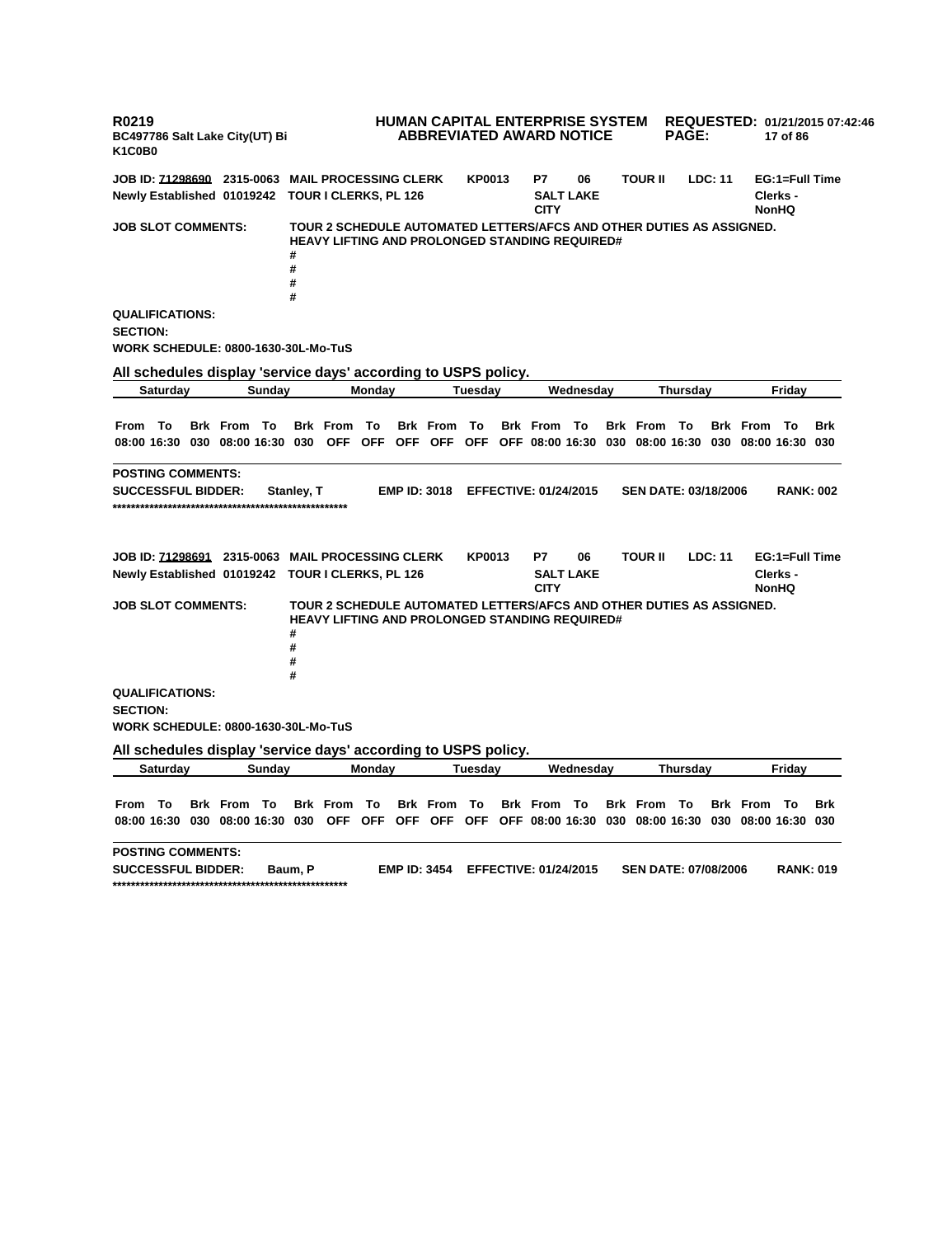**R0219 BC497786 Salt Lake City(UT) Bi K1C0B0 HUMAN CAPITAL ENTERPRISE SYSTEM REQUESTED: 01/21/2015 07:42:46 ABBREVIATED AWARD NOTICE PAGE: 17 of 86 JOB ID: 71298690 2315-0063 MAIL PROCESSING CLERK KP0013 P7 06 TOUR II LDC: 11 EG:1=Full Time Newly Established 01019242 TOUR I CLERKS, PL 126 SALT LAKE CITY Clerks - NonHQ JOB SLOT COMMENTS: TOUR 2 SCHEDULE AUTOMATED LETTERS/AFCS AND OTHER DUTIES AS ASSIGNED. HEAVY LIFTING AND PROLONGED STANDING REQUIRED# # # # # QUALIFICATIONS: SECTION: WORK SCHEDULE: 0800-1630-30L-Mo-TuS All schedules display 'service days' according to USPS policy. Saturday Sunday Monday Tuesday Wednesday Thursday Friday** From To Brk From To Brk From To Brk From To Brk From To Brk From To Brk From To Brk 08:00 16:30 030 08:00 16:30 030 OFF OFF OFF OFF OFF OFF O8:00 16:30 030 08:00 16:30 030 08:00 16:30 030 **POSTING COMMENTS: SUCCESSFUL BIDDER: Stanley, T EMP ID: 3018 EFFECTIVE: 01/24/2015 SEN DATE: 03/18/2006 RANK: 002 \*\*\*\*\*\*\*\*\*\*\*\*\*\*\*\*\*\*\*\*\*\*\*\*\*\*\*\*\*\*\*\*\*\*\*\*\*\*\*\*\*\*\*\*\*\*\*\*\*\*\* JOB ID: 71298691 2315-0063 MAIL PROCESSING CLERK KP0013 P7 06 TOUR II LDC: 11 EG:1=Full Time Newly Established 01019242 TOUR I CLERKS, PL 126 SALT LAKE CITY Clerks - NonHQ JOB SLOT COMMENTS: TOUR 2 SCHEDULE AUTOMATED LETTERS/AFCS AND OTHER DUTIES AS ASSIGNED. HEAVY LIFTING AND PROLONGED STANDING REQUIRED# # # # # QUALIFICATIONS: SECTION: WORK SCHEDULE: 0800-1630-30L-Mo-TuS All schedules display 'service days' according to USPS policy. Saturday Sunday Monday Tuesday Wednesday Thursday Friday** From To Brk From To Brk From To Brk From To Brk From To Brk From To Brk From To Brk 08:00 16:30 030 08:00 16:30 030 OFF OFF OFF OFF OFF OFF OS:00 16:30 030 08:00 16:30 030 08:00 16:30 030 **POSTING COMMENTS: SUCCESSFUL BIDDER: Baum, P EMP ID: 3454 EFFECTIVE: 01/24/2015 SEN DATE: 07/08/2006 RANK: 019 \*\*\*\*\*\*\*\*\*\*\*\*\*\*\*\*\*\*\*\*\*\*\*\*\*\*\*\*\*\*\*\*\*\*\*\*\*\*\*\*\*\*\*\*\*\*\*\*\*\*\***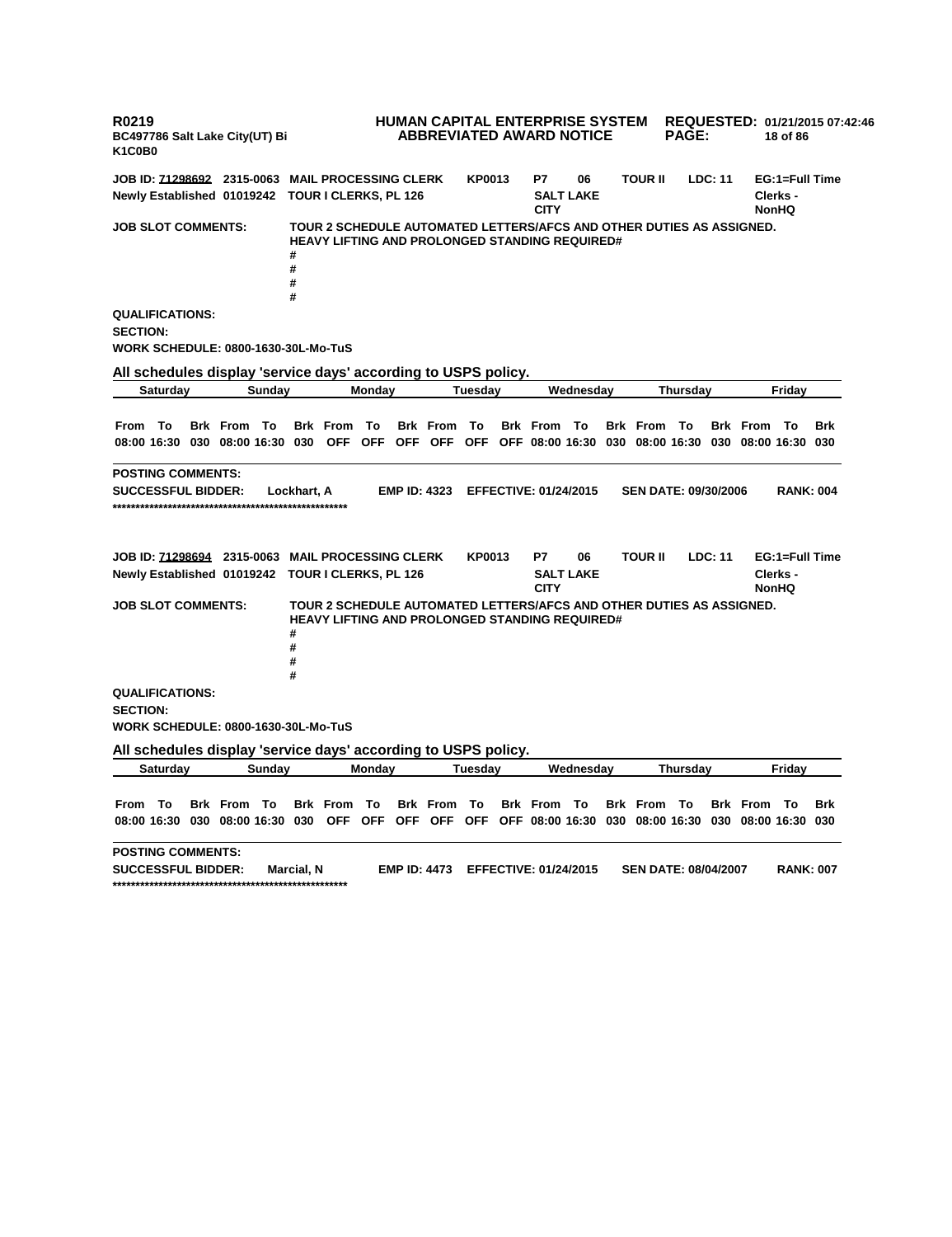**R0219 BC497786 Salt Lake City(UT) Bi K1C0B0 HUMAN CAPITAL ENTERPRISE SYSTEM ABBREVIATED AWARD NOTICE REQUESTED: 01/21/2015 07:42:46 PAGE: 18 of 86 JOB ID: 71298692 2315-0063 MAIL PROCESSING CLERK KP0013 P7 06 TOUR II LDC: 11 EG:1=Full Time Newly Established 01019242 TOUR I CLERKS, PL 126 SALT LAKE CITY Clerks - NonHQ JOB SLOT COMMENTS: TOUR 2 SCHEDULE AUTOMATED LETTERS/AFCS AND OTHER DUTIES AS ASSIGNED. HEAVY LIFTING AND PROLONGED STANDING REQUIRED# # # # # QUALIFICATIONS: SECTION: WORK SCHEDULE: 0800-1630-30L-Mo-TuS All schedules display 'service days' according to USPS policy. Saturday Sunday Monday Tuesday Wednesday Thursday Friday** From To Brk From To Brk From To Brk From To Brk From To Brk From To Brk From To Brk 08:00 16:30 030 08:00 16:30 030 OFF OFF OFF OFF OFF OFF O8:00 16:30 030 08:00 16:30 030 08:00 16:30 030 **POSTING COMMENTS: SUCCESSFUL BIDDER: Lockhart, A EMP ID: 4323 EFFECTIVE: 01/24/2015 SEN DATE: 09/30/2006 RANK: 004 \*\*\*\*\*\*\*\*\*\*\*\*\*\*\*\*\*\*\*\*\*\*\*\*\*\*\*\*\*\*\*\*\*\*\*\*\*\*\*\*\*\*\*\*\*\*\*\*\*\*\* JOB ID: 71298694 2315-0063 MAIL PROCESSING CLERK KP0013 P7 06 TOUR II LDC: 11 EG:1=Full Time Newly Established 01019242 TOUR I CLERKS, PL 126 SALT LAKE CITY Clerks - NonHQ JOB SLOT COMMENTS: TOUR 2 SCHEDULE AUTOMATED LETTERS/AFCS AND OTHER DUTIES AS ASSIGNED. HEAVY LIFTING AND PROLONGED STANDING REQUIRED# # # # # QUALIFICATIONS: SECTION: WORK SCHEDULE: 0800-1630-30L-Mo-TuS All schedules display 'service days' according to USPS policy. Saturday Sunday Monday Tuesday Wednesday Thursday Friday** From To Brk From To Brk From To Brk From To Brk From To Brk From To Brk From To Brk 08:00 16:30 030 08:00 16:30 030 OFF OFF OFF OFF OFF OFF OS:00 16:30 030 08:00 16:30 030 08:00 16:30 030 **POSTING COMMENTS: SUCCESSFUL BIDDER: Marcial, N EMP ID: 4473 EFFECTIVE: 01/24/2015 SEN DATE: 08/04/2007 RANK: 007 \*\*\*\*\*\*\*\*\*\*\*\*\*\*\*\*\*\*\*\*\*\*\*\*\*\*\*\*\*\*\*\*\*\*\*\*\*\*\*\*\*\*\*\*\*\*\*\*\*\*\***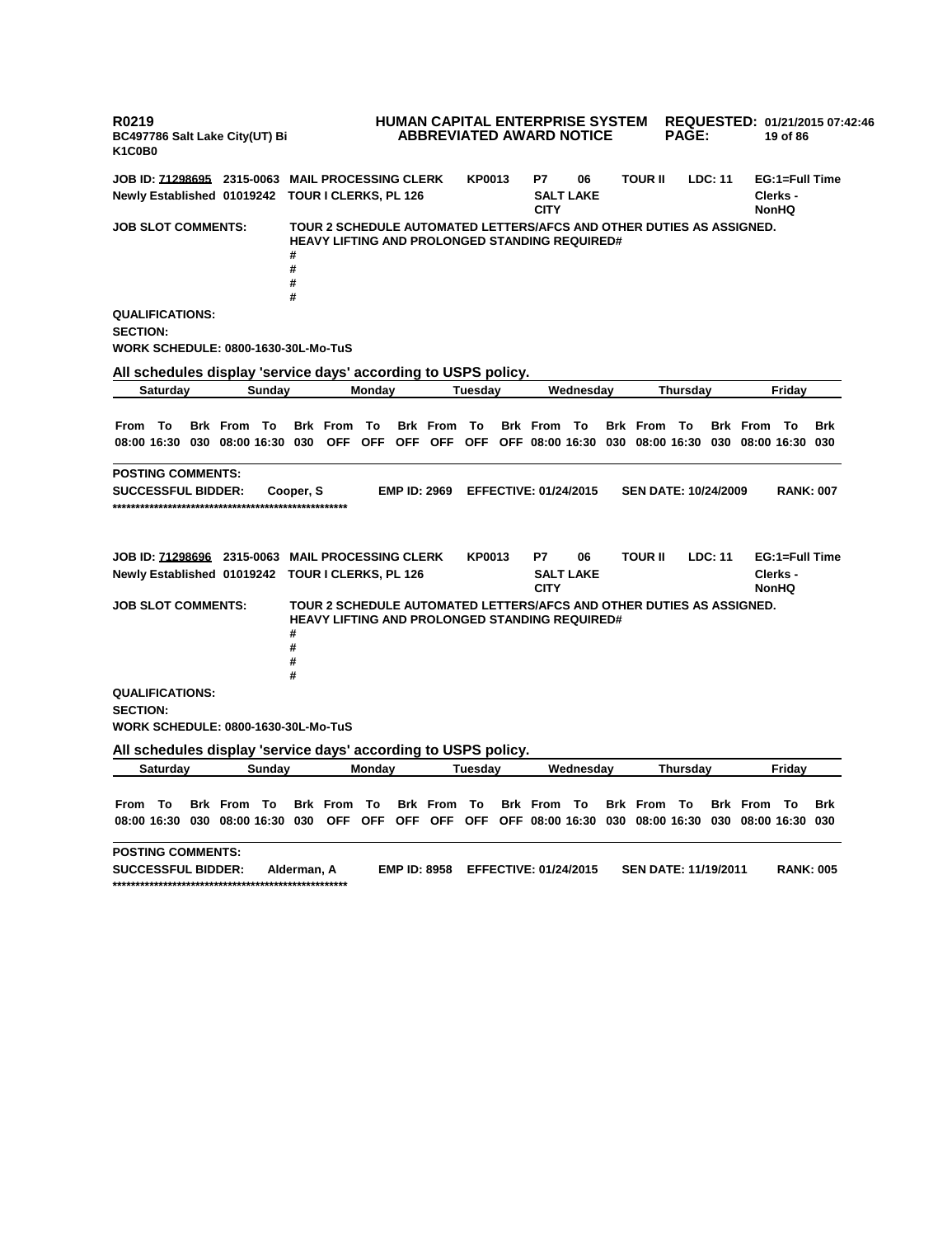**R0219 BC497786 Salt Lake City(UT) Bi K1C0B0 HUMAN CAPITAL ENTERPRISE SYSTEM ABBREVIATED AWARD NOTICE REQUESTED: 01/21/2015 07:42:46 PAGE: 19 of 86 JOB ID: 71298695 2315-0063 MAIL PROCESSING CLERK KP0013 P7 06 TOUR II LDC: 11 EG:1=Full Time Newly Established 01019242 TOUR I CLERKS, PL 126 SALT LAKE CITY Clerks - NonHQ JOB SLOT COMMENTS: TOUR 2 SCHEDULE AUTOMATED LETTERS/AFCS AND OTHER DUTIES AS ASSIGNED. HEAVY LIFTING AND PROLONGED STANDING REQUIRED# # # # # QUALIFICATIONS: SECTION: WORK SCHEDULE: 0800-1630-30L-Mo-TuS All schedules display 'service days' according to USPS policy. Saturday Sunday Monday Tuesday Wednesday Thursday Friday** From To Brk From To Brk From To Brk From To Brk From To Brk From To Brk From To Brk 08:00 16:30 030 08:00 16:30 030 OFF OFF OFF OFF OFF OFF O8:00 16:30 030 08:00 16:30 030 08:00 16:30 030 **POSTING COMMENTS: SUCCESSFUL BIDDER: Cooper, S EMP ID: 2969 EFFECTIVE: 01/24/2015 SEN DATE: 10/24/2009 RANK: 007 \*\*\*\*\*\*\*\*\*\*\*\*\*\*\*\*\*\*\*\*\*\*\*\*\*\*\*\*\*\*\*\*\*\*\*\*\*\*\*\*\*\*\*\*\*\*\*\*\*\*\* JOB ID: 71298696 2315-0063 MAIL PROCESSING CLERK KP0013 P7 06 TOUR II LDC: 11 EG:1=Full Time Newly Established 01019242 TOUR I CLERKS, PL 126 SALT LAKE CITY Clerks - NonHQ JOB SLOT COMMENTS: TOUR 2 SCHEDULE AUTOMATED LETTERS/AFCS AND OTHER DUTIES AS ASSIGNED. HEAVY LIFTING AND PROLONGED STANDING REQUIRED# # # # # QUALIFICATIONS: SECTION: WORK SCHEDULE: 0800-1630-30L-Mo-TuS All schedules display 'service days' according to USPS policy. Saturday Sunday Monday Tuesday Wednesday Thursday Friday** From To Brk From To Brk From To Brk From To Brk From To Brk From To Brk From To Brk 08:00 16:30 030 08:00 16:30 030 OFF OFF OFF OFF OFF OFF OS:00 16:30 030 08:00 16:30 030 08:00 16:30 030 **POSTING COMMENTS: SUCCESSFUL BIDDER: Alderman, A EMP ID: 8958 EFFECTIVE: 01/24/2015 SEN DATE: 11/19/2011 RANK: 005 \*\*\*\*\*\*\*\*\*\*\*\*\*\*\*\*\*\*\*\*\*\*\*\*\*\*\*\*\*\*\*\*\*\*\*\*\*\*\*\*\*\*\*\*\*\*\*\*\*\*\***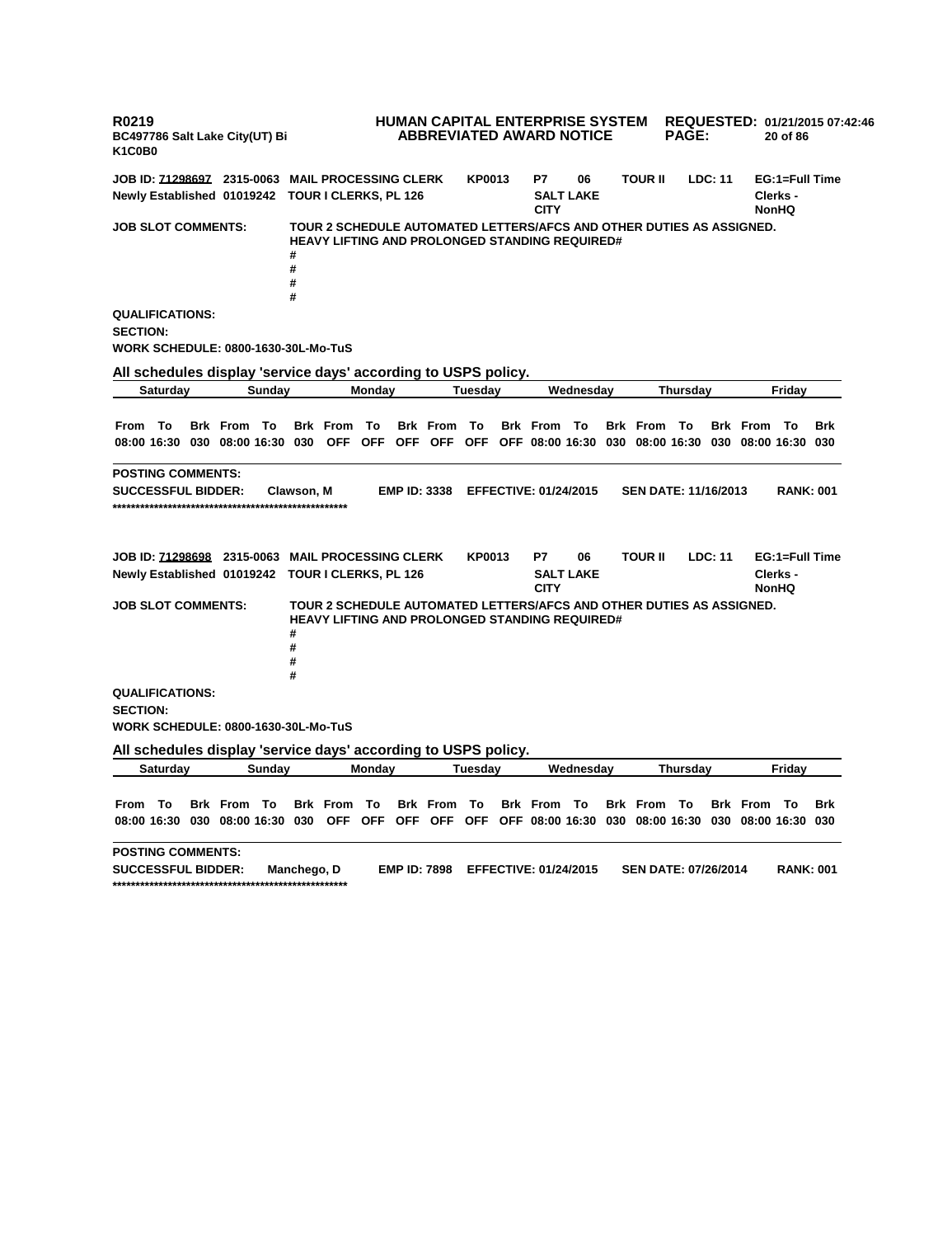**R0219 BC497786 Salt Lake City(UT) Bi K1C0B0 HUMAN CAPITAL ENTERPRISE SYSTEM ABBREVIATED AWARD NOTICE REQUESTED: 01/21/2015 07:42:46 PAGE: 20 of 86 JOB ID: 71298697 2315-0063 MAIL PROCESSING CLERK KP0013 P7 06 TOUR II LDC: 11 EG:1=Full Time Newly Established 01019242 TOUR I CLERKS, PL 126 SALT LAKE CITY Clerks - NonHQ JOB SLOT COMMENTS: TOUR 2 SCHEDULE AUTOMATED LETTERS/AFCS AND OTHER DUTIES AS ASSIGNED. HEAVY LIFTING AND PROLONGED STANDING REQUIRED# # # # # QUALIFICATIONS: SECTION: WORK SCHEDULE: 0800-1630-30L-Mo-TuS All schedules display 'service days' according to USPS policy. Saturday Sunday Monday Tuesday Wednesday Thursday Friday** From To Brk From To Brk From To Brk From To Brk From To Brk From To Brk From To Brk 08:00 16:30 030 08:00 16:30 030 OFF OFF OFF OFF OFF OFF O8:00 16:30 030 08:00 16:30 030 08:00 16:30 030 **POSTING COMMENTS: SUCCESSFUL BIDDER: Clawson, M EMP ID: 3338 EFFECTIVE: 01/24/2015 SEN DATE: 11/16/2013 RANK: 001 \*\*\*\*\*\*\*\*\*\*\*\*\*\*\*\*\*\*\*\*\*\*\*\*\*\*\*\*\*\*\*\*\*\*\*\*\*\*\*\*\*\*\*\*\*\*\*\*\*\*\* JOB ID: 71298698 2315-0063 MAIL PROCESSING CLERK KP0013 P7 06 TOUR II LDC: 11 EG:1=Full Time Newly Established 01019242 TOUR I CLERKS, PL 126 SALT LAKE CITY Clerks - NonHQ JOB SLOT COMMENTS: TOUR 2 SCHEDULE AUTOMATED LETTERS/AFCS AND OTHER DUTIES AS ASSIGNED. HEAVY LIFTING AND PROLONGED STANDING REQUIRED# # # # # QUALIFICATIONS: SECTION: WORK SCHEDULE: 0800-1630-30L-Mo-TuS All schedules display 'service days' according to USPS policy. Saturday Sunday Monday Tuesday Wednesday Thursday Friday** From To Brk From To Brk From To Brk From To Brk From To Brk From To Brk From To Brk 08:00 16:30 030 08:00 16:30 030 OFF OFF OFF OFF OFF OFF OS:00 16:30 030 08:00 16:30 030 08:00 16:30 030 **POSTING COMMENTS: SUCCESSFUL BIDDER: Manchego, D EMP ID: 7898 EFFECTIVE: 01/24/2015 SEN DATE: 07/26/2014 RANK: 001 \*\*\*\*\*\*\*\*\*\*\*\*\*\*\*\*\*\*\*\*\*\*\*\*\*\*\*\*\*\*\*\*\*\*\*\*\*\*\*\*\*\*\*\*\*\*\*\*\*\*\***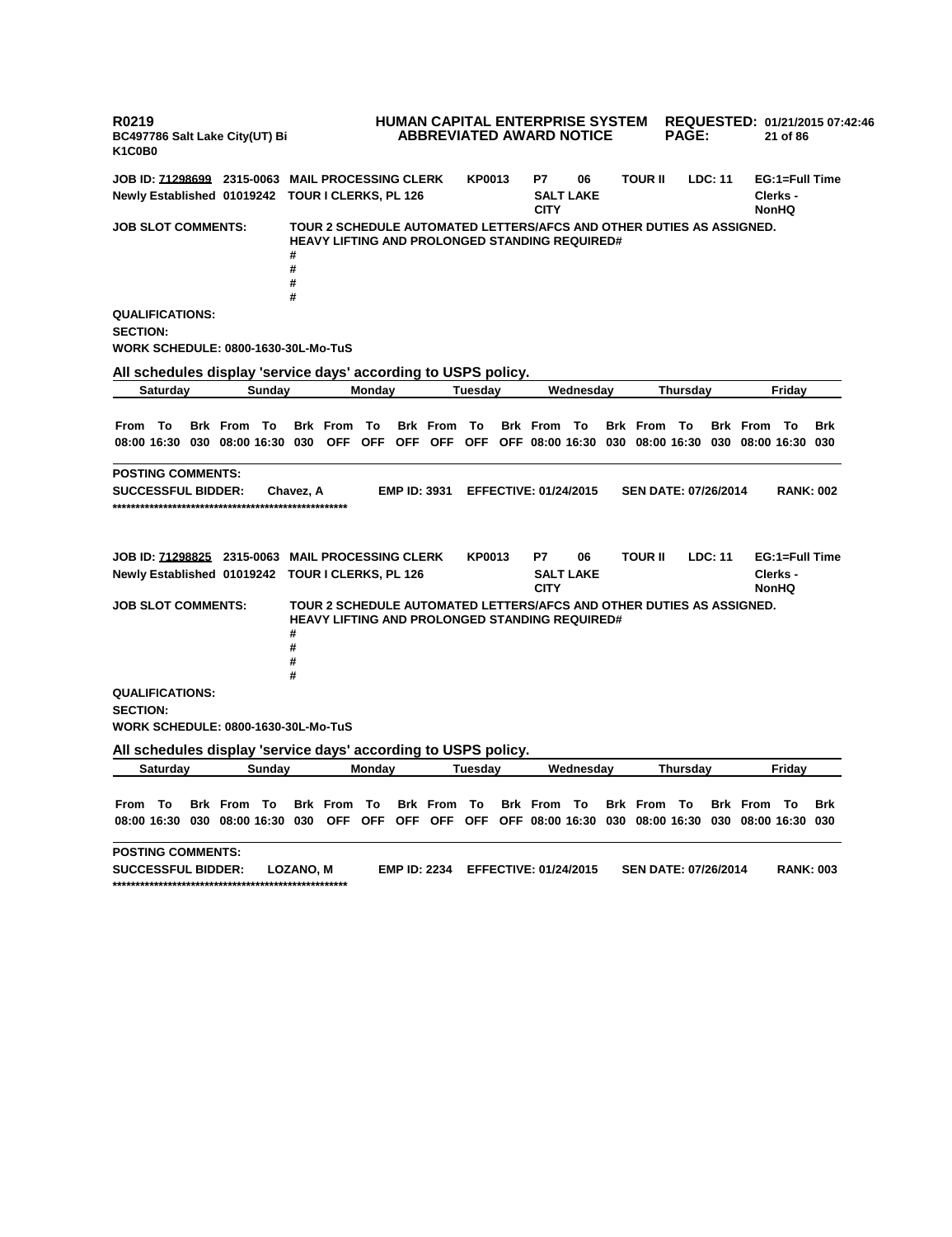**R0219 BC497786 Salt Lake City(UT) Bi K1C0B0 HUMAN CAPITAL ENTERPRISE SYSTEM REQUESTED: 01/21/2015 07:42:46 ABBREVIATED AWARD NOTICE PAGE: 21 of 86 JOB ID: 71298699 2315-0063 MAIL PROCESSING CLERK KP0013 P7 06 TOUR II LDC: 11 EG:1=Full Time Newly Established 01019242 TOUR I CLERKS, PL 126 SALT LAKE CITY Clerks - NonHQ JOB SLOT COMMENTS: TOUR 2 SCHEDULE AUTOMATED LETTERS/AFCS AND OTHER DUTIES AS ASSIGNED. HEAVY LIFTING AND PROLONGED STANDING REQUIRED# # # # # QUALIFICATIONS: SECTION: WORK SCHEDULE: 0800-1630-30L-Mo-TuS All schedules display 'service days' according to USPS policy. Saturday Sunday Monday Tuesday Wednesday Thursday Friday** From To Brk From To Brk From To Brk From To Brk From To Brk From To Brk From To Brk 08:00 16:30 030 08:00 16:30 030 OFF OFF OFF OFF OFF OFF O8:00 16:30 030 08:00 16:30 030 08:00 16:30 030 **POSTING COMMENTS: SUCCESSFUL BIDDER: Chavez, A EMP ID: 3931 EFFECTIVE: 01/24/2015 SEN DATE: 07/26/2014 RANK: 002 \*\*\*\*\*\*\*\*\*\*\*\*\*\*\*\*\*\*\*\*\*\*\*\*\*\*\*\*\*\*\*\*\*\*\*\*\*\*\*\*\*\*\*\*\*\*\*\*\*\*\* JOB ID: 71298825 2315-0063 MAIL PROCESSING CLERK KP0013 P7 06 TOUR II LDC: 11 EG:1=Full Time Newly Established 01019242 TOUR I CLERKS, PL 126 SALT LAKE CITY Clerks - NonHQ JOB SLOT COMMENTS: TOUR 2 SCHEDULE AUTOMATED LETTERS/AFCS AND OTHER DUTIES AS ASSIGNED. HEAVY LIFTING AND PROLONGED STANDING REQUIRED# # # # # QUALIFICATIONS: SECTION: WORK SCHEDULE: 0800-1630-30L-Mo-TuS All schedules display 'service days' according to USPS policy. Saturday Sunday Monday Tuesday Wednesday Thursday Friday** From To Brk From To Brk From To Brk From To Brk From To Brk From To Brk From To Brk 08:00 16:30 030 08:00 16:30 030 OFF OFF OFF OFF OFF OFF OS:00 16:30 030 08:00 16:30 030 08:00 16:30 030 **POSTING COMMENTS: SUCCESSFUL BIDDER: LOZANO, M EMP ID: 2234 EFFECTIVE: 01/24/2015 SEN DATE: 07/26/2014 RANK: 003 \*\*\*\*\*\*\*\*\*\*\*\*\*\*\*\*\*\*\*\*\*\*\*\*\*\*\*\*\*\*\*\*\*\*\*\*\*\*\*\*\*\*\*\*\*\*\*\*\*\*\***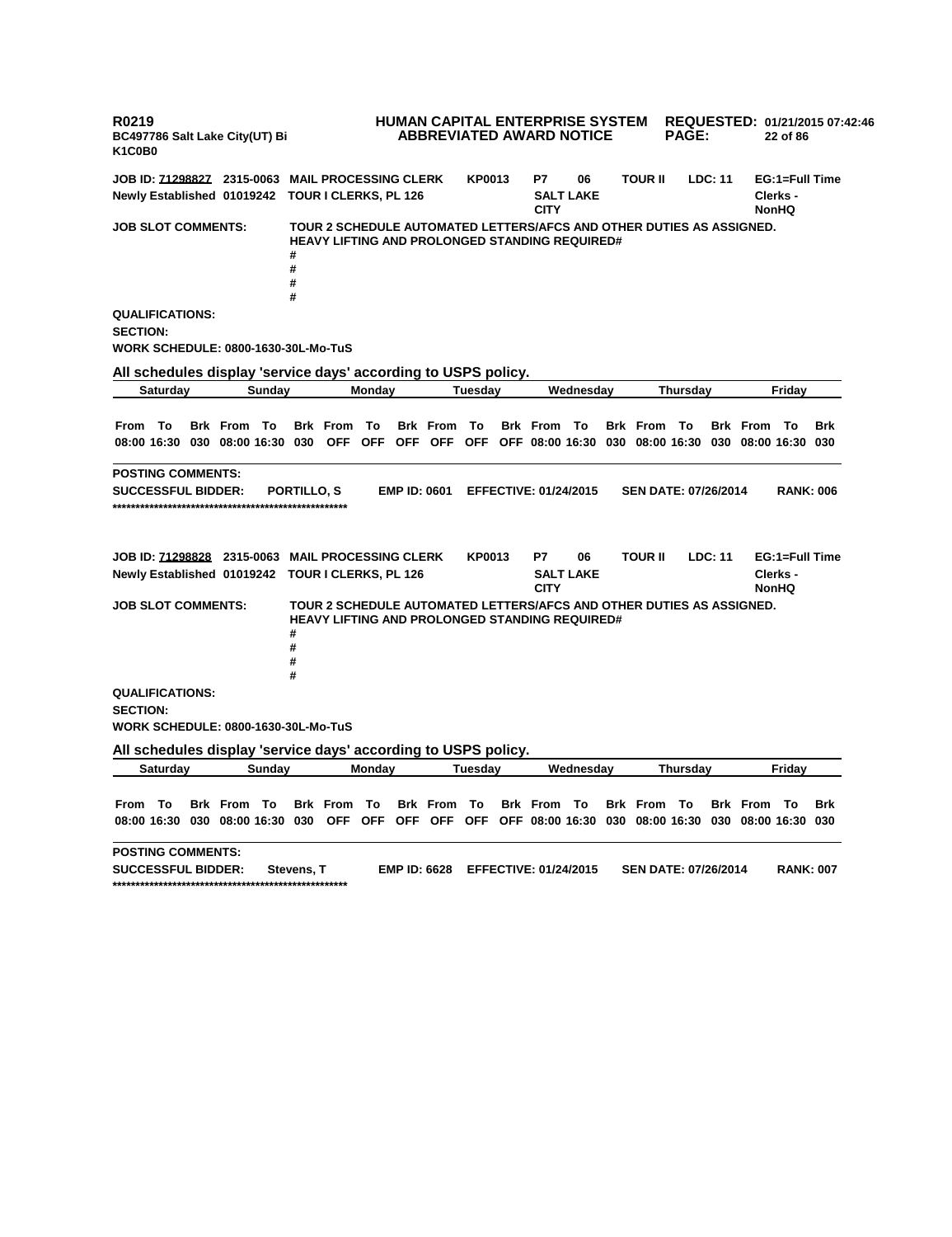**R0219 BC497786 Salt Lake City(UT) Bi K1C0B0 HUMAN CAPITAL ENTERPRISE SYSTEM ABBREVIATED AWARD NOTICE REQUESTED: 01/21/2015 07:42:46 PAGE: 22 of 86 JOB ID: 71298827 2315-0063 MAIL PROCESSING CLERK KP0013 P7 06 TOUR II LDC: 11 EG:1=Full Time Newly Established 01019242 TOUR I CLERKS, PL 126 SALT LAKE CITY Clerks - NonHQ JOB SLOT COMMENTS: TOUR 2 SCHEDULE AUTOMATED LETTERS/AFCS AND OTHER DUTIES AS ASSIGNED. HEAVY LIFTING AND PROLONGED STANDING REQUIRED# # # # # QUALIFICATIONS: SECTION: WORK SCHEDULE: 0800-1630-30L-Mo-TuS All schedules display 'service days' according to USPS policy. Saturday Sunday Monday Tuesday Wednesday Thursday Friday** From To Brk From To Brk From To Brk From To Brk From To Brk From To Brk From To Brk 08:00 16:30 030 08:00 16:30 030 OFF OFF OFF OFF OFF OFF O8:00 16:30 030 08:00 16:30 030 08:00 16:30 030 **POSTING COMMENTS: SUCCESSFUL BIDDER: PORTILLO, S EMP ID: 0601 EFFECTIVE: 01/24/2015 SEN DATE: 07/26/2014 RANK: 006 \*\*\*\*\*\*\*\*\*\*\*\*\*\*\*\*\*\*\*\*\*\*\*\*\*\*\*\*\*\*\*\*\*\*\*\*\*\*\*\*\*\*\*\*\*\*\*\*\*\*\* JOB ID: 71298828 2315-0063 MAIL PROCESSING CLERK KP0013 P7 06 TOUR II LDC: 11 EG:1=Full Time Newly Established 01019242 TOUR I CLERKS, PL 126 SALT LAKE CITY Clerks - NonHQ JOB SLOT COMMENTS: TOUR 2 SCHEDULE AUTOMATED LETTERS/AFCS AND OTHER DUTIES AS ASSIGNED. HEAVY LIFTING AND PROLONGED STANDING REQUIRED# # # # # QUALIFICATIONS: SECTION: WORK SCHEDULE: 0800-1630-30L-Mo-TuS All schedules display 'service days' according to USPS policy. Saturday Sunday Monday Tuesday Wednesday Thursday Friday** From To Brk From To Brk From To Brk From To Brk From To Brk From To Brk From To Brk 08:00 16:30 030 08:00 16:30 030 OFF OFF OFF OFF OFF OFF OS:00 16:30 030 08:00 16:30 030 08:00 16:30 030 **POSTING COMMENTS: SUCCESSFUL BIDDER: Stevens, T EMP ID: 6628 EFFECTIVE: 01/24/2015 SEN DATE: 07/26/2014 RANK: 007 \*\*\*\*\*\*\*\*\*\*\*\*\*\*\*\*\*\*\*\*\*\*\*\*\*\*\*\*\*\*\*\*\*\*\*\*\*\*\*\*\*\*\*\*\*\*\*\*\*\*\***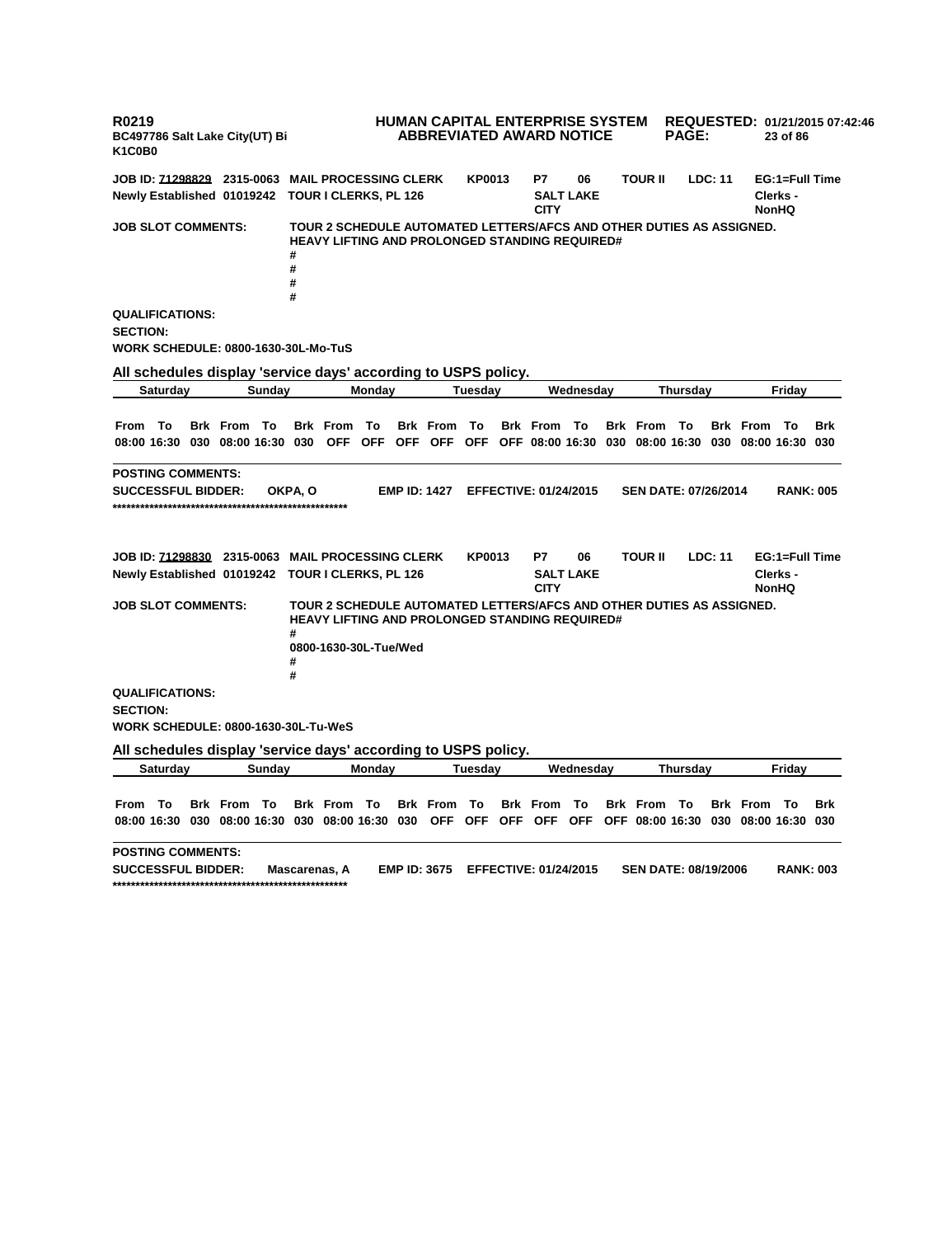**R0219 BC497786 Salt Lake City(UT) Bi K1C0B0 HUMAN CAPITAL ENTERPRISE SYSTEM REQUESTED: 01/21/2015 07:42:46 ABBREVIATED AWARD NOTICE PAGE: 23 of 86 JOB ID: 71298829 2315-0063 MAIL PROCESSING CLERK KP0013 P7 06 TOUR II LDC: 11 EG:1=Full Time Newly Established 01019242 TOUR I CLERKS, PL 126 SALT LAKE CITY Clerks - NonHQ JOB SLOT COMMENTS: TOUR 2 SCHEDULE AUTOMATED LETTERS/AFCS AND OTHER DUTIES AS ASSIGNED. HEAVY LIFTING AND PROLONGED STANDING REQUIRED# # # # # QUALIFICATIONS: SECTION: WORK SCHEDULE: 0800-1630-30L-Mo-TuS All schedules display 'service days' according to USPS policy. Saturday Sunday Monday Tuesday Wednesday Thursday Friday** From To Brk From To Brk From To Brk From To Brk From To Brk From To Brk From To Brk 08:00 16:30 030 08:00 16:30 030 OFF OFF OFF OFF OFF OFF O8:00 16:30 030 08:00 16:30 030 08:00 16:30 030 **POSTING COMMENTS: SUCCESSFUL BIDDER: OKPA, O EMP ID: 1427 EFFECTIVE: 01/24/2015 SEN DATE: 07/26/2014 RANK: 005 \*\*\*\*\*\*\*\*\*\*\*\*\*\*\*\*\*\*\*\*\*\*\*\*\*\*\*\*\*\*\*\*\*\*\*\*\*\*\*\*\*\*\*\*\*\*\*\*\*\*\* JOB ID: 71298830 2315-0063 MAIL PROCESSING CLERK KP0013 P7 06 TOUR II LDC: 11 EG:1=Full Time Newly Established 01019242 TOUR I CLERKS, PL 126 SALT LAKE CITY Clerks - NonHQ JOB SLOT COMMENTS: TOUR 2 SCHEDULE AUTOMATED LETTERS/AFCS AND OTHER DUTIES AS ASSIGNED. HEAVY LIFTING AND PROLONGED STANDING REQUIRED# # 0800-1630-30L-Tue/Wed # # QUALIFICATIONS: SECTION: WORK SCHEDULE: 0800-1630-30L-Tu-WeS All schedules display 'service days' according to USPS policy. Saturday Sunday Monday Tuesday Wednesday Thursday Friday** From To Brk From To Brk From To Brk From To Brk From To Brk From To Brk From To Brk 08:00 16:30 030 08:00 16:30 030 08:00 16:30 030 OFF OFF OFF OFF OFF OFF 08:00 16:30 030 08:00 16:30 030 **POSTING COMMENTS: SUCCESSFUL BIDDER: Mascarenas, A EMP ID: 3675 EFFECTIVE: 01/24/2015 SEN DATE: 08/19/2006 RANK: 003 \*\*\*\*\*\*\*\*\*\*\*\*\*\*\*\*\*\*\*\*\*\*\*\*\*\*\*\*\*\*\*\*\*\*\*\*\*\*\*\*\*\*\*\*\*\*\*\*\*\*\***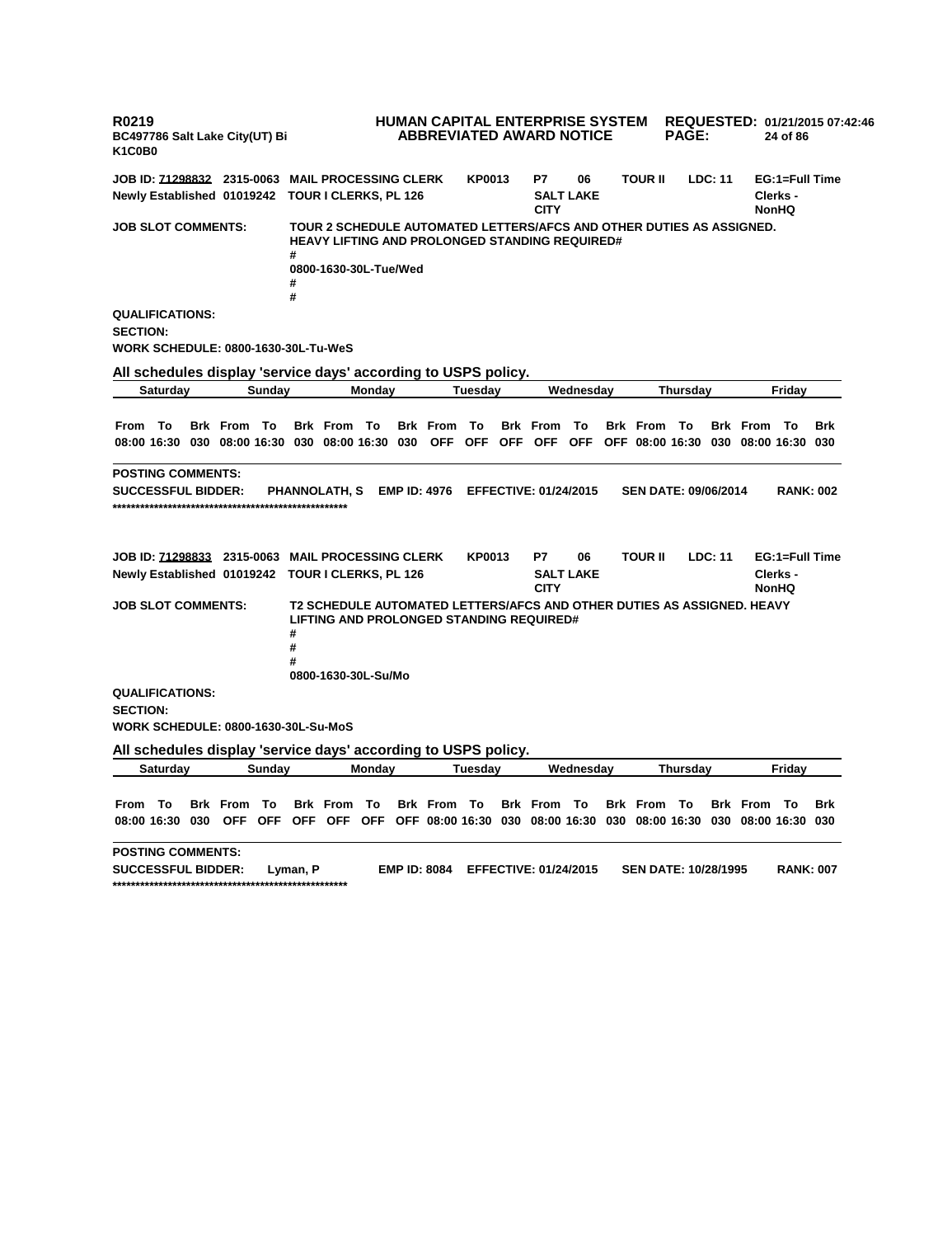**R0219 BC497786 Salt Lake City(UT) Bi K1C0B0 HUMAN CAPITAL ENTERPRISE SYSTEM REQUESTED: 01/21/2015 07:42:46 ABBREVIATED AWARD NOTICE PAGE: 24 of 86 JOB ID: 71298832 2315-0063 MAIL PROCESSING CLERK KP0013 P7 06 TOUR II LDC: 11 EG:1=Full Time Newly Established 01019242 TOUR I CLERKS, PL 126 SALT LAKE CITY Clerks - NonHQ JOB SLOT COMMENTS: TOUR 2 SCHEDULE AUTOMATED LETTERS/AFCS AND OTHER DUTIES AS ASSIGNED. HEAVY LIFTING AND PROLONGED STANDING REQUIRED# # 0800-1630-30L-Tue/Wed # # QUALIFICATIONS: SECTION: WORK SCHEDULE: 0800-1630-30L-Tu-WeS All schedules display 'service days' according to USPS policy. Saturday Sunday Monday Tuesday Wednesday Thursday Friday** From To Brk From To Brk From To Brk From To Brk From To Brk From To Brk From To Brk 08:00 16:30 030 08:00 16:30 030 08:00 16:30 030 OFF OFF OFF OFF OFF OFF 08:00 16:30 030 08:00 16:30 030 **POSTING COMMENTS: SUCCESSFUL BIDDER: PHANNOLATH, S EMP ID: 4976 EFFECTIVE: 01/24/2015 SEN DATE: 09/06/2014 RANK: 002 \*\*\*\*\*\*\*\*\*\*\*\*\*\*\*\*\*\*\*\*\*\*\*\*\*\*\*\*\*\*\*\*\*\*\*\*\*\*\*\*\*\*\*\*\*\*\*\*\*\*\* JOB ID: 71298833 2315-0063 MAIL PROCESSING CLERK KP0013 P7 06 TOUR II LDC: 11 EG:1=Full Time Newly Established 01019242 TOUR I CLERKS, PL 126 SALT LAKE CITY Clerks - NonHQ JOB SLOT COMMENTS: T2 SCHEDULE AUTOMATED LETTERS/AFCS AND OTHER DUTIES AS ASSIGNED. HEAVY LIFTING AND PROLONGED STANDING REQUIRED# # # # 0800-1630-30L-Su/Mo QUALIFICATIONS: SECTION: WORK SCHEDULE: 0800-1630-30L-Su-MoS All schedules display 'service days' according to USPS policy. Saturday Sunday Monday Tuesday Wednesday Thursday Friday** From To Brk From To Brk From To Brk From To Brk From To Brk From To Brk From To Brk 08:00 16:30 030 OFF OFF OFF OFF OFF OFF 08:00 16:30 030 08:00 16:30 030 08:00 16:30 030 08:00 16:30 030 **POSTING COMMENTS: SUCCESSFUL BIDDER: Lyman, P EMP ID: 8084 EFFECTIVE: 01/24/2015 SEN DATE: 10/28/1995 RANK: 007 \*\*\*\*\*\*\*\*\*\*\*\*\*\*\*\*\*\*\*\*\*\*\*\*\*\*\*\*\*\*\*\*\*\*\*\*\*\*\*\*\*\*\*\*\*\*\*\*\*\*\***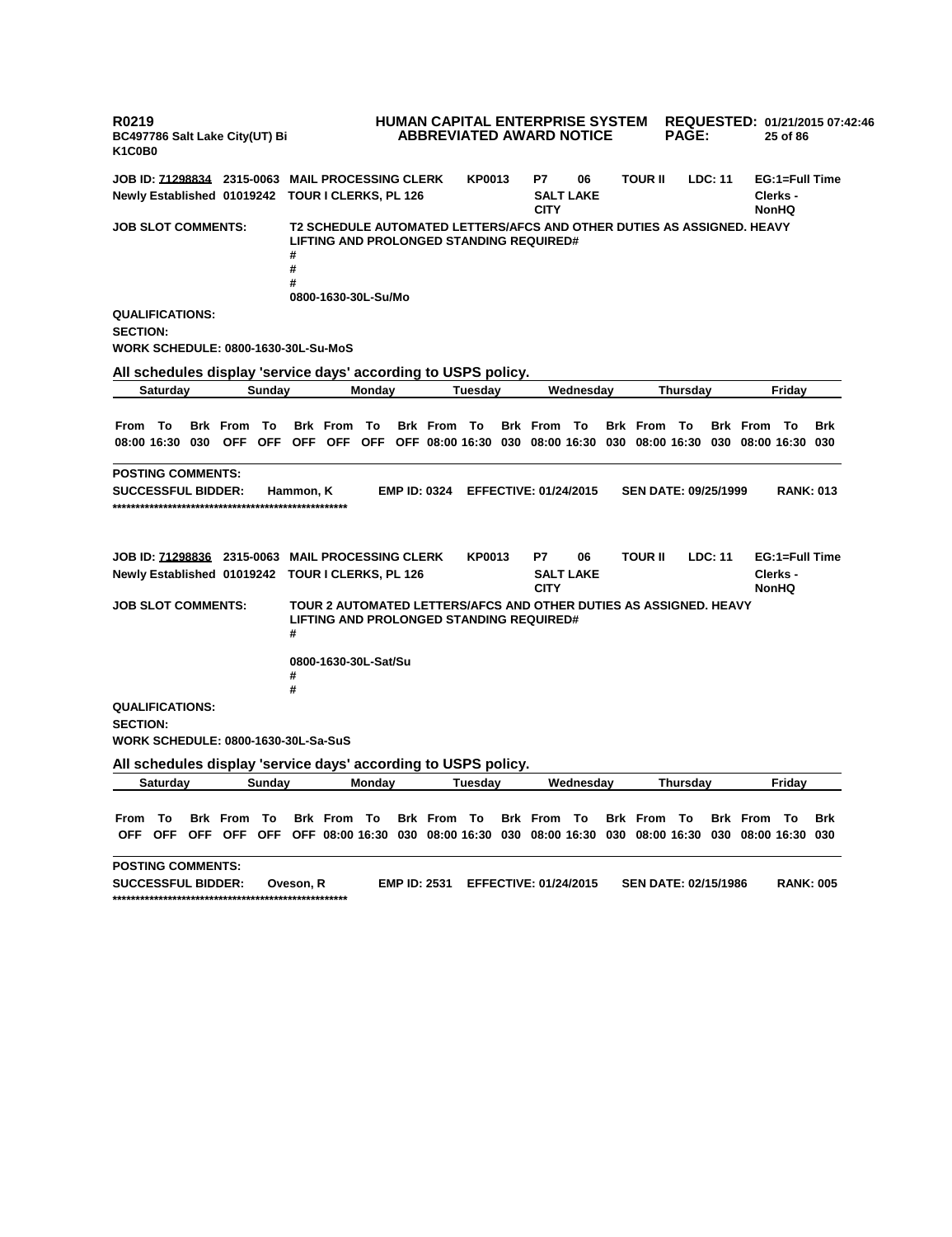**R0219 BC497786 Salt Lake City(UT) Bi K1C0B0 HUMAN CAPITAL ENTERPRISE SYSTEM ABBREVIATED AWARD NOTICE REQUESTED: 01/21/2015 07:42:46 PAGE: 25 of 86 JOB ID: 71298834 2315-0063 MAIL PROCESSING CLERK KP0013 P7 06 TOUR II LDC: 11 EG:1=Full Time Newly Established 01019242 TOUR I CLERKS, PL 126 SALT LAKE CITY Clerks - NonHQ JOB SLOT COMMENTS: T2 SCHEDULE AUTOMATED LETTERS/AFCS AND OTHER DUTIES AS ASSIGNED. HEAVY LIFTING AND PROLONGED STANDING REQUIRED# # # # 0800-1630-30L-Su/Mo QUALIFICATIONS: SECTION: WORK SCHEDULE: 0800-1630-30L-Su-MoS All schedules display 'service days' according to USPS policy. Saturday Sunday Monday Tuesday Wednesday Thursday Friday** From To Brk From To Brk From To Brk From To Brk From To Brk From To Brk From To Brk 08:00 16:30 030 OFF OFF OFF OFF OFF OFF 08:00 16:30 030 08:00 16:30 030 08:00 16:30 030 08:00 16:30 030 **POSTING COMMENTS: SUCCESSFUL BIDDER: Hammon, K EMP ID: 0324 EFFECTIVE: 01/24/2015 SEN DATE: 09/25/1999 RANK: 013 \*\*\*\*\*\*\*\*\*\*\*\*\*\*\*\*\*\*\*\*\*\*\*\*\*\*\*\*\*\*\*\*\*\*\*\*\*\*\*\*\*\*\*\*\*\*\*\*\*\*\* JOB ID: 71298836 2315-0063 MAIL PROCESSING CLERK KP0013 P7 06 TOUR II LDC: 11 EG:1=Full Time Newly Established 01019242 TOUR I CLERKS, PL 126 SALT LAKE CITY Clerks - NonHQ JOB SLOT COMMENTS: TOUR 2 AUTOMATED LETTERS/AFCS AND OTHER DUTIES AS ASSIGNED. HEAVY LIFTING AND PROLONGED STANDING REQUIRED# # 0800-1630-30L-Sat/Su # # QUALIFICATIONS: SECTION: WORK SCHEDULE: 0800-1630-30L-Sa-SuS All schedules display 'service days' according to USPS policy. Saturday Sunday Monday Tuesday Wednesday Thursday Friday** From To Brk From To Brk From To Brk From To Brk From To Brk From To Brk From To Brk OFF OFF OFF OFF OFF OFF 08:00 16:30 030 08:00 16:30 030 08:00 16:30 030 08:00 16:30 030 08:00 16:30 030 **POSTING COMMENTS: SUCCESSFUL BIDDER: Oveson, R EMP ID: 2531 EFFECTIVE: 01/24/2015 SEN DATE: 02/15/1986 RANK: 005 \*\*\*\*\*\*\*\*\*\*\*\*\*\*\*\*\*\*\*\*\*\*\*\*\*\*\*\*\*\*\*\*\*\*\*\*\*\*\*\*\*\*\*\*\*\*\*\*\*\*\***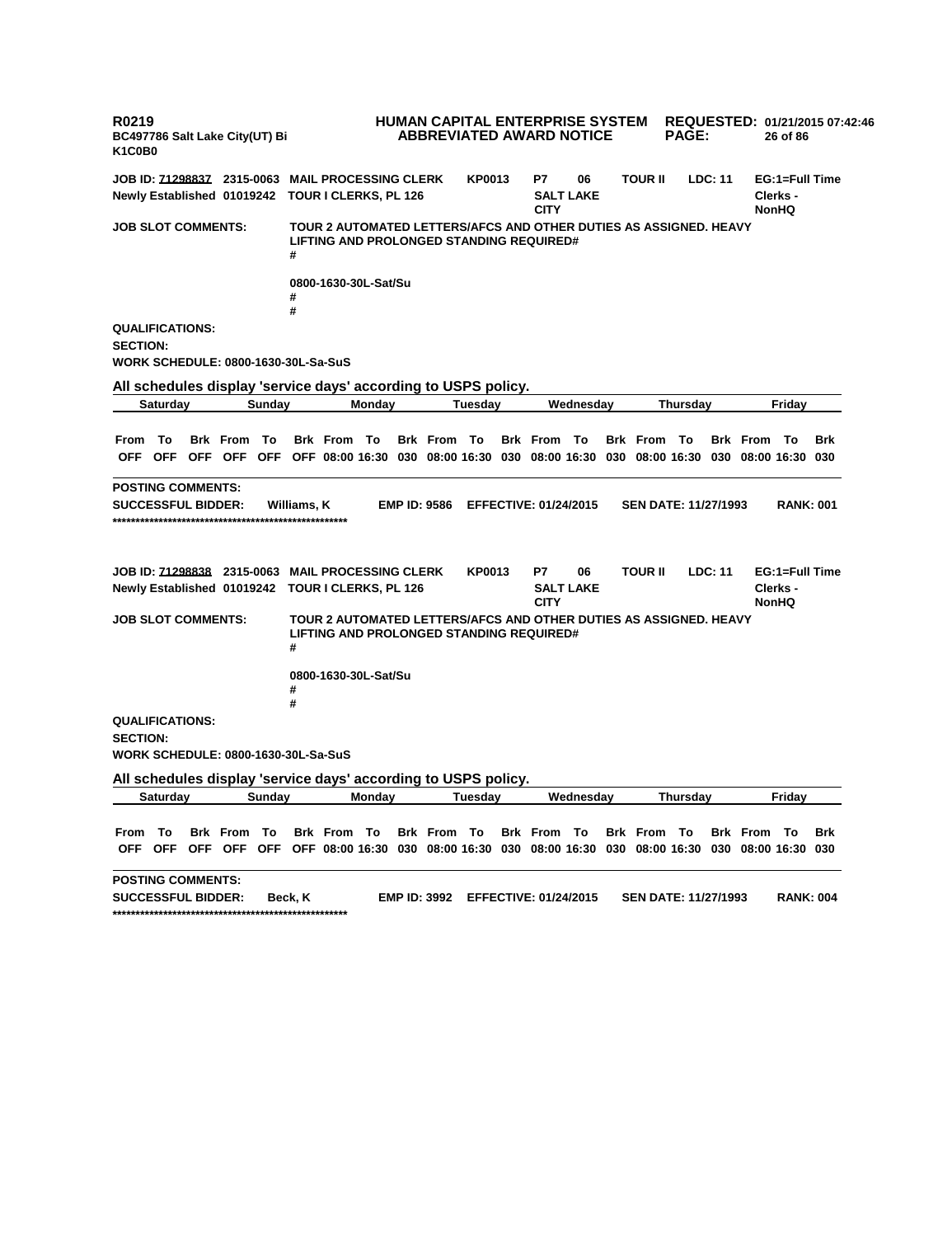**R0219 BC497786 Salt Lake City(UT) Bi K1C0B0 HUMAN CAPITAL ENTERPRISE SYSTEM REQUESTED: 01/21/2015 07:42:46 ABBREVIATED AWARD NOTICE PAGE: 26 of 86 JOB ID: 71298837 2315-0063 MAIL PROCESSING CLERK KP0013 P7 06 TOUR II LDC: 11 EG:1=Full Time Newly Established 01019242 TOUR I CLERKS, PL 126 SALT LAKE CITY Clerks - NonHQ JOB SLOT COMMENTS: TOUR 2 AUTOMATED LETTERS/AFCS AND OTHER DUTIES AS ASSIGNED. HEAVY LIFTING AND PROLONGED STANDING REQUIRED# # 0800-1630-30L-Sat/Su # # QUALIFICATIONS: SECTION: WORK SCHEDULE: 0800-1630-30L-Sa-SuS All schedules display 'service days' according to USPS policy. Saturday Sunday Monday Tuesday Wednesday Thursday Friday** From To Brk From To Brk From To Brk From To Brk From To Brk From To Brk From To Brk OFF OFF OFF OFF OFF OFF 08:00 16:30 030 08:00 16:30 030 08:00 16:30 030 08:00 16:30 030 08:00 16:30 030 **POSTING COMMENTS: SUCCESSFUL BIDDER: Williams, K EMP ID: 9586 EFFECTIVE: 01/24/2015 SEN DATE: 11/27/1993 RANK: 001 \*\*\*\*\*\*\*\*\*\*\*\*\*\*\*\*\*\*\*\*\*\*\*\*\*\*\*\*\*\*\*\*\*\*\*\*\*\*\*\*\*\*\*\*\*\*\*\*\*\*\* JOB ID: 71298838 2315-0063 MAIL PROCESSING CLERK KP0013 P7 06 TOUR II LDC: 11 EG:1=Full Time Newly Established 01019242 TOUR I CLERKS, PL 126 SALT LAKE CITY Clerks - NonHQ JOB SLOT COMMENTS: TOUR 2 AUTOMATED LETTERS/AFCS AND OTHER DUTIES AS ASSIGNED. HEAVY LIFTING AND PROLONGED STANDING REQUIRED# # 0800-1630-30L-Sat/Su # # QUALIFICATIONS: SECTION: WORK SCHEDULE: 0800-1630-30L-Sa-SuS All schedules display 'service days' according to USPS policy. Saturday Sunday Monday Tuesday Wednesday Thursday Friday** From To Brk From To Brk From To Brk From To Brk From To Brk From To Brk From To Brk OFF OFF OFF OFF OFF OFF O8:00 16:30 030 08:00 16:30 030 08:00 16:30 030 08:00 16:30 030 08:00 16:30 030 **POSTING COMMENTS: SUCCESSFUL BIDDER: Beck, K EMP ID: 3992 EFFECTIVE: 01/24/2015 SEN DATE: 11/27/1993 RANK: 004 \*\*\*\*\*\*\*\*\*\*\*\*\*\*\*\*\*\*\*\*\*\*\*\*\*\*\*\*\*\*\*\*\*\*\*\*\*\*\*\*\*\*\*\*\*\*\*\*\*\*\***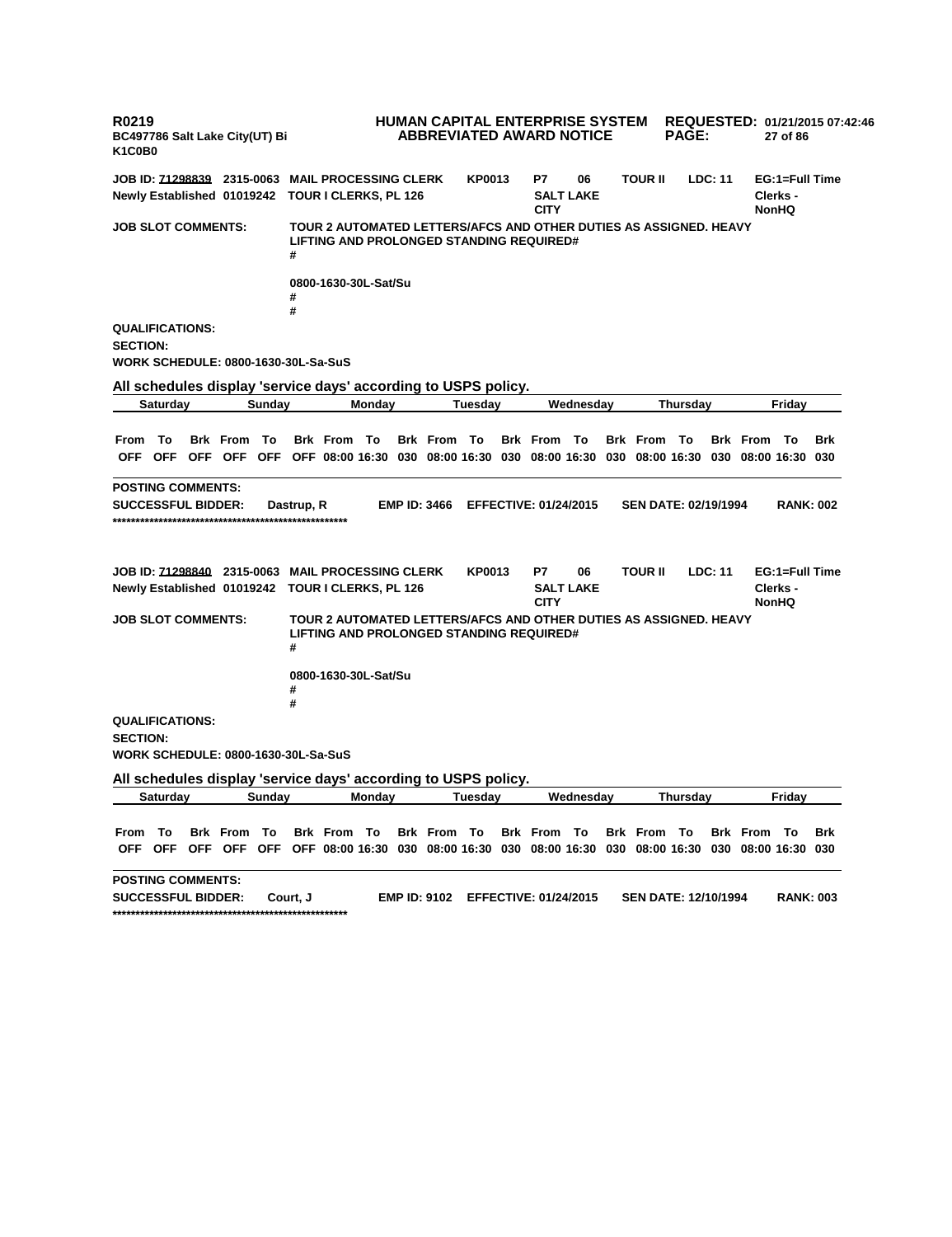**R0219 BC497786 Salt Lake City(UT) Bi K1C0B0 HUMAN CAPITAL ENTERPRISE SYSTEM REQUESTED: 01/21/2015 07:42:46 ABBREVIATED AWARD NOTICE PAGE: 27 of 86 JOB ID: 71298839 2315-0063 MAIL PROCESSING CLERK KP0013 P7 06 TOUR II LDC: 11 EG:1=Full Time Newly Established 01019242 TOUR I CLERKS, PL 126 SALT LAKE CITY Clerks - NonHQ JOB SLOT COMMENTS: TOUR 2 AUTOMATED LETTERS/AFCS AND OTHER DUTIES AS ASSIGNED. HEAVY LIFTING AND PROLONGED STANDING REQUIRED# # 0800-1630-30L-Sat/Su # # QUALIFICATIONS: SECTION: WORK SCHEDULE: 0800-1630-30L-Sa-SuS All schedules display 'service days' according to USPS policy. Saturday Sunday Monday Tuesday Wednesday Thursday Friday** From To Brk From To Brk From To Brk From To Brk From To Brk From To Brk From To Brk OFF OFF OFF OFF OFF OFF 08:00 16:30 030 08:00 16:30 030 08:00 16:30 030 08:00 16:30 030 08:00 16:30 030 **POSTING COMMENTS: SUCCESSFUL BIDDER: Dastrup, R EMP ID: 3466 EFFECTIVE: 01/24/2015 SEN DATE: 02/19/1994 RANK: 002 \*\*\*\*\*\*\*\*\*\*\*\*\*\*\*\*\*\*\*\*\*\*\*\*\*\*\*\*\*\*\*\*\*\*\*\*\*\*\*\*\*\*\*\*\*\*\*\*\*\*\* JOB ID: 71298840 2315-0063 MAIL PROCESSING CLERK KP0013 P7 06 TOUR II LDC: 11 EG:1=Full Time Newly Established 01019242 TOUR I CLERKS, PL 126 SALT LAKE CITY Clerks - NonHQ JOB SLOT COMMENTS: TOUR 2 AUTOMATED LETTERS/AFCS AND OTHER DUTIES AS ASSIGNED. HEAVY LIFTING AND PROLONGED STANDING REQUIRED# # 0800-1630-30L-Sat/Su # # QUALIFICATIONS: SECTION: WORK SCHEDULE: 0800-1630-30L-Sa-SuS All schedules display 'service days' according to USPS policy. Saturday Sunday Monday Tuesday Wednesday Thursday Friday** From To Brk From To Brk From To Brk From To Brk From To Brk From To Brk From To Brk OFF OFF OFF OFF OFF OFF O8:00 16:30 030 08:00 16:30 030 08:00 16:30 030 08:00 16:30 030 08:00 16:30 030 **POSTING COMMENTS: SUCCESSFUL BIDDER: Court, J EMP ID: 9102 EFFECTIVE: 01/24/2015 SEN DATE: 12/10/1994 RANK: 003 \*\*\*\*\*\*\*\*\*\*\*\*\*\*\*\*\*\*\*\*\*\*\*\*\*\*\*\*\*\*\*\*\*\*\*\*\*\*\*\*\*\*\*\*\*\*\*\*\*\*\***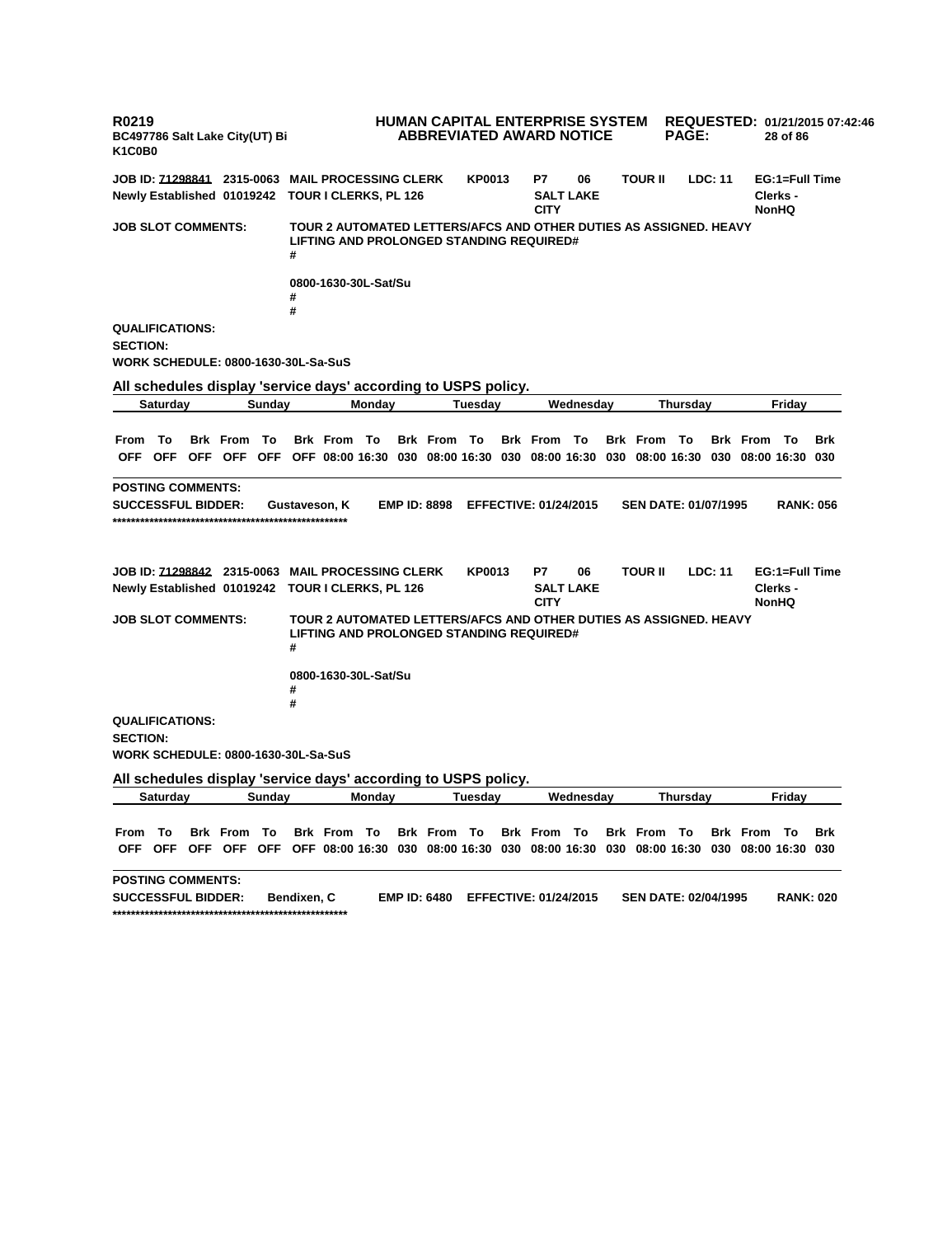**R0219 BC497786 Salt Lake City(UT) Bi K1C0B0 HUMAN CAPITAL ENTERPRISE SYSTEM REQUESTED: 01/21/2015 07:42:46 ABBREVIATED AWARD NOTICE PAGE: 28 of 86 JOB ID: 71298841 2315-0063 MAIL PROCESSING CLERK KP0013 P7 06 TOUR II LDC: 11 EG:1=Full Time Newly Established 01019242 TOUR I CLERKS, PL 126 SALT LAKE CITY Clerks - NonHQ JOB SLOT COMMENTS: TOUR 2 AUTOMATED LETTERS/AFCS AND OTHER DUTIES AS ASSIGNED. HEAVY LIFTING AND PROLONGED STANDING REQUIRED# # 0800-1630-30L-Sat/Su # # QUALIFICATIONS: SECTION: WORK SCHEDULE: 0800-1630-30L-Sa-SuS All schedules display 'service days' according to USPS policy. Saturday Sunday Monday Tuesday Wednesday Thursday Friday** From To Brk From To Brk From To Brk From To Brk From To Brk From To Brk From To Brk OFF OFF OFF OFF OFF OFF 08:00 16:30 030 08:00 16:30 030 08:00 16:30 030 08:00 16:30 030 08:00 16:30 030 **POSTING COMMENTS: SUCCESSFUL BIDDER: Gustaveson, K EMP ID: 8898 EFFECTIVE: 01/24/2015 SEN DATE: 01/07/1995 RANK: 056 \*\*\*\*\*\*\*\*\*\*\*\*\*\*\*\*\*\*\*\*\*\*\*\*\*\*\*\*\*\*\*\*\*\*\*\*\*\*\*\*\*\*\*\*\*\*\*\*\*\*\* JOB ID: 71298842 2315-0063 MAIL PROCESSING CLERK KP0013 P7 06 TOUR II LDC: 11 EG:1=Full Time Newly Established 01019242 TOUR I CLERKS, PL 126 SALT LAKE CITY Clerks - NonHQ JOB SLOT COMMENTS: TOUR 2 AUTOMATED LETTERS/AFCS AND OTHER DUTIES AS ASSIGNED. HEAVY LIFTING AND PROLONGED STANDING REQUIRED# # 0800-1630-30L-Sat/Su # # QUALIFICATIONS: SECTION: WORK SCHEDULE: 0800-1630-30L-Sa-SuS All schedules display 'service days' according to USPS policy. Saturday Sunday Monday Tuesday Wednesday Thursday Friday** From To Brk From To Brk From To Brk From To Brk From To Brk From To Brk From To Brk OFF OFF OFF OFF OFF OFF O8:00 16:30 030 08:00 16:30 030 08:00 16:30 030 08:00 16:30 030 08:00 16:30 030 **POSTING COMMENTS: SUCCESSFUL BIDDER: Bendixen, C EMP ID: 6480 EFFECTIVE: 01/24/2015 SEN DATE: 02/04/1995 RANK: 020 \*\*\*\*\*\*\*\*\*\*\*\*\*\*\*\*\*\*\*\*\*\*\*\*\*\*\*\*\*\*\*\*\*\*\*\*\*\*\*\*\*\*\*\*\*\*\*\*\*\*\***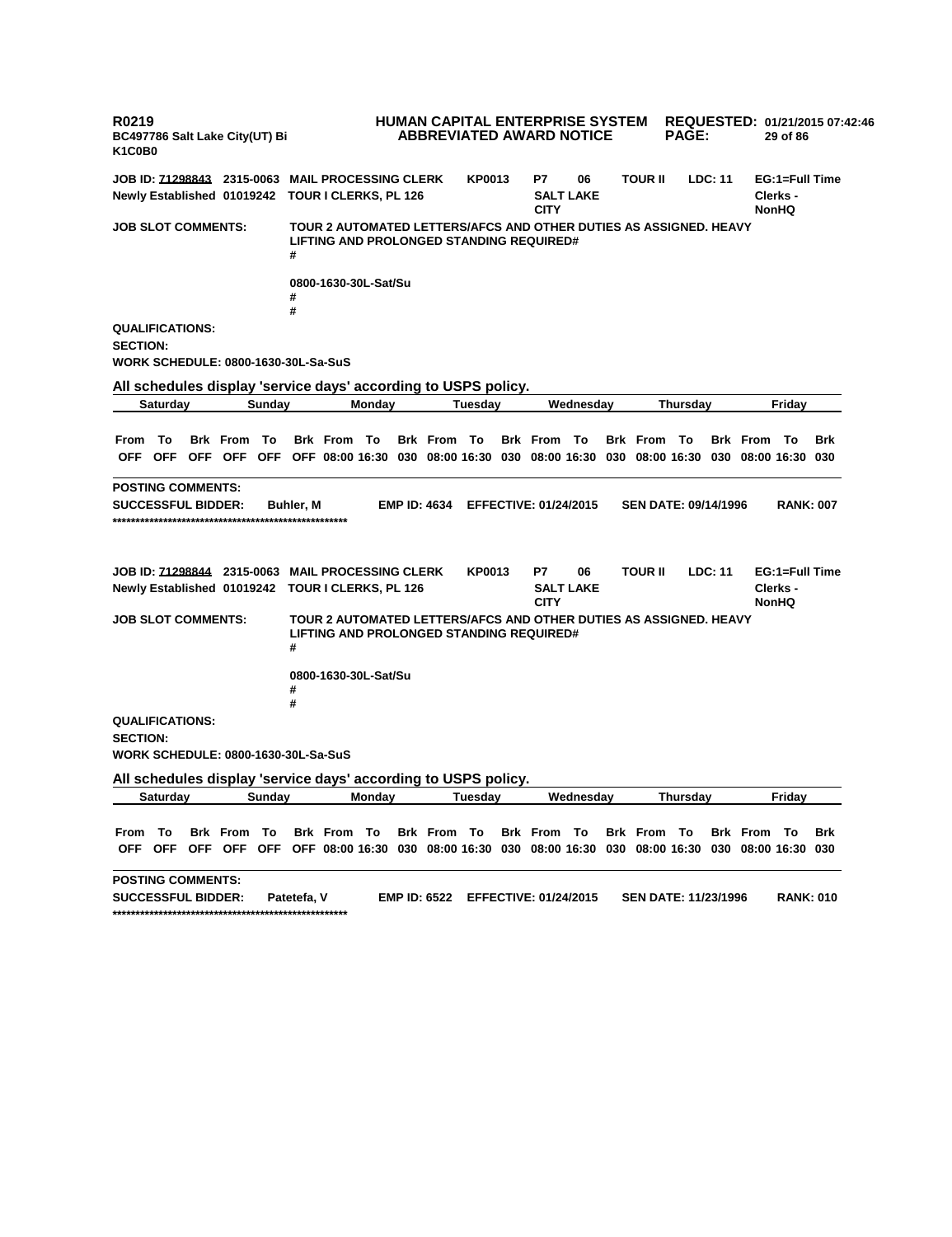**R0219 BC497786 Salt Lake City(UT) Bi K1C0B0 HUMAN CAPITAL ENTERPRISE SYSTEM REQUESTED: 01/21/2015 07:42:46 ABBREVIATED AWARD NOTICE PAGE: 29 of 86 JOB ID: 71298843 2315-0063 MAIL PROCESSING CLERK KP0013 P7 06 TOUR II LDC: 11 EG:1=Full Time Newly Established 01019242 TOUR I CLERKS, PL 126 SALT LAKE CITY Clerks - NonHQ JOB SLOT COMMENTS: TOUR 2 AUTOMATED LETTERS/AFCS AND OTHER DUTIES AS ASSIGNED. HEAVY LIFTING AND PROLONGED STANDING REQUIRED# # 0800-1630-30L-Sat/Su # # QUALIFICATIONS: SECTION: WORK SCHEDULE: 0800-1630-30L-Sa-SuS All schedules display 'service days' according to USPS policy. Saturday Sunday Monday Tuesday Wednesday Thursday Friday** From To Brk From To Brk From To Brk From To Brk From To Brk From To Brk From To Brk OFF OFF OFF OFF OFF OFF 08:00 16:30 030 08:00 16:30 030 08:00 16:30 030 08:00 16:30 030 08:00 16:30 030 **POSTING COMMENTS: SUCCESSFUL BIDDER: Buhler, M EMP ID: 4634 EFFECTIVE: 01/24/2015 SEN DATE: 09/14/1996 RANK: 007 \*\*\*\*\*\*\*\*\*\*\*\*\*\*\*\*\*\*\*\*\*\*\*\*\*\*\*\*\*\*\*\*\*\*\*\*\*\*\*\*\*\*\*\*\*\*\*\*\*\*\* JOB ID: 71298844 2315-0063 MAIL PROCESSING CLERK KP0013 P7 06 TOUR II LDC: 11 EG:1=Full Time Newly Established 01019242 TOUR I CLERKS, PL 126 SALT LAKE CITY Clerks - NonHQ JOB SLOT COMMENTS: TOUR 2 AUTOMATED LETTERS/AFCS AND OTHER DUTIES AS ASSIGNED. HEAVY LIFTING AND PROLONGED STANDING REQUIRED# # 0800-1630-30L-Sat/Su # # QUALIFICATIONS: SECTION: WORK SCHEDULE: 0800-1630-30L-Sa-SuS All schedules display 'service days' according to USPS policy. Saturday Sunday Monday Tuesday Wednesday Thursday Friday** From To Brk From To Brk From To Brk From To Brk From To Brk From To Brk From To Brk OFF OFF OFF OFF OFF OFF O8:00 16:30 030 08:00 16:30 030 08:00 16:30 030 08:00 16:30 030 08:00 16:30 030 **POSTING COMMENTS: SUCCESSFUL BIDDER: Patetefa, V EMP ID: 6522 EFFECTIVE: 01/24/2015 SEN DATE: 11/23/1996 RANK: 010 \*\*\*\*\*\*\*\*\*\*\*\*\*\*\*\*\*\*\*\*\*\*\*\*\*\*\*\*\*\*\*\*\*\*\*\*\*\*\*\*\*\*\*\*\*\*\*\*\*\*\***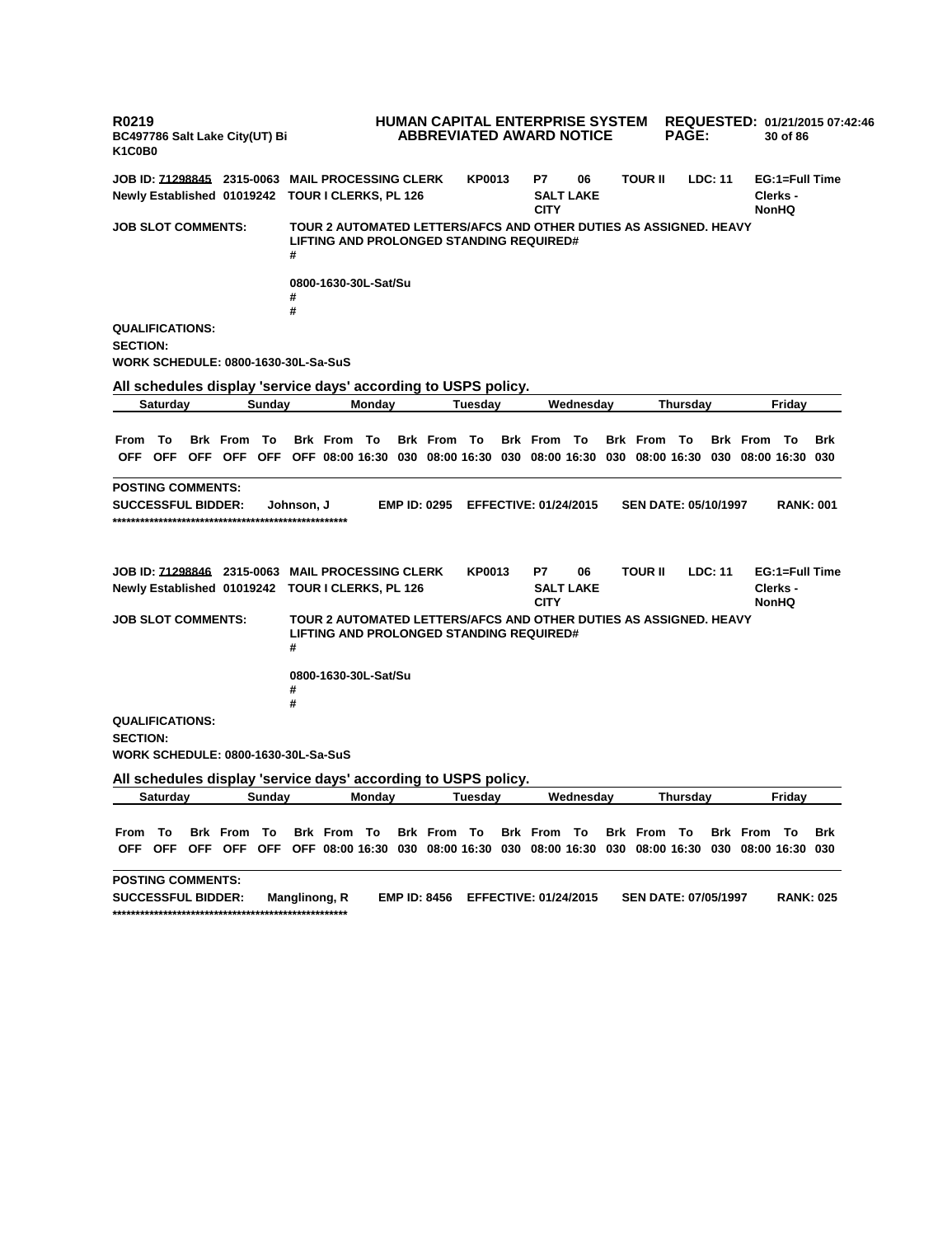**R0219 BC497786 Salt Lake City(UT) Bi K1C0B0 HUMAN CAPITAL ENTERPRISE SYSTEM REQUESTED: 01/21/2015 07:42:46 ABBREVIATED AWARD NOTICE PAGE: 30 of 86 JOB ID: 71298845 2315-0063 MAIL PROCESSING CLERK KP0013 P7 06 TOUR II LDC: 11 EG:1=Full Time Newly Established 01019242 TOUR I CLERKS, PL 126 SALT LAKE CITY Clerks - NonHQ JOB SLOT COMMENTS: TOUR 2 AUTOMATED LETTERS/AFCS AND OTHER DUTIES AS ASSIGNED. HEAVY LIFTING AND PROLONGED STANDING REQUIRED# # 0800-1630-30L-Sat/Su # # QUALIFICATIONS: SECTION: WORK SCHEDULE: 0800-1630-30L-Sa-SuS All schedules display 'service days' according to USPS policy. Saturday Sunday Monday Tuesday Wednesday Thursday Friday** From To Brk From To Brk From To Brk From To Brk From To Brk From To Brk From To Brk OFF OFF OFF OFF OFF OFF 08:00 16:30 030 08:00 16:30 030 08:00 16:30 030 08:00 16:30 030 08:00 16:30 030 **POSTING COMMENTS: SUCCESSFUL BIDDER: Johnson, J EMP ID: 0295 EFFECTIVE: 01/24/2015 SEN DATE: 05/10/1997 RANK: 001 \*\*\*\*\*\*\*\*\*\*\*\*\*\*\*\*\*\*\*\*\*\*\*\*\*\*\*\*\*\*\*\*\*\*\*\*\*\*\*\*\*\*\*\*\*\*\*\*\*\*\* JOB ID: 71298846 2315-0063 MAIL PROCESSING CLERK KP0013 P7 06 TOUR II LDC: 11 EG:1=Full Time Newly Established 01019242 TOUR I CLERKS, PL 126 SALT LAKE CITY Clerks - NonHQ JOB SLOT COMMENTS: TOUR 2 AUTOMATED LETTERS/AFCS AND OTHER DUTIES AS ASSIGNED. HEAVY LIFTING AND PROLONGED STANDING REQUIRED# # 0800-1630-30L-Sat/Su # # QUALIFICATIONS: SECTION: WORK SCHEDULE: 0800-1630-30L-Sa-SuS All schedules display 'service days' according to USPS policy. Saturday Sunday Monday Tuesday Wednesday Thursday Friday** From To Brk From To Brk From To Brk From To Brk From To Brk From To Brk From To Brk OFF OFF OFF OFF OFF OFF O8:00 16:30 030 08:00 16:30 030 08:00 16:30 030 08:00 16:30 030 08:00 16:30 030 **POSTING COMMENTS: SUCCESSFUL BIDDER: Manglinong, R EMP ID: 8456 EFFECTIVE: 01/24/2015 SEN DATE: 07/05/1997 RANK: 025 \*\*\*\*\*\*\*\*\*\*\*\*\*\*\*\*\*\*\*\*\*\*\*\*\*\*\*\*\*\*\*\*\*\*\*\*\*\*\*\*\*\*\*\*\*\*\*\*\*\*\***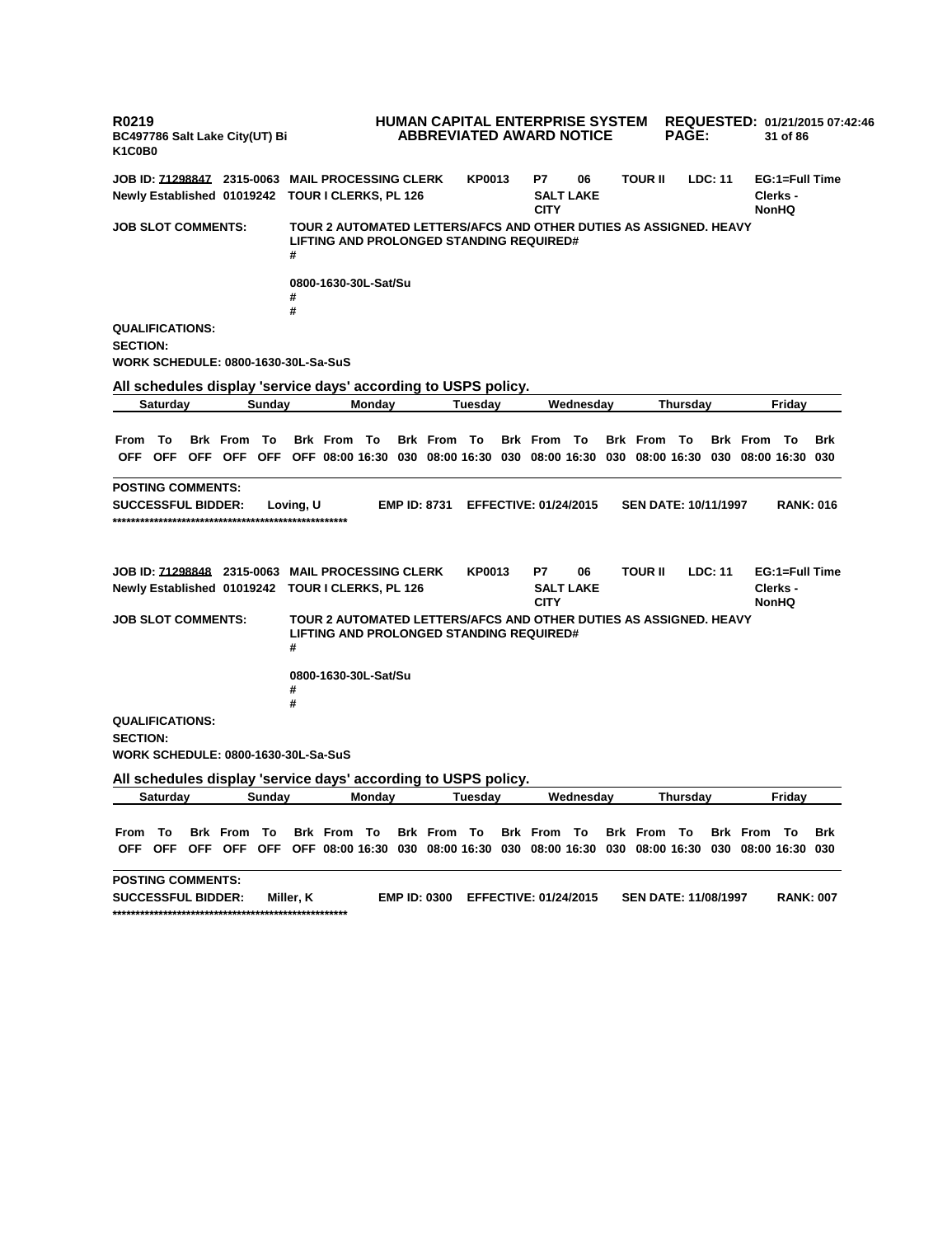**R0219 BC497786 Salt Lake City(UT) Bi K1C0B0 HUMAN CAPITAL ENTERPRISE SYSTEM REQUESTED: 01/21/2015 07:42:46 ABBREVIATED AWARD NOTICE PAGE: 31 of 86 JOB ID: 71298847 2315-0063 MAIL PROCESSING CLERK KP0013 P7 06 TOUR II LDC: 11 EG:1=Full Time Newly Established 01019242 TOUR I CLERKS, PL 126 SALT LAKE CITY Clerks - NonHQ JOB SLOT COMMENTS: TOUR 2 AUTOMATED LETTERS/AFCS AND OTHER DUTIES AS ASSIGNED. HEAVY LIFTING AND PROLONGED STANDING REQUIRED# # 0800-1630-30L-Sat/Su # # QUALIFICATIONS: SECTION: WORK SCHEDULE: 0800-1630-30L-Sa-SuS All schedules display 'service days' according to USPS policy. Saturday Sunday Monday Tuesday Wednesday Thursday Friday** From To Brk From To Brk From To Brk From To Brk From To Brk From To Brk From To Brk OFF OFF OFF OFF OFF OFF 08:00 16:30 030 08:00 16:30 030 08:00 16:30 030 08:00 16:30 030 08:00 16:30 030 **POSTING COMMENTS: SUCCESSFUL BIDDER: Loving, U EMP ID: 8731 EFFECTIVE: 01/24/2015 SEN DATE: 10/11/1997 RANK: 016 \*\*\*\*\*\*\*\*\*\*\*\*\*\*\*\*\*\*\*\*\*\*\*\*\*\*\*\*\*\*\*\*\*\*\*\*\*\*\*\*\*\*\*\*\*\*\*\*\*\*\* JOB ID: 71298848 2315-0063 MAIL PROCESSING CLERK KP0013 P7 06 TOUR II LDC: 11 EG:1=Full Time Newly Established 01019242 TOUR I CLERKS, PL 126 SALT LAKE CITY Clerks - NonHQ JOB SLOT COMMENTS: TOUR 2 AUTOMATED LETTERS/AFCS AND OTHER DUTIES AS ASSIGNED. HEAVY LIFTING AND PROLONGED STANDING REQUIRED# # 0800-1630-30L-Sat/Su # # QUALIFICATIONS: SECTION: WORK SCHEDULE: 0800-1630-30L-Sa-SuS All schedules display 'service days' according to USPS policy. Saturday Sunday Monday Tuesday Wednesday Thursday Friday** From To Brk From To Brk From To Brk From To Brk From To Brk From To Brk From To Brk OFF OFF OFF OFF OFF OFF O8:00 16:30 030 08:00 16:30 030 08:00 16:30 030 08:00 16:30 030 08:00 16:30 030 **POSTING COMMENTS: SUCCESSFUL BIDDER: Miller, K EMP ID: 0300 EFFECTIVE: 01/24/2015 SEN DATE: 11/08/1997 RANK: 007 \*\*\*\*\*\*\*\*\*\*\*\*\*\*\*\*\*\*\*\*\*\*\*\*\*\*\*\*\*\*\*\*\*\*\*\*\*\*\*\*\*\*\*\*\*\*\*\*\*\*\***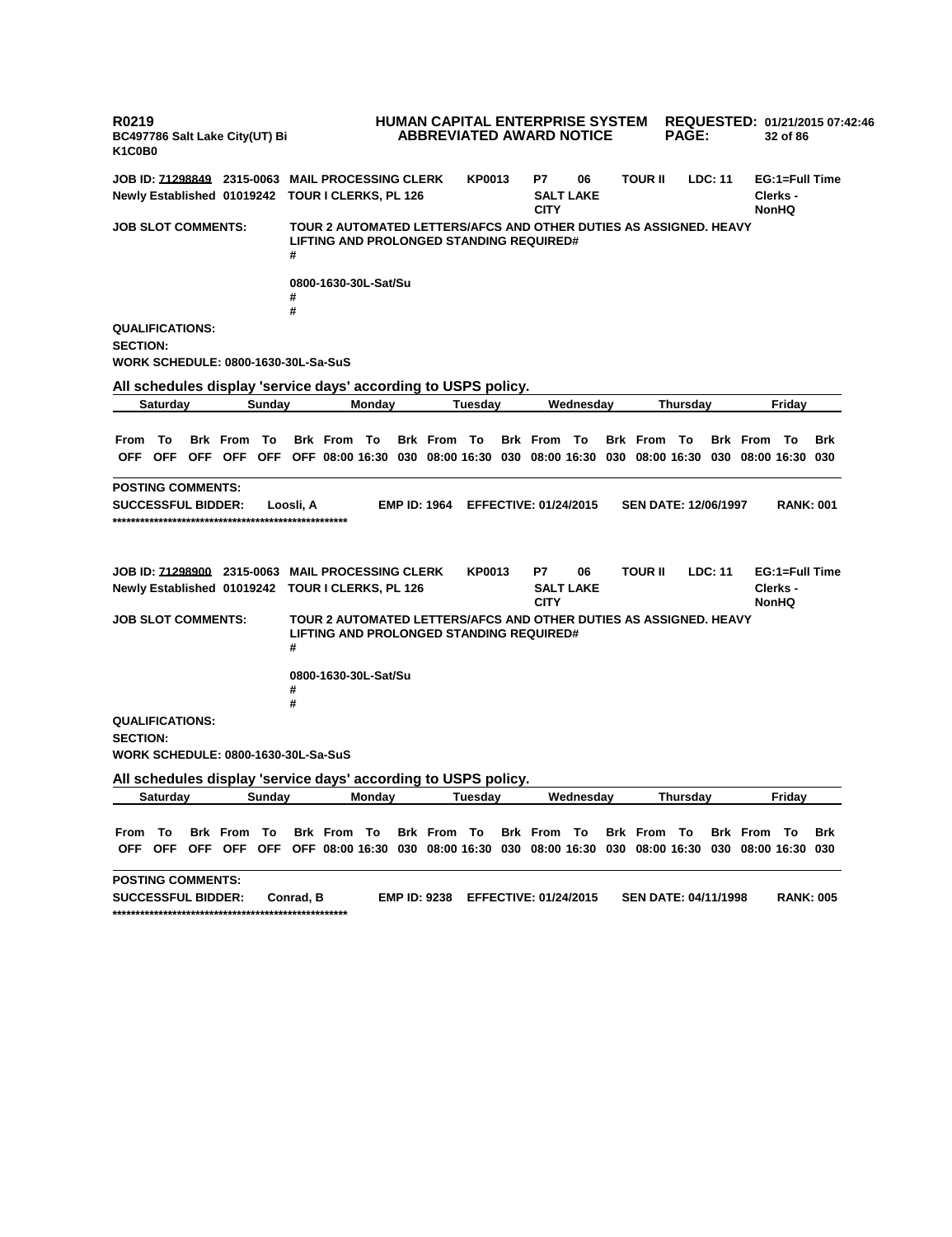**R0219 BC497786 Salt Lake City(UT) Bi K1C0B0 HUMAN CAPITAL ENTERPRISE SYSTEM REQUESTED: 01/21/2015 07:42:46 ABBREVIATED AWARD NOTICE PAGE: 32 of 86 JOB ID: 71298849 2315-0063 MAIL PROCESSING CLERK KP0013 P7 06 TOUR II LDC: 11 EG:1=Full Time Newly Established 01019242 TOUR I CLERKS, PL 126 SALT LAKE CITY Clerks - NonHQ JOB SLOT COMMENTS: TOUR 2 AUTOMATED LETTERS/AFCS AND OTHER DUTIES AS ASSIGNED. HEAVY LIFTING AND PROLONGED STANDING REQUIRED# # 0800-1630-30L-Sat/Su # # QUALIFICATIONS: SECTION: WORK SCHEDULE: 0800-1630-30L-Sa-SuS All schedules display 'service days' according to USPS policy. Saturday Sunday Monday Tuesday Wednesday Thursday Friday** From To Brk From To Brk From To Brk From To Brk From To Brk From To Brk From To Brk OFF OFF OFF OFF OFF OFF 08:00 16:30 030 08:00 16:30 030 08:00 16:30 030 08:00 16:30 030 08:00 16:30 030 **POSTING COMMENTS: SUCCESSFUL BIDDER: Loosli, A EMP ID: 1964 EFFECTIVE: 01/24/2015 SEN DATE: 12/06/1997 RANK: 001 \*\*\*\*\*\*\*\*\*\*\*\*\*\*\*\*\*\*\*\*\*\*\*\*\*\*\*\*\*\*\*\*\*\*\*\*\*\*\*\*\*\*\*\*\*\*\*\*\*\*\* JOB ID: 71298900 2315-0063 MAIL PROCESSING CLERK KP0013 P7 06 TOUR II LDC: 11 EG:1=Full Time Newly Established 01019242 TOUR I CLERKS, PL 126 SALT LAKE CITY Clerks - NonHQ JOB SLOT COMMENTS: TOUR 2 AUTOMATED LETTERS/AFCS AND OTHER DUTIES AS ASSIGNED. HEAVY LIFTING AND PROLONGED STANDING REQUIRED# # 0800-1630-30L-Sat/Su # # QUALIFICATIONS: SECTION: WORK SCHEDULE: 0800-1630-30L-Sa-SuS All schedules display 'service days' according to USPS policy. Saturday Sunday Monday Tuesday Wednesday Thursday Friday** From To Brk From To Brk From To Brk From To Brk From To Brk From To Brk From To Brk OFF OFF OFF OFF OFF OFF O8:00 16:30 030 08:00 16:30 030 08:00 16:30 030 08:00 16:30 030 08:00 16:30 030 **POSTING COMMENTS: SUCCESSFUL BIDDER: Conrad, B EMP ID: 9238 EFFECTIVE: 01/24/2015 SEN DATE: 04/11/1998 RANK: 005 \*\*\*\*\*\*\*\*\*\*\*\*\*\*\*\*\*\*\*\*\*\*\*\*\*\*\*\*\*\*\*\*\*\*\*\*\*\*\*\*\*\*\*\*\*\*\*\*\*\*\***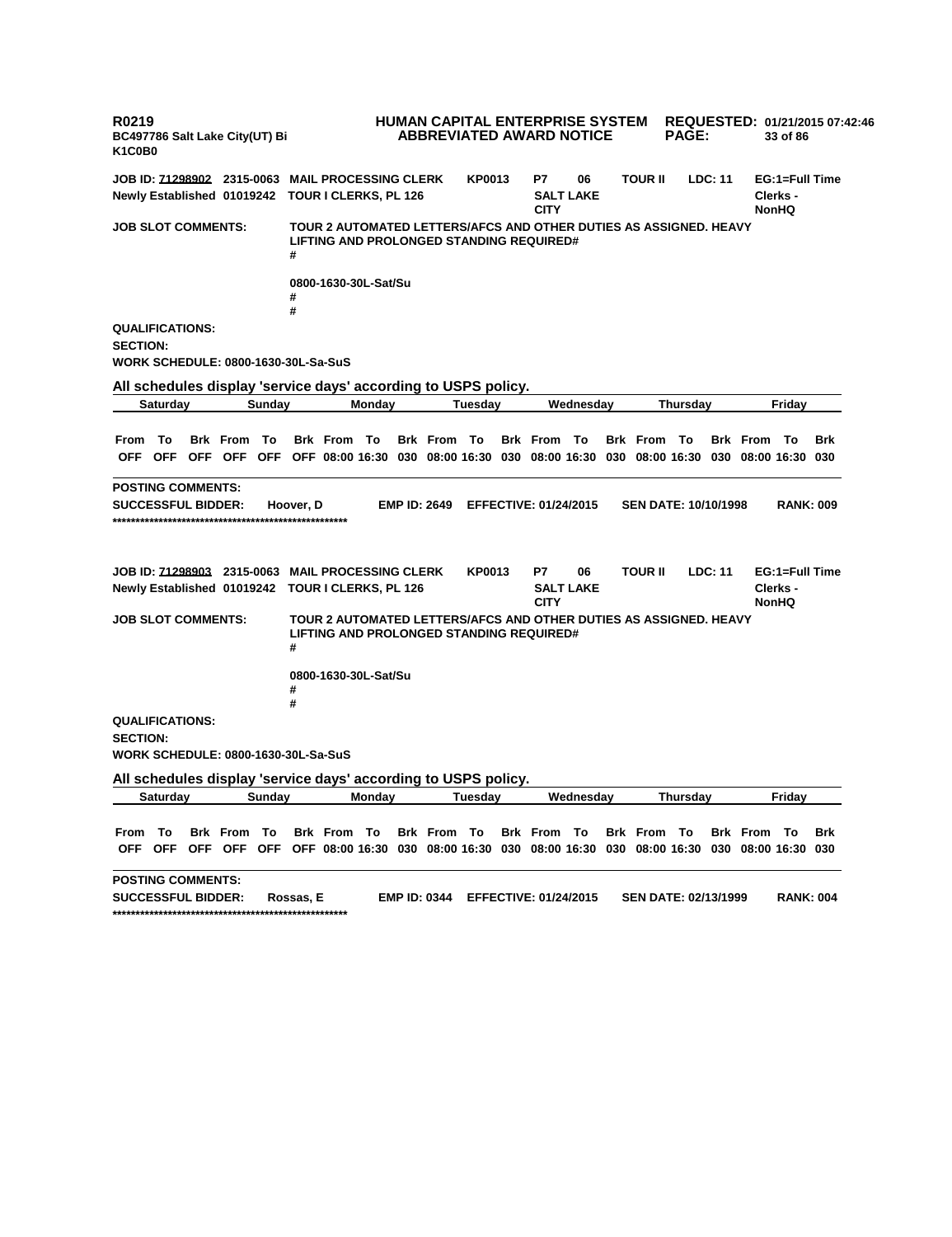**R0219 BC497786 Salt Lake City(UT) Bi K1C0B0 HUMAN CAPITAL ENTERPRISE SYSTEM REQUESTED: 01/21/2015 07:42:46 ABBREVIATED AWARD NOTICE PAGE: 33 of 86 JOB ID: 71298902 2315-0063 MAIL PROCESSING CLERK KP0013 P7 06 TOUR II LDC: 11 EG:1=Full Time Newly Established 01019242 TOUR I CLERKS, PL 126 SALT LAKE CITY Clerks - NonHQ JOB SLOT COMMENTS: TOUR 2 AUTOMATED LETTERS/AFCS AND OTHER DUTIES AS ASSIGNED. HEAVY LIFTING AND PROLONGED STANDING REQUIRED# # 0800-1630-30L-Sat/Su # # QUALIFICATIONS: SECTION: WORK SCHEDULE: 0800-1630-30L-Sa-SuS All schedules display 'service days' according to USPS policy. Saturday Sunday Monday Tuesday Wednesday Thursday Friday** From To Brk From To Brk From To Brk From To Brk From To Brk From To Brk From To Brk OFF OFF OFF OFF OFF OFF 08:00 16:30 030 08:00 16:30 030 08:00 16:30 030 08:00 16:30 030 08:00 16:30 030 **POSTING COMMENTS: SUCCESSFUL BIDDER: Hoover, D EMP ID: 2649 EFFECTIVE: 01/24/2015 SEN DATE: 10/10/1998 RANK: 009 \*\*\*\*\*\*\*\*\*\*\*\*\*\*\*\*\*\*\*\*\*\*\*\*\*\*\*\*\*\*\*\*\*\*\*\*\*\*\*\*\*\*\*\*\*\*\*\*\*\*\* JOB ID: 71298903 2315-0063 MAIL PROCESSING CLERK KP0013 P7 06 TOUR II LDC: 11 EG:1=Full Time Newly Established 01019242 TOUR I CLERKS, PL 126 SALT LAKE CITY Clerks - NonHQ JOB SLOT COMMENTS: TOUR 2 AUTOMATED LETTERS/AFCS AND OTHER DUTIES AS ASSIGNED. HEAVY LIFTING AND PROLONGED STANDING REQUIRED# # 0800-1630-30L-Sat/Su # # QUALIFICATIONS: SECTION: WORK SCHEDULE: 0800-1630-30L-Sa-SuS All schedules display 'service days' according to USPS policy. Saturday Sunday Monday Tuesday Wednesday Thursday Friday** From To Brk From To Brk From To Brk From To Brk From To Brk From To Brk From To Brk OFF OFF OFF OFF OFF OFF O8:00 16:30 030 08:00 16:30 030 08:00 16:30 030 08:00 16:30 030 08:00 16:30 030 **POSTING COMMENTS: SUCCESSFUL BIDDER: Rossas, E EMP ID: 0344 EFFECTIVE: 01/24/2015 SEN DATE: 02/13/1999 RANK: 004 \*\*\*\*\*\*\*\*\*\*\*\*\*\*\*\*\*\*\*\*\*\*\*\*\*\*\*\*\*\*\*\*\*\*\*\*\*\*\*\*\*\*\*\*\*\*\*\*\*\*\***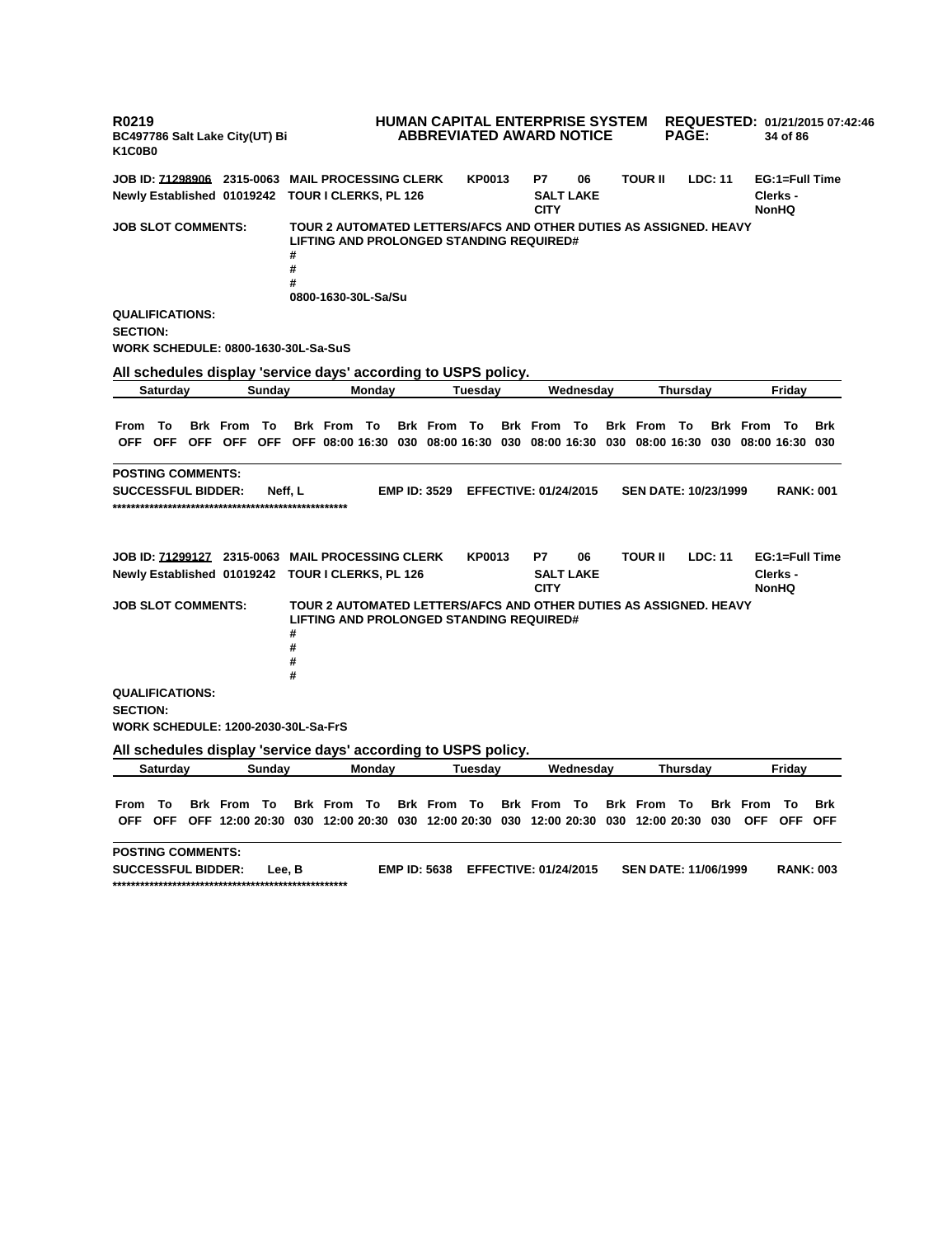**R0219 BC497786 Salt Lake City(UT) Bi K1C0B0 HUMAN CAPITAL ENTERPRISE SYSTEM REQUESTED: 01/21/2015 07:42:46 ABBREVIATED AWARD NOTICE PAGE: 34 of 86 JOB ID: 71298906 2315-0063 MAIL PROCESSING CLERK KP0013 P7 06 TOUR II LDC: 11 EG:1=Full Time Newly Established 01019242 TOUR I CLERKS, PL 126 SALT LAKE CITY Clerks - NonHQ JOB SLOT COMMENTS: TOUR 2 AUTOMATED LETTERS/AFCS AND OTHER DUTIES AS ASSIGNED. HEAVY LIFTING AND PROLONGED STANDING REQUIRED# # # # 0800-1630-30L-Sa/Su QUALIFICATIONS: SECTION: WORK SCHEDULE: 0800-1630-30L-Sa-SuS All schedules display 'service days' according to USPS policy. Saturday Sunday Monday Tuesday Wednesday Thursday Friday** From To Brk From To Brk From To Brk From To Brk From To Brk From To Brk From To Brk OFF OFF OFF OFF OFF OFF 08:00 16:30 030 08:00 16:30 030 08:00 16:30 030 08:00 16:30 030 08:00 16:30 030 **POSTING COMMENTS: SUCCESSFUL BIDDER: Neff, L EMP ID: 3529 EFFECTIVE: 01/24/2015 SEN DATE: 10/23/1999 RANK: 001 \*\*\*\*\*\*\*\*\*\*\*\*\*\*\*\*\*\*\*\*\*\*\*\*\*\*\*\*\*\*\*\*\*\*\*\*\*\*\*\*\*\*\*\*\*\*\*\*\*\*\* JOB ID: 71299127 2315-0063 MAIL PROCESSING CLERK KP0013 P7 06 TOUR II LDC: 11 EG:1=Full Time Newly Established 01019242 TOUR I CLERKS, PL 126 SALT LAKE CITY Clerks - NonHQ JOB SLOT COMMENTS: TOUR 2 AUTOMATED LETTERS/AFCS AND OTHER DUTIES AS ASSIGNED. HEAVY LIFTING AND PROLONGED STANDING REQUIRED# # # # # QUALIFICATIONS: SECTION: WORK SCHEDULE: 1200-2030-30L-Sa-FrS All schedules display 'service days' according to USPS policy. Saturday Sunday Monday Tuesday Wednesday Thursday Friday** From To Brk From To Brk From To Brk From To Brk From To Brk From To Brk From To Brk OFF OFF OFF 12:00 20:30 030 12:00 20:30 030 12:00 20:30 030 12:00 20:30 030 12:00 20:30 030 OFF OFF OFF **POSTING COMMENTS: SUCCESSFUL BIDDER: Lee, B EMP ID: 5638 EFFECTIVE: 01/24/2015 SEN DATE: 11/06/1999 RANK: 003 \*\*\*\*\*\*\*\*\*\*\*\*\*\*\*\*\*\*\*\*\*\*\*\*\*\*\*\*\*\*\*\*\*\*\*\*\*\*\*\*\*\*\*\*\*\*\*\*\*\*\***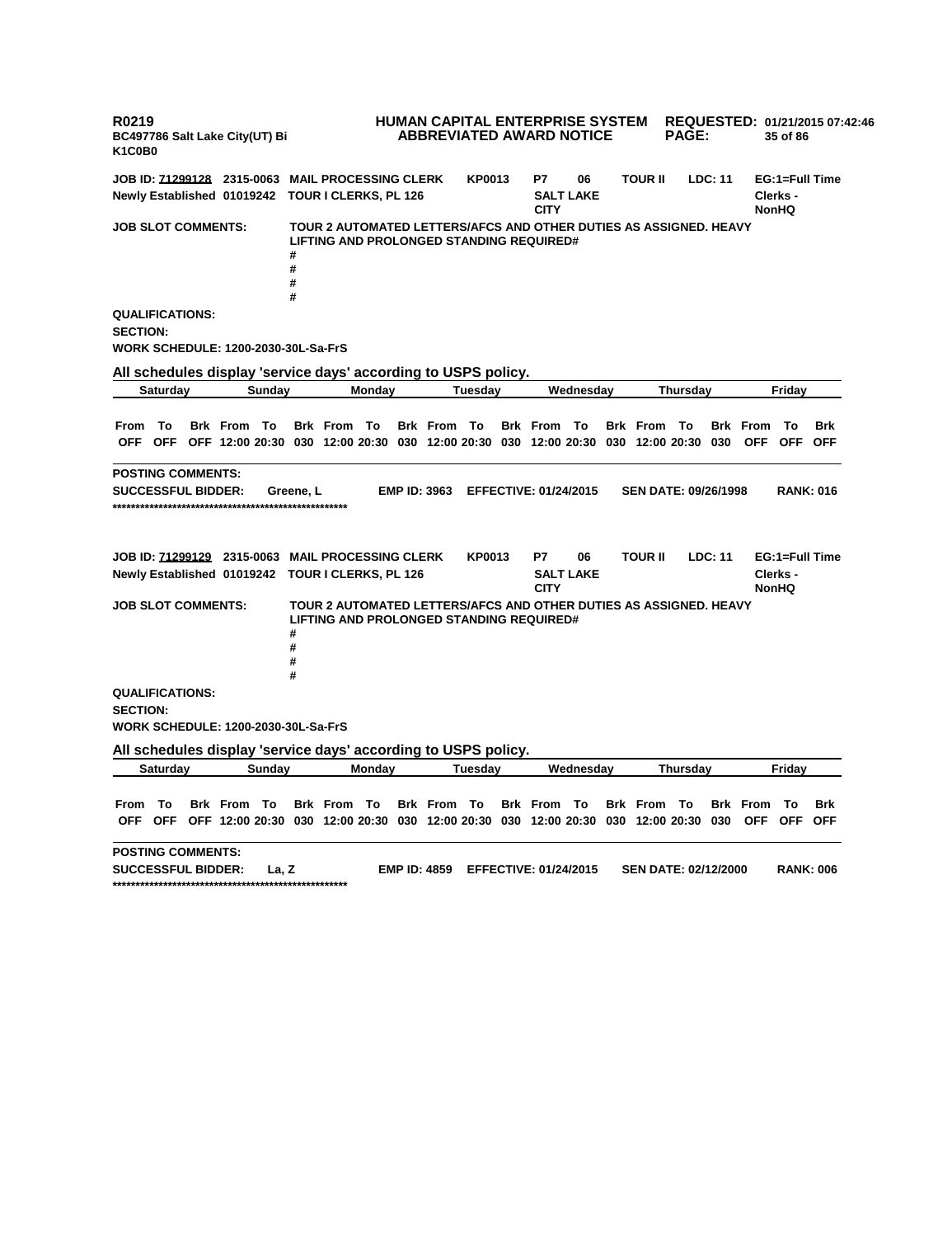**R0219 BC497786 Salt Lake City(UT) Bi K1C0B0 HUMAN CAPITAL ENTERPRISE SYSTEM REQUESTED: 01/21/2015 07:42:46 ABBREVIATED AWARD NOTICE PAGE: 35 of 86 JOB ID: 71299128 2315-0063 MAIL PROCESSING CLERK KP0013 P7 06 TOUR II LDC: 11 EG:1=Full Time Newly Established 01019242 TOUR I CLERKS, PL 126 SALT LAKE CITY Clerks - NonHQ JOB SLOT COMMENTS: TOUR 2 AUTOMATED LETTERS/AFCS AND OTHER DUTIES AS ASSIGNED. HEAVY LIFTING AND PROLONGED STANDING REQUIRED# # # # # QUALIFICATIONS: SECTION: WORK SCHEDULE: 1200-2030-30L-Sa-FrS All schedules display 'service days' according to USPS policy. Saturday Sunday Monday Tuesday Wednesday Thursday Friday** From To Brk From To Brk From To Brk From To Brk From To Brk From To Brk From To Brk OFF OFF OFF 12:00 20:30 030 12:00 20:30 030 12:00 20:30 030 12:00 20:30 030 12:00 20:30 030 OFF OFF OFF **POSTING COMMENTS: SUCCESSFUL BIDDER: Greene, L EMP ID: 3963 EFFECTIVE: 01/24/2015 SEN DATE: 09/26/1998 RANK: 016 \*\*\*\*\*\*\*\*\*\*\*\*\*\*\*\*\*\*\*\*\*\*\*\*\*\*\*\*\*\*\*\*\*\*\*\*\*\*\*\*\*\*\*\*\*\*\*\*\*\*\* JOB ID: 71299129 2315-0063 MAIL PROCESSING CLERK KP0013 P7 06 TOUR II LDC: 11 EG:1=Full Time Newly Established 01019242 TOUR I CLERKS, PL 126 SALT LAKE CITY Clerks - NonHQ JOB SLOT COMMENTS: TOUR 2 AUTOMATED LETTERS/AFCS AND OTHER DUTIES AS ASSIGNED. HEAVY LIFTING AND PROLONGED STANDING REQUIRED# # # # # QUALIFICATIONS: SECTION: WORK SCHEDULE: 1200-2030-30L-Sa-FrS All schedules display 'service days' according to USPS policy. Saturday Sunday Monday Tuesday Wednesday Thursday Friday** From To Brk From To Brk From To Brk From To Brk From To Brk From To Brk From To Brk OFF OFF OFF 12:00 20:30 030 12:00 20:30 030 12:00 20:30 030 12:00 20:30 030 12:00 20:30 030 OFF OFF OFF **POSTING COMMENTS: SUCCESSFUL BIDDER: La, Z EMP ID: 4859 EFFECTIVE: 01/24/2015 SEN DATE: 02/12/2000 RANK: 006 \*\*\*\*\*\*\*\*\*\*\*\*\*\*\*\*\*\*\*\*\*\*\*\*\*\*\*\*\*\*\*\*\*\*\*\*\*\*\*\*\*\*\*\*\*\*\*\*\*\*\***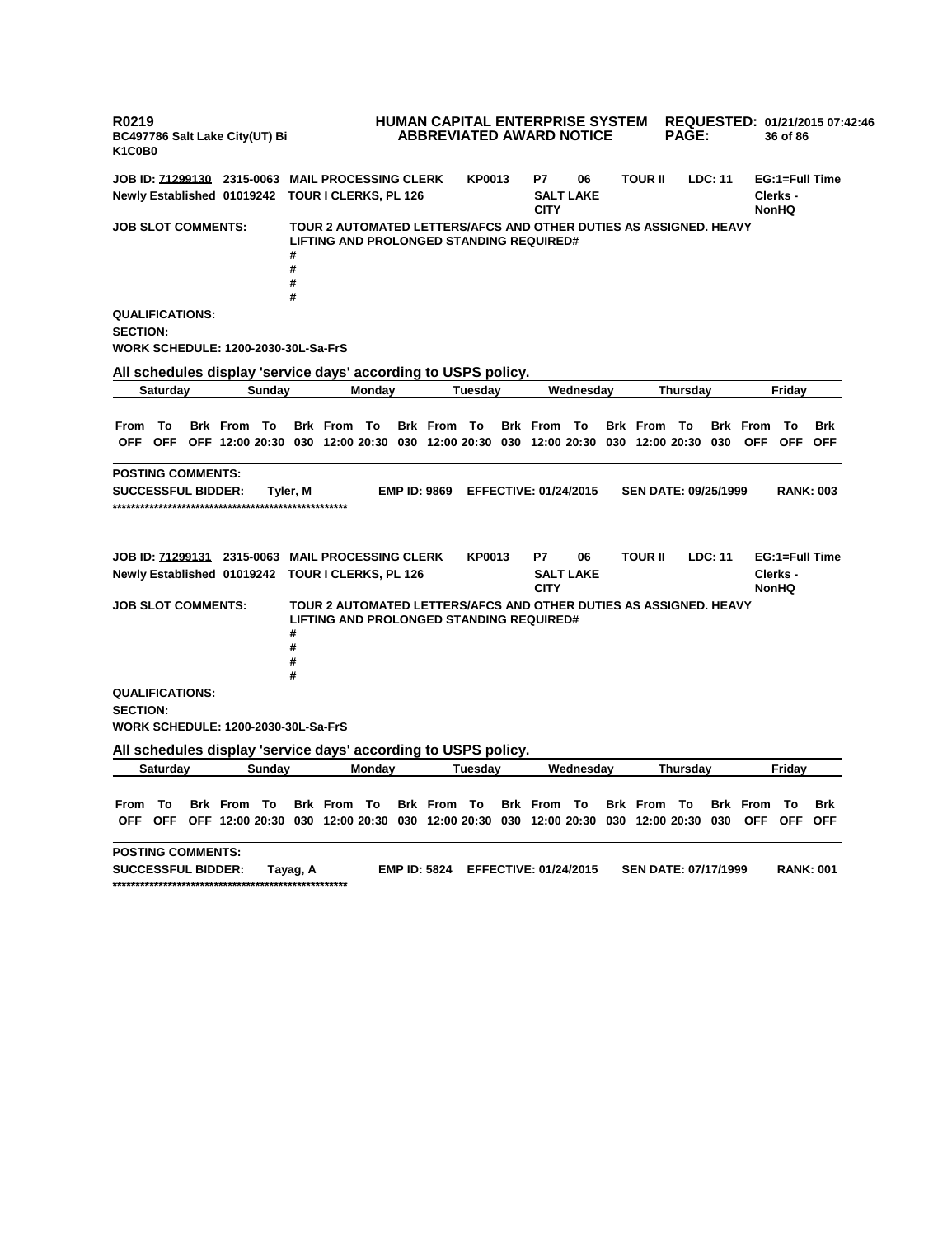**R0219 BC497786 Salt Lake City(UT) Bi K1C0B0 HUMAN CAPITAL ENTERPRISE SYSTEM REQUESTED: 01/21/2015 07:42:46 ABBREVIATED AWARD NOTICE PAGE: 36 of 86 JOB ID: 71299130 2315-0063 MAIL PROCESSING CLERK KP0013 P7 06 TOUR II LDC: 11 EG:1=Full Time Newly Established 01019242 TOUR I CLERKS, PL 126 SALT LAKE CITY Clerks - NonHQ JOB SLOT COMMENTS: TOUR 2 AUTOMATED LETTERS/AFCS AND OTHER DUTIES AS ASSIGNED. HEAVY LIFTING AND PROLONGED STANDING REQUIRED# # # # # QUALIFICATIONS: SECTION: WORK SCHEDULE: 1200-2030-30L-Sa-FrS All schedules display 'service days' according to USPS policy. Saturday Sunday Monday Tuesday Wednesday Thursday Friday** From To Brk From To Brk From To Brk From To Brk From To Brk From To Brk From To Brk OFF OFF OFF 12:00 20:30 030 12:00 20:30 030 12:00 20:30 030 12:00 20:30 030 12:00 20:30 030 OFF OFF OFF **POSTING COMMENTS: SUCCESSFUL BIDDER: Tyler, M EMP ID: 9869 EFFECTIVE: 01/24/2015 SEN DATE: 09/25/1999 RANK: 003 \*\*\*\*\*\*\*\*\*\*\*\*\*\*\*\*\*\*\*\*\*\*\*\*\*\*\*\*\*\*\*\*\*\*\*\*\*\*\*\*\*\*\*\*\*\*\*\*\*\*\* JOB ID: 71299131 2315-0063 MAIL PROCESSING CLERK KP0013 P7 06 TOUR II LDC: 11 EG:1=Full Time Newly Established 01019242 TOUR I CLERKS, PL 126 SALT LAKE CITY Clerks - NonHQ JOB SLOT COMMENTS: TOUR 2 AUTOMATED LETTERS/AFCS AND OTHER DUTIES AS ASSIGNED. HEAVY LIFTING AND PROLONGED STANDING REQUIRED# # # # # QUALIFICATIONS: SECTION: WORK SCHEDULE: 1200-2030-30L-Sa-FrS All schedules display 'service days' according to USPS policy. Saturday Sunday Monday Tuesday Wednesday Thursday Friday** From To Brk From To Brk From To Brk From To Brk From To Brk From To Brk From To Brk OFF OFF OFF 12:00 20:30 030 12:00 20:30 030 12:00 20:30 030 12:00 20:30 030 12:00 20:30 030 OFF OFF OFF **POSTING COMMENTS: SUCCESSFUL BIDDER: Tayag, A EMP ID: 5824 EFFECTIVE: 01/24/2015 SEN DATE: 07/17/1999 RANK: 001 \*\*\*\*\*\*\*\*\*\*\*\*\*\*\*\*\*\*\*\*\*\*\*\*\*\*\*\*\*\*\*\*\*\*\*\*\*\*\*\*\*\*\*\*\*\*\*\*\*\*\***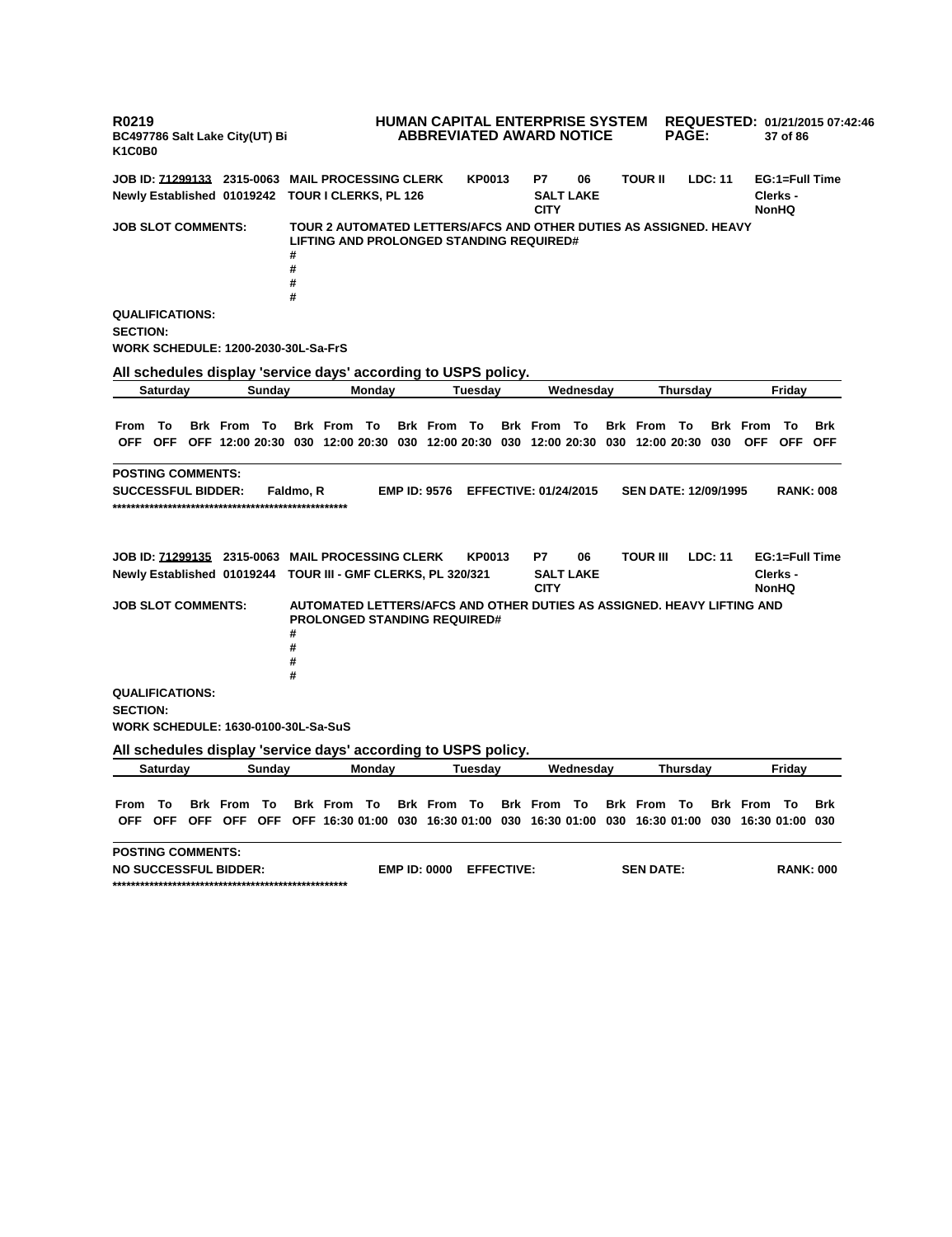**R0219 BC497786 Salt Lake City(UT) Bi K1C0B0 HUMAN CAPITAL ENTERPRISE SYSTEM REQUESTED: 01/21/2015 07:42:46 ABBREVIATED AWARD NOTICE PAGE: 37 of 86 JOB ID: 71299133 2315-0063 MAIL PROCESSING CLERK KP0013 P7 06 TOUR II LDC: 11 EG:1=Full Time Newly Established 01019242 TOUR I CLERKS, PL 126 SALT LAKE CITY Clerks - NonHQ JOB SLOT COMMENTS: TOUR 2 AUTOMATED LETTERS/AFCS AND OTHER DUTIES AS ASSIGNED. HEAVY LIFTING AND PROLONGED STANDING REQUIRED# # # # # QUALIFICATIONS: SECTION: WORK SCHEDULE: 1200-2030-30L-Sa-FrS All schedules display 'service days' according to USPS policy. Saturday Sunday Monday Tuesday Wednesday Thursday Friday** From To Brk From To Brk From To Brk From To Brk From To Brk From To Brk From To Brk OFF OFF OFF 12:00 20:30 030 12:00 20:30 030 12:00 20:30 030 12:00 20:30 030 12:00 20:30 030 OFF OFF OFF **POSTING COMMENTS: SUCCESSFUL BIDDER: Faldmo, R EMP ID: 9576 EFFECTIVE: 01/24/2015 SEN DATE: 12/09/1995 RANK: 008 \*\*\*\*\*\*\*\*\*\*\*\*\*\*\*\*\*\*\*\*\*\*\*\*\*\*\*\*\*\*\*\*\*\*\*\*\*\*\*\*\*\*\*\*\*\*\*\*\*\*\* JOB ID: 71299135 2315-0063 MAIL PROCESSING CLERK KP0013 P7 06 TOUR III LDC: 11 EG:1=Full Time Newly Established 01019244 TOUR III - GMF CLERKS, PL 320/321 SALT LAKE CITY Clerks - NonHQ JOB SLOT COMMENTS: AUTOMATED LETTERS/AFCS AND OTHER DUTIES AS ASSIGNED. HEAVY LIFTING AND PROLONGED STANDING REQUIRED# # # # # QUALIFICATIONS: SECTION: WORK SCHEDULE: 1630-0100-30L-Sa-SuS All schedules display 'service days' according to USPS policy. Saturday Sunday Monday Tuesday Wednesday Thursday Friday** From To Brk From To Brk From To Brk From To Brk From To Brk From To Brk From To Brk OFF OFF OFF OFF OFF OFF 16:30 01:00 030 16:30 01:00 030 16:30 01:00 030 16:30 01:00 030 16:30 01:00 030 **POSTING COMMENTS: NO SUCCESSFUL BIDDER: EMP ID: 0000 EFFECTIVE: SEN DATE: RANK: 000 \*\*\*\*\*\*\*\*\*\*\*\*\*\*\*\*\*\*\*\*\*\*\*\*\*\*\*\*\*\*\*\*\*\*\*\*\*\*\*\*\*\*\*\*\*\*\*\*\*\*\***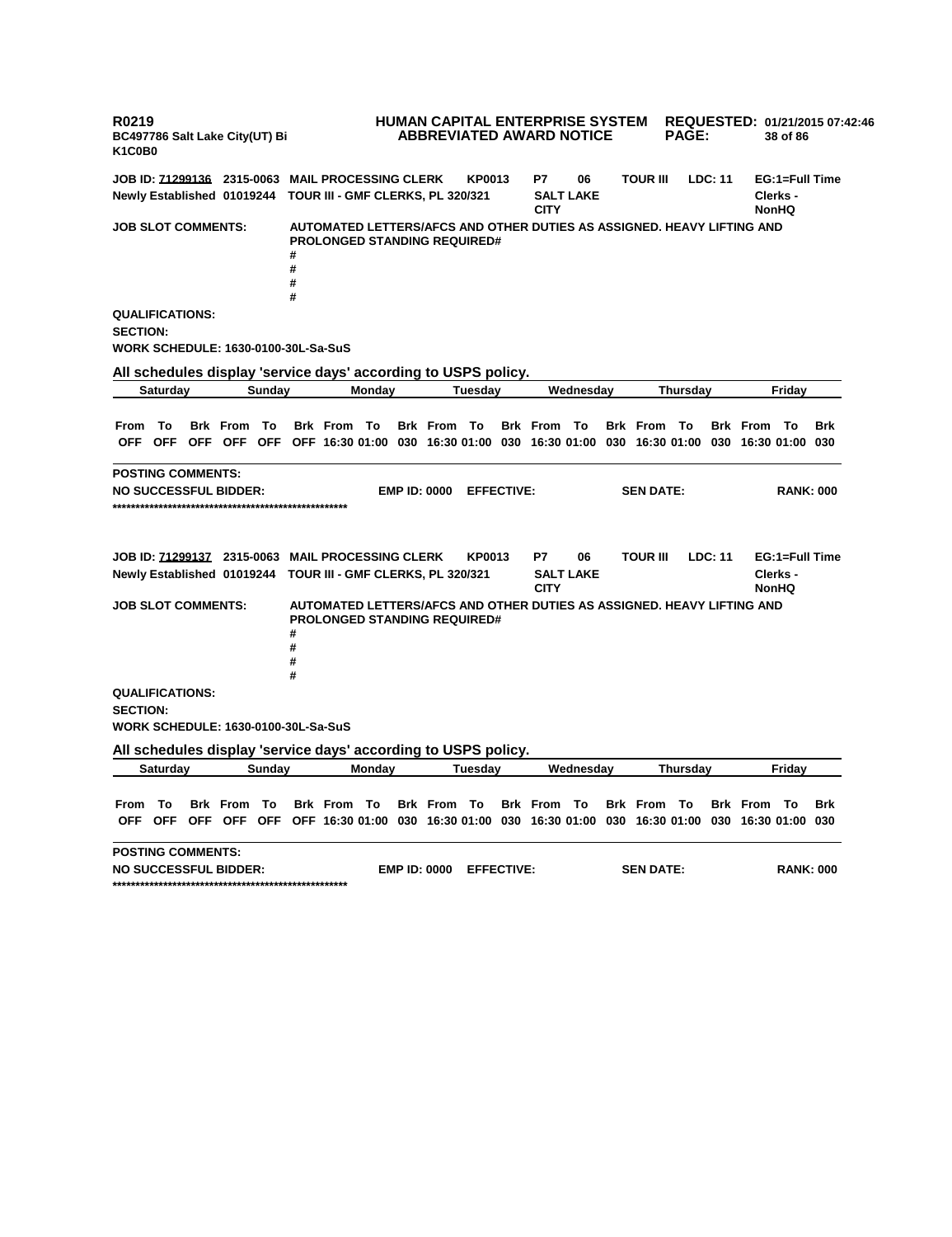**R0219 BC497786 Salt Lake City(UT) Bi K1C0B0 HUMAN CAPITAL ENTERPRISE SYSTEM REQUESTED: 01/21/2015 07:42:46 ABBREVIATED AWARD NOTICE PAGE: 38 of 86 JOB ID: 71299136 2315-0063 MAIL PROCESSING CLERK KP0013 P7 06 TOUR III LDC: 11 EG:1=Full Time Newly Established 01019244 TOUR III - GMF CLERKS, PL 320/321 SALT LAKE CITY Clerks - NonHQ JOB SLOT COMMENTS: AUTOMATED LETTERS/AFCS AND OTHER DUTIES AS ASSIGNED. HEAVY LIFTING AND PROLONGED STANDING REQUIRED# # # # # QUALIFICATIONS: SECTION: WORK SCHEDULE: 1630-0100-30L-Sa-SuS All schedules display 'service days' according to USPS policy. Saturday Sunday Monday Tuesday Wednesday Thursday Friday** From To Brk From To Brk From To Brk From To Brk From To Brk From To Brk From To Brk OFF OFF OFF OFF OFF OFF 16:30 01:00 030 16:30 01:00 030 16:30 01:00 030 16:30 01:00 030 16:30 01:00 030 **POSTING COMMENTS: NO SUCCESSFUL BIDDER: EMP ID: 0000 EFFECTIVE: SEN DATE: RANK: 000 \*\*\*\*\*\*\*\*\*\*\*\*\*\*\*\*\*\*\*\*\*\*\*\*\*\*\*\*\*\*\*\*\*\*\*\*\*\*\*\*\*\*\*\*\*\*\*\*\*\*\* JOB ID: 71299137 2315-0063 MAIL PROCESSING CLERK KP0013 P7 06 TOUR III LDC: 11 EG:1=Full Time Newly Established 01019244 TOUR III - GMF CLERKS, PL 320/321 SALT LAKE CITY Clerks - NonHQ JOB SLOT COMMENTS: AUTOMATED LETTERS/AFCS AND OTHER DUTIES AS ASSIGNED. HEAVY LIFTING AND PROLONGED STANDING REQUIRED# # # # # QUALIFICATIONS: SECTION: WORK SCHEDULE: 1630-0100-30L-Sa-SuS All schedules display 'service days' according to USPS policy. Saturday Sunday Monday Tuesday Wednesday Thursday Friday** From To Brk From To Brk From To Brk From To Brk From To Brk From To Brk From To Brk OFF OFF OFF OFF OFF OFF 16:30 01:00 030 16:30 01:00 030 16:30 01:00 030 16:30 01:00 030 16:30 01:00 030 **POSTING COMMENTS: NO SUCCESSFUL BIDDER: EMP ID: 0000 EFFECTIVE: SEN DATE: RANK: 000 \*\*\*\*\*\*\*\*\*\*\*\*\*\*\*\*\*\*\*\*\*\*\*\*\*\*\*\*\*\*\*\*\*\*\*\*\*\*\*\*\*\*\*\*\*\*\*\*\*\*\***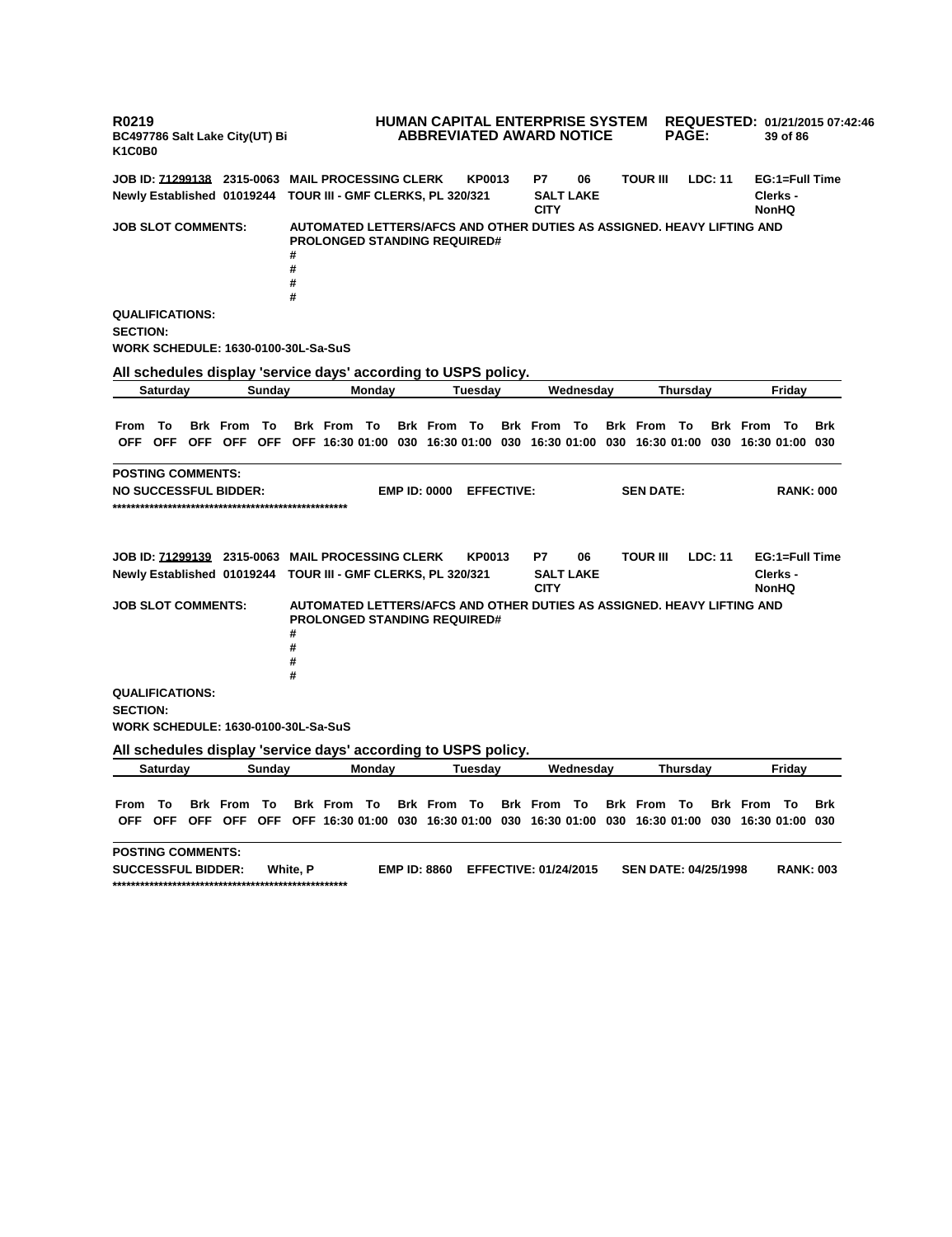**R0219 BC497786 Salt Lake City(UT) Bi K1C0B0 HUMAN CAPITAL ENTERPRISE SYSTEM REQUESTED: 01/21/2015 07:42:46 ABBREVIATED AWARD NOTICE PAGE: 39 of 86 JOB ID: 71299138 2315-0063 MAIL PROCESSING CLERK KP0013 P7 06 TOUR III LDC: 11 EG:1=Full Time Newly Established 01019244 TOUR III - GMF CLERKS, PL 320/321 SALT LAKE CITY Clerks - NonHQ JOB SLOT COMMENTS: AUTOMATED LETTERS/AFCS AND OTHER DUTIES AS ASSIGNED. HEAVY LIFTING AND PROLONGED STANDING REQUIRED# # # # # QUALIFICATIONS: SECTION: WORK SCHEDULE: 1630-0100-30L-Sa-SuS All schedules display 'service days' according to USPS policy. Saturday Sunday Monday Tuesday Wednesday Thursday Friday** From To Brk From To Brk From To Brk From To Brk From To Brk From To Brk From To Brk OFF OFF OFF OFF OFF OFF 16:30 01:00 030 16:30 01:00 030 16:30 01:00 030 16:30 01:00 030 16:30 01:00 030 **POSTING COMMENTS: NO SUCCESSFUL BIDDER: EMP ID: 0000 EFFECTIVE: SEN DATE: RANK: 000 \*\*\*\*\*\*\*\*\*\*\*\*\*\*\*\*\*\*\*\*\*\*\*\*\*\*\*\*\*\*\*\*\*\*\*\*\*\*\*\*\*\*\*\*\*\*\*\*\*\*\* JOB ID: 71299139 2315-0063 MAIL PROCESSING CLERK KP0013 P7 06 TOUR III LDC: 11 EG:1=Full Time Newly Established 01019244 TOUR III - GMF CLERKS, PL 320/321 SALT LAKE CITY Clerks - NonHQ JOB SLOT COMMENTS: AUTOMATED LETTERS/AFCS AND OTHER DUTIES AS ASSIGNED. HEAVY LIFTING AND PROLONGED STANDING REQUIRED# # # # # QUALIFICATIONS: SECTION: WORK SCHEDULE: 1630-0100-30L-Sa-SuS All schedules display 'service days' according to USPS policy. Saturday Sunday Monday Tuesday Wednesday Thursday Friday** From To Brk From To Brk From To Brk From To Brk From To Brk From To Brk From To Brk OFF OFF OFF OFF OFF OFF 16:30 01:00 030 16:30 01:00 030 16:30 01:00 030 16:30 01:00 030 16:30 01:00 030 **POSTING COMMENTS: SUCCESSFUL BIDDER: White, P EMP ID: 8860 EFFECTIVE: 01/24/2015 SEN DATE: 04/25/1998 RANK: 003 \*\*\*\*\*\*\*\*\*\*\*\*\*\*\*\*\*\*\*\*\*\*\*\*\*\*\*\*\*\*\*\*\*\*\*\*\*\*\*\*\*\*\*\*\*\*\*\*\*\*\***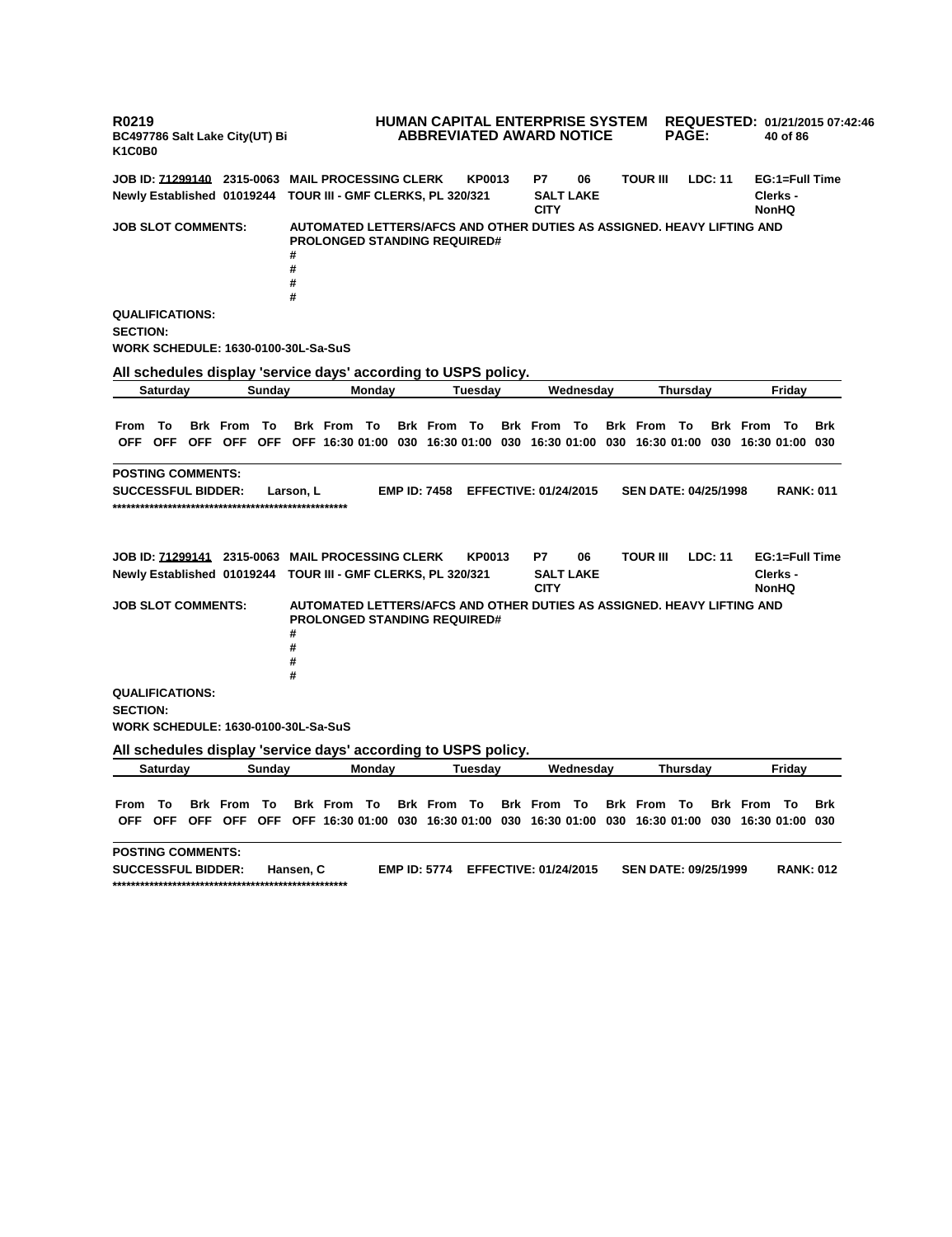**R0219 BC497786 Salt Lake City(UT) Bi K1C0B0 HUMAN CAPITAL ENTERPRISE SYSTEM REQUESTED: 01/21/2015 07:42:46 ABBREVIATED AWARD NOTICE PAGE: 40 of 86 JOB ID: 71299140 2315-0063 MAIL PROCESSING CLERK KP0013 P7 06 TOUR III LDC: 11 EG:1=Full Time Newly Established 01019244 TOUR III - GMF CLERKS, PL 320/321 SALT LAKE CITY Clerks - NonHQ JOB SLOT COMMENTS: AUTOMATED LETTERS/AFCS AND OTHER DUTIES AS ASSIGNED. HEAVY LIFTING AND PROLONGED STANDING REQUIRED# # # # # QUALIFICATIONS: SECTION: WORK SCHEDULE: 1630-0100-30L-Sa-SuS All schedules display 'service days' according to USPS policy. Saturday Sunday Monday Tuesday Wednesday Thursday Friday** From To Brk From To Brk From To Brk From To Brk From To Brk From To Brk From To Brk OFF OFF OFF OFF OFF OFF 16:30 01:00 030 16:30 01:00 030 16:30 01:00 030 16:30 01:00 030 16:30 01:00 030 **POSTING COMMENTS: SUCCESSFUL BIDDER: Larson, L EMP ID: 7458 EFFECTIVE: 01/24/2015 SEN DATE: 04/25/1998 RANK: 011 \*\*\*\*\*\*\*\*\*\*\*\*\*\*\*\*\*\*\*\*\*\*\*\*\*\*\*\*\*\*\*\*\*\*\*\*\*\*\*\*\*\*\*\*\*\*\*\*\*\*\* JOB ID: 71299141 2315-0063 MAIL PROCESSING CLERK KP0013 P7 06 TOUR III LDC: 11 EG:1=Full Time Newly Established 01019244 TOUR III - GMF CLERKS, PL 320/321 SALT LAKE CITY Clerks - NonHQ JOB SLOT COMMENTS: AUTOMATED LETTERS/AFCS AND OTHER DUTIES AS ASSIGNED. HEAVY LIFTING AND PROLONGED STANDING REQUIRED# # # # # QUALIFICATIONS: SECTION: WORK SCHEDULE: 1630-0100-30L-Sa-SuS All schedules display 'service days' according to USPS policy. Saturday Sunday Monday Tuesday Wednesday Thursday Friday** From To Brk From To Brk From To Brk From To Brk From To Brk From To Brk From To Brk OFF OFF OFF OFF OFF OFF 16:30 01:00 030 16:30 01:00 030 16:30 01:00 030 16:30 01:00 030 16:30 01:00 030 **POSTING COMMENTS: SUCCESSFUL BIDDER: Hansen, C EMP ID: 5774 EFFECTIVE: 01/24/2015 SEN DATE: 09/25/1999 RANK: 012 \*\*\*\*\*\*\*\*\*\*\*\*\*\*\*\*\*\*\*\*\*\*\*\*\*\*\*\*\*\*\*\*\*\*\*\*\*\*\*\*\*\*\*\*\*\*\*\*\*\*\***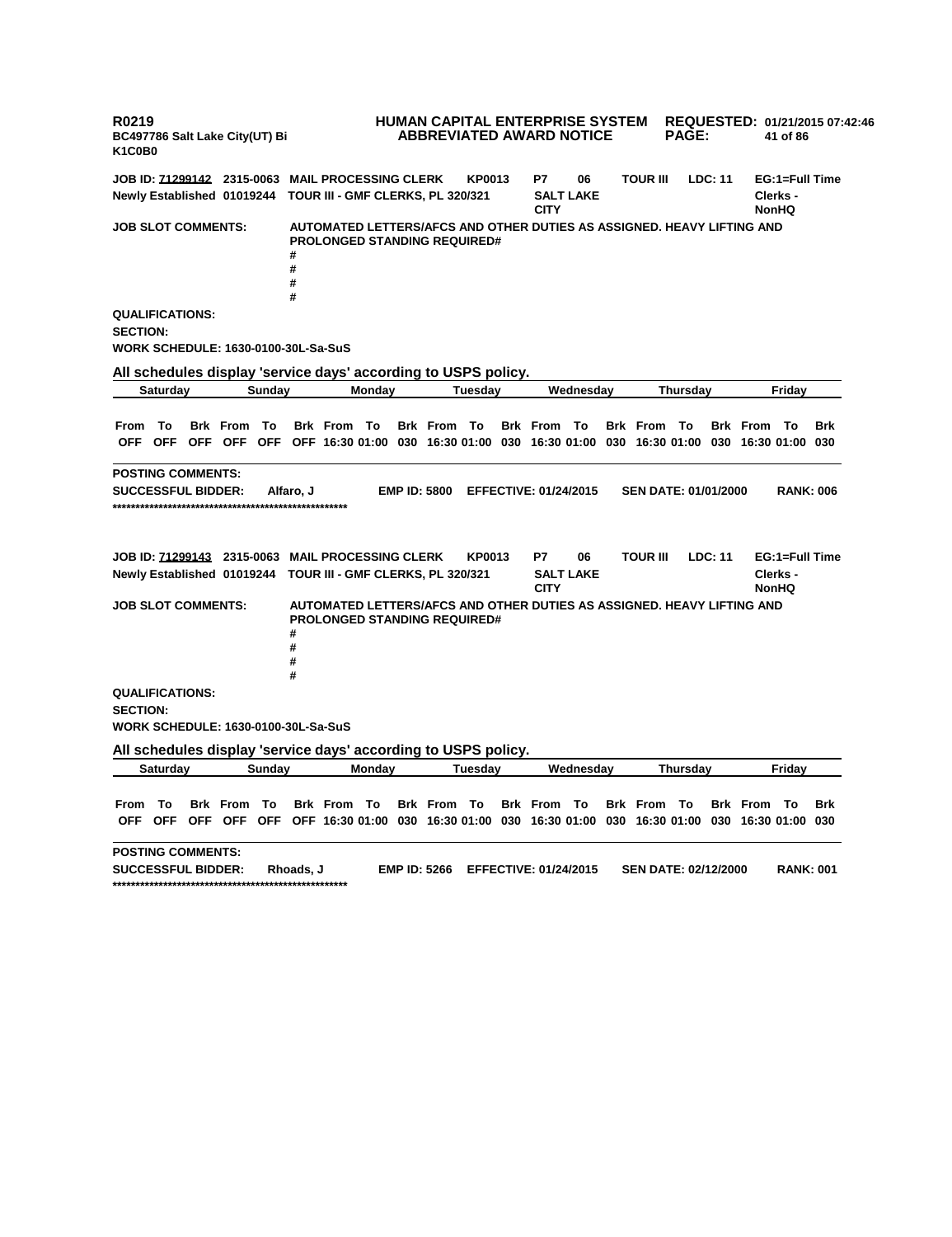**R0219 BC497786 Salt Lake City(UT) Bi K1C0B0 HUMAN CAPITAL ENTERPRISE SYSTEM REQUESTED: 01/21/2015 07:42:46 ABBREVIATED AWARD NOTICE PAGE: 41 of 86 JOB ID: 71299142 2315-0063 MAIL PROCESSING CLERK KP0013 P7 06 TOUR III LDC: 11 EG:1=Full Time Newly Established 01019244 TOUR III - GMF CLERKS, PL 320/321 SALT LAKE CITY Clerks - NonHQ JOB SLOT COMMENTS: AUTOMATED LETTERS/AFCS AND OTHER DUTIES AS ASSIGNED. HEAVY LIFTING AND PROLONGED STANDING REQUIRED# # # # # QUALIFICATIONS: SECTION: WORK SCHEDULE: 1630-0100-30L-Sa-SuS All schedules display 'service days' according to USPS policy. Saturday Sunday Monday Tuesday Wednesday Thursday Friday** From To Brk From To Brk From To Brk From To Brk From To Brk From To Brk From To Brk OFF OFF OFF OFF OFF OFF 16:30 01:00 030 16:30 01:00 030 16:30 01:00 030 16:30 01:00 030 16:30 01:00 030 **POSTING COMMENTS: SUCCESSFUL BIDDER: Alfaro, J EMP ID: 5800 EFFECTIVE: 01/24/2015 SEN DATE: 01/01/2000 RANK: 006 \*\*\*\*\*\*\*\*\*\*\*\*\*\*\*\*\*\*\*\*\*\*\*\*\*\*\*\*\*\*\*\*\*\*\*\*\*\*\*\*\*\*\*\*\*\*\*\*\*\*\* JOB ID: 71299143 2315-0063 MAIL PROCESSING CLERK KP0013 P7 06 TOUR III LDC: 11 EG:1=Full Time Newly Established 01019244 TOUR III - GMF CLERKS, PL 320/321 SALT LAKE CITY Clerks - NonHQ JOB SLOT COMMENTS: AUTOMATED LETTERS/AFCS AND OTHER DUTIES AS ASSIGNED. HEAVY LIFTING AND PROLONGED STANDING REQUIRED# # # # # QUALIFICATIONS: SECTION: WORK SCHEDULE: 1630-0100-30L-Sa-SuS All schedules display 'service days' according to USPS policy. Saturday Sunday Monday Tuesday Wednesday Thursday Friday** From To Brk From To Brk From To Brk From To Brk From To Brk From To Brk From To Brk OFF OFF OFF OFF OFF OFF 16:30 01:00 030 16:30 01:00 030 16:30 01:00 030 16:30 01:00 030 16:30 01:00 030 **POSTING COMMENTS: SUCCESSFUL BIDDER: Rhoads, J EMP ID: 5266 EFFECTIVE: 01/24/2015 SEN DATE: 02/12/2000 RANK: 001 \*\*\*\*\*\*\*\*\*\*\*\*\*\*\*\*\*\*\*\*\*\*\*\*\*\*\*\*\*\*\*\*\*\*\*\*\*\*\*\*\*\*\*\*\*\*\*\*\*\*\***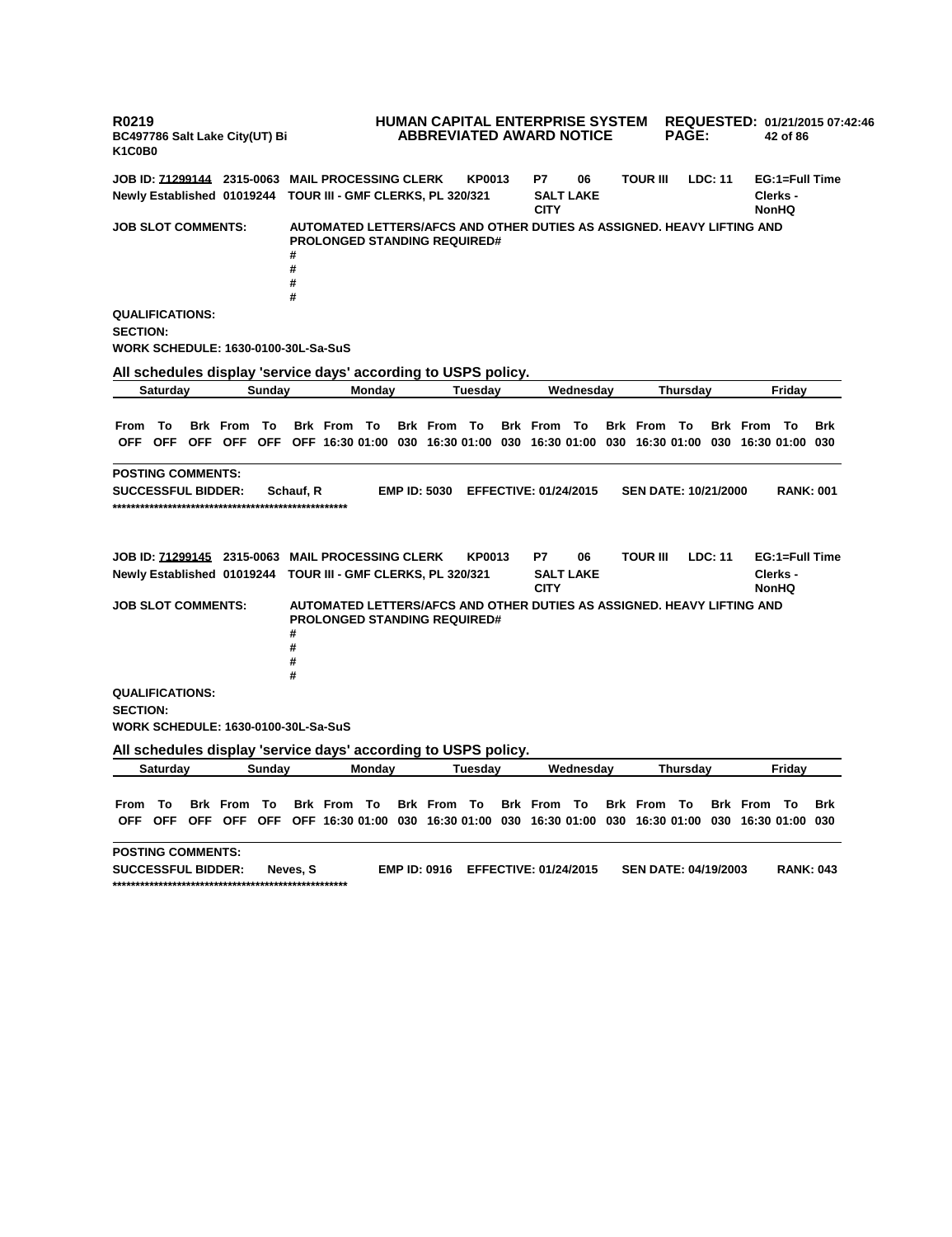**R0219 BC497786 Salt Lake City(UT) Bi K1C0B0 HUMAN CAPITAL ENTERPRISE SYSTEM REQUESTED: 01/21/2015 07:42:46 ABBREVIATED AWARD NOTICE PAGE: 42 of 86 JOB ID: 71299144 2315-0063 MAIL PROCESSING CLERK KP0013 P7 06 TOUR III LDC: 11 EG:1=Full Time Newly Established 01019244 TOUR III - GMF CLERKS, PL 320/321 SALT LAKE CITY Clerks - NonHQ JOB SLOT COMMENTS: AUTOMATED LETTERS/AFCS AND OTHER DUTIES AS ASSIGNED. HEAVY LIFTING AND PROLONGED STANDING REQUIRED# # # # # QUALIFICATIONS: SECTION: WORK SCHEDULE: 1630-0100-30L-Sa-SuS All schedules display 'service days' according to USPS policy. Saturday Sunday Monday Tuesday Wednesday Thursday Friday** From To Brk From To Brk From To Brk From To Brk From To Brk From To Brk From To Brk OFF OFF OFF OFF OFF OFF 16:30 01:00 030 16:30 01:00 030 16:30 01:00 030 16:30 01:00 030 16:30 01:00 030 **POSTING COMMENTS: SUCCESSFUL BIDDER: Schauf, R EMP ID: 5030 EFFECTIVE: 01/24/2015 SEN DATE: 10/21/2000 RANK: 001 \*\*\*\*\*\*\*\*\*\*\*\*\*\*\*\*\*\*\*\*\*\*\*\*\*\*\*\*\*\*\*\*\*\*\*\*\*\*\*\*\*\*\*\*\*\*\*\*\*\*\* JOB ID: 71299145 2315-0063 MAIL PROCESSING CLERK KP0013 P7 06 TOUR III LDC: 11 EG:1=Full Time Newly Established 01019244 TOUR III - GMF CLERKS, PL 320/321 SALT LAKE CITY Clerks - NonHQ JOB SLOT COMMENTS: AUTOMATED LETTERS/AFCS AND OTHER DUTIES AS ASSIGNED. HEAVY LIFTING AND PROLONGED STANDING REQUIRED# # # # # QUALIFICATIONS: SECTION: WORK SCHEDULE: 1630-0100-30L-Sa-SuS All schedules display 'service days' according to USPS policy. Saturday Sunday Monday Tuesday Wednesday Thursday Friday** From To Brk From To Brk From To Brk From To Brk From To Brk From To Brk From To Brk OFF OFF OFF OFF OFF OFF 16:30 01:00 030 16:30 01:00 030 16:30 01:00 030 16:30 01:00 030 16:30 01:00 030 **POSTING COMMENTS: SUCCESSFUL BIDDER: Neves, S EMP ID: 0916 EFFECTIVE: 01/24/2015 SEN DATE: 04/19/2003 RANK: 043 \*\*\*\*\*\*\*\*\*\*\*\*\*\*\*\*\*\*\*\*\*\*\*\*\*\*\*\*\*\*\*\*\*\*\*\*\*\*\*\*\*\*\*\*\*\*\*\*\*\*\***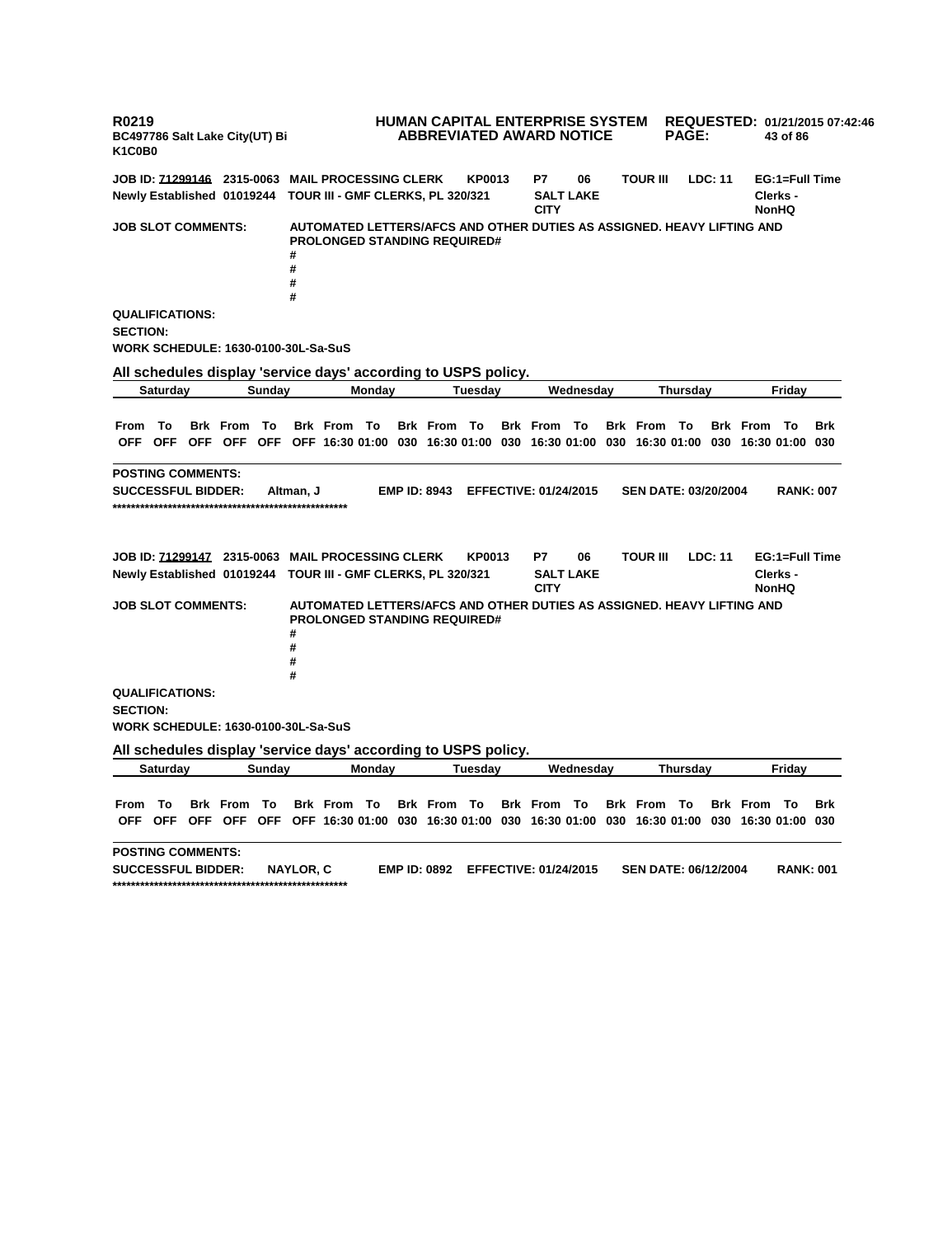**R0219 BC497786 Salt Lake City(UT) Bi K1C0B0 HUMAN CAPITAL ENTERPRISE SYSTEM REQUESTED: 01/21/2015 07:42:46 ABBREVIATED AWARD NOTICE PAGE: 43 of 86 JOB ID: 71299146 2315-0063 MAIL PROCESSING CLERK KP0013 P7 06 TOUR III LDC: 11 EG:1=Full Time Newly Established 01019244 TOUR III - GMF CLERKS, PL 320/321 SALT LAKE CITY Clerks - NonHQ JOB SLOT COMMENTS: AUTOMATED LETTERS/AFCS AND OTHER DUTIES AS ASSIGNED. HEAVY LIFTING AND PROLONGED STANDING REQUIRED# # # # # QUALIFICATIONS: SECTION: WORK SCHEDULE: 1630-0100-30L-Sa-SuS All schedules display 'service days' according to USPS policy. Saturday Sunday Monday Tuesday Wednesday Thursday Friday** From To Brk From To Brk From To Brk From To Brk From To Brk From To Brk From To Brk OFF OFF OFF OFF OFF OFF 16:30 01:00 030 16:30 01:00 030 16:30 01:00 030 16:30 01:00 030 16:30 01:00 030 **POSTING COMMENTS: SUCCESSFUL BIDDER: Altman, J EMP ID: 8943 EFFECTIVE: 01/24/2015 SEN DATE: 03/20/2004 RANK: 007 \*\*\*\*\*\*\*\*\*\*\*\*\*\*\*\*\*\*\*\*\*\*\*\*\*\*\*\*\*\*\*\*\*\*\*\*\*\*\*\*\*\*\*\*\*\*\*\*\*\*\* JOB ID: 71299147 2315-0063 MAIL PROCESSING CLERK KP0013 P7 06 TOUR III LDC: 11 EG:1=Full Time Newly Established 01019244 TOUR III - GMF CLERKS, PL 320/321 SALT LAKE CITY Clerks - NonHQ JOB SLOT COMMENTS: AUTOMATED LETTERS/AFCS AND OTHER DUTIES AS ASSIGNED. HEAVY LIFTING AND PROLONGED STANDING REQUIRED# # # # # QUALIFICATIONS: SECTION: WORK SCHEDULE: 1630-0100-30L-Sa-SuS All schedules display 'service days' according to USPS policy. Saturday Sunday Monday Tuesday Wednesday Thursday Friday** From To Brk From To Brk From To Brk From To Brk From To Brk From To Brk From To Brk OFF OFF OFF OFF OFF OFF 16:30 01:00 030 16:30 01:00 030 16:30 01:00 030 16:30 01:00 030 16:30 01:00 030 **POSTING COMMENTS: SUCCESSFUL BIDDER: NAYLOR, C EMP ID: 0892 EFFECTIVE: 01/24/2015 SEN DATE: 06/12/2004 RANK: 001 \*\*\*\*\*\*\*\*\*\*\*\*\*\*\*\*\*\*\*\*\*\*\*\*\*\*\*\*\*\*\*\*\*\*\*\*\*\*\*\*\*\*\*\*\*\*\*\*\*\*\***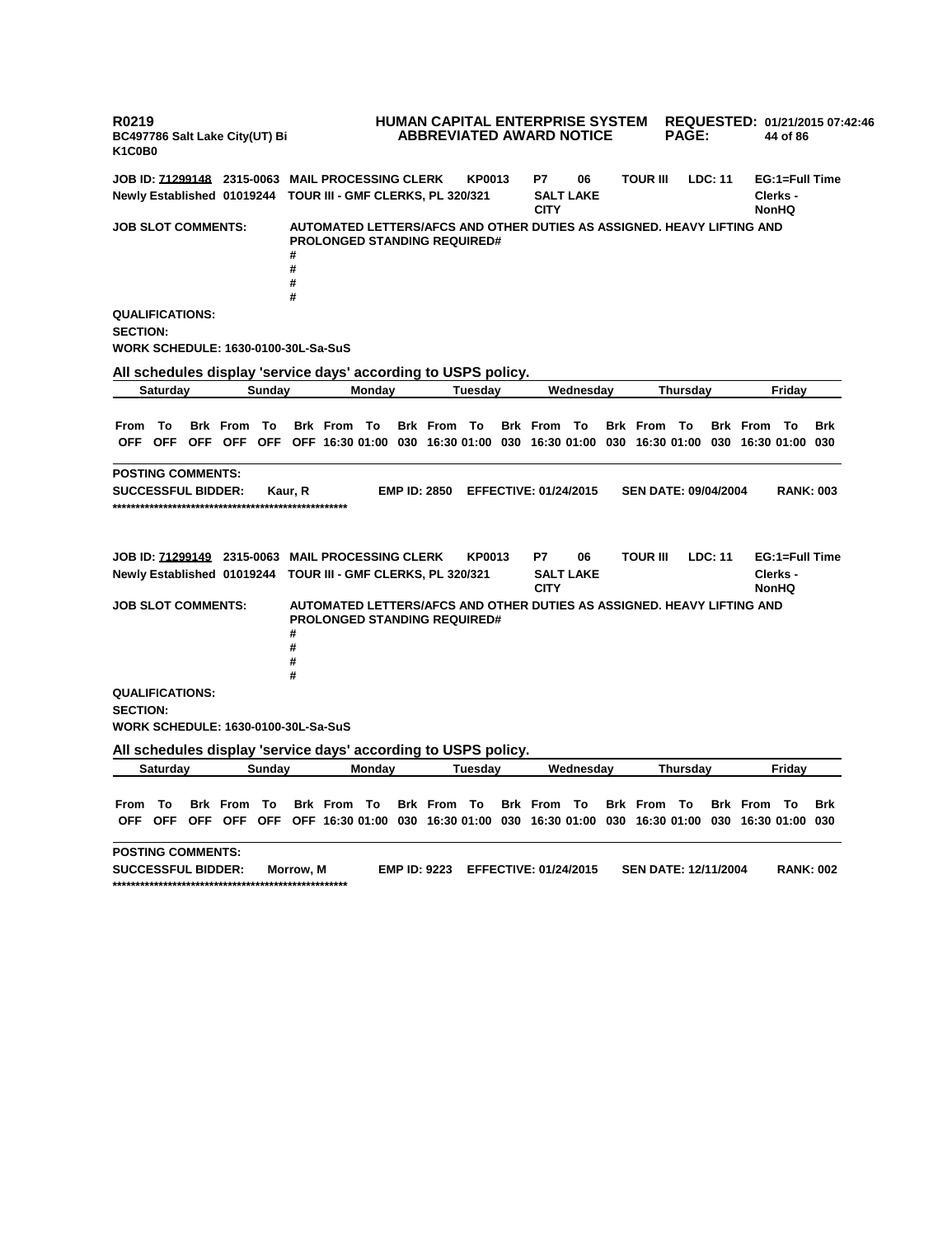**R0219 BC497786 Salt Lake City(UT) Bi K1C0B0 HUMAN CAPITAL ENTERPRISE SYSTEM REQUESTED: 01/21/2015 07:42:46 ABBREVIATED AWARD NOTICE PAGE: 44 of 86 JOB ID: 71299148 2315-0063 MAIL PROCESSING CLERK KP0013 P7 06 TOUR III LDC: 11 EG:1=Full Time Newly Established 01019244 TOUR III - GMF CLERKS, PL 320/321 SALT LAKE CITY Clerks - NonHQ JOB SLOT COMMENTS: AUTOMATED LETTERS/AFCS AND OTHER DUTIES AS ASSIGNED. HEAVY LIFTING AND PROLONGED STANDING REQUIRED# # # # # QUALIFICATIONS: SECTION: WORK SCHEDULE: 1630-0100-30L-Sa-SuS All schedules display 'service days' according to USPS policy. Saturday Sunday Monday Tuesday Wednesday Thursday Friday** From To Brk From To Brk From To Brk From To Brk From To Brk From To Brk From To Brk OFF OFF OFF OFF OFF OFF 16:30 01:00 030 16:30 01:00 030 16:30 01:00 030 16:30 01:00 030 16:30 01:00 030 **POSTING COMMENTS: SUCCESSFUL BIDDER: Kaur, R EMP ID: 2850 EFFECTIVE: 01/24/2015 SEN DATE: 09/04/2004 RANK: 003 \*\*\*\*\*\*\*\*\*\*\*\*\*\*\*\*\*\*\*\*\*\*\*\*\*\*\*\*\*\*\*\*\*\*\*\*\*\*\*\*\*\*\*\*\*\*\*\*\*\*\* JOB ID: 71299149 2315-0063 MAIL PROCESSING CLERK KP0013 P7 06 TOUR III LDC: 11 EG:1=Full Time Newly Established 01019244 TOUR III - GMF CLERKS, PL 320/321 SALT LAKE CITY Clerks - NonHQ JOB SLOT COMMENTS: AUTOMATED LETTERS/AFCS AND OTHER DUTIES AS ASSIGNED. HEAVY LIFTING AND PROLONGED STANDING REQUIRED# # # # # QUALIFICATIONS: SECTION: WORK SCHEDULE: 1630-0100-30L-Sa-SuS All schedules display 'service days' according to USPS policy. Saturday Sunday Monday Tuesday Wednesday Thursday Friday** From To Brk From To Brk From To Brk From To Brk From To Brk From To Brk From To Brk OFF OFF OFF OFF OFF OFF 16:30 01:00 030 16:30 01:00 030 16:30 01:00 030 16:30 01:00 030 16:30 01:00 030 **POSTING COMMENTS: SUCCESSFUL BIDDER: Morrow, M EMP ID: 9223 EFFECTIVE: 01/24/2015 SEN DATE: 12/11/2004 RANK: 002 \*\*\*\*\*\*\*\*\*\*\*\*\*\*\*\*\*\*\*\*\*\*\*\*\*\*\*\*\*\*\*\*\*\*\*\*\*\*\*\*\*\*\*\*\*\*\*\*\*\*\***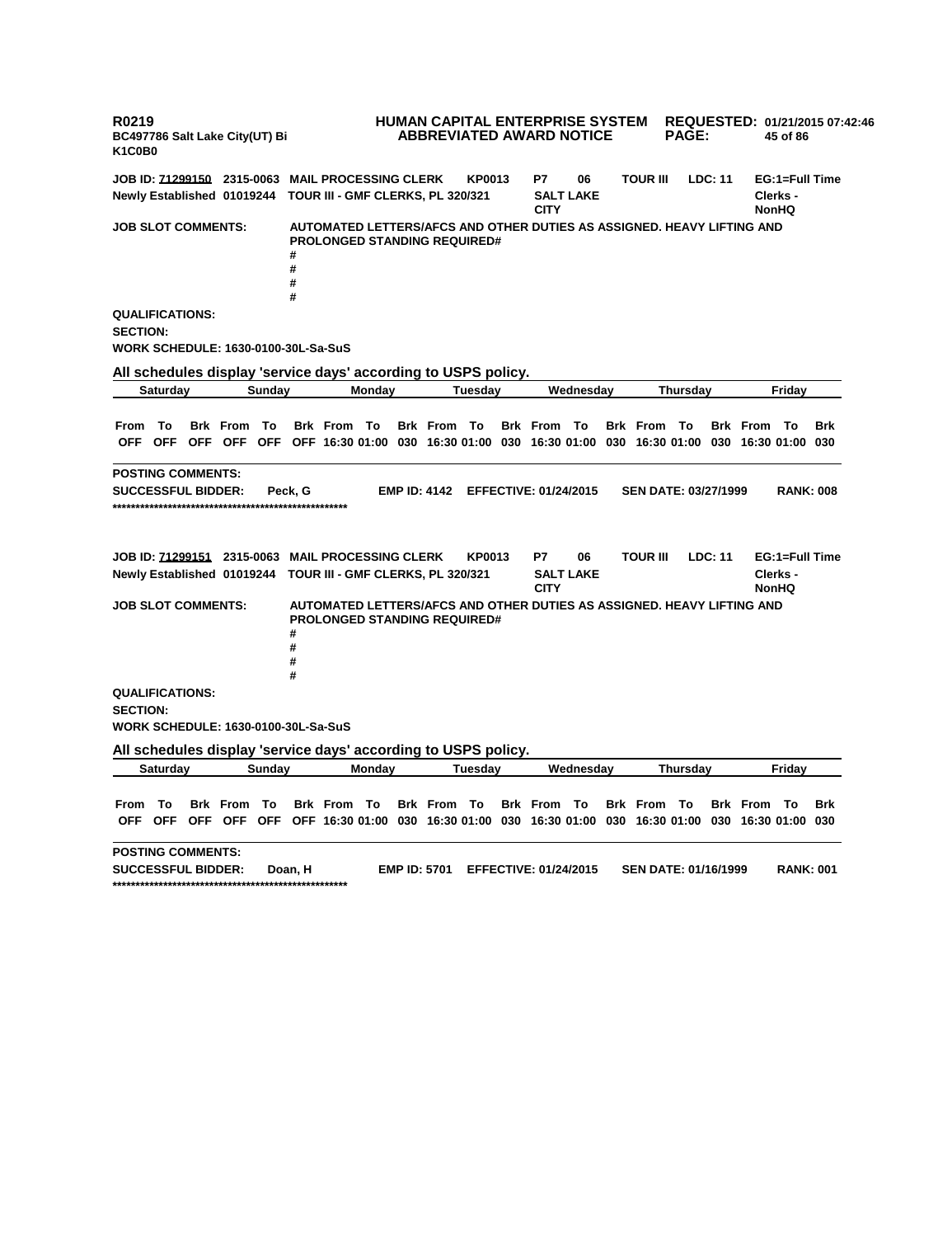**R0219 BC497786 Salt Lake City(UT) Bi K1C0B0 HUMAN CAPITAL ENTERPRISE SYSTEM REQUESTED: 01/21/2015 07:42:46 ABBREVIATED AWARD NOTICE PAGE: 45 of 86 JOB ID: 71299150 2315-0063 MAIL PROCESSING CLERK KP0013 P7 06 TOUR III LDC: 11 EG:1=Full Time Newly Established 01019244 TOUR III - GMF CLERKS, PL 320/321 SALT LAKE CITY Clerks - NonHQ JOB SLOT COMMENTS: AUTOMATED LETTERS/AFCS AND OTHER DUTIES AS ASSIGNED. HEAVY LIFTING AND PROLONGED STANDING REQUIRED# # # # # QUALIFICATIONS: SECTION: WORK SCHEDULE: 1630-0100-30L-Sa-SuS All schedules display 'service days' according to USPS policy. Saturday Sunday Monday Tuesday Wednesday Thursday Friday** From To Brk From To Brk From To Brk From To Brk From To Brk From To Brk From To Brk OFF OFF OFF OFF OFF OFF 16:30 01:00 030 16:30 01:00 030 16:30 01:00 030 16:30 01:00 030 16:30 01:00 030 **POSTING COMMENTS: SUCCESSFUL BIDDER: Peck, G EMP ID: 4142 EFFECTIVE: 01/24/2015 SEN DATE: 03/27/1999 RANK: 008 \*\*\*\*\*\*\*\*\*\*\*\*\*\*\*\*\*\*\*\*\*\*\*\*\*\*\*\*\*\*\*\*\*\*\*\*\*\*\*\*\*\*\*\*\*\*\*\*\*\*\* JOB ID: 71299151 2315-0063 MAIL PROCESSING CLERK KP0013 P7 06 TOUR III LDC: 11 EG:1=Full Time Newly Established 01019244 TOUR III - GMF CLERKS, PL 320/321 SALT LAKE CITY Clerks - NonHQ JOB SLOT COMMENTS: AUTOMATED LETTERS/AFCS AND OTHER DUTIES AS ASSIGNED. HEAVY LIFTING AND PROLONGED STANDING REQUIRED# # # # # QUALIFICATIONS: SECTION: WORK SCHEDULE: 1630-0100-30L-Sa-SuS All schedules display 'service days' according to USPS policy. Saturday Sunday Monday Tuesday Wednesday Thursday Friday** From To Brk From To Brk From To Brk From To Brk From To Brk From To Brk From To Brk OFF OFF OFF OFF OFF OFF 16:30 01:00 030 16:30 01:00 030 16:30 01:00 030 16:30 01:00 030 16:30 01:00 030 **POSTING COMMENTS: SUCCESSFUL BIDDER: Doan, H EMP ID: 5701 EFFECTIVE: 01/24/2015 SEN DATE: 01/16/1999 RANK: 001 \*\*\*\*\*\*\*\*\*\*\*\*\*\*\*\*\*\*\*\*\*\*\*\*\*\*\*\*\*\*\*\*\*\*\*\*\*\*\*\*\*\*\*\*\*\*\*\*\*\*\***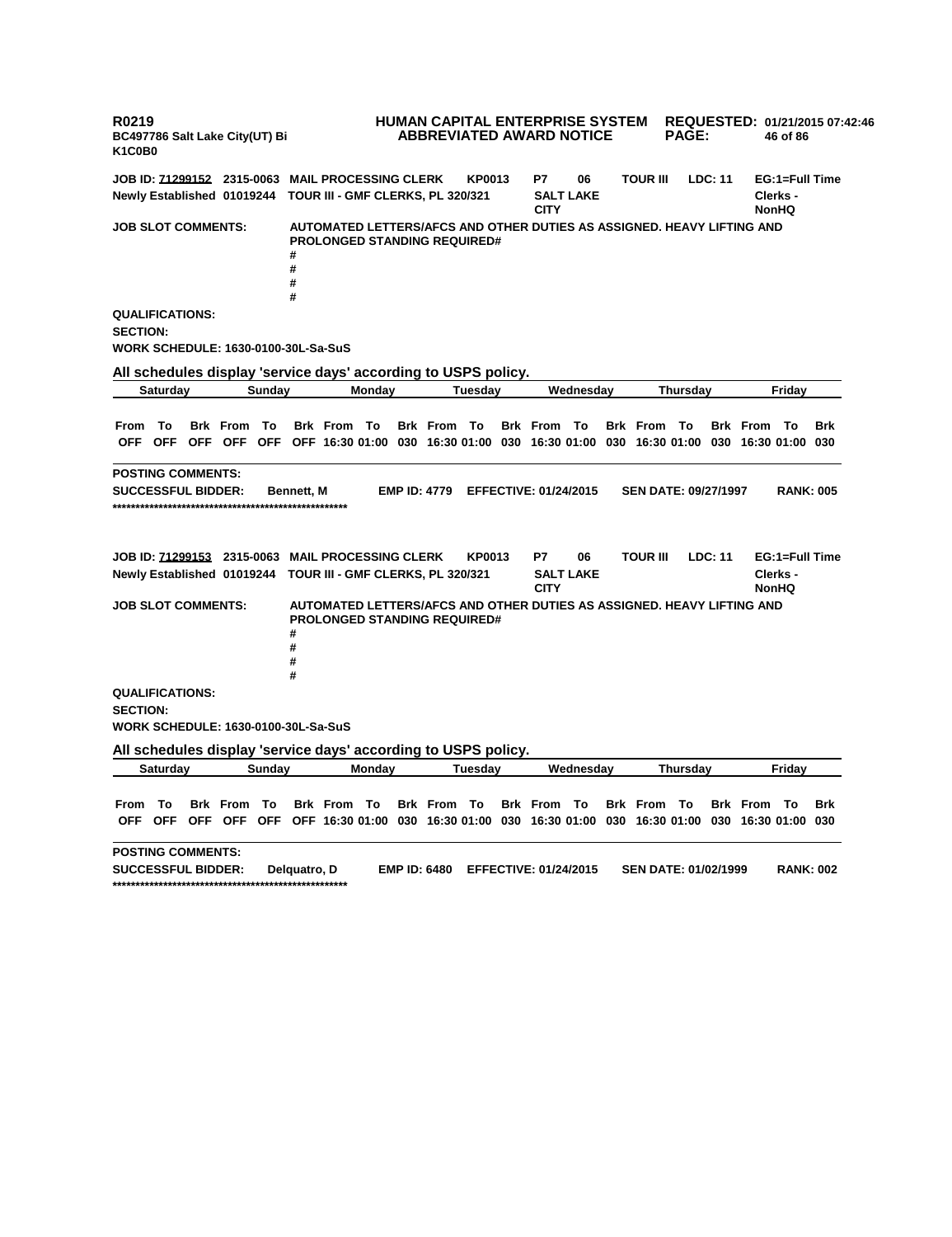**R0219 BC497786 Salt Lake City(UT) Bi K1C0B0 HUMAN CAPITAL ENTERPRISE SYSTEM ABBREVIATED AWARD NOTICE REQUESTED: 01/21/2015 07:42:46 PAGE: 46 of 86 JOB ID: 71299152 2315-0063 MAIL PROCESSING CLERK KP0013 P7 06 TOUR III LDC: 11 EG:1=Full Time Newly Established 01019244 TOUR III - GMF CLERKS, PL 320/321 SALT LAKE CITY Clerks - NonHQ JOB SLOT COMMENTS: AUTOMATED LETTERS/AFCS AND OTHER DUTIES AS ASSIGNED. HEAVY LIFTING AND PROLONGED STANDING REQUIRED# # # # # QUALIFICATIONS: SECTION: WORK SCHEDULE: 1630-0100-30L-Sa-SuS All schedules display 'service days' according to USPS policy. Saturday Sunday Monday Tuesday Wednesday Thursday Friday** From To Brk From To Brk From To Brk From To Brk From To Brk From To Brk From To Brk OFF OFF OFF OFF OFF OFF 16:30 01:00 030 16:30 01:00 030 16:30 01:00 030 16:30 01:00 030 16:30 01:00 030 **POSTING COMMENTS: SUCCESSFUL BIDDER: Bennett, M EMP ID: 4779 EFFECTIVE: 01/24/2015 SEN DATE: 09/27/1997 RANK: 005 \*\*\*\*\*\*\*\*\*\*\*\*\*\*\*\*\*\*\*\*\*\*\*\*\*\*\*\*\*\*\*\*\*\*\*\*\*\*\*\*\*\*\*\*\*\*\*\*\*\*\* JOB ID: 71299153 2315-0063 MAIL PROCESSING CLERK KP0013 P7 06 TOUR III LDC: 11 EG:1=Full Time Newly Established 01019244 TOUR III - GMF CLERKS, PL 320/321 SALT LAKE CITY Clerks - NonHQ JOB SLOT COMMENTS: AUTOMATED LETTERS/AFCS AND OTHER DUTIES AS ASSIGNED. HEAVY LIFTING AND PROLONGED STANDING REQUIRED# # # # # QUALIFICATIONS: SECTION: WORK SCHEDULE: 1630-0100-30L-Sa-SuS All schedules display 'service days' according to USPS policy. Saturday Sunday Monday Tuesday Wednesday Thursday Friday** From To Brk From To Brk From To Brk From To Brk From To Brk From To Brk From To Brk OFF OFF OFF OFF OFF OFF 16:30 01:00 030 16:30 01:00 030 16:30 01:00 030 16:30 01:00 030 16:30 01:00 030 **POSTING COMMENTS: SUCCESSFUL BIDDER: Delquatro, D EMP ID: 6480 EFFECTIVE: 01/24/2015 SEN DATE: 01/02/1999 RANK: 002 \*\*\*\*\*\*\*\*\*\*\*\*\*\*\*\*\*\*\*\*\*\*\*\*\*\*\*\*\*\*\*\*\*\*\*\*\*\*\*\*\*\*\*\*\*\*\*\*\*\*\***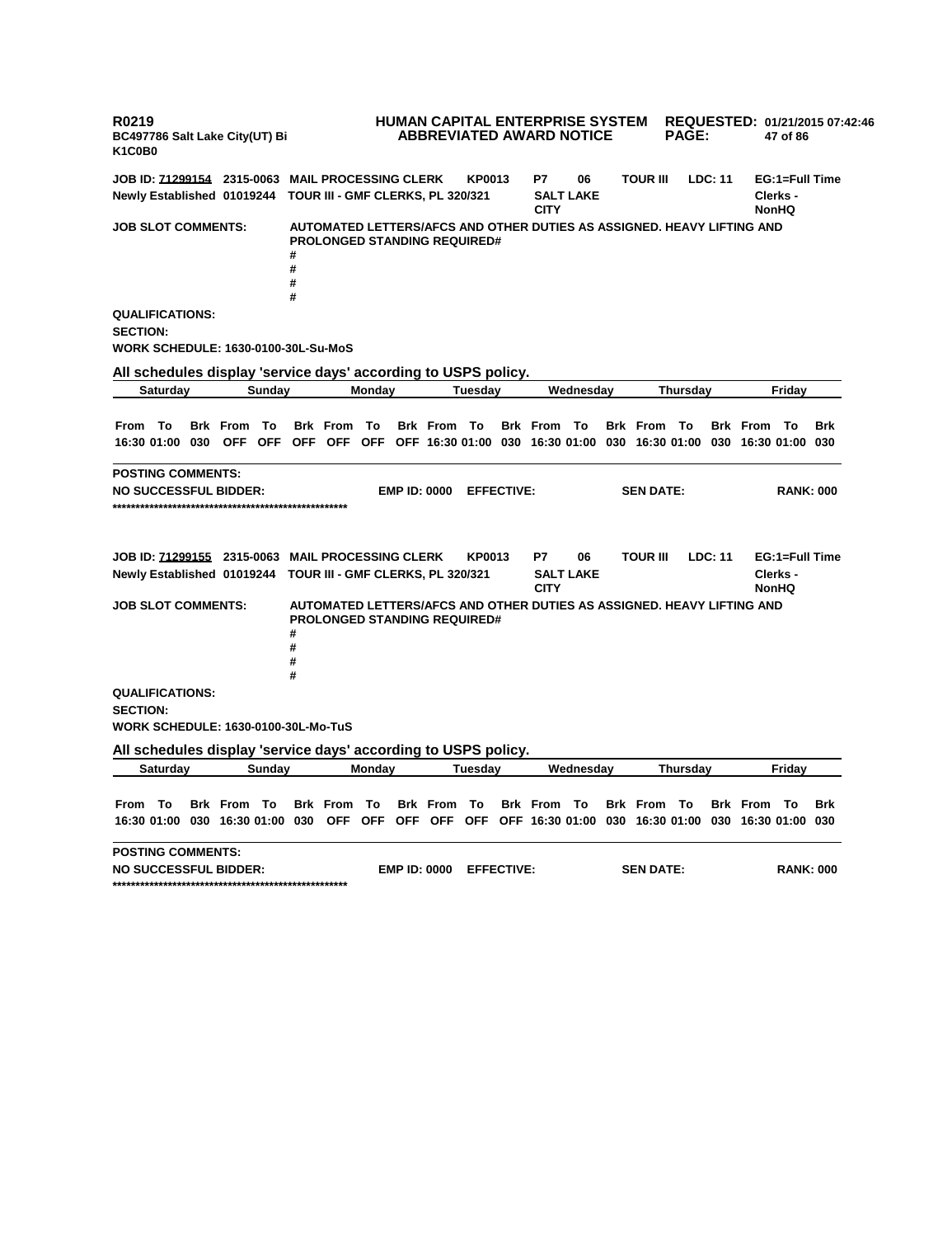**R0219 BC497786 Salt Lake City(UT) Bi K1C0B0 HUMAN CAPITAL ENTERPRISE SYSTEM REQUESTED: 01/21/2015 07:42:46 ABBREVIATED AWARD NOTICE PAGE: 47 of 86 JOB ID: 71299154 2315-0063 MAIL PROCESSING CLERK KP0013 P7 06 TOUR III LDC: 11 EG:1=Full Time Newly Established 01019244 TOUR III - GMF CLERKS, PL 320/321 SALT LAKE CITY Clerks - NonHQ JOB SLOT COMMENTS: AUTOMATED LETTERS/AFCS AND OTHER DUTIES AS ASSIGNED. HEAVY LIFTING AND PROLONGED STANDING REQUIRED# # # # # QUALIFICATIONS: SECTION: WORK SCHEDULE: 1630-0100-30L-Su-MoS All schedules display 'service days' according to USPS policy. Saturday Sunday Monday Tuesday Wednesday Thursday Friday** From To Brk From To Brk From To Brk From To Brk From To Brk From To Brk From To Brk 16:30 01:00 030 OFF OFF OFF OFF OFF OFF 16:30 01:00 030 16:30 01:00 030 16:30 01:00 030 16:30 01:00 030 **POSTING COMMENTS: NO SUCCESSFUL BIDDER: EMP ID: 0000 EFFECTIVE: SEN DATE: RANK: 000 \*\*\*\*\*\*\*\*\*\*\*\*\*\*\*\*\*\*\*\*\*\*\*\*\*\*\*\*\*\*\*\*\*\*\*\*\*\*\*\*\*\*\*\*\*\*\*\*\*\*\* JOB ID: 71299155 2315-0063 MAIL PROCESSING CLERK KP0013 P7 06 TOUR III LDC: 11 EG:1=Full Time Newly Established 01019244 TOUR III - GMF CLERKS, PL 320/321 SALT LAKE CITY Clerks - NonHQ JOB SLOT COMMENTS: AUTOMATED LETTERS/AFCS AND OTHER DUTIES AS ASSIGNED. HEAVY LIFTING AND PROLONGED STANDING REQUIRED# # # # # QUALIFICATIONS: SECTION: WORK SCHEDULE: 1630-0100-30L-Mo-TuS All schedules display 'service days' according to USPS policy. Saturday Sunday Monday Tuesday Wednesday Thursday Friday** From To Brk From To Brk From To Brk From To Brk From To Brk From To Brk From To Brk 16:30 01:00 030 16:30 01:00 030 OFF OFF OFF OFF OFF OFF 16:30 01:00 030 16:30 01:00 030 16:30 01:00 030 **POSTING COMMENTS: NO SUCCESSFUL BIDDER: EMP ID: 0000 EFFECTIVE: SEN DATE: RANK: 000 \*\*\*\*\*\*\*\*\*\*\*\*\*\*\*\*\*\*\*\*\*\*\*\*\*\*\*\*\*\*\*\*\*\*\*\*\*\*\*\*\*\*\*\*\*\*\*\*\*\*\***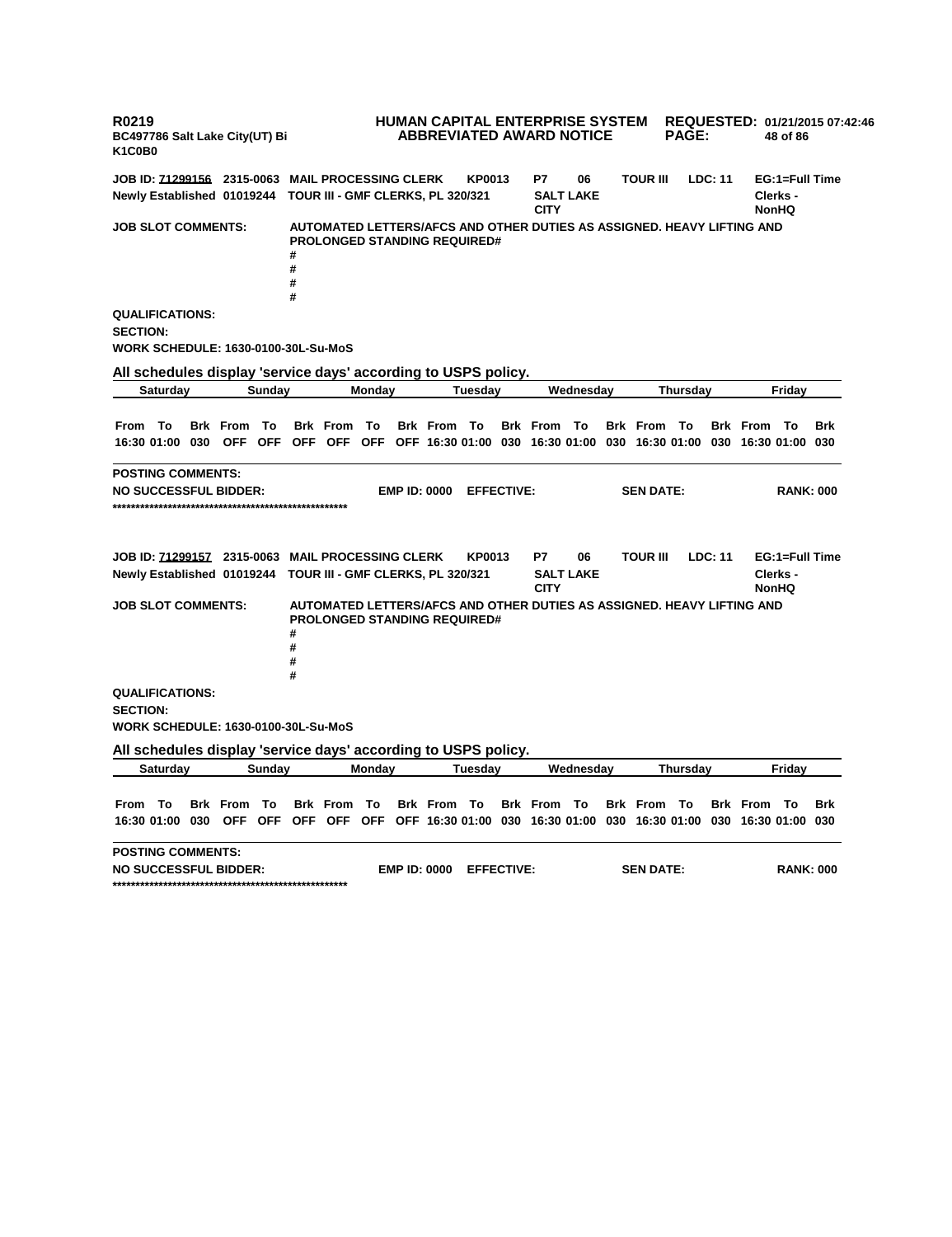**R0219 BC497786 Salt Lake City(UT) Bi K1C0B0 HUMAN CAPITAL ENTERPRISE SYSTEM REQUESTED: 01/21/2015 07:42:46 ABBREVIATED AWARD NOTICE PAGE: 48 of 86 JOB ID: 71299156 2315-0063 MAIL PROCESSING CLERK KP0013 P7 06 TOUR III LDC: 11 EG:1=Full Time Newly Established 01019244 TOUR III - GMF CLERKS, PL 320/321 SALT LAKE CITY Clerks - NonHQ JOB SLOT COMMENTS: AUTOMATED LETTERS/AFCS AND OTHER DUTIES AS ASSIGNED. HEAVY LIFTING AND PROLONGED STANDING REQUIRED# # # # # QUALIFICATIONS: SECTION: WORK SCHEDULE: 1630-0100-30L-Su-MoS All schedules display 'service days' according to USPS policy. Saturday Sunday Monday Tuesday Wednesday Thursday Friday** From To Brk From To Brk From To Brk From To Brk From To Brk From To Brk From To Brk 16:30 01:00 030 OFF OFF OFF OFF OFF OFF 16:30 01:00 030 16:30 01:00 030 16:30 01:00 030 16:30 01:00 030 **POSTING COMMENTS: NO SUCCESSFUL BIDDER: EMP ID: 0000 EFFECTIVE: SEN DATE: RANK: 000 \*\*\*\*\*\*\*\*\*\*\*\*\*\*\*\*\*\*\*\*\*\*\*\*\*\*\*\*\*\*\*\*\*\*\*\*\*\*\*\*\*\*\*\*\*\*\*\*\*\*\* JOB ID: 71299157 2315-0063 MAIL PROCESSING CLERK KP0013 P7 06 TOUR III LDC: 11 EG:1=Full Time Newly Established 01019244 TOUR III - GMF CLERKS, PL 320/321 SALT LAKE CITY Clerks - NonHQ JOB SLOT COMMENTS: AUTOMATED LETTERS/AFCS AND OTHER DUTIES AS ASSIGNED. HEAVY LIFTING AND PROLONGED STANDING REQUIRED# # # # # QUALIFICATIONS: SECTION: WORK SCHEDULE: 1630-0100-30L-Su-MoS All schedules display 'service days' according to USPS policy. Saturday Sunday Monday Tuesday Wednesday Thursday Friday** From To Brk From To Brk From To Brk From To Brk From To Brk From To Brk From To Brk 16:30 01:00 030 OFF OFF OFF OFF OFF OFF 16:30 01:00 030 16:30 01:00 030 16:30 01:00 030 16:30 01:00 030 **POSTING COMMENTS: NO SUCCESSFUL BIDDER: EMP ID: 0000 EFFECTIVE: SEN DATE: RANK: 000 \*\*\*\*\*\*\*\*\*\*\*\*\*\*\*\*\*\*\*\*\*\*\*\*\*\*\*\*\*\*\*\*\*\*\*\*\*\*\*\*\*\*\*\*\*\*\*\*\*\*\***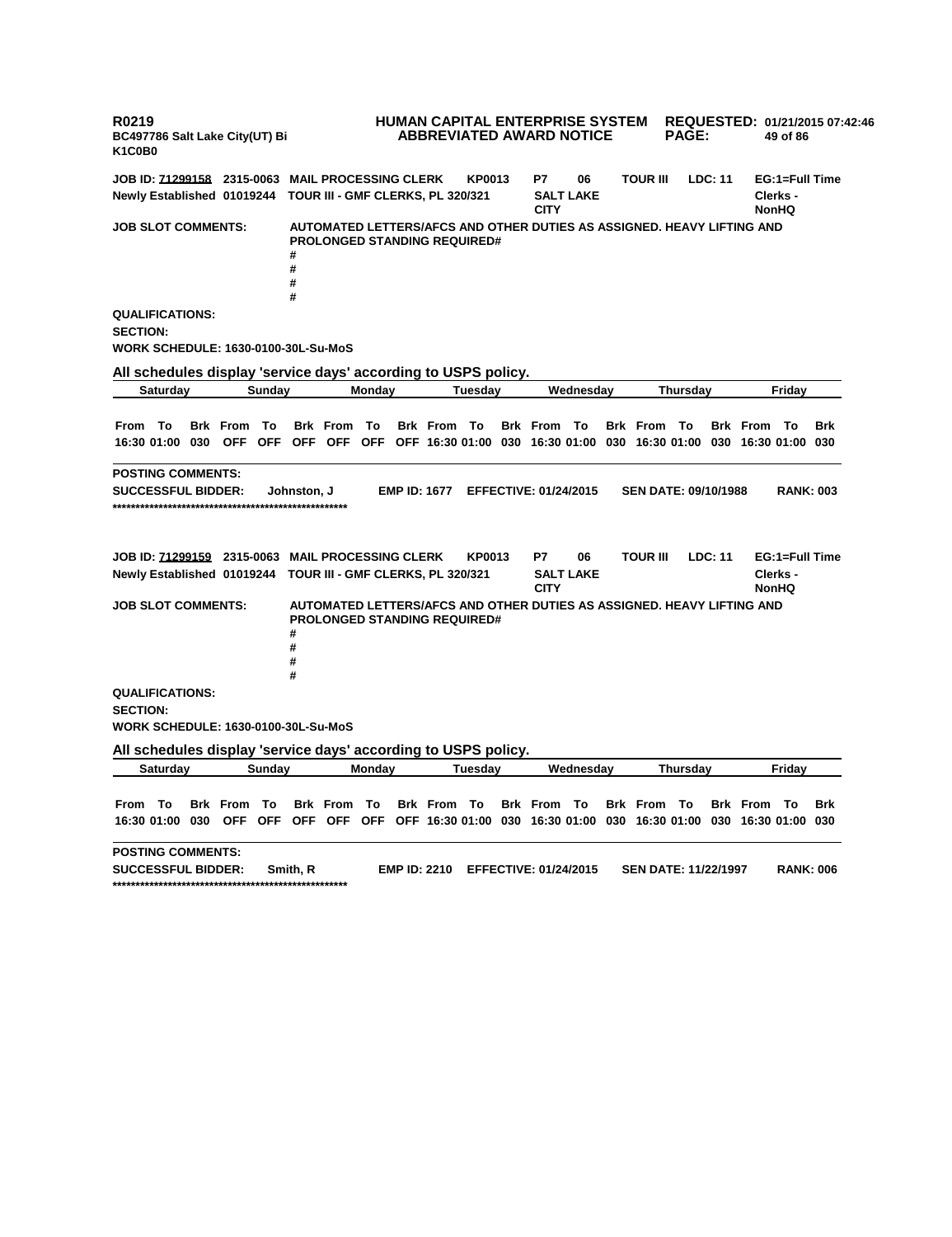**R0219 BC497786 Salt Lake City(UT) Bi K1C0B0 HUMAN CAPITAL ENTERPRISE SYSTEM REQUESTED: 01/21/2015 07:42:46 ABBREVIATED AWARD NOTICE PAGE: 49 of 86 JOB ID: 71299158 2315-0063 MAIL PROCESSING CLERK KP0013 P7 06 TOUR III LDC: 11 EG:1=Full Time Newly Established 01019244 TOUR III - GMF CLERKS, PL 320/321 SALT LAKE CITY Clerks - NonHQ JOB SLOT COMMENTS: AUTOMATED LETTERS/AFCS AND OTHER DUTIES AS ASSIGNED. HEAVY LIFTING AND PROLONGED STANDING REQUIRED# # # # # QUALIFICATIONS: SECTION: WORK SCHEDULE: 1630-0100-30L-Su-MoS All schedules display 'service days' according to USPS policy. Saturday Sunday Monday Tuesday Wednesday Thursday Friday** From To Brk From To Brk From To Brk From To Brk From To Brk From To Brk From To Brk 16:30 01:00 030 OFF OFF OFF OFF OFF OFF 16:30 01:00 030 16:30 01:00 030 16:30 01:00 030 16:30 01:00 030 **POSTING COMMENTS: SUCCESSFUL BIDDER: Johnston, J EMP ID: 1677 EFFECTIVE: 01/24/2015 SEN DATE: 09/10/1988 RANK: 003 \*\*\*\*\*\*\*\*\*\*\*\*\*\*\*\*\*\*\*\*\*\*\*\*\*\*\*\*\*\*\*\*\*\*\*\*\*\*\*\*\*\*\*\*\*\*\*\*\*\*\* JOB ID: 71299159 2315-0063 MAIL PROCESSING CLERK KP0013 P7 06 TOUR III LDC: 11 EG:1=Full Time Newly Established 01019244 TOUR III - GMF CLERKS, PL 320/321 SALT LAKE CITY Clerks - NonHQ JOB SLOT COMMENTS: AUTOMATED LETTERS/AFCS AND OTHER DUTIES AS ASSIGNED. HEAVY LIFTING AND PROLONGED STANDING REQUIRED# # # # # QUALIFICATIONS: SECTION: WORK SCHEDULE: 1630-0100-30L-Su-MoS All schedules display 'service days' according to USPS policy. Saturday Sunday Monday Tuesday Wednesday Thursday Friday** From To Brk From To Brk From To Brk From To Brk From To Brk From To Brk From To Brk 16:30 01:00 030 OFF OFF OFF OFF OFF OFF 16:30 01:00 030 16:30 01:00 030 16:30 01:00 030 16:30 01:00 030 **POSTING COMMENTS: SUCCESSFUL BIDDER: Smith, R EMP ID: 2210 EFFECTIVE: 01/24/2015 SEN DATE: 11/22/1997 RANK: 006 \*\*\*\*\*\*\*\*\*\*\*\*\*\*\*\*\*\*\*\*\*\*\*\*\*\*\*\*\*\*\*\*\*\*\*\*\*\*\*\*\*\*\*\*\*\*\*\*\*\*\***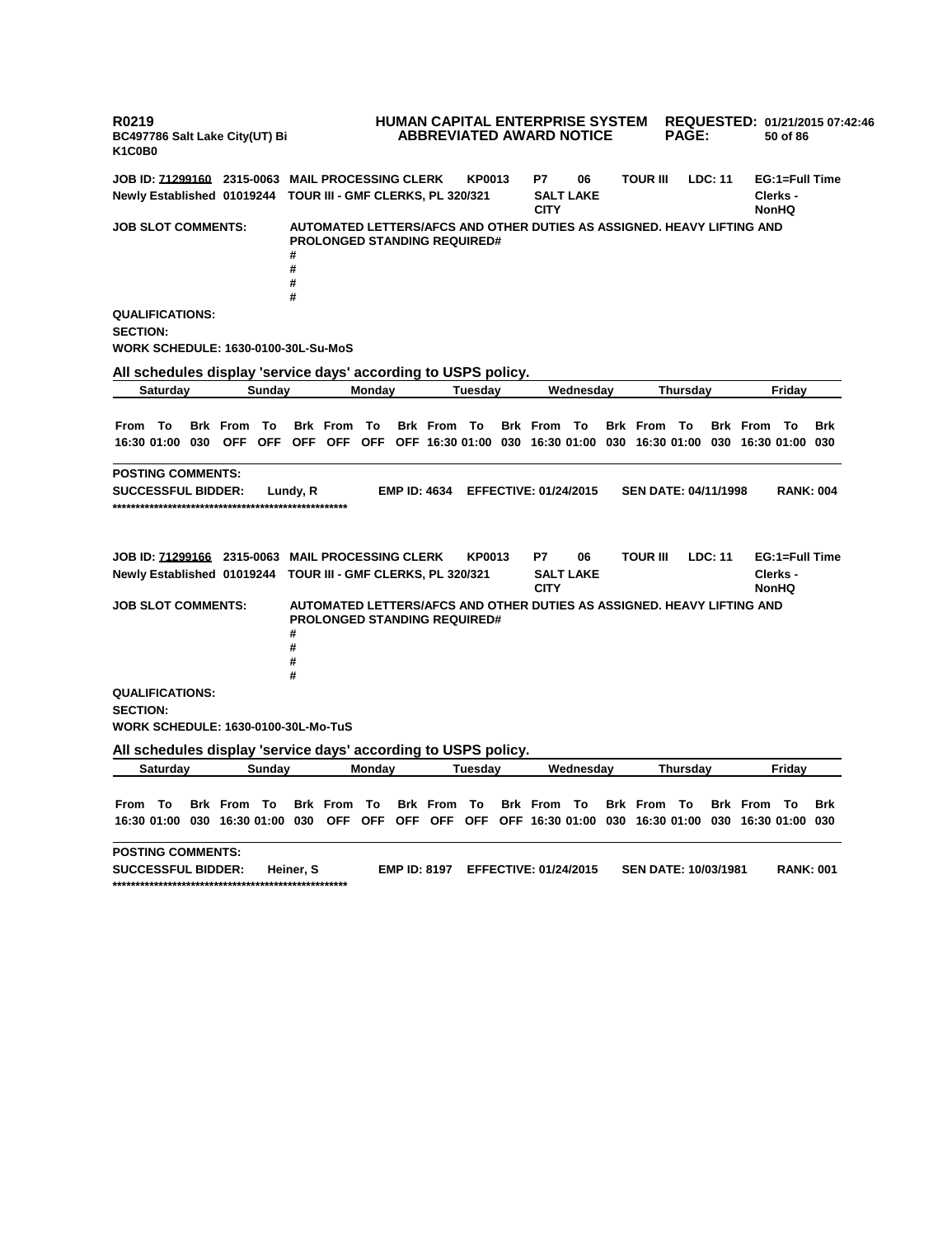**R0219 BC497786 Salt Lake City(UT) Bi K1C0B0 HUMAN CAPITAL ENTERPRISE SYSTEM REQUESTED: 01/21/2015 07:42:46 ABBREVIATED AWARD NOTICE PAGE: 50 of 86 JOB ID: 71299160 2315-0063 MAIL PROCESSING CLERK KP0013 P7 06 TOUR III LDC: 11 EG:1=Full Time Newly Established 01019244 TOUR III - GMF CLERKS, PL 320/321 SALT LAKE CITY Clerks - NonHQ JOB SLOT COMMENTS: AUTOMATED LETTERS/AFCS AND OTHER DUTIES AS ASSIGNED. HEAVY LIFTING AND PROLONGED STANDING REQUIRED# # # # # QUALIFICATIONS: SECTION: WORK SCHEDULE: 1630-0100-30L-Su-MoS All schedules display 'service days' according to USPS policy. Saturday Sunday Monday Tuesday Wednesday Thursday Friday** From To Brk From To Brk From To Brk From To Brk From To Brk From To Brk From To Brk 16:30 01:00 030 OFF OFF OFF OFF OFF OFF 16:30 01:00 030 16:30 01:00 030 16:30 01:00 030 16:30 01:00 030 **POSTING COMMENTS: SUCCESSFUL BIDDER: Lundy, R EMP ID: 4634 EFFECTIVE: 01/24/2015 SEN DATE: 04/11/1998 RANK: 004 \*\*\*\*\*\*\*\*\*\*\*\*\*\*\*\*\*\*\*\*\*\*\*\*\*\*\*\*\*\*\*\*\*\*\*\*\*\*\*\*\*\*\*\*\*\*\*\*\*\*\* JOB ID: 71299166 2315-0063 MAIL PROCESSING CLERK KP0013 P7 06 TOUR III LDC: 11 EG:1=Full Time Newly Established 01019244 TOUR III - GMF CLERKS, PL 320/321 SALT LAKE CITY Clerks - NonHQ JOB SLOT COMMENTS: AUTOMATED LETTERS/AFCS AND OTHER DUTIES AS ASSIGNED. HEAVY LIFTING AND PROLONGED STANDING REQUIRED# # # # # QUALIFICATIONS: SECTION: WORK SCHEDULE: 1630-0100-30L-Mo-TuS All schedules display 'service days' according to USPS policy. Saturday Sunday Monday Tuesday Wednesday Thursday Friday** From To Brk From To Brk From To Brk From To Brk From To Brk From To Brk From To Brk 16:30 01:00 030 16:30 01:00 030 OFF OFF OFF OFF OFF OFF 16:30 01:00 030 16:30 01:00 030 16:30 01:00 030 **POSTING COMMENTS: SUCCESSFUL BIDDER: Heiner, S EMP ID: 8197 EFFECTIVE: 01/24/2015 SEN DATE: 10/03/1981 RANK: 001 \*\*\*\*\*\*\*\*\*\*\*\*\*\*\*\*\*\*\*\*\*\*\*\*\*\*\*\*\*\*\*\*\*\*\*\*\*\*\*\*\*\*\*\*\*\*\*\*\*\*\***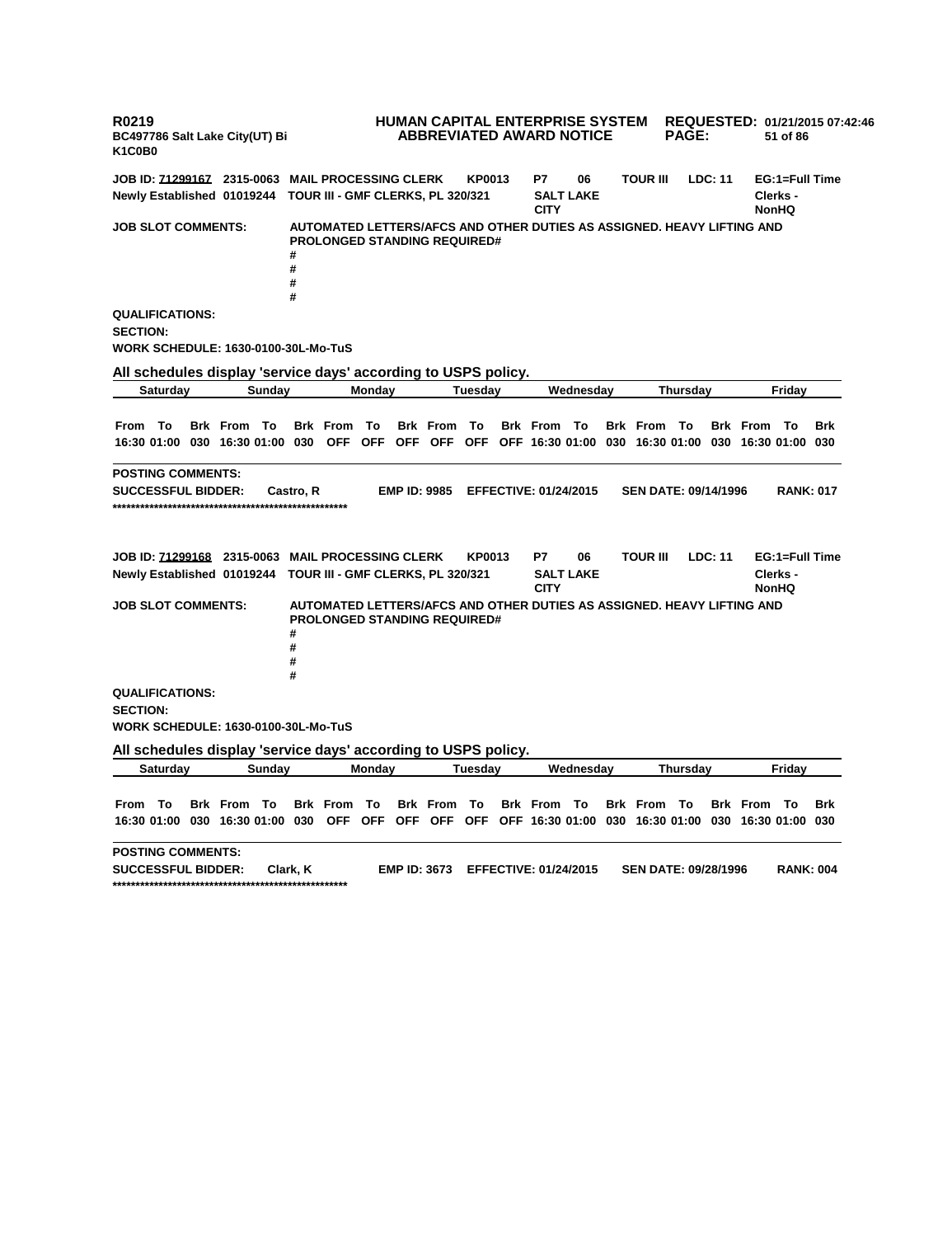**R0219 BC497786 Salt Lake City(UT) Bi K1C0B0 HUMAN CAPITAL ENTERPRISE SYSTEM REQUESTED: 01/21/2015 07:42:46 ABBREVIATED AWARD NOTICE PAGE: 51 of 86 JOB ID: 71299167 2315-0063 MAIL PROCESSING CLERK KP0013 P7 06 TOUR III LDC: 11 EG:1=Full Time Newly Established 01019244 TOUR III - GMF CLERKS, PL 320/321 SALT LAKE CITY Clerks - NonHQ JOB SLOT COMMENTS: AUTOMATED LETTERS/AFCS AND OTHER DUTIES AS ASSIGNED. HEAVY LIFTING AND PROLONGED STANDING REQUIRED# # # # # QUALIFICATIONS: SECTION: WORK SCHEDULE: 1630-0100-30L-Mo-TuS All schedules display 'service days' according to USPS policy. Saturday Sunday Monday Tuesday Wednesday Thursday Friday** From To Brk From To Brk From To Brk From To Brk From To Brk From To Brk From To Brk 16:30 01:00 030 16:30 01:00 030 OFF OFF OFF OFF OFF OFF 16:30 01:00 030 16:30 01:00 030 16:30 01:00 030 **POSTING COMMENTS: SUCCESSFUL BIDDER: Castro, R EMP ID: 9985 EFFECTIVE: 01/24/2015 SEN DATE: 09/14/1996 RANK: 017 \*\*\*\*\*\*\*\*\*\*\*\*\*\*\*\*\*\*\*\*\*\*\*\*\*\*\*\*\*\*\*\*\*\*\*\*\*\*\*\*\*\*\*\*\*\*\*\*\*\*\* JOB ID: 71299168 2315-0063 MAIL PROCESSING CLERK KP0013 P7 06 TOUR III LDC: 11 EG:1=Full Time Newly Established 01019244 TOUR III - GMF CLERKS, PL 320/321 SALT LAKE CITY Clerks - NonHQ JOB SLOT COMMENTS: AUTOMATED LETTERS/AFCS AND OTHER DUTIES AS ASSIGNED. HEAVY LIFTING AND PROLONGED STANDING REQUIRED# # # # # QUALIFICATIONS: SECTION: WORK SCHEDULE: 1630-0100-30L-Mo-TuS All schedules display 'service days' according to USPS policy. Saturday Sunday Monday Tuesday Wednesday Thursday Friday** From To Brk From To Brk From To Brk From To Brk From To Brk From To Brk From To Brk 16:30 01:00 030 16:30 01:00 030 OFF OFF OFF OFF OFF OFF 16:30 01:00 030 16:30 01:00 030 16:30 01:00 030 **POSTING COMMENTS: SUCCESSFUL BIDDER: Clark, K EMP ID: 3673 EFFECTIVE: 01/24/2015 SEN DATE: 09/28/1996 RANK: 004 \*\*\*\*\*\*\*\*\*\*\*\*\*\*\*\*\*\*\*\*\*\*\*\*\*\*\*\*\*\*\*\*\*\*\*\*\*\*\*\*\*\*\*\*\*\*\*\*\*\*\***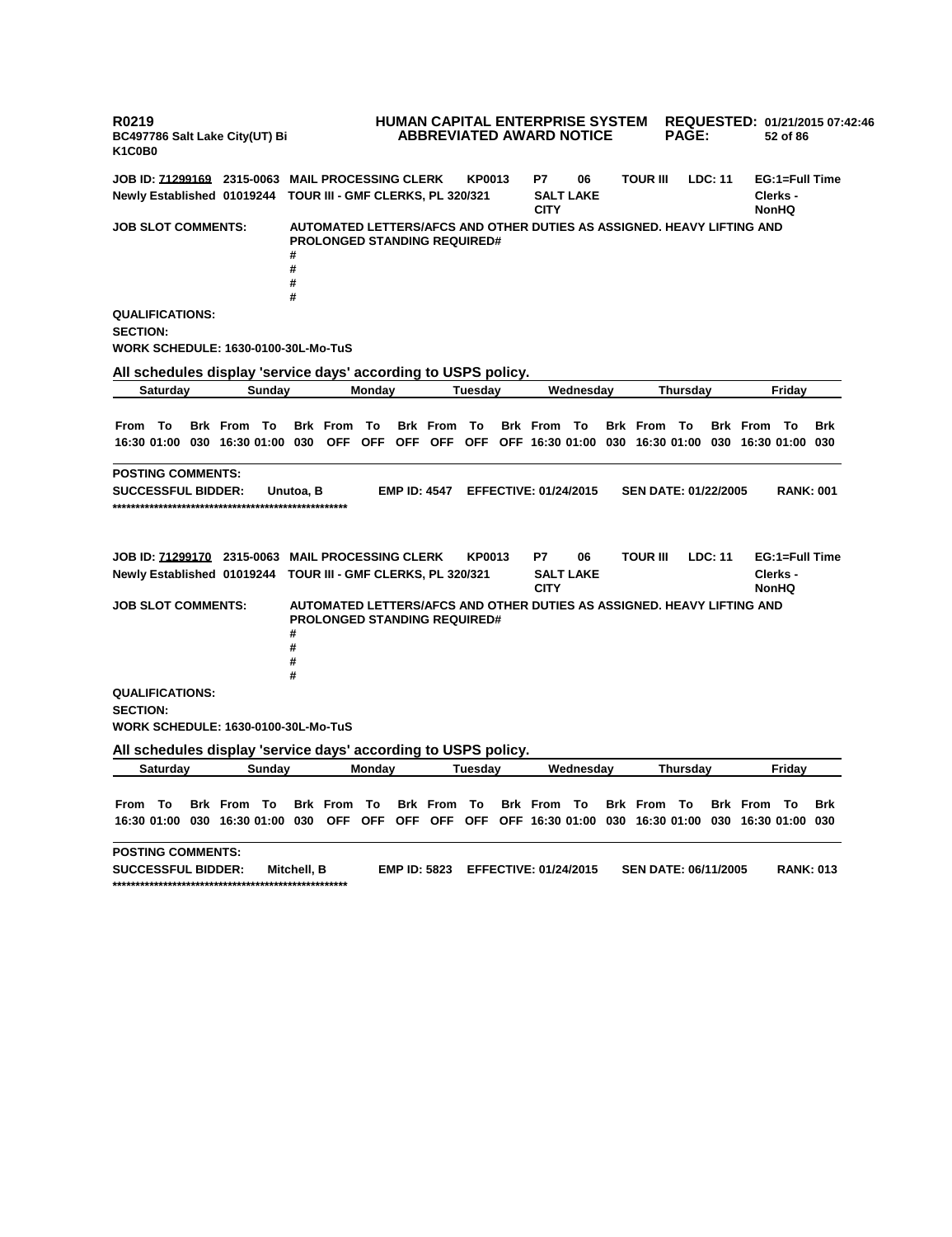**R0219 BC497786 Salt Lake City(UT) Bi K1C0B0 HUMAN CAPITAL ENTERPRISE SYSTEM REQUESTED: 01/21/2015 07:42:46 ABBREVIATED AWARD NOTICE PAGE: 52 of 86 JOB ID: 71299169 2315-0063 MAIL PROCESSING CLERK KP0013 P7 06 TOUR III LDC: 11 EG:1=Full Time Newly Established 01019244 TOUR III - GMF CLERKS, PL 320/321 SALT LAKE CITY Clerks - NonHQ JOB SLOT COMMENTS: AUTOMATED LETTERS/AFCS AND OTHER DUTIES AS ASSIGNED. HEAVY LIFTING AND PROLONGED STANDING REQUIRED# # # # # QUALIFICATIONS: SECTION: WORK SCHEDULE: 1630-0100-30L-Mo-TuS All schedules display 'service days' according to USPS policy. Saturday Sunday Monday Tuesday Wednesday Thursday Friday** From To Brk From To Brk From To Brk From To Brk From To Brk From To Brk From To Brk 16:30 01:00 030 16:30 01:00 030 OFF OFF OFF OFF OFF OFF 16:30 01:00 030 16:30 01:00 030 16:30 01:00 030 **POSTING COMMENTS: SUCCESSFUL BIDDER: Unutoa, B EMP ID: 4547 EFFECTIVE: 01/24/2015 SEN DATE: 01/22/2005 RANK: 001 \*\*\*\*\*\*\*\*\*\*\*\*\*\*\*\*\*\*\*\*\*\*\*\*\*\*\*\*\*\*\*\*\*\*\*\*\*\*\*\*\*\*\*\*\*\*\*\*\*\*\* JOB ID: 71299170 2315-0063 MAIL PROCESSING CLERK KP0013 P7 06 TOUR III LDC: 11 EG:1=Full Time Newly Established 01019244 TOUR III - GMF CLERKS, PL 320/321 SALT LAKE CITY Clerks - NonHQ JOB SLOT COMMENTS: AUTOMATED LETTERS/AFCS AND OTHER DUTIES AS ASSIGNED. HEAVY LIFTING AND PROLONGED STANDING REQUIRED# # # # # QUALIFICATIONS: SECTION: WORK SCHEDULE: 1630-0100-30L-Mo-TuS All schedules display 'service days' according to USPS policy. Saturday Sunday Monday Tuesday Wednesday Thursday Friday** From To Brk From To Brk From To Brk From To Brk From To Brk From To Brk From To Brk 16:30 01:00 030 16:30 01:00 030 OFF OFF OFF OFF OFF OFF 16:30 01:00 030 16:30 01:00 030 16:30 01:00 030 **POSTING COMMENTS: SUCCESSFUL BIDDER: Mitchell, B EMP ID: 5823 EFFECTIVE: 01/24/2015 SEN DATE: 06/11/2005 RANK: 013 \*\*\*\*\*\*\*\*\*\*\*\*\*\*\*\*\*\*\*\*\*\*\*\*\*\*\*\*\*\*\*\*\*\*\*\*\*\*\*\*\*\*\*\*\*\*\*\*\*\*\***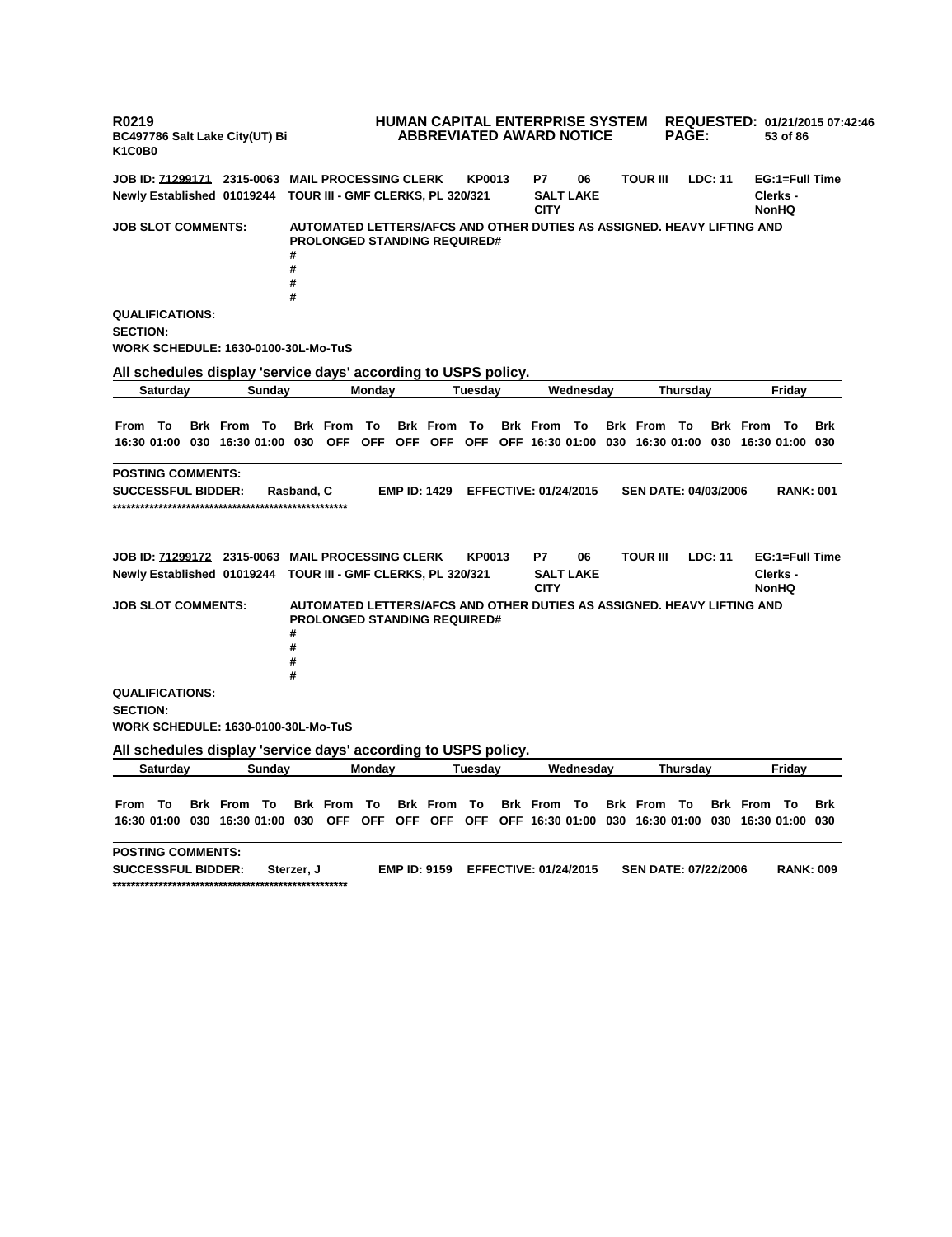**R0219 BC497786 Salt Lake City(UT) Bi K1C0B0 HUMAN CAPITAL ENTERPRISE SYSTEM REQUESTED: 01/21/2015 07:42:46 ABBREVIATED AWARD NOTICE PAGE: 53 of 86 JOB ID: 71299171 2315-0063 MAIL PROCESSING CLERK KP0013 P7 06 TOUR III LDC: 11 EG:1=Full Time Newly Established 01019244 TOUR III - GMF CLERKS, PL 320/321 SALT LAKE CITY Clerks - NonHQ JOB SLOT COMMENTS: AUTOMATED LETTERS/AFCS AND OTHER DUTIES AS ASSIGNED. HEAVY LIFTING AND PROLONGED STANDING REQUIRED# # # # # QUALIFICATIONS: SECTION: WORK SCHEDULE: 1630-0100-30L-Mo-TuS All schedules display 'service days' according to USPS policy. Saturday Sunday Monday Tuesday Wednesday Thursday Friday** From To Brk From To Brk From To Brk From To Brk From To Brk From To Brk From To Brk 16:30 01:00 030 16:30 01:00 030 OFF OFF OFF OFF OFF OFF 16:30 01:00 030 16:30 01:00 030 16:30 01:00 030 **POSTING COMMENTS: SUCCESSFUL BIDDER: Rasband, C EMP ID: 1429 EFFECTIVE: 01/24/2015 SEN DATE: 04/03/2006 RANK: 001 \*\*\*\*\*\*\*\*\*\*\*\*\*\*\*\*\*\*\*\*\*\*\*\*\*\*\*\*\*\*\*\*\*\*\*\*\*\*\*\*\*\*\*\*\*\*\*\*\*\*\* JOB ID: 71299172 2315-0063 MAIL PROCESSING CLERK KP0013 P7 06 TOUR III LDC: 11 EG:1=Full Time Newly Established 01019244 TOUR III - GMF CLERKS, PL 320/321 SALT LAKE CITY Clerks - NonHQ JOB SLOT COMMENTS: AUTOMATED LETTERS/AFCS AND OTHER DUTIES AS ASSIGNED. HEAVY LIFTING AND PROLONGED STANDING REQUIRED# # # # # QUALIFICATIONS: SECTION: WORK SCHEDULE: 1630-0100-30L-Mo-TuS All schedules display 'service days' according to USPS policy. Saturday Sunday Monday Tuesday Wednesday Thursday Friday** From To Brk From To Brk From To Brk From To Brk From To Brk From To Brk From To Brk 16:30 01:00 030 16:30 01:00 030 OFF OFF OFF OFF OFF OFF 16:30 01:00 030 16:30 01:00 030 16:30 01:00 030 **POSTING COMMENTS: SUCCESSFUL BIDDER: Sterzer, J EMP ID: 9159 EFFECTIVE: 01/24/2015 SEN DATE: 07/22/2006 RANK: 009 \*\*\*\*\*\*\*\*\*\*\*\*\*\*\*\*\*\*\*\*\*\*\*\*\*\*\*\*\*\*\*\*\*\*\*\*\*\*\*\*\*\*\*\*\*\*\*\*\*\*\***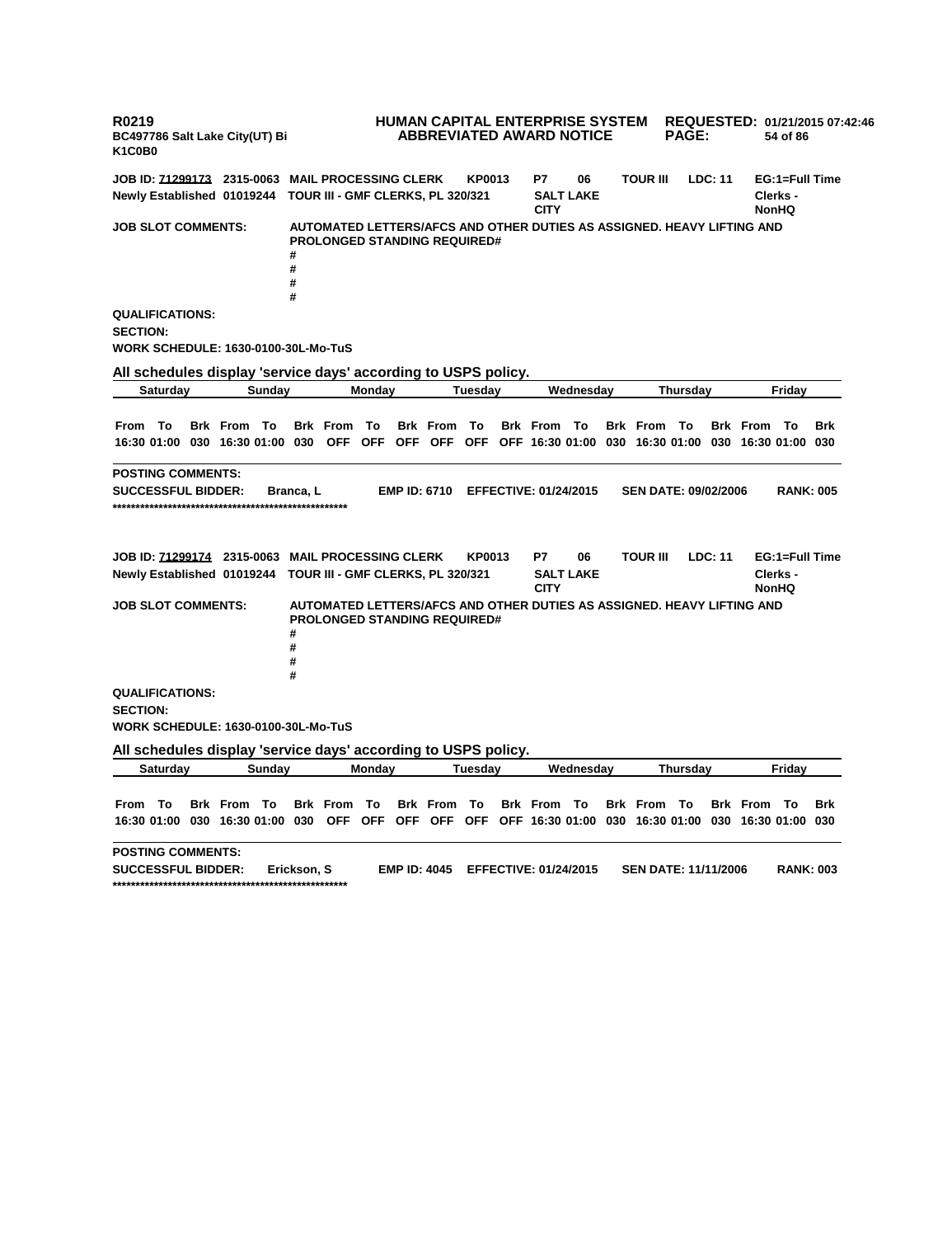**R0219 BC497786 Salt Lake City(UT) Bi K1C0B0 HUMAN CAPITAL ENTERPRISE SYSTEM REQUESTED: 01/21/2015 07:42:46 ABBREVIATED AWARD NOTICE PAGE: 54 of 86 JOB ID: 71299173 2315-0063 MAIL PROCESSING CLERK KP0013 P7 06 TOUR III LDC: 11 EG:1=Full Time Newly Established 01019244 TOUR III - GMF CLERKS, PL 320/321 SALT LAKE CITY Clerks - NonHQ JOB SLOT COMMENTS: AUTOMATED LETTERS/AFCS AND OTHER DUTIES AS ASSIGNED. HEAVY LIFTING AND PROLONGED STANDING REQUIRED# # # # # QUALIFICATIONS: SECTION: WORK SCHEDULE: 1630-0100-30L-Mo-TuS All schedules display 'service days' according to USPS policy. Saturday Sunday Monday Tuesday Wednesday Thursday Friday** From To Brk From To Brk From To Brk From To Brk From To Brk From To Brk From To Brk 16:30 01:00 030 16:30 01:00 030 OFF OFF OFF OFF OFF OFF 16:30 01:00 030 16:30 01:00 030 16:30 01:00 030 **POSTING COMMENTS: SUCCESSFUL BIDDER: Branca, L EMP ID: 6710 EFFECTIVE: 01/24/2015 SEN DATE: 09/02/2006 RANK: 005 \*\*\*\*\*\*\*\*\*\*\*\*\*\*\*\*\*\*\*\*\*\*\*\*\*\*\*\*\*\*\*\*\*\*\*\*\*\*\*\*\*\*\*\*\*\*\*\*\*\*\* JOB ID: 71299174 2315-0063 MAIL PROCESSING CLERK KP0013 P7 06 TOUR III LDC: 11 EG:1=Full Time Newly Established 01019244 TOUR III - GMF CLERKS, PL 320/321 SALT LAKE CITY Clerks - NonHQ JOB SLOT COMMENTS: AUTOMATED LETTERS/AFCS AND OTHER DUTIES AS ASSIGNED. HEAVY LIFTING AND PROLONGED STANDING REQUIRED# # # # # QUALIFICATIONS: SECTION: WORK SCHEDULE: 1630-0100-30L-Mo-TuS All schedules display 'service days' according to USPS policy. Saturday Sunday Monday Tuesday Wednesday Thursday Friday** From To Brk From To Brk From To Brk From To Brk From To Brk From To Brk From To Brk 16:30 01:00 030 16:30 01:00 030 OFF OFF OFF OFF OFF OFF 16:30 01:00 030 16:30 01:00 030 16:30 01:00 030 **POSTING COMMENTS: SUCCESSFUL BIDDER: Erickson, S EMP ID: 4045 EFFECTIVE: 01/24/2015 SEN DATE: 11/11/2006 RANK: 003 \*\*\*\*\*\*\*\*\*\*\*\*\*\*\*\*\*\*\*\*\*\*\*\*\*\*\*\*\*\*\*\*\*\*\*\*\*\*\*\*\*\*\*\*\*\*\*\*\*\*\***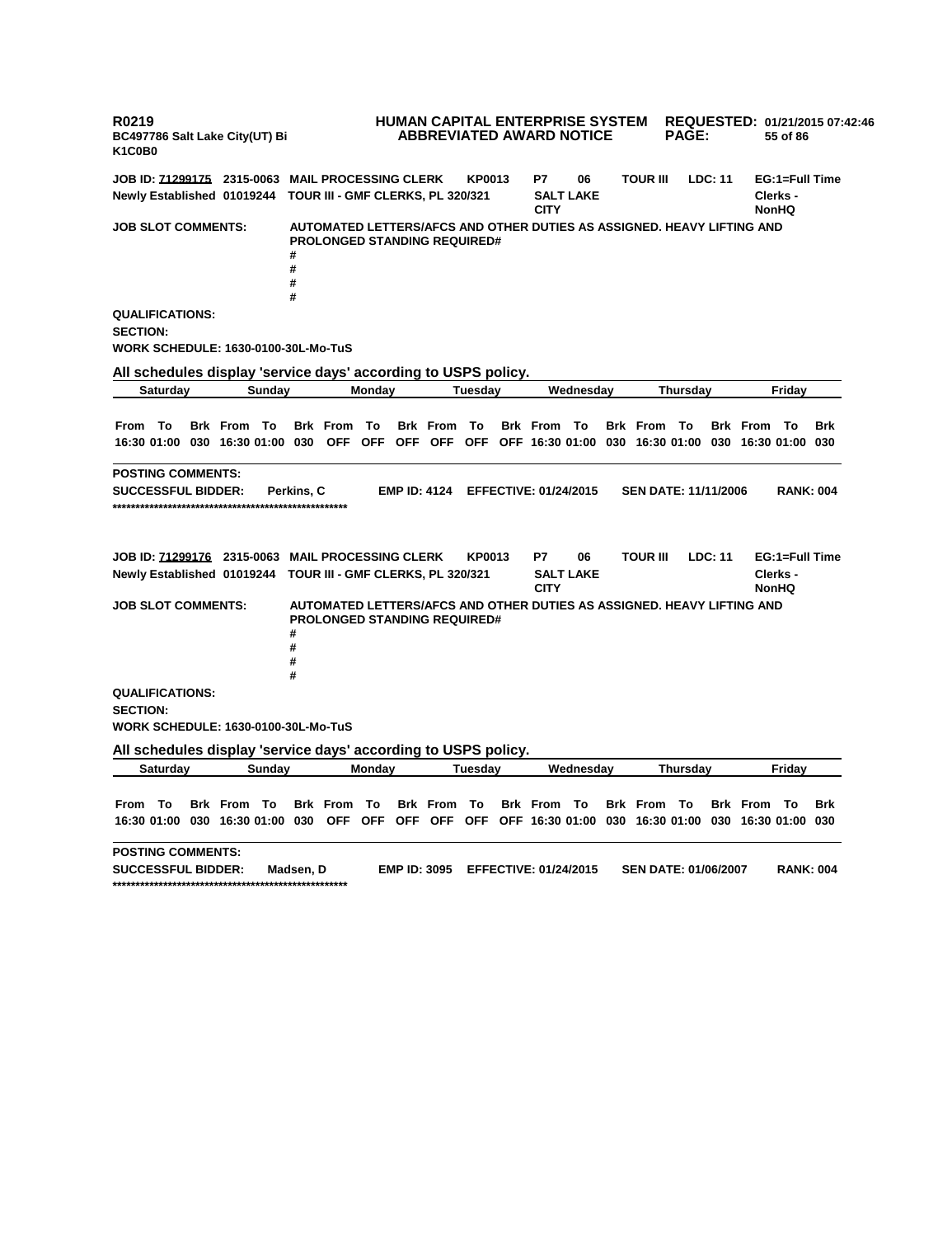**R0219 BC497786 Salt Lake City(UT) Bi K1C0B0 HUMAN CAPITAL ENTERPRISE SYSTEM REQUESTED: 01/21/2015 07:42:46 ABBREVIATED AWARD NOTICE PAGE: 55 of 86 JOB ID: 71299175 2315-0063 MAIL PROCESSING CLERK KP0013 P7 06 TOUR III LDC: 11 EG:1=Full Time Newly Established 01019244 TOUR III - GMF CLERKS, PL 320/321 SALT LAKE CITY Clerks - NonHQ JOB SLOT COMMENTS: AUTOMATED LETTERS/AFCS AND OTHER DUTIES AS ASSIGNED. HEAVY LIFTING AND PROLONGED STANDING REQUIRED# # # # # QUALIFICATIONS: SECTION: WORK SCHEDULE: 1630-0100-30L-Mo-TuS All schedules display 'service days' according to USPS policy. Saturday Sunday Monday Tuesday Wednesday Thursday Friday** From To Brk From To Brk From To Brk From To Brk From To Brk From To Brk From To Brk 16:30 01:00 030 16:30 01:00 030 OFF OFF OFF OFF OFF OFF 16:30 01:00 030 16:30 01:00 030 16:30 01:00 030 **POSTING COMMENTS: SUCCESSFUL BIDDER: Perkins, C EMP ID: 4124 EFFECTIVE: 01/24/2015 SEN DATE: 11/11/2006 RANK: 004 \*\*\*\*\*\*\*\*\*\*\*\*\*\*\*\*\*\*\*\*\*\*\*\*\*\*\*\*\*\*\*\*\*\*\*\*\*\*\*\*\*\*\*\*\*\*\*\*\*\*\* JOB ID: 71299176 2315-0063 MAIL PROCESSING CLERK KP0013 P7 06 TOUR III LDC: 11 EG:1=Full Time Newly Established 01019244 TOUR III - GMF CLERKS, PL 320/321 SALT LAKE CITY Clerks - NonHQ JOB SLOT COMMENTS: AUTOMATED LETTERS/AFCS AND OTHER DUTIES AS ASSIGNED. HEAVY LIFTING AND PROLONGED STANDING REQUIRED# # # # # QUALIFICATIONS: SECTION: WORK SCHEDULE: 1630-0100-30L-Mo-TuS All schedules display 'service days' according to USPS policy. Saturday Sunday Monday Tuesday Wednesday Thursday Friday** From To Brk From To Brk From To Brk From To Brk From To Brk From To Brk From To Brk 16:30 01:00 030 16:30 01:00 030 OFF OFF OFF OFF OFF OFF 16:30 01:00 030 16:30 01:00 030 16:30 01:00 030 **POSTING COMMENTS: SUCCESSFUL BIDDER: Madsen, D EMP ID: 3095 EFFECTIVE: 01/24/2015 SEN DATE: 01/06/2007 RANK: 004 \*\*\*\*\*\*\*\*\*\*\*\*\*\*\*\*\*\*\*\*\*\*\*\*\*\*\*\*\*\*\*\*\*\*\*\*\*\*\*\*\*\*\*\*\*\*\*\*\*\*\***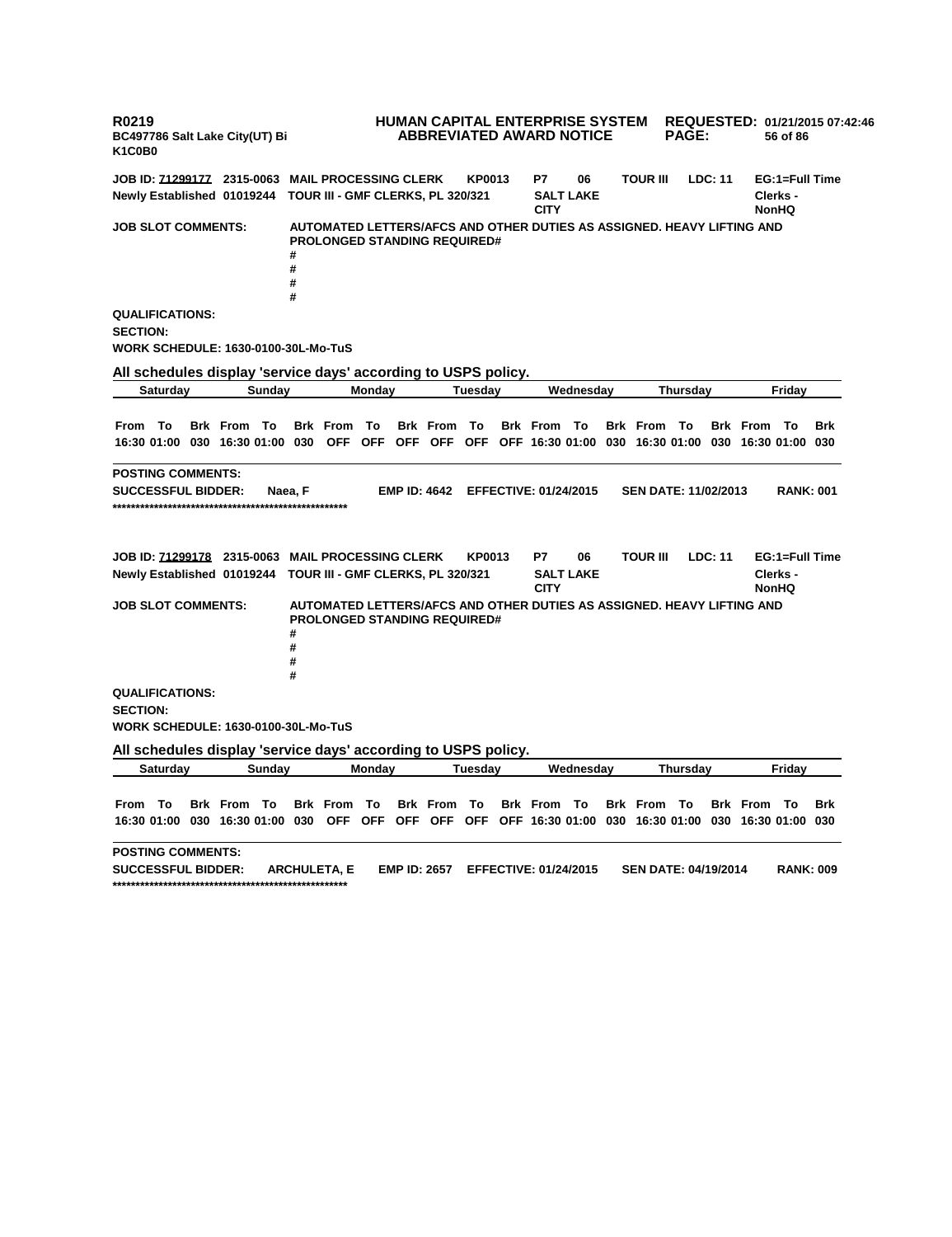**R0219 BC497786 Salt Lake City(UT) Bi K1C0B0 HUMAN CAPITAL ENTERPRISE SYSTEM REQUESTED: 01/21/2015 07:42:46 ABBREVIATED AWARD NOTICE PAGE: 56 of 86 JOB ID: 71299177 2315-0063 MAIL PROCESSING CLERK KP0013 P7 06 TOUR III LDC: 11 EG:1=Full Time Newly Established 01019244 TOUR III - GMF CLERKS, PL 320/321 SALT LAKE CITY Clerks - NonHQ JOB SLOT COMMENTS: AUTOMATED LETTERS/AFCS AND OTHER DUTIES AS ASSIGNED. HEAVY LIFTING AND PROLONGED STANDING REQUIRED# # # # # QUALIFICATIONS: SECTION: WORK SCHEDULE: 1630-0100-30L-Mo-TuS All schedules display 'service days' according to USPS policy. Saturday Sunday Monday Tuesday Wednesday Thursday Friday** From To Brk From To Brk From To Brk From To Brk From To Brk From To Brk From To Brk 16:30 01:00 030 16:30 01:00 030 OFF OFF OFF OFF OFF OFF 16:30 01:00 030 16:30 01:00 030 16:30 01:00 030 **POSTING COMMENTS: SUCCESSFUL BIDDER: Naea, F EMP ID: 4642 EFFECTIVE: 01/24/2015 SEN DATE: 11/02/2013 RANK: 001 \*\*\*\*\*\*\*\*\*\*\*\*\*\*\*\*\*\*\*\*\*\*\*\*\*\*\*\*\*\*\*\*\*\*\*\*\*\*\*\*\*\*\*\*\*\*\*\*\*\*\* JOB ID: 71299178 2315-0063 MAIL PROCESSING CLERK KP0013 P7 06 TOUR III LDC: 11 EG:1=Full Time Newly Established 01019244 TOUR III - GMF CLERKS, PL 320/321 SALT LAKE CITY Clerks - NonHQ JOB SLOT COMMENTS: AUTOMATED LETTERS/AFCS AND OTHER DUTIES AS ASSIGNED. HEAVY LIFTING AND PROLONGED STANDING REQUIRED# # # # # QUALIFICATIONS: SECTION: WORK SCHEDULE: 1630-0100-30L-Mo-TuS All schedules display 'service days' according to USPS policy. Saturday Sunday Monday Tuesday Wednesday Thursday Friday** From To Brk From To Brk From To Brk From To Brk From To Brk From To Brk From To Brk 16:30 01:00 030 16:30 01:00 030 OFF OFF OFF OFF OFF OFF 16:30 01:00 030 16:30 01:00 030 16:30 01:00 030 **POSTING COMMENTS: SUCCESSFUL BIDDER: ARCHULETA, E EMP ID: 2657 EFFECTIVE: 01/24/2015 SEN DATE: 04/19/2014 RANK: 009 \*\*\*\*\*\*\*\*\*\*\*\*\*\*\*\*\*\*\*\*\*\*\*\*\*\*\*\*\*\*\*\*\*\*\*\*\*\*\*\*\*\*\*\*\*\*\*\*\*\*\***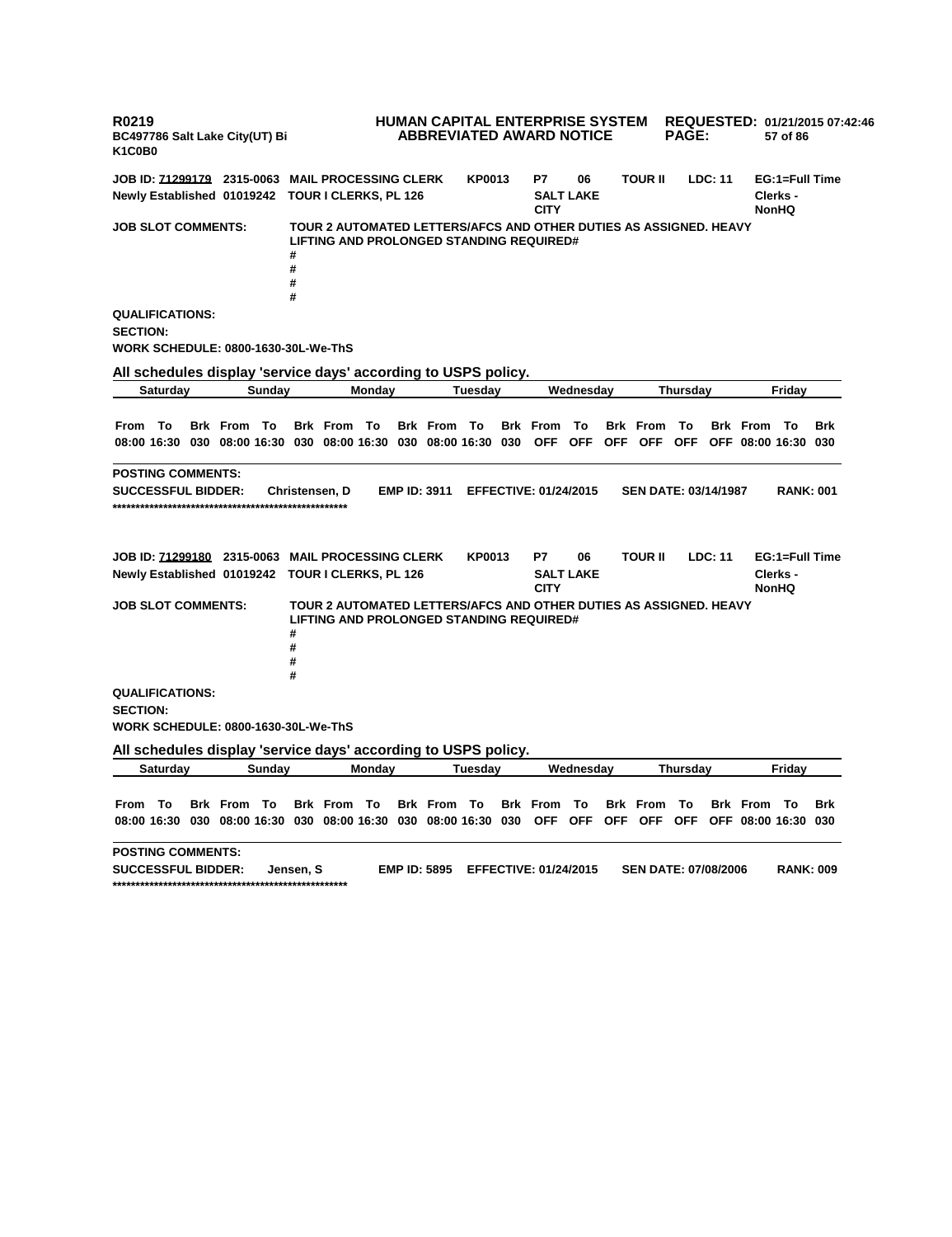**R0219 BC497786 Salt Lake City(UT) Bi K1C0B0 HUMAN CAPITAL ENTERPRISE SYSTEM REQUESTED: 01/21/2015 07:42:46 ABBREVIATED AWARD NOTICE PAGE: 57 of 86 JOB ID: 71299179 2315-0063 MAIL PROCESSING CLERK KP0013 P7 06 TOUR II LDC: 11 EG:1=Full Time Newly Established 01019242 TOUR I CLERKS, PL 126 SALT LAKE CITY Clerks - NonHQ JOB SLOT COMMENTS: TOUR 2 AUTOMATED LETTERS/AFCS AND OTHER DUTIES AS ASSIGNED. HEAVY LIFTING AND PROLONGED STANDING REQUIRED# # # # # QUALIFICATIONS: SECTION: WORK SCHEDULE: 0800-1630-30L-We-ThS All schedules display 'service days' according to USPS policy. Saturday Sunday Monday Tuesday Wednesday Thursday Friday** From To Brk From To Brk From To Brk From To Brk From To Brk From To Brk From To Brk 08:00 16:30 030 08:00 16:30 030 08:00 16:30 030 08:00 16:30 030 OFF OFF OFF OFF OFF OFF O8:00 16:30 030 **POSTING COMMENTS: SUCCESSFUL BIDDER: Christensen, D EMP ID: 3911 EFFECTIVE: 01/24/2015 SEN DATE: 03/14/1987 RANK: 001 \*\*\*\*\*\*\*\*\*\*\*\*\*\*\*\*\*\*\*\*\*\*\*\*\*\*\*\*\*\*\*\*\*\*\*\*\*\*\*\*\*\*\*\*\*\*\*\*\*\*\* JOB ID: 71299180 2315-0063 MAIL PROCESSING CLERK KP0013 P7 06 TOUR II LDC: 11 EG:1=Full Time Newly Established 01019242 TOUR I CLERKS, PL 126 SALT LAKE CITY Clerks - NonHQ JOB SLOT COMMENTS: TOUR 2 AUTOMATED LETTERS/AFCS AND OTHER DUTIES AS ASSIGNED. HEAVY LIFTING AND PROLONGED STANDING REQUIRED# # # # # QUALIFICATIONS: SECTION: WORK SCHEDULE: 0800-1630-30L-We-ThS All schedules display 'service days' according to USPS policy. Saturday Sunday Monday Tuesday Wednesday Thursday Friday** From To Brk From To Brk From To Brk From To Brk From To Brk From To Brk From To Brk 08:00 16:30 030 08:00 16:30 030 08:00 16:30 030 08:00 16:30 030 OFF OFF OFF OFF OFF OFF O8:00 16:30 030 **POSTING COMMENTS: SUCCESSFUL BIDDER: Jensen, S EMP ID: 5895 EFFECTIVE: 01/24/2015 SEN DATE: 07/08/2006 RANK: 009 \*\*\*\*\*\*\*\*\*\*\*\*\*\*\*\*\*\*\*\*\*\*\*\*\*\*\*\*\*\*\*\*\*\*\*\*\*\*\*\*\*\*\*\*\*\*\*\*\*\*\***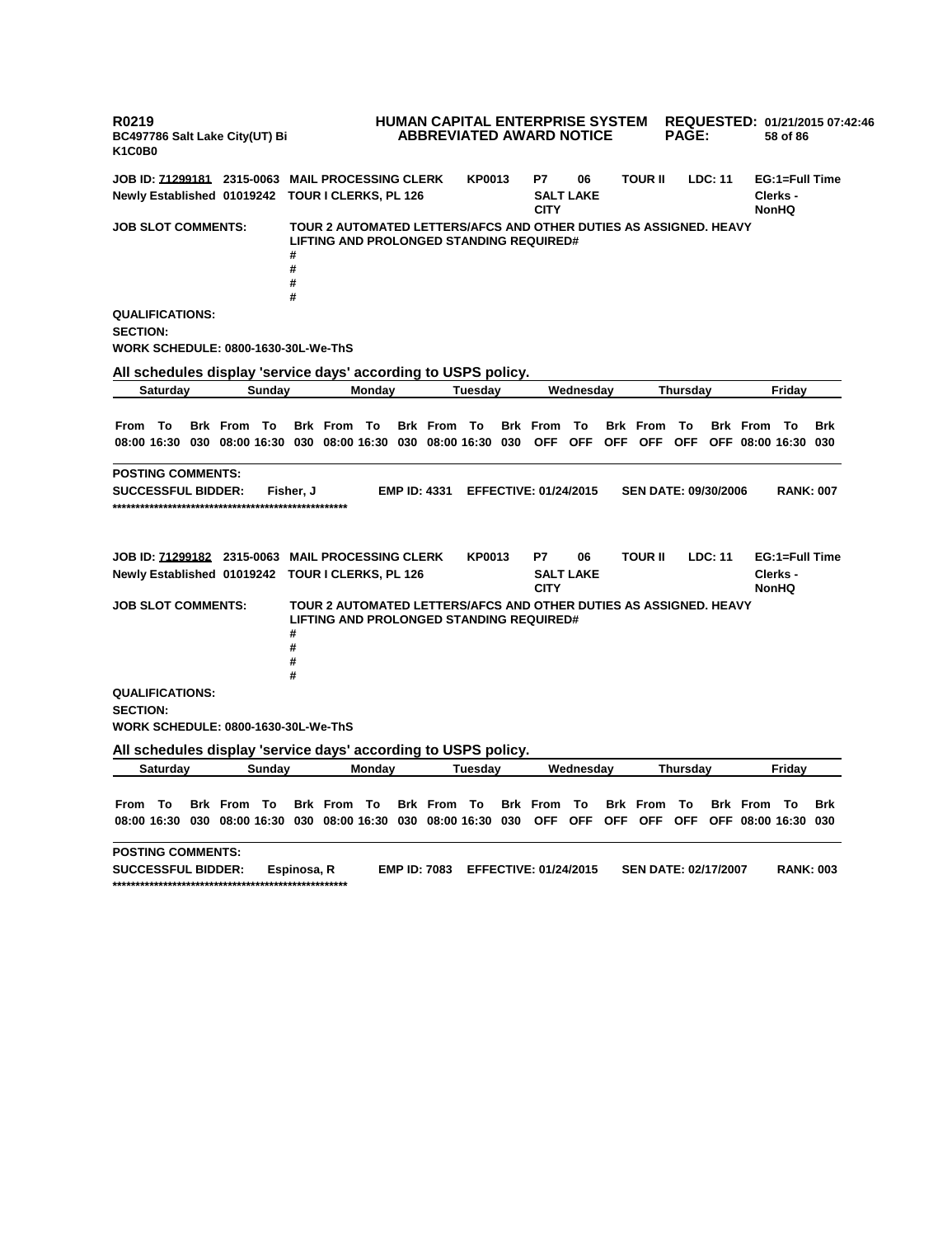**R0219 BC497786 Salt Lake City(UT) Bi K1C0B0 HUMAN CAPITAL ENTERPRISE SYSTEM ABBREVIATED AWARD NOTICE REQUESTED: 01/21/2015 07:42:46 PAGE: 58 of 86 JOB ID: 71299181 2315-0063 MAIL PROCESSING CLERK KP0013 P7 06 TOUR II LDC: 11 EG:1=Full Time Newly Established 01019242 TOUR I CLERKS, PL 126 SALT LAKE CITY Clerks - NonHQ JOB SLOT COMMENTS: TOUR 2 AUTOMATED LETTERS/AFCS AND OTHER DUTIES AS ASSIGNED. HEAVY LIFTING AND PROLONGED STANDING REQUIRED# # # # # QUALIFICATIONS: SECTION: WORK SCHEDULE: 0800-1630-30L-We-ThS All schedules display 'service days' according to USPS policy. Saturday Sunday Monday Tuesday Wednesday Thursday Friday** From To Brk From To Brk From To Brk From To Brk From To Brk From To Brk From To Brk 08:00 16:30 030 08:00 16:30 030 08:00 16:30 030 08:00 16:30 030 OFF OFF OFF OFF OFF OFF O8:00 16:30 030 **POSTING COMMENTS: SUCCESSFUL BIDDER: Fisher, J EMP ID: 4331 EFFECTIVE: 01/24/2015 SEN DATE: 09/30/2006 RANK: 007 \*\*\*\*\*\*\*\*\*\*\*\*\*\*\*\*\*\*\*\*\*\*\*\*\*\*\*\*\*\*\*\*\*\*\*\*\*\*\*\*\*\*\*\*\*\*\*\*\*\*\* JOB ID: 71299182 2315-0063 MAIL PROCESSING CLERK KP0013 P7 06 TOUR II LDC: 11 EG:1=Full Time Newly Established 01019242 TOUR I CLERKS, PL 126 SALT LAKE CITY Clerks - NonHQ JOB SLOT COMMENTS: TOUR 2 AUTOMATED LETTERS/AFCS AND OTHER DUTIES AS ASSIGNED. HEAVY LIFTING AND PROLONGED STANDING REQUIRED# # # # # QUALIFICATIONS: SECTION: WORK SCHEDULE: 0800-1630-30L-We-ThS All schedules display 'service days' according to USPS policy. Saturday Sunday Monday Tuesday Wednesday Thursday Friday** From To Brk From To Brk From To Brk From To Brk From To Brk From To Brk From To Brk 08:00 16:30 030 08:00 16:30 030 08:00 16:30 030 08:00 16:30 030 OFF OFF OFF OFF OFF OFF O8:00 16:30 030 **POSTING COMMENTS: SUCCESSFUL BIDDER: Espinosa, R EMP ID: 7083 EFFECTIVE: 01/24/2015 SEN DATE: 02/17/2007 RANK: 003 \*\*\*\*\*\*\*\*\*\*\*\*\*\*\*\*\*\*\*\*\*\*\*\*\*\*\*\*\*\*\*\*\*\*\*\*\*\*\*\*\*\*\*\*\*\*\*\*\*\*\***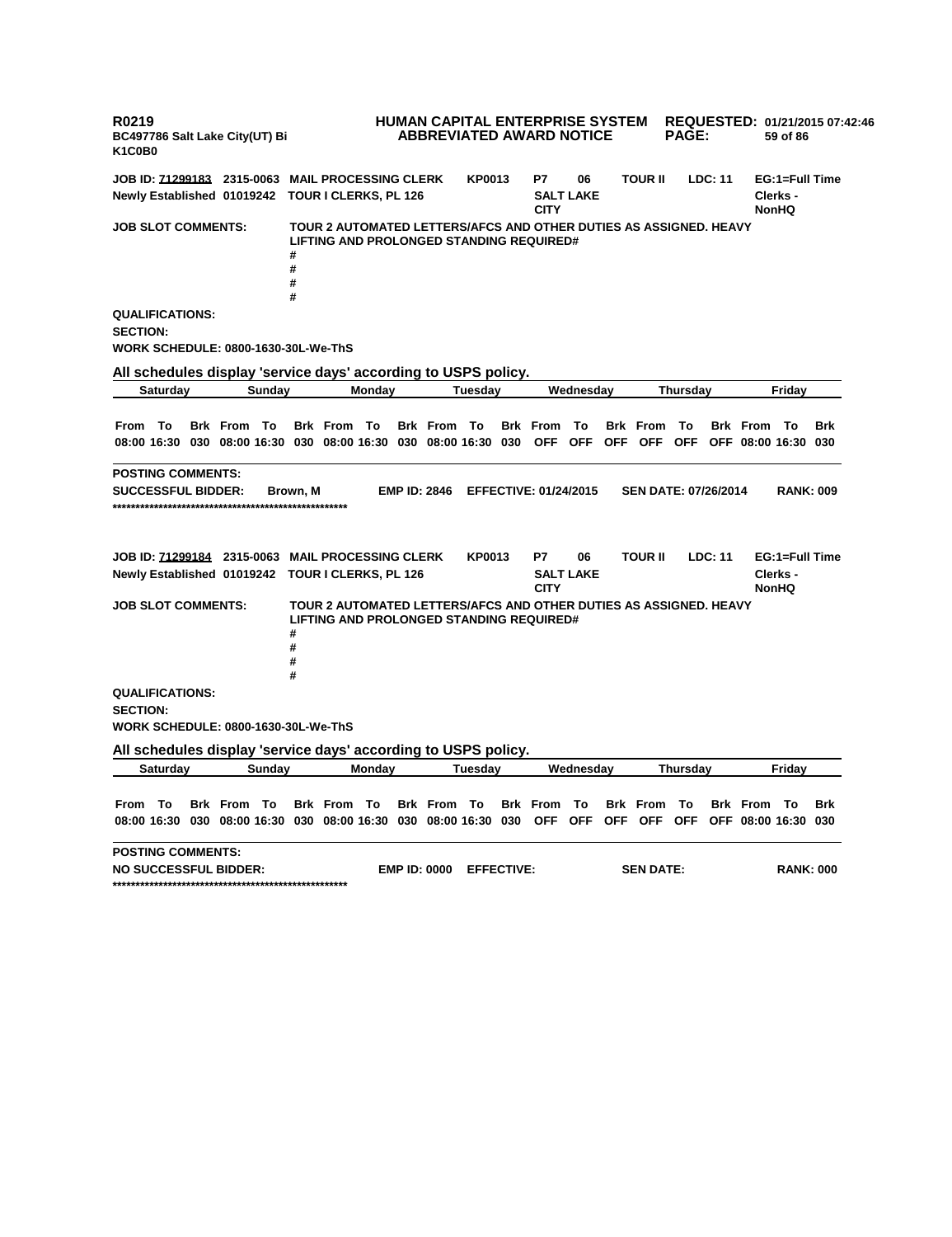**R0219 BC497786 Salt Lake City(UT) Bi K1C0B0 HUMAN CAPITAL ENTERPRISE SYSTEM REQUESTED: 01/21/2015 07:42:46 ABBREVIATED AWARD NOTICE PAGE: 59 of 86 JOB ID: 71299183 2315-0063 MAIL PROCESSING CLERK KP0013 P7 06 TOUR II LDC: 11 EG:1=Full Time Newly Established 01019242 TOUR I CLERKS, PL 126 SALT LAKE CITY Clerks - NonHQ JOB SLOT COMMENTS: TOUR 2 AUTOMATED LETTERS/AFCS AND OTHER DUTIES AS ASSIGNED. HEAVY LIFTING AND PROLONGED STANDING REQUIRED# # # # # QUALIFICATIONS: SECTION: WORK SCHEDULE: 0800-1630-30L-We-ThS All schedules display 'service days' according to USPS policy. Saturday Sunday Monday Tuesday Wednesday Thursday Friday** From To Brk From To Brk From To Brk From To Brk From To Brk From To Brk From To Brk 08:00 16:30 030 08:00 16:30 030 08:00 16:30 030 08:00 16:30 030 OFF OFF OFF OFF OFF OFF O8:00 16:30 030 **POSTING COMMENTS: SUCCESSFUL BIDDER: Brown, M EMP ID: 2846 EFFECTIVE: 01/24/2015 SEN DATE: 07/26/2014 RANK: 009 \*\*\*\*\*\*\*\*\*\*\*\*\*\*\*\*\*\*\*\*\*\*\*\*\*\*\*\*\*\*\*\*\*\*\*\*\*\*\*\*\*\*\*\*\*\*\*\*\*\*\* JOB ID: 71299184 2315-0063 MAIL PROCESSING CLERK KP0013 P7 06 TOUR II LDC: 11 EG:1=Full Time Newly Established 01019242 TOUR I CLERKS, PL 126 SALT LAKE CITY Clerks - NonHQ JOB SLOT COMMENTS: TOUR 2 AUTOMATED LETTERS/AFCS AND OTHER DUTIES AS ASSIGNED. HEAVY LIFTING AND PROLONGED STANDING REQUIRED# # # # # QUALIFICATIONS: SECTION: WORK SCHEDULE: 0800-1630-30L-We-ThS All schedules display 'service days' according to USPS policy. Saturday Sunday Monday Tuesday Wednesday Thursday Friday** From To Brk From To Brk From To Brk From To Brk From To Brk From To Brk From To Brk 08:00 16:30 030 08:00 16:30 030 08:00 16:30 030 08:00 16:30 030 OFF OFF OFF OFF OFF OFF O8:00 16:30 030 **POSTING COMMENTS: NO SUCCESSFUL BIDDER: EMP ID: 0000 EFFECTIVE: SEN DATE: RANK: 000 \*\*\*\*\*\*\*\*\*\*\*\*\*\*\*\*\*\*\*\*\*\*\*\*\*\*\*\*\*\*\*\*\*\*\*\*\*\*\*\*\*\*\*\*\*\*\*\*\*\*\***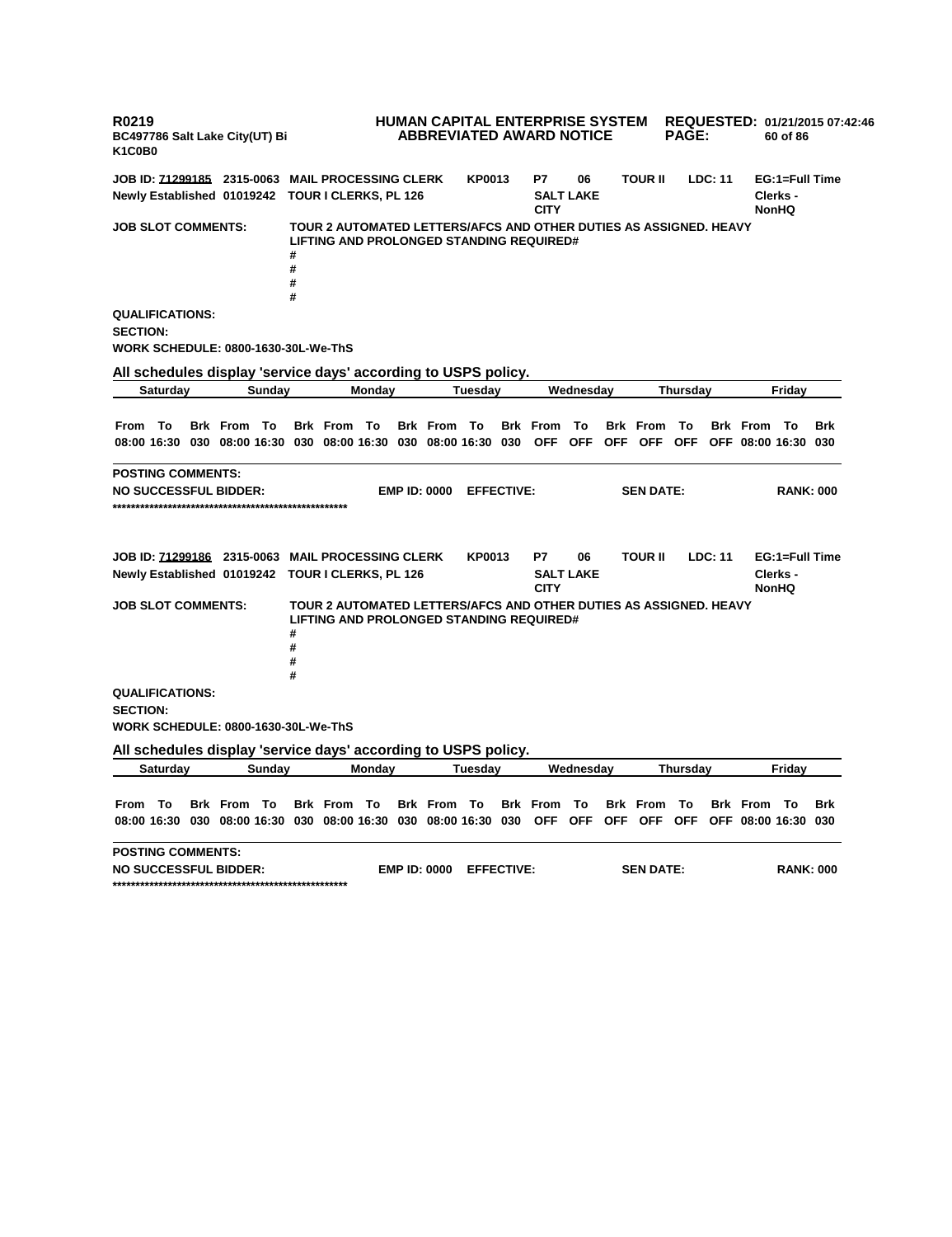**R0219 BC497786 Salt Lake City(UT) Bi K1C0B0 HUMAN CAPITAL ENTERPRISE SYSTEM REQUESTED: 01/21/2015 07:42:46 ABBREVIATED AWARD NOTICE PAGE: 60 of 86 JOB ID: 71299185 2315-0063 MAIL PROCESSING CLERK KP0013 P7 06 TOUR II LDC: 11 EG:1=Full Time Newly Established 01019242 TOUR I CLERKS, PL 126 SALT LAKE CITY Clerks - NonHQ JOB SLOT COMMENTS: TOUR 2 AUTOMATED LETTERS/AFCS AND OTHER DUTIES AS ASSIGNED. HEAVY LIFTING AND PROLONGED STANDING REQUIRED# # # # # QUALIFICATIONS: SECTION: WORK SCHEDULE: 0800-1630-30L-We-ThS All schedules display 'service days' according to USPS policy. Saturday Sunday Monday Tuesday Wednesday Thursday Friday** From To Brk From To Brk From To Brk From To Brk From To Brk From To Brk From To Brk 08:00 16:30 030 08:00 16:30 030 08:00 16:30 030 08:00 16:30 030 OFF OFF OFF OFF OFF OFF O8:00 16:30 030 **POSTING COMMENTS: NO SUCCESSFUL BIDDER: EMP ID: 0000 EFFECTIVE: SEN DATE: RANK: 000 \*\*\*\*\*\*\*\*\*\*\*\*\*\*\*\*\*\*\*\*\*\*\*\*\*\*\*\*\*\*\*\*\*\*\*\*\*\*\*\*\*\*\*\*\*\*\*\*\*\*\* JOB ID: 71299186 2315-0063 MAIL PROCESSING CLERK KP0013 P7 06 TOUR II LDC: 11 EG:1=Full Time Newly Established 01019242 TOUR I CLERKS, PL 126 SALT LAKE CITY Clerks - NonHQ JOB SLOT COMMENTS: TOUR 2 AUTOMATED LETTERS/AFCS AND OTHER DUTIES AS ASSIGNED. HEAVY LIFTING AND PROLONGED STANDING REQUIRED# # # # # QUALIFICATIONS: SECTION: WORK SCHEDULE: 0800-1630-30L-We-ThS All schedules display 'service days' according to USPS policy. Saturday Sunday Monday Tuesday Wednesday Thursday Friday** From To Brk From To Brk From To Brk From To Brk From To Brk From To Brk From To Brk 08:00 16:30 030 08:00 16:30 030 08:00 16:30 030 08:00 16:30 030 OFF OFF OFF OFF OFF OFF O8:00 16:30 030 **POSTING COMMENTS: NO SUCCESSFUL BIDDER: EMP ID: 0000 EFFECTIVE: SEN DATE: RANK: 000 \*\*\*\*\*\*\*\*\*\*\*\*\*\*\*\*\*\*\*\*\*\*\*\*\*\*\*\*\*\*\*\*\*\*\*\*\*\*\*\*\*\*\*\*\*\*\*\*\*\*\***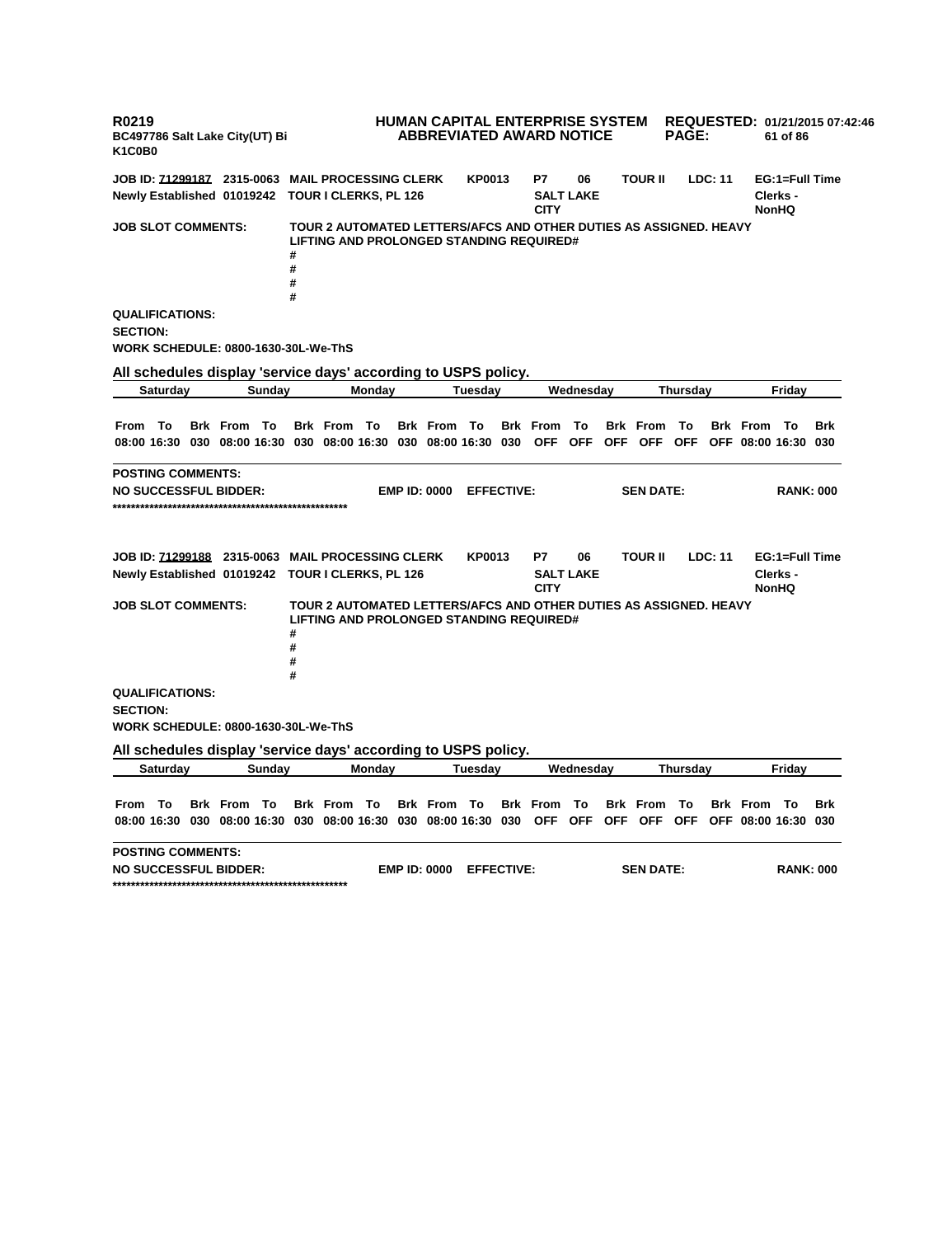**R0219 BC497786 Salt Lake City(UT) Bi K1C0B0 HUMAN CAPITAL ENTERPRISE SYSTEM REQUESTED: 01/21/2015 07:42:46 ABBREVIATED AWARD NOTICE PAGE: 61 of 86 JOB ID: 71299187 2315-0063 MAIL PROCESSING CLERK KP0013 P7 06 TOUR II LDC: 11 EG:1=Full Time Newly Established 01019242 TOUR I CLERKS, PL 126 SALT LAKE CITY Clerks - NonHQ JOB SLOT COMMENTS: TOUR 2 AUTOMATED LETTERS/AFCS AND OTHER DUTIES AS ASSIGNED. HEAVY LIFTING AND PROLONGED STANDING REQUIRED# # # # # QUALIFICATIONS: SECTION: WORK SCHEDULE: 0800-1630-30L-We-ThS All schedules display 'service days' according to USPS policy. Saturday Sunday Monday Tuesday Wednesday Thursday Friday** From To Brk From To Brk From To Brk From To Brk From To Brk From To Brk From To Brk 08:00 16:30 030 08:00 16:30 030 08:00 16:30 030 08:00 16:30 030 OFF OFF OFF OFF OFF OFF O8:00 16:30 030 **POSTING COMMENTS: NO SUCCESSFUL BIDDER: EMP ID: 0000 EFFECTIVE: SEN DATE: RANK: 000 \*\*\*\*\*\*\*\*\*\*\*\*\*\*\*\*\*\*\*\*\*\*\*\*\*\*\*\*\*\*\*\*\*\*\*\*\*\*\*\*\*\*\*\*\*\*\*\*\*\*\* JOB ID: 71299188 2315-0063 MAIL PROCESSING CLERK KP0013 P7 06 TOUR II LDC: 11 EG:1=Full Time Newly Established 01019242 TOUR I CLERKS, PL 126 SALT LAKE CITY Clerks - NonHQ JOB SLOT COMMENTS: TOUR 2 AUTOMATED LETTERS/AFCS AND OTHER DUTIES AS ASSIGNED. HEAVY LIFTING AND PROLONGED STANDING REQUIRED# # # # # QUALIFICATIONS: SECTION: WORK SCHEDULE: 0800-1630-30L-We-ThS All schedules display 'service days' according to USPS policy. Saturday Sunday Monday Tuesday Wednesday Thursday Friday** From To Brk From To Brk From To Brk From To Brk From To Brk From To Brk From To Brk 08:00 16:30 030 08:00 16:30 030 08:00 16:30 030 08:00 16:30 030 OFF OFF OFF OFF OFF OFF O8:00 16:30 030 **POSTING COMMENTS: NO SUCCESSFUL BIDDER: EMP ID: 0000 EFFECTIVE: SEN DATE: RANK: 000 \*\*\*\*\*\*\*\*\*\*\*\*\*\*\*\*\*\*\*\*\*\*\*\*\*\*\*\*\*\*\*\*\*\*\*\*\*\*\*\*\*\*\*\*\*\*\*\*\*\*\***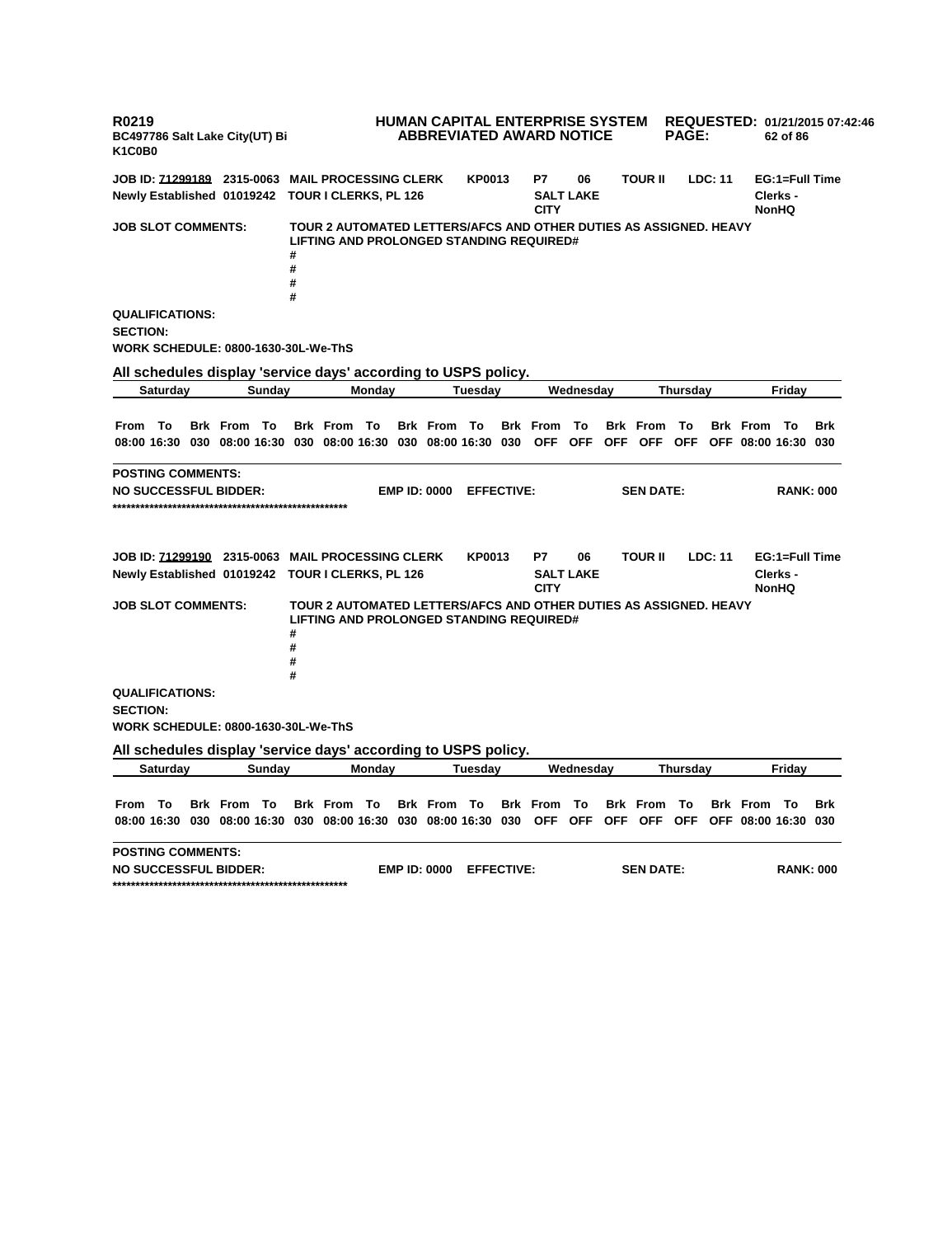**R0219 BC497786 Salt Lake City(UT) Bi K1C0B0 HUMAN CAPITAL ENTERPRISE SYSTEM REQUESTED: 01/21/2015 07:42:46 ABBREVIATED AWARD NOTICE PAGE: 62 of 86 JOB ID: 71299189 2315-0063 MAIL PROCESSING CLERK KP0013 P7 06 TOUR II LDC: 11 EG:1=Full Time Newly Established 01019242 TOUR I CLERKS, PL 126 SALT LAKE CITY Clerks - NonHQ JOB SLOT COMMENTS: TOUR 2 AUTOMATED LETTERS/AFCS AND OTHER DUTIES AS ASSIGNED. HEAVY LIFTING AND PROLONGED STANDING REQUIRED# # # # # QUALIFICATIONS: SECTION: WORK SCHEDULE: 0800-1630-30L-We-ThS All schedules display 'service days' according to USPS policy. Saturday Sunday Monday Tuesday Wednesday Thursday Friday** From To Brk From To Brk From To Brk From To Brk From To Brk From To Brk From To Brk 08:00 16:30 030 08:00 16:30 030 08:00 16:30 030 08:00 16:30 030 OFF OFF OFF OFF OFF OFF O8:00 16:30 030 **POSTING COMMENTS: NO SUCCESSFUL BIDDER: EMP ID: 0000 EFFECTIVE: SEN DATE: RANK: 000 \*\*\*\*\*\*\*\*\*\*\*\*\*\*\*\*\*\*\*\*\*\*\*\*\*\*\*\*\*\*\*\*\*\*\*\*\*\*\*\*\*\*\*\*\*\*\*\*\*\*\* JOB ID: 71299190 2315-0063 MAIL PROCESSING CLERK KP0013 P7 06 TOUR II LDC: 11 EG:1=Full Time Newly Established 01019242 TOUR I CLERKS, PL 126 SALT LAKE CITY Clerks - NonHQ JOB SLOT COMMENTS: TOUR 2 AUTOMATED LETTERS/AFCS AND OTHER DUTIES AS ASSIGNED. HEAVY LIFTING AND PROLONGED STANDING REQUIRED# # # # # QUALIFICATIONS: SECTION: WORK SCHEDULE: 0800-1630-30L-We-ThS All schedules display 'service days' according to USPS policy. Saturday Sunday Monday Tuesday Wednesday Thursday Friday** From To Brk From To Brk From To Brk From To Brk From To Brk From To Brk From To Brk 08:00 16:30 030 08:00 16:30 030 08:00 16:30 030 08:00 16:30 030 OFF OFF OFF OFF OFF OFF O8:00 16:30 030 **POSTING COMMENTS: NO SUCCESSFUL BIDDER: EMP ID: 0000 EFFECTIVE: SEN DATE: RANK: 000 \*\*\*\*\*\*\*\*\*\*\*\*\*\*\*\*\*\*\*\*\*\*\*\*\*\*\*\*\*\*\*\*\*\*\*\*\*\*\*\*\*\*\*\*\*\*\*\*\*\*\***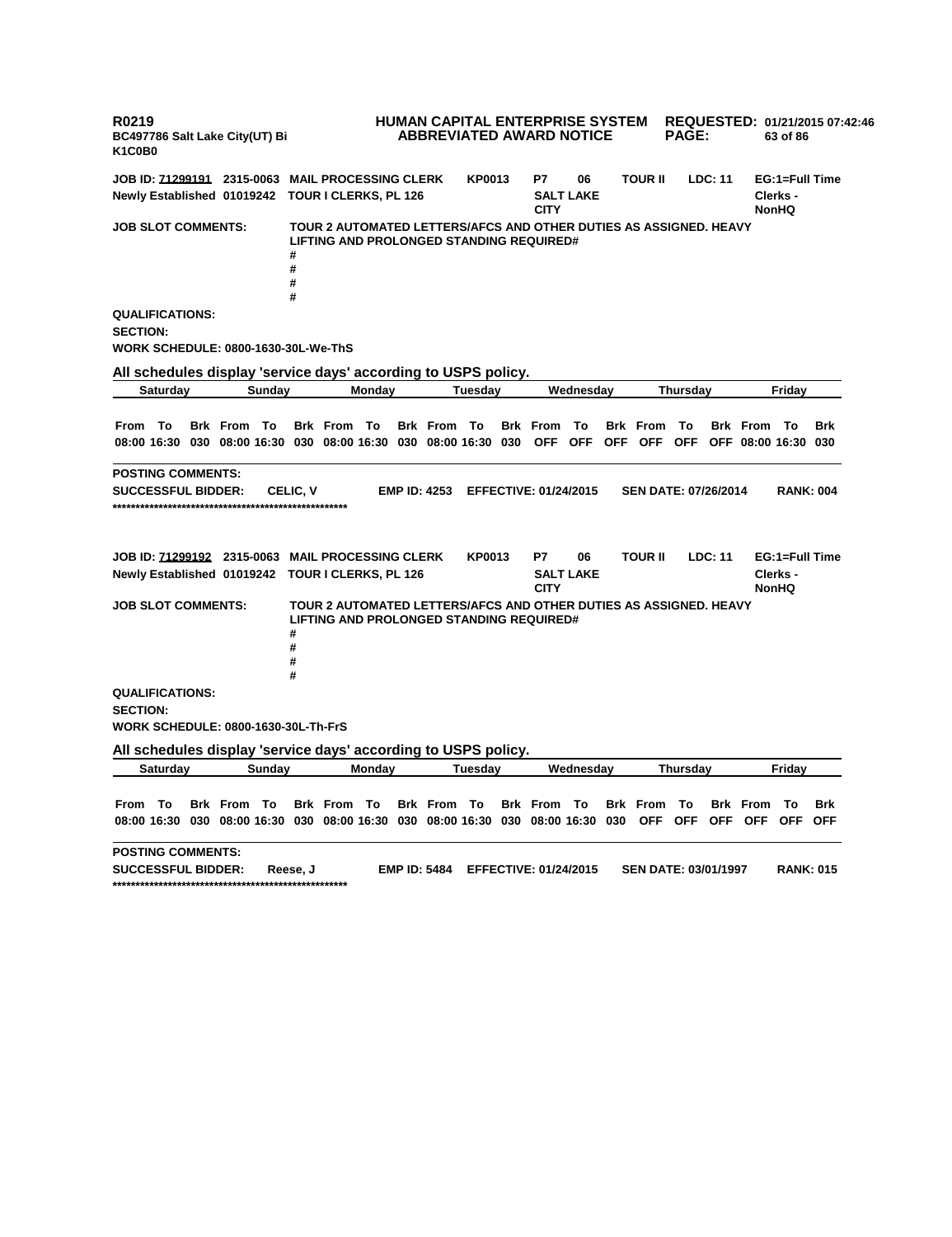**R0219 BC497786 Salt Lake City(UT) Bi K1C0B0 HUMAN CAPITAL ENTERPRISE SYSTEM REQUESTED: 01/21/2015 07:42:46 ABBREVIATED AWARD NOTICE PAGE: 63 of 86 JOB ID: 71299191 2315-0063 MAIL PROCESSING CLERK KP0013 P7 06 TOUR II LDC: 11 EG:1=Full Time Newly Established 01019242 TOUR I CLERKS, PL 126 SALT LAKE CITY Clerks - NonHQ JOB SLOT COMMENTS: TOUR 2 AUTOMATED LETTERS/AFCS AND OTHER DUTIES AS ASSIGNED. HEAVY LIFTING AND PROLONGED STANDING REQUIRED# # # # # QUALIFICATIONS: SECTION: WORK SCHEDULE: 0800-1630-30L-We-ThS All schedules display 'service days' according to USPS policy. Saturday Sunday Monday Tuesday Wednesday Thursday Friday** From To Brk From To Brk From To Brk From To Brk From To Brk From To Brk From To Brk 08:00 16:30 030 08:00 16:30 030 08:00 16:30 030 08:00 16:30 030 OFF OFF OFF OFF OFF OFF O8:00 16:30 030 **POSTING COMMENTS: SUCCESSFUL BIDDER: CELIC, V EMP ID: 4253 EFFECTIVE: 01/24/2015 SEN DATE: 07/26/2014 RANK: 004 \*\*\*\*\*\*\*\*\*\*\*\*\*\*\*\*\*\*\*\*\*\*\*\*\*\*\*\*\*\*\*\*\*\*\*\*\*\*\*\*\*\*\*\*\*\*\*\*\*\*\* JOB ID: 71299192 2315-0063 MAIL PROCESSING CLERK KP0013 P7 06 TOUR II LDC: 11 EG:1=Full Time Newly Established 01019242 TOUR I CLERKS, PL 126 SALT LAKE CITY Clerks - NonHQ JOB SLOT COMMENTS: TOUR 2 AUTOMATED LETTERS/AFCS AND OTHER DUTIES AS ASSIGNED. HEAVY LIFTING AND PROLONGED STANDING REQUIRED# # # # # QUALIFICATIONS: SECTION: WORK SCHEDULE: 0800-1630-30L-Th-FrS All schedules display 'service days' according to USPS policy. Saturday Sunday Monday Tuesday Wednesday Thursday Friday** From To Brk From To Brk From To Brk From To Brk From To Brk From To Brk From To Brk 08:00 16:30 030 08:00 16:30 030 08:00 16:30 030 08:00 16:30 030 08:00 16:30 030 OFF OFF OFF OFF OFF OFF **POSTING COMMENTS: SUCCESSFUL BIDDER: Reese, J EMP ID: 5484 EFFECTIVE: 01/24/2015 SEN DATE: 03/01/1997 RANK: 015 \*\*\*\*\*\*\*\*\*\*\*\*\*\*\*\*\*\*\*\*\*\*\*\*\*\*\*\*\*\*\*\*\*\*\*\*\*\*\*\*\*\*\*\*\*\*\*\*\*\*\***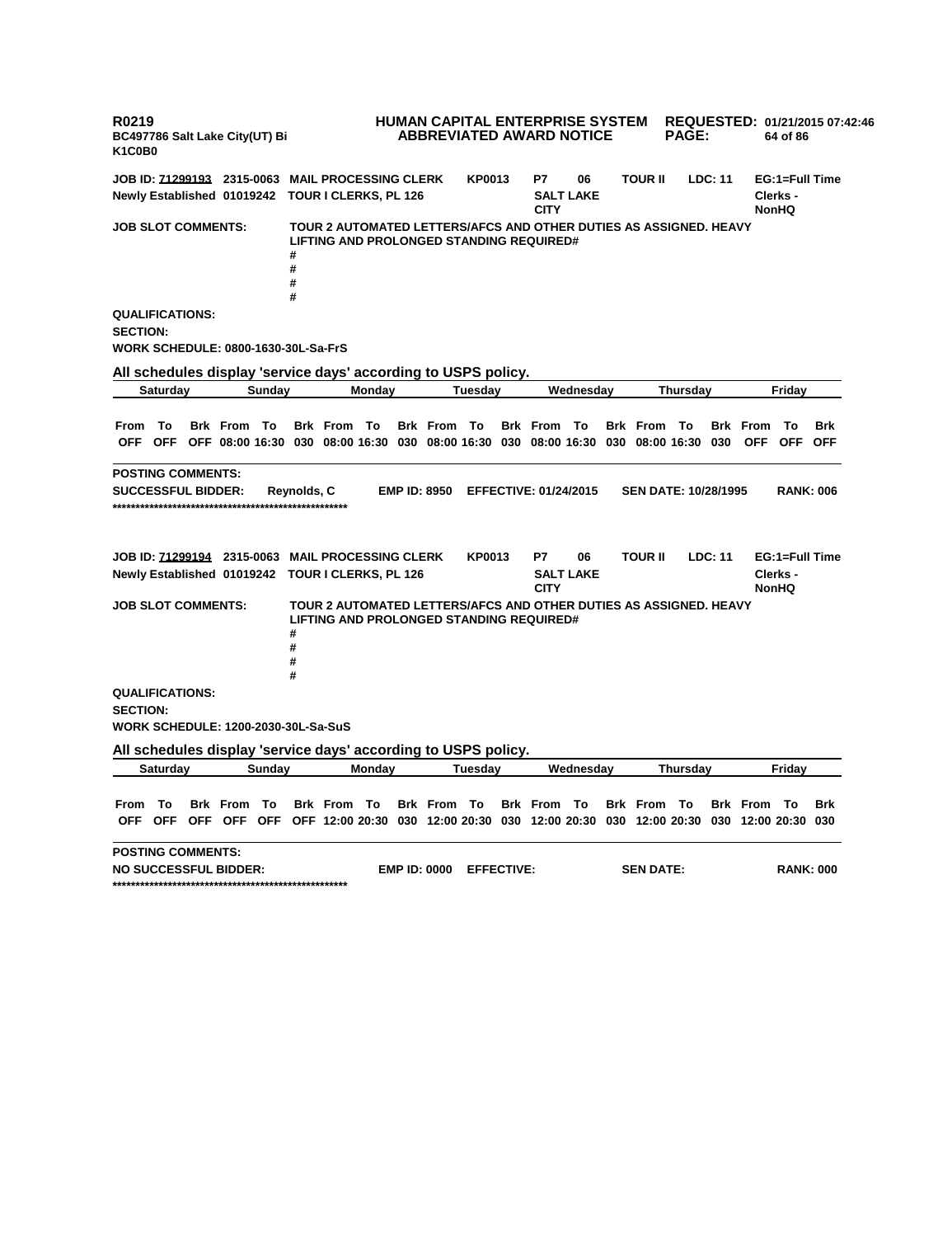**R0219 BC497786 Salt Lake City(UT) Bi K1C0B0 HUMAN CAPITAL ENTERPRISE SYSTEM REQUESTED: 01/21/2015 07:42:46 ABBREVIATED AWARD NOTICE PAGE: 64 of 86 JOB ID: 71299193 2315-0063 MAIL PROCESSING CLERK KP0013 P7 06 TOUR II LDC: 11 EG:1=Full Time Newly Established 01019242 TOUR I CLERKS, PL 126 SALT LAKE CITY Clerks - NonHQ JOB SLOT COMMENTS: TOUR 2 AUTOMATED LETTERS/AFCS AND OTHER DUTIES AS ASSIGNED. HEAVY LIFTING AND PROLONGED STANDING REQUIRED# # # # # QUALIFICATIONS: SECTION: WORK SCHEDULE: 0800-1630-30L-Sa-FrS All schedules display 'service days' according to USPS policy. Saturday Sunday Monday Tuesday Wednesday Thursday Friday** From To Brk From To Brk From To Brk From To Brk From To Brk From To Brk From To Brk OFF OFF OFF 08:00 16:30 030 08:00 16:30 030 08:00 16:30 030 08:00 16:30 030 08:00 16:30 030 OFF OFF OFF **POSTING COMMENTS: SUCCESSFUL BIDDER: Reynolds, C EMP ID: 8950 EFFECTIVE: 01/24/2015 SEN DATE: 10/28/1995 RANK: 006 \*\*\*\*\*\*\*\*\*\*\*\*\*\*\*\*\*\*\*\*\*\*\*\*\*\*\*\*\*\*\*\*\*\*\*\*\*\*\*\*\*\*\*\*\*\*\*\*\*\*\* JOB ID: 71299194 2315-0063 MAIL PROCESSING CLERK KP0013 P7 06 TOUR II LDC: 11 EG:1=Full Time Newly Established 01019242 TOUR I CLERKS, PL 126 SALT LAKE CITY Clerks - NonHQ JOB SLOT COMMENTS: TOUR 2 AUTOMATED LETTERS/AFCS AND OTHER DUTIES AS ASSIGNED. HEAVY LIFTING AND PROLONGED STANDING REQUIRED# # # # # QUALIFICATIONS: SECTION: WORK SCHEDULE: 1200-2030-30L-Sa-SuS All schedules display 'service days' according to USPS policy. Saturday Sunday Monday Tuesday Wednesday Thursday Friday** From To Brk From To Brk From To Brk From To Brk From To Brk From To Brk From To Brk OFF OFF OFF OFF OFF OFF 12:00 20:30 030 12:00 20:30 030 12:00 20:30 030 12:00 20:30 030 12:00 20:30 030 **POSTING COMMENTS: NO SUCCESSFUL BIDDER: EMP ID: 0000 EFFECTIVE: SEN DATE: RANK: 000 \*\*\*\*\*\*\*\*\*\*\*\*\*\*\*\*\*\*\*\*\*\*\*\*\*\*\*\*\*\*\*\*\*\*\*\*\*\*\*\*\*\*\*\*\*\*\*\*\*\*\***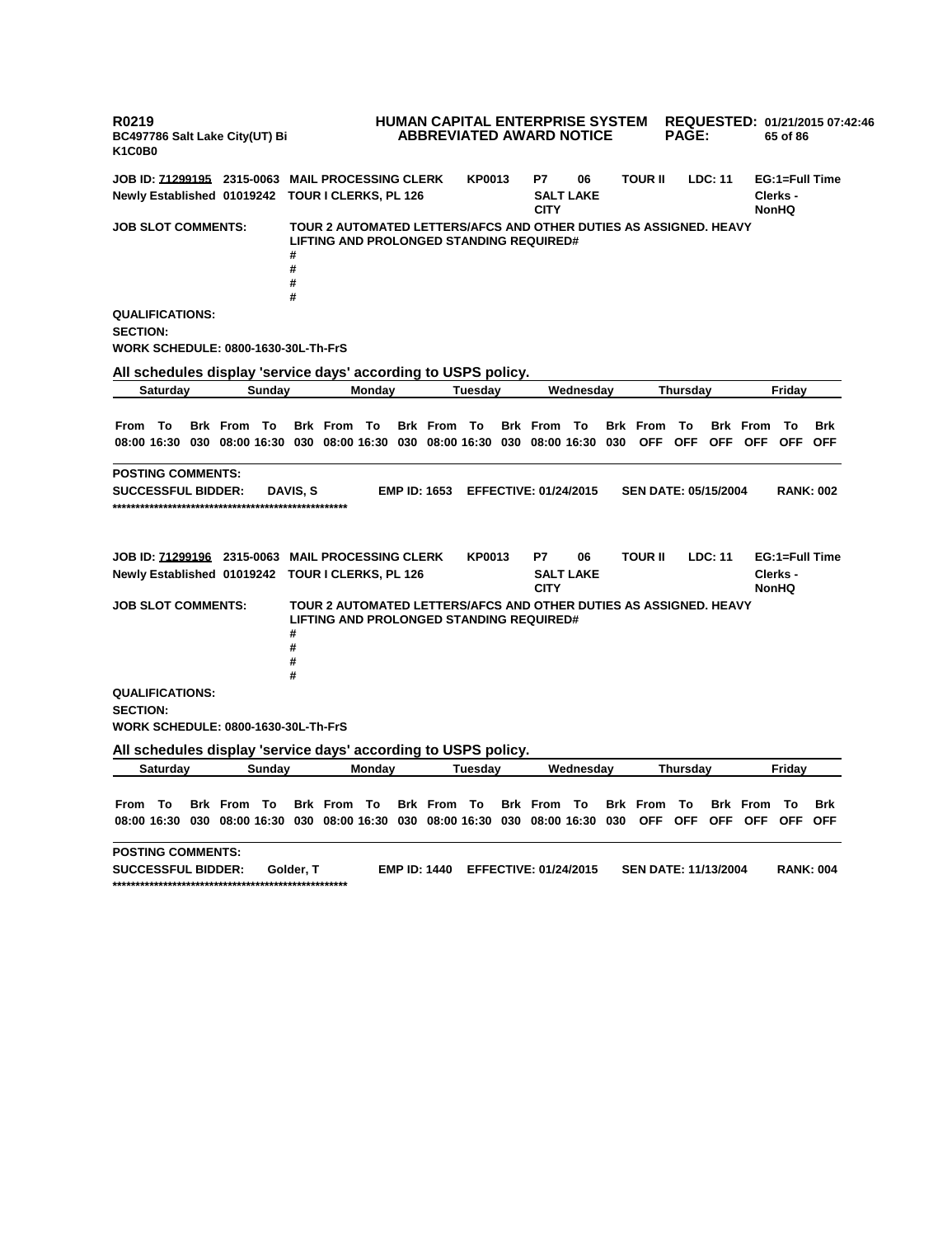**R0219 BC497786 Salt Lake City(UT) Bi K1C0B0 HUMAN CAPITAL ENTERPRISE SYSTEM REQUESTED: 01/21/2015 07:42:46 ABBREVIATED AWARD NOTICE PAGE: 65 of 86 JOB ID: 71299195 2315-0063 MAIL PROCESSING CLERK KP0013 P7 06 TOUR II LDC: 11 EG:1=Full Time Newly Established 01019242 TOUR I CLERKS, PL 126 SALT LAKE CITY Clerks - NonHQ JOB SLOT COMMENTS: TOUR 2 AUTOMATED LETTERS/AFCS AND OTHER DUTIES AS ASSIGNED. HEAVY LIFTING AND PROLONGED STANDING REQUIRED# # # # # QUALIFICATIONS: SECTION: WORK SCHEDULE: 0800-1630-30L-Th-FrS All schedules display 'service days' according to USPS policy. Saturday Sunday Monday Tuesday Wednesday Thursday Friday** From To Brk From To Brk From To Brk From To Brk From To Brk From To Brk From To Brk 08:00 16:30 030 08:00 16:30 030 08:00 16:30 030 08:00 16:30 030 08:00 16:30 030 OFF OFF OFF OFF OFF OFF **POSTING COMMENTS: SUCCESSFUL BIDDER: DAVIS, S EMP ID: 1653 EFFECTIVE: 01/24/2015 SEN DATE: 05/15/2004 RANK: 002 \*\*\*\*\*\*\*\*\*\*\*\*\*\*\*\*\*\*\*\*\*\*\*\*\*\*\*\*\*\*\*\*\*\*\*\*\*\*\*\*\*\*\*\*\*\*\*\*\*\*\* JOB ID: 71299196 2315-0063 MAIL PROCESSING CLERK KP0013 P7 06 TOUR II LDC: 11 EG:1=Full Time Newly Established 01019242 TOUR I CLERKS, PL 126 SALT LAKE CITY Clerks - NonHQ JOB SLOT COMMENTS: TOUR 2 AUTOMATED LETTERS/AFCS AND OTHER DUTIES AS ASSIGNED. HEAVY LIFTING AND PROLONGED STANDING REQUIRED# # # # # QUALIFICATIONS: SECTION: WORK SCHEDULE: 0800-1630-30L-Th-FrS All schedules display 'service days' according to USPS policy. Saturday Sunday Monday Tuesday Wednesday Thursday Friday** From To Brk From To Brk From To Brk From To Brk From To Brk From To Brk From To Brk 08:00 16:30 030 08:00 16:30 030 08:00 16:30 030 08:00 16:30 030 08:00 16:30 030 OFF OFF OFF OFF OFF OFF **POSTING COMMENTS: SUCCESSFUL BIDDER: Golder, T EMP ID: 1440 EFFECTIVE: 01/24/2015 SEN DATE: 11/13/2004 RANK: 004 \*\*\*\*\*\*\*\*\*\*\*\*\*\*\*\*\*\*\*\*\*\*\*\*\*\*\*\*\*\*\*\*\*\*\*\*\*\*\*\*\*\*\*\*\*\*\*\*\*\*\***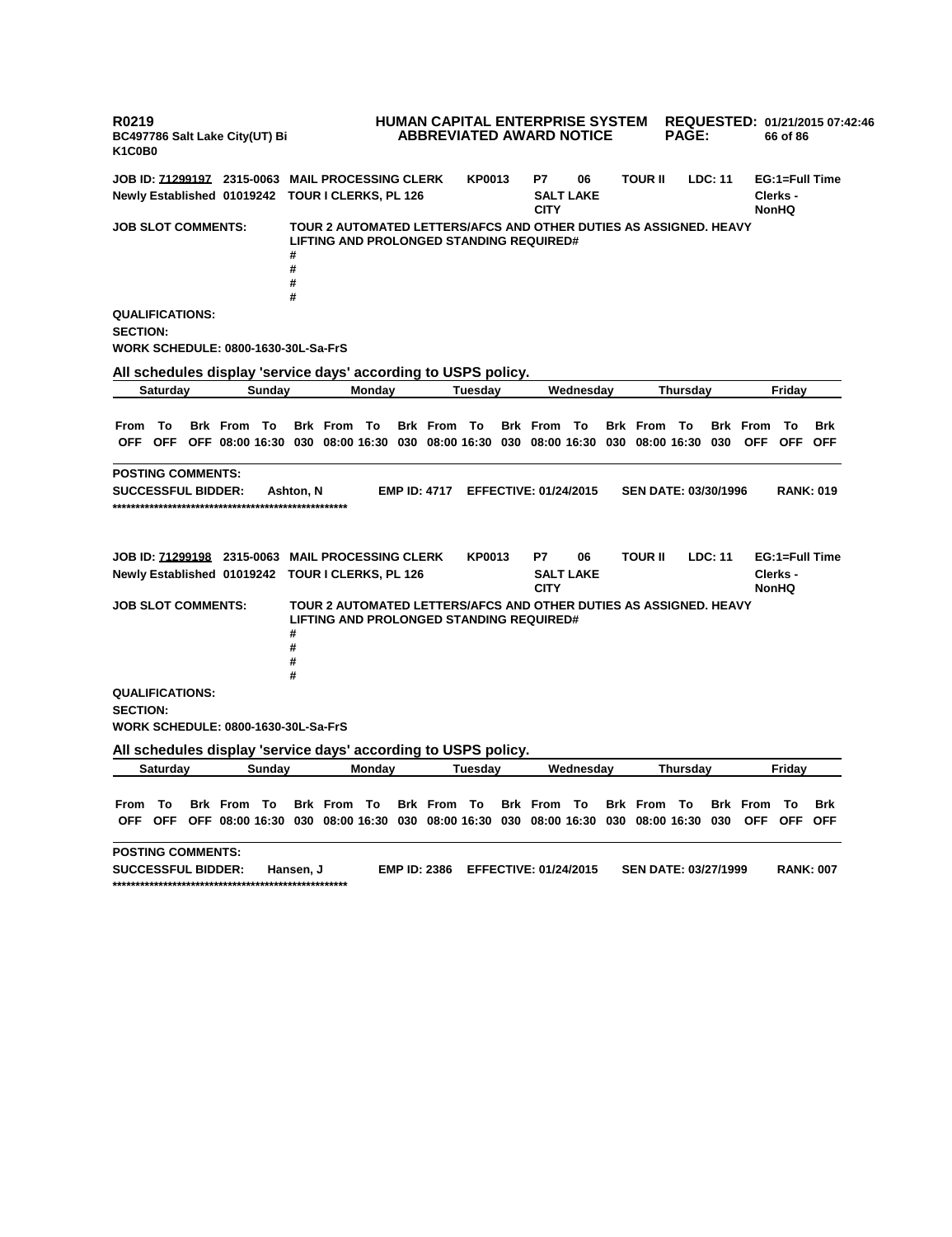**R0219 BC497786 Salt Lake City(UT) Bi K1C0B0 HUMAN CAPITAL ENTERPRISE SYSTEM ABBREVIATED AWARD NOTICE REQUESTED: 01/21/2015 07:42:46 PAGE: 66 of 86 JOB ID: 71299197 2315-0063 MAIL PROCESSING CLERK KP0013 P7 06 TOUR II LDC: 11 EG:1=Full Time Newly Established 01019242 TOUR I CLERKS, PL 126 SALT LAKE CITY Clerks - NonHQ JOB SLOT COMMENTS: TOUR 2 AUTOMATED LETTERS/AFCS AND OTHER DUTIES AS ASSIGNED. HEAVY LIFTING AND PROLONGED STANDING REQUIRED# # # # # QUALIFICATIONS: SECTION: WORK SCHEDULE: 0800-1630-30L-Sa-FrS All schedules display 'service days' according to USPS policy. Saturday Sunday Monday Tuesday Wednesday Thursday Friday** From To Brk From To Brk From To Brk From To Brk From To Brk From To Brk From To Brk OFF OFF OFF 08:00 16:30 030 08:00 16:30 030 08:00 16:30 030 08:00 16:30 030 08:00 16:30 030 OFF OFF OFF **POSTING COMMENTS: SUCCESSFUL BIDDER: Ashton, N EMP ID: 4717 EFFECTIVE: 01/24/2015 SEN DATE: 03/30/1996 RANK: 019 \*\*\*\*\*\*\*\*\*\*\*\*\*\*\*\*\*\*\*\*\*\*\*\*\*\*\*\*\*\*\*\*\*\*\*\*\*\*\*\*\*\*\*\*\*\*\*\*\*\*\* JOB ID: 71299198 2315-0063 MAIL PROCESSING CLERK KP0013 P7 06 TOUR II LDC: 11 EG:1=Full Time Newly Established 01019242 TOUR I CLERKS, PL 126 SALT LAKE CITY Clerks - NonHQ JOB SLOT COMMENTS: TOUR 2 AUTOMATED LETTERS/AFCS AND OTHER DUTIES AS ASSIGNED. HEAVY LIFTING AND PROLONGED STANDING REQUIRED# # # # # QUALIFICATIONS: SECTION: WORK SCHEDULE: 0800-1630-30L-Sa-FrS All schedules display 'service days' according to USPS policy. Saturday Sunday Monday Tuesday Wednesday Thursday Friday** From To Brk From To Brk From To Brk From To Brk From To Brk From To Brk From To Brk OFF OFF OFF 08:00 16:30 030 08:00 16:30 030 08:00 16:30 030 08:00 16:30 030 08:00 16:30 030 OFF OFF OFF **POSTING COMMENTS: SUCCESSFUL BIDDER: Hansen, J EMP ID: 2386 EFFECTIVE: 01/24/2015 SEN DATE: 03/27/1999 RANK: 007 \*\*\*\*\*\*\*\*\*\*\*\*\*\*\*\*\*\*\*\*\*\*\*\*\*\*\*\*\*\*\*\*\*\*\*\*\*\*\*\*\*\*\*\*\*\*\*\*\*\*\***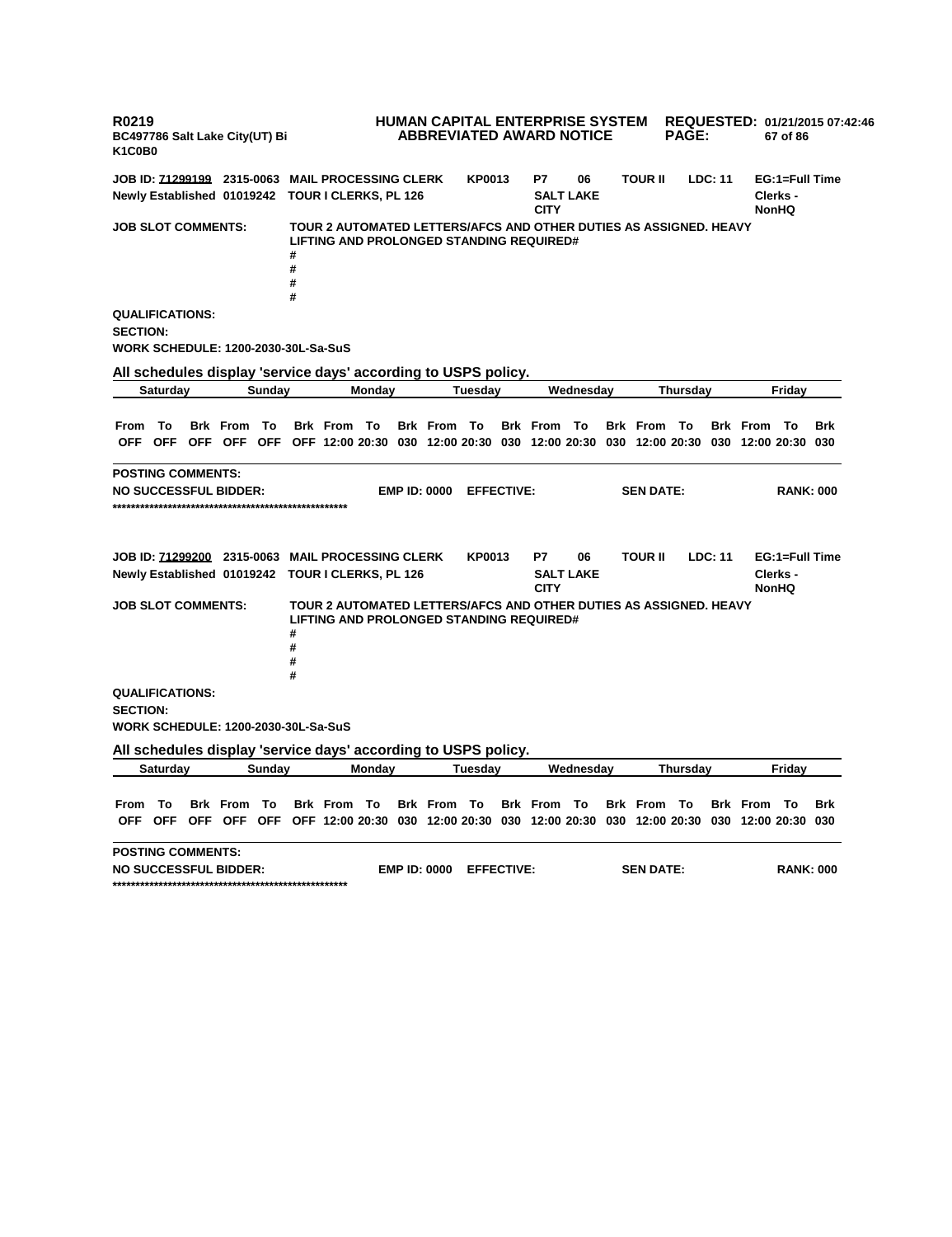**R0219 BC497786 Salt Lake City(UT) Bi K1C0B0 HUMAN CAPITAL ENTERPRISE SYSTEM REQUESTED: 01/21/2015 07:42:46 ABBREVIATED AWARD NOTICE PAGE: 67 of 86 JOB ID: 71299199 2315-0063 MAIL PROCESSING CLERK KP0013 P7 06 TOUR II LDC: 11 EG:1=Full Time Newly Established 01019242 TOUR I CLERKS, PL 126 SALT LAKE CITY Clerks - NonHQ JOB SLOT COMMENTS: TOUR 2 AUTOMATED LETTERS/AFCS AND OTHER DUTIES AS ASSIGNED. HEAVY LIFTING AND PROLONGED STANDING REQUIRED# # # # # QUALIFICATIONS: SECTION: WORK SCHEDULE: 1200-2030-30L-Sa-SuS All schedules display 'service days' according to USPS policy. Saturday Sunday Monday Tuesday Wednesday Thursday Friday** From To Brk From To Brk From To Brk From To Brk From To Brk From To Brk From To Brk OFF OFF OFF OFF OFF OFF 12:00 20:30 030 12:00 20:30 030 12:00 20:30 030 12:00 20:30 030 12:00 20:30 030 **POSTING COMMENTS: NO SUCCESSFUL BIDDER: EMP ID: 0000 EFFECTIVE: SEN DATE: RANK: 000 \*\*\*\*\*\*\*\*\*\*\*\*\*\*\*\*\*\*\*\*\*\*\*\*\*\*\*\*\*\*\*\*\*\*\*\*\*\*\*\*\*\*\*\*\*\*\*\*\*\*\* JOB ID: 71299200 2315-0063 MAIL PROCESSING CLERK KP0013 P7 06 TOUR II LDC: 11 EG:1=Full Time Newly Established 01019242 TOUR I CLERKS, PL 126 SALT LAKE CITY Clerks - NonHQ JOB SLOT COMMENTS: TOUR 2 AUTOMATED LETTERS/AFCS AND OTHER DUTIES AS ASSIGNED. HEAVY LIFTING AND PROLONGED STANDING REQUIRED# # # # # QUALIFICATIONS: SECTION: WORK SCHEDULE: 1200-2030-30L-Sa-SuS All schedules display 'service days' according to USPS policy. Saturday Sunday Monday Tuesday Wednesday Thursday Friday** From To Brk From To Brk From To Brk From To Brk From To Brk From To Brk From To Brk OFF OFF OFF OFF OFF OFF 12:00 20:30 030 12:00 20:30 030 12:00 20:30 030 12:00 20:30 030 12:00 20:30 030 **POSTING COMMENTS: NO SUCCESSFUL BIDDER: EMP ID: 0000 EFFECTIVE: SEN DATE: RANK: 000 \*\*\*\*\*\*\*\*\*\*\*\*\*\*\*\*\*\*\*\*\*\*\*\*\*\*\*\*\*\*\*\*\*\*\*\*\*\*\*\*\*\*\*\*\*\*\*\*\*\*\***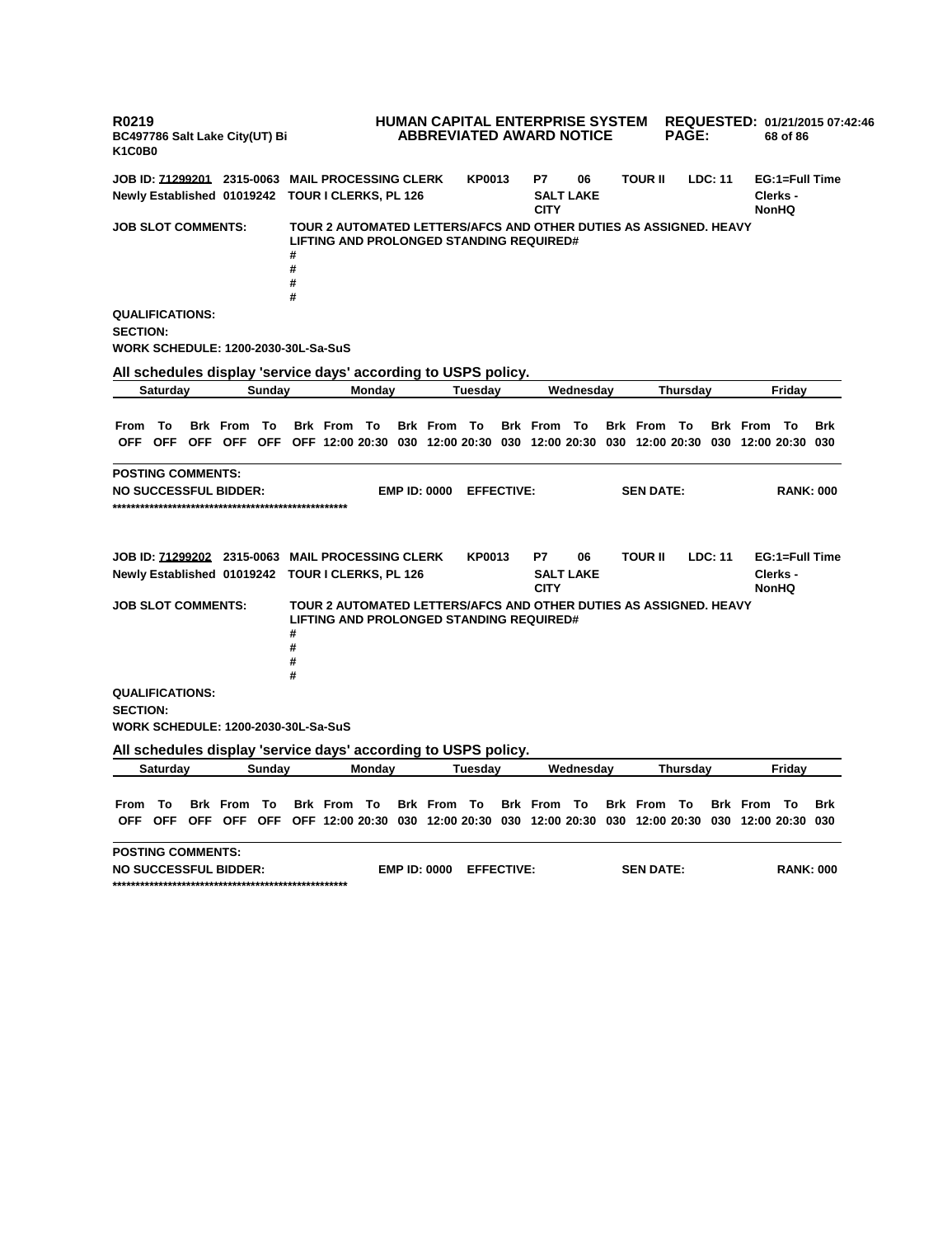**R0219 BC497786 Salt Lake City(UT) Bi K1C0B0 HUMAN CAPITAL ENTERPRISE SYSTEM REQUESTED: 01/21/2015 07:42:46 ABBREVIATED AWARD NOTICE PAGE: 68 of 86 JOB ID: 71299201 2315-0063 MAIL PROCESSING CLERK KP0013 P7 06 TOUR II LDC: 11 EG:1=Full Time Newly Established 01019242 TOUR I CLERKS, PL 126 SALT LAKE CITY Clerks - NonHQ JOB SLOT COMMENTS: TOUR 2 AUTOMATED LETTERS/AFCS AND OTHER DUTIES AS ASSIGNED. HEAVY LIFTING AND PROLONGED STANDING REQUIRED# # # # # QUALIFICATIONS: SECTION: WORK SCHEDULE: 1200-2030-30L-Sa-SuS All schedules display 'service days' according to USPS policy. Saturday Sunday Monday Tuesday Wednesday Thursday Friday** From To Brk From To Brk From To Brk From To Brk From To Brk From To Brk From To Brk OFF OFF OFF OFF OFF OFF 12:00 20:30 030 12:00 20:30 030 12:00 20:30 030 12:00 20:30 030 12:00 20:30 030 **POSTING COMMENTS: NO SUCCESSFUL BIDDER: EMP ID: 0000 EFFECTIVE: SEN DATE: RANK: 000 \*\*\*\*\*\*\*\*\*\*\*\*\*\*\*\*\*\*\*\*\*\*\*\*\*\*\*\*\*\*\*\*\*\*\*\*\*\*\*\*\*\*\*\*\*\*\*\*\*\*\* JOB ID: 71299202 2315-0063 MAIL PROCESSING CLERK KP0013 P7 06 TOUR II LDC: 11 EG:1=Full Time Newly Established 01019242 TOUR I CLERKS, PL 126 SALT LAKE CITY Clerks - NonHQ JOB SLOT COMMENTS: TOUR 2 AUTOMATED LETTERS/AFCS AND OTHER DUTIES AS ASSIGNED. HEAVY LIFTING AND PROLONGED STANDING REQUIRED# # # # # QUALIFICATIONS: SECTION: WORK SCHEDULE: 1200-2030-30L-Sa-SuS All schedules display 'service days' according to USPS policy. Saturday Sunday Monday Tuesday Wednesday Thursday Friday** From To Brk From To Brk From To Brk From To Brk From To Brk From To Brk From To Brk OFF OFF OFF OFF OFF OFF 12:00 20:30 030 12:00 20:30 030 12:00 20:30 030 12:00 20:30 030 12:00 20:30 030 **POSTING COMMENTS: NO SUCCESSFUL BIDDER: EMP ID: 0000 EFFECTIVE: SEN DATE: RANK: 000 \*\*\*\*\*\*\*\*\*\*\*\*\*\*\*\*\*\*\*\*\*\*\*\*\*\*\*\*\*\*\*\*\*\*\*\*\*\*\*\*\*\*\*\*\*\*\*\*\*\*\***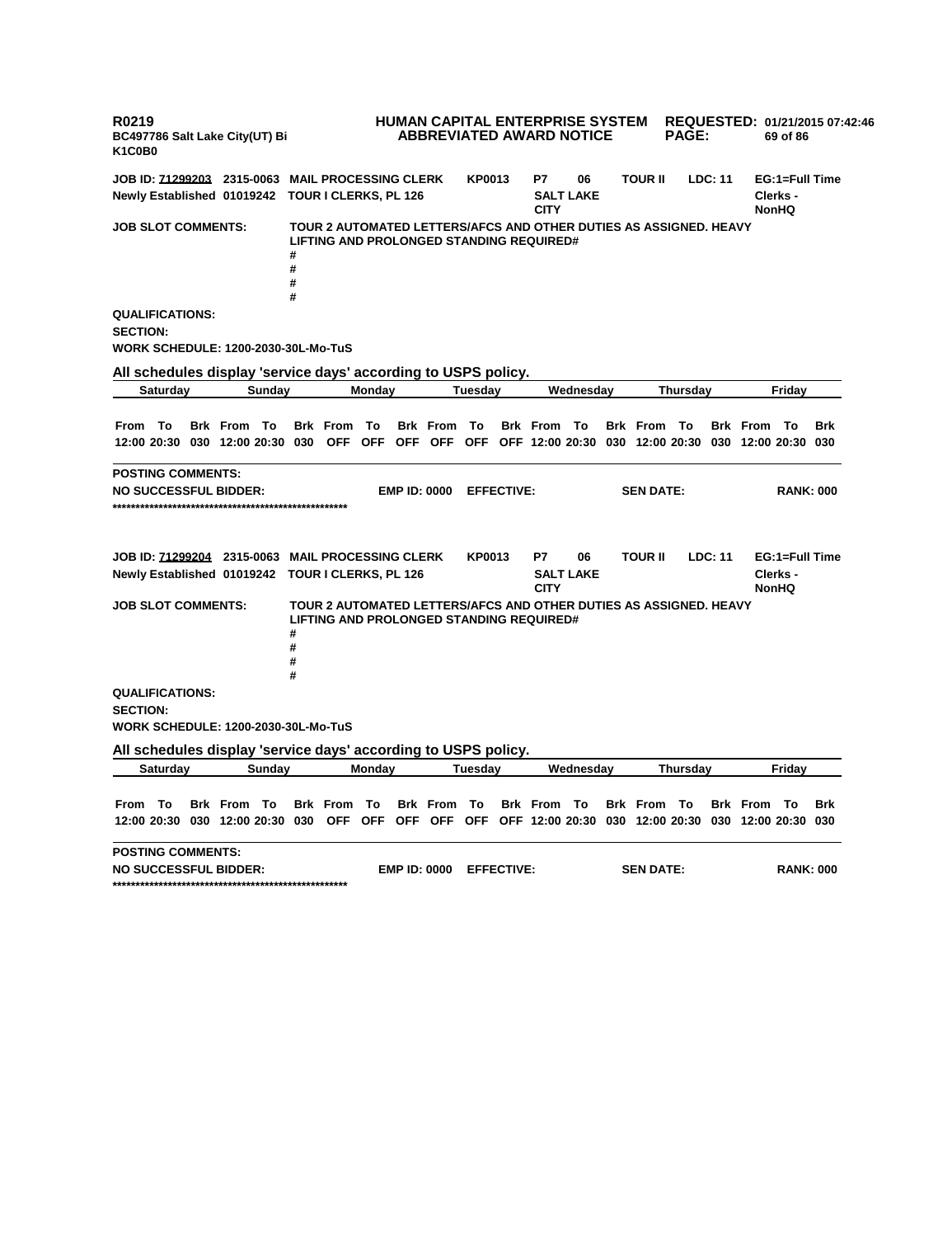**R0219 BC497786 Salt Lake City(UT) Bi K1C0B0 HUMAN CAPITAL ENTERPRISE SYSTEM REQUESTED: 01/21/2015 07:42:46 ABBREVIATED AWARD NOTICE PAGE: 69 of 86 JOB ID: 71299203 2315-0063 MAIL PROCESSING CLERK KP0013 P7 06 TOUR II LDC: 11 EG:1=Full Time Newly Established 01019242 TOUR I CLERKS, PL 126 SALT LAKE CITY Clerks - NonHQ JOB SLOT COMMENTS: TOUR 2 AUTOMATED LETTERS/AFCS AND OTHER DUTIES AS ASSIGNED. HEAVY LIFTING AND PROLONGED STANDING REQUIRED# # # # # QUALIFICATIONS: SECTION: WORK SCHEDULE: 1200-2030-30L-Mo-TuS All schedules display 'service days' according to USPS policy. Saturday Sunday Monday Tuesday Wednesday Thursday Friday** From To Brk From To Brk From To Brk From To Brk From To Brk From To Brk From To Brk 12:00 20:30 030 12:00 20:30 030 OFF OFF OFF OFF OFF OFF 12:00 20:30 030 12:00 20:30 030 12:00 20:30 030 **POSTING COMMENTS: NO SUCCESSFUL BIDDER: EMP ID: 0000 EFFECTIVE: SEN DATE: RANK: 000 \*\*\*\*\*\*\*\*\*\*\*\*\*\*\*\*\*\*\*\*\*\*\*\*\*\*\*\*\*\*\*\*\*\*\*\*\*\*\*\*\*\*\*\*\*\*\*\*\*\*\* JOB ID: 71299204 2315-0063 MAIL PROCESSING CLERK KP0013 P7 06 TOUR II LDC: 11 EG:1=Full Time Newly Established 01019242 TOUR I CLERKS, PL 126 SALT LAKE CITY Clerks - NonHQ JOB SLOT COMMENTS: TOUR 2 AUTOMATED LETTERS/AFCS AND OTHER DUTIES AS ASSIGNED. HEAVY LIFTING AND PROLONGED STANDING REQUIRED# # # # # QUALIFICATIONS: SECTION: WORK SCHEDULE: 1200-2030-30L-Mo-TuS All schedules display 'service days' according to USPS policy. Saturday Sunday Monday Tuesday Wednesday Thursday Friday** From To Brk From To Brk From To Brk From To Brk From To Brk From To Brk From To Brk 12:00 20:30 030 12:00 20:30 030 OFF OFF OFF OFF OFF OFF 12:00 20:30 030 12:00 20:30 030 12:00 20:30 030 **POSTING COMMENTS: NO SUCCESSFUL BIDDER: EMP ID: 0000 EFFECTIVE: SEN DATE: RANK: 000 \*\*\*\*\*\*\*\*\*\*\*\*\*\*\*\*\*\*\*\*\*\*\*\*\*\*\*\*\*\*\*\*\*\*\*\*\*\*\*\*\*\*\*\*\*\*\*\*\*\*\***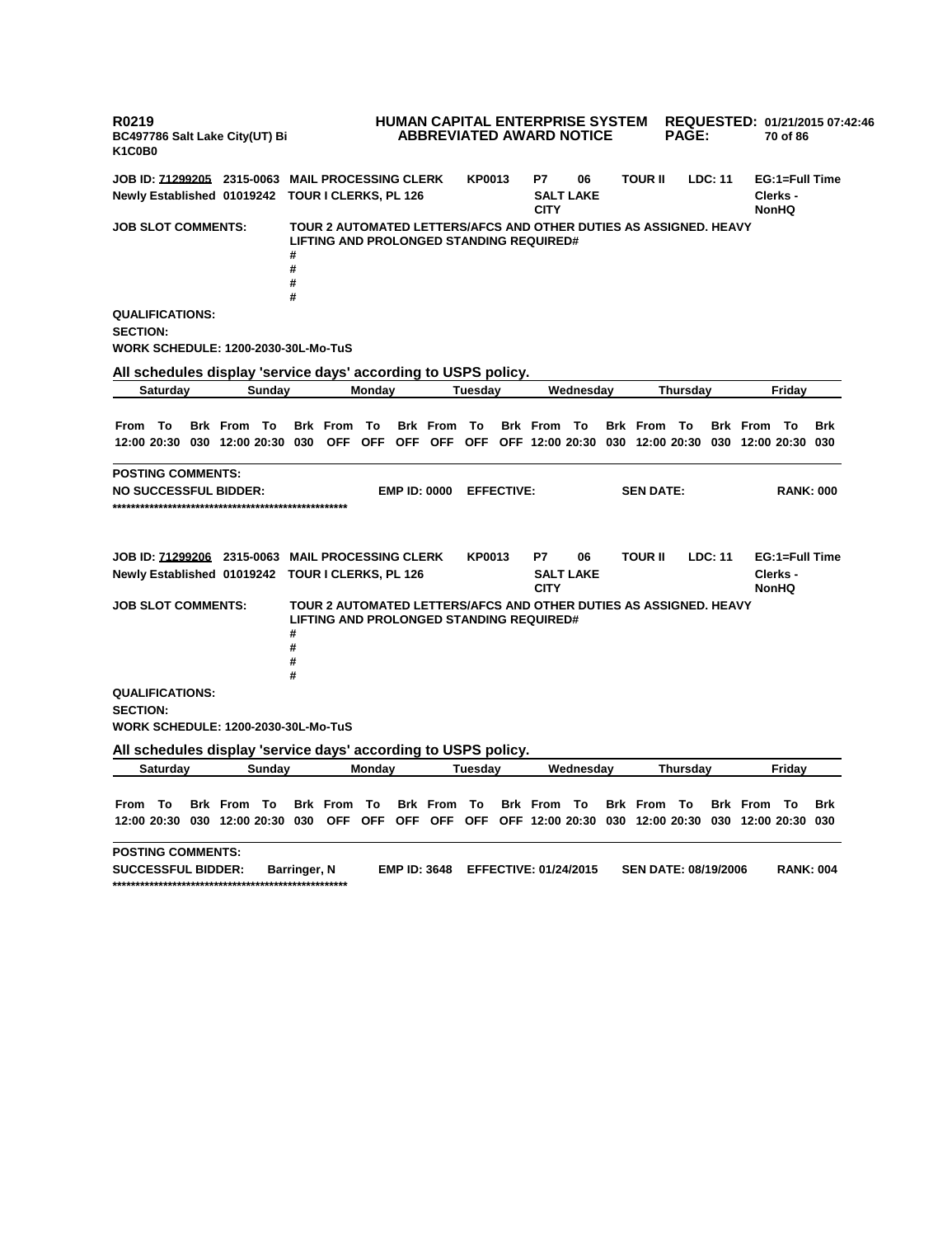**R0219 BC497786 Salt Lake City(UT) Bi K1C0B0 HUMAN CAPITAL ENTERPRISE SYSTEM ABBREVIATED AWARD NOTICE REQUESTED: 01/21/2015 07:42:46 PAGE: 70 of 86 JOB ID: 71299205 2315-0063 MAIL PROCESSING CLERK KP0013 P7 06 TOUR II LDC: 11 EG:1=Full Time Newly Established 01019242 TOUR I CLERKS, PL 126 SALT LAKE CITY Clerks - NonHQ JOB SLOT COMMENTS: TOUR 2 AUTOMATED LETTERS/AFCS AND OTHER DUTIES AS ASSIGNED. HEAVY LIFTING AND PROLONGED STANDING REQUIRED# # # # # QUALIFICATIONS: SECTION: WORK SCHEDULE: 1200-2030-30L-Mo-TuS All schedules display 'service days' according to USPS policy. Saturday Sunday Monday Tuesday Wednesday Thursday Friday** From To Brk From To Brk From To Brk From To Brk From To Brk From To Brk From To Brk 12:00 20:30 030 12:00 20:30 030 OFF OFF OFF OFF OFF OFF 12:00 20:30 030 12:00 20:30 030 12:00 20:30 030 **POSTING COMMENTS: NO SUCCESSFUL BIDDER: EMP ID: 0000 EFFECTIVE: SEN DATE: RANK: 000 \*\*\*\*\*\*\*\*\*\*\*\*\*\*\*\*\*\*\*\*\*\*\*\*\*\*\*\*\*\*\*\*\*\*\*\*\*\*\*\*\*\*\*\*\*\*\*\*\*\*\* JOB ID: 71299206 2315-0063 MAIL PROCESSING CLERK KP0013 P7 06 TOUR II LDC: 11 EG:1=Full Time Newly Established 01019242 TOUR I CLERKS, PL 126 SALT LAKE CITY Clerks - NonHQ JOB SLOT COMMENTS: TOUR 2 AUTOMATED LETTERS/AFCS AND OTHER DUTIES AS ASSIGNED. HEAVY LIFTING AND PROLONGED STANDING REQUIRED# # # # # QUALIFICATIONS: SECTION: WORK SCHEDULE: 1200-2030-30L-Mo-TuS All schedules display 'service days' according to USPS policy. Saturday Sunday Monday Tuesday Wednesday Thursday Friday** From To Brk From To Brk From To Brk From To Brk From To Brk From To Brk From To Brk 12:00 20:30 030 12:00 20:30 030 OFF OFF OFF OFF OFF OFF 12:00 20:30 030 12:00 20:30 030 12:00 20:30 030 **POSTING COMMENTS: SUCCESSFUL BIDDER: Barringer, N EMP ID: 3648 EFFECTIVE: 01/24/2015 SEN DATE: 08/19/2006 RANK: 004 \*\*\*\*\*\*\*\*\*\*\*\*\*\*\*\*\*\*\*\*\*\*\*\*\*\*\*\*\*\*\*\*\*\*\*\*\*\*\*\*\*\*\*\*\*\*\*\*\*\*\***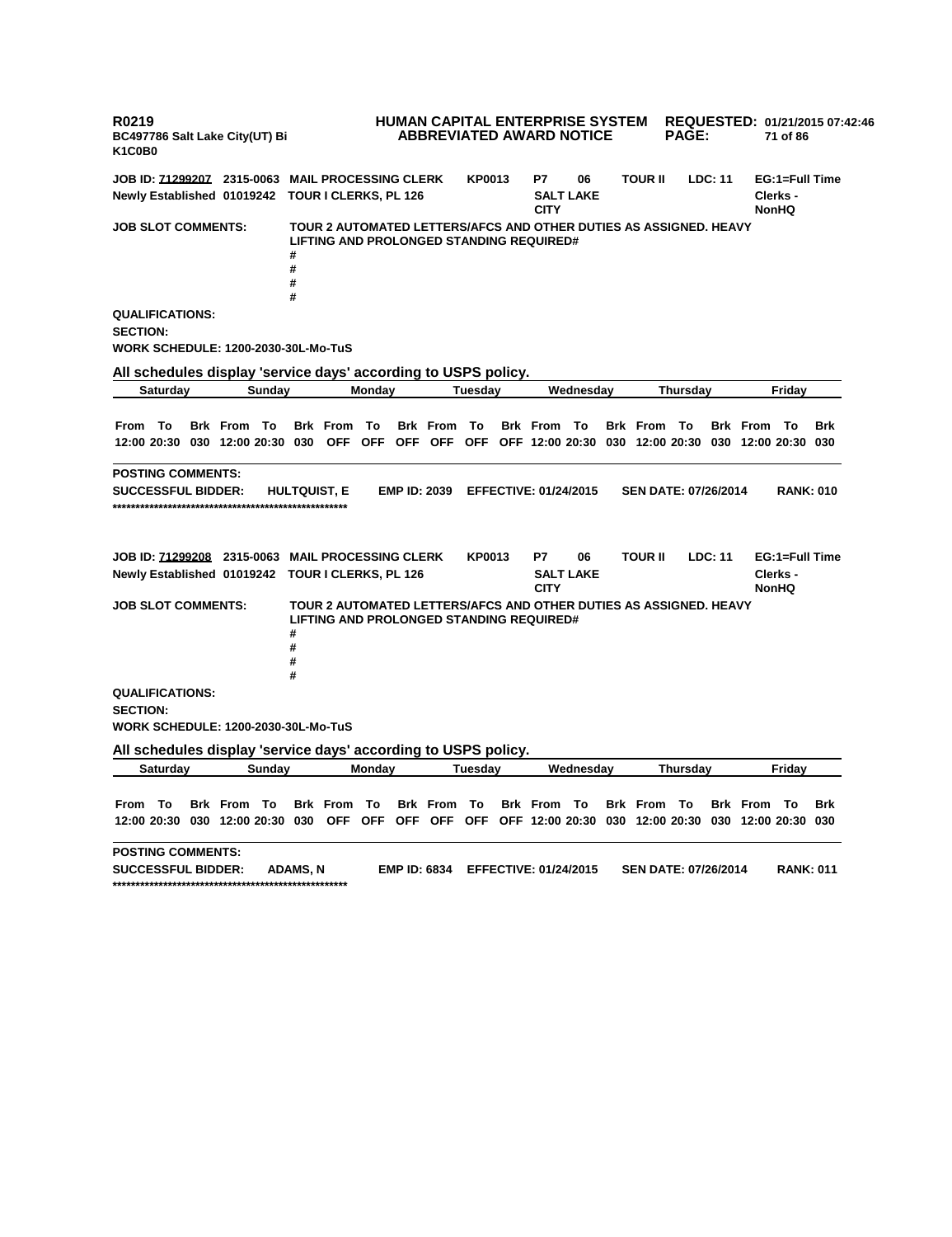**R0219 BC497786 Salt Lake City(UT) Bi K1C0B0 HUMAN CAPITAL ENTERPRISE SYSTEM ABBREVIATED AWARD NOTICE REQUESTED: 01/21/2015 07:42:46 PAGE: 71 of 86 JOB ID: 71299207 2315-0063 MAIL PROCESSING CLERK KP0013 P7 06 TOUR II LDC: 11 EG:1=Full Time Newly Established 01019242 TOUR I CLERKS, PL 126 SALT LAKE CITY Clerks - NonHQ JOB SLOT COMMENTS: TOUR 2 AUTOMATED LETTERS/AFCS AND OTHER DUTIES AS ASSIGNED. HEAVY LIFTING AND PROLONGED STANDING REQUIRED# # # # # QUALIFICATIONS: SECTION: WORK SCHEDULE: 1200-2030-30L-Mo-TuS All schedules display 'service days' according to USPS policy. Saturday Sunday Monday Tuesday Wednesday Thursday Friday** From To Brk From To Brk From To Brk From To Brk From To Brk From To Brk From To Brk 12:00 20:30 030 12:00 20:30 030 OFF OFF OFF OFF OFF OFF 12:00 20:30 030 12:00 20:30 030 12:00 20:30 030 **POSTING COMMENTS: SUCCESSFUL BIDDER: HULTQUIST, E EMP ID: 2039 EFFECTIVE: 01/24/2015 SEN DATE: 07/26/2014 RANK: 010 \*\*\*\*\*\*\*\*\*\*\*\*\*\*\*\*\*\*\*\*\*\*\*\*\*\*\*\*\*\*\*\*\*\*\*\*\*\*\*\*\*\*\*\*\*\*\*\*\*\*\* JOB ID: 71299208 2315-0063 MAIL PROCESSING CLERK KP0013 P7 06 TOUR II LDC: 11 EG:1=Full Time Newly Established 01019242 TOUR I CLERKS, PL 126 SALT LAKE CITY Clerks - NonHQ JOB SLOT COMMENTS: TOUR 2 AUTOMATED LETTERS/AFCS AND OTHER DUTIES AS ASSIGNED. HEAVY LIFTING AND PROLONGED STANDING REQUIRED# # # # # QUALIFICATIONS: SECTION: WORK SCHEDULE: 1200-2030-30L-Mo-TuS All schedules display 'service days' according to USPS policy. Saturday Sunday Monday Tuesday Wednesday Thursday Friday** From To Brk From To Brk From To Brk From To Brk From To Brk From To Brk From To Brk 12:00 20:30 030 12:00 20:30 030 OFF OFF OFF OFF OFF OFF 12:00 20:30 030 12:00 20:30 030 12:00 20:30 030 **POSTING COMMENTS: SUCCESSFUL BIDDER: ADAMS, N EMP ID: 6834 EFFECTIVE: 01/24/2015 SEN DATE: 07/26/2014 RANK: 011 \*\*\*\*\*\*\*\*\*\*\*\*\*\*\*\*\*\*\*\*\*\*\*\*\*\*\*\*\*\*\*\*\*\*\*\*\*\*\*\*\*\*\*\*\*\*\*\*\*\*\***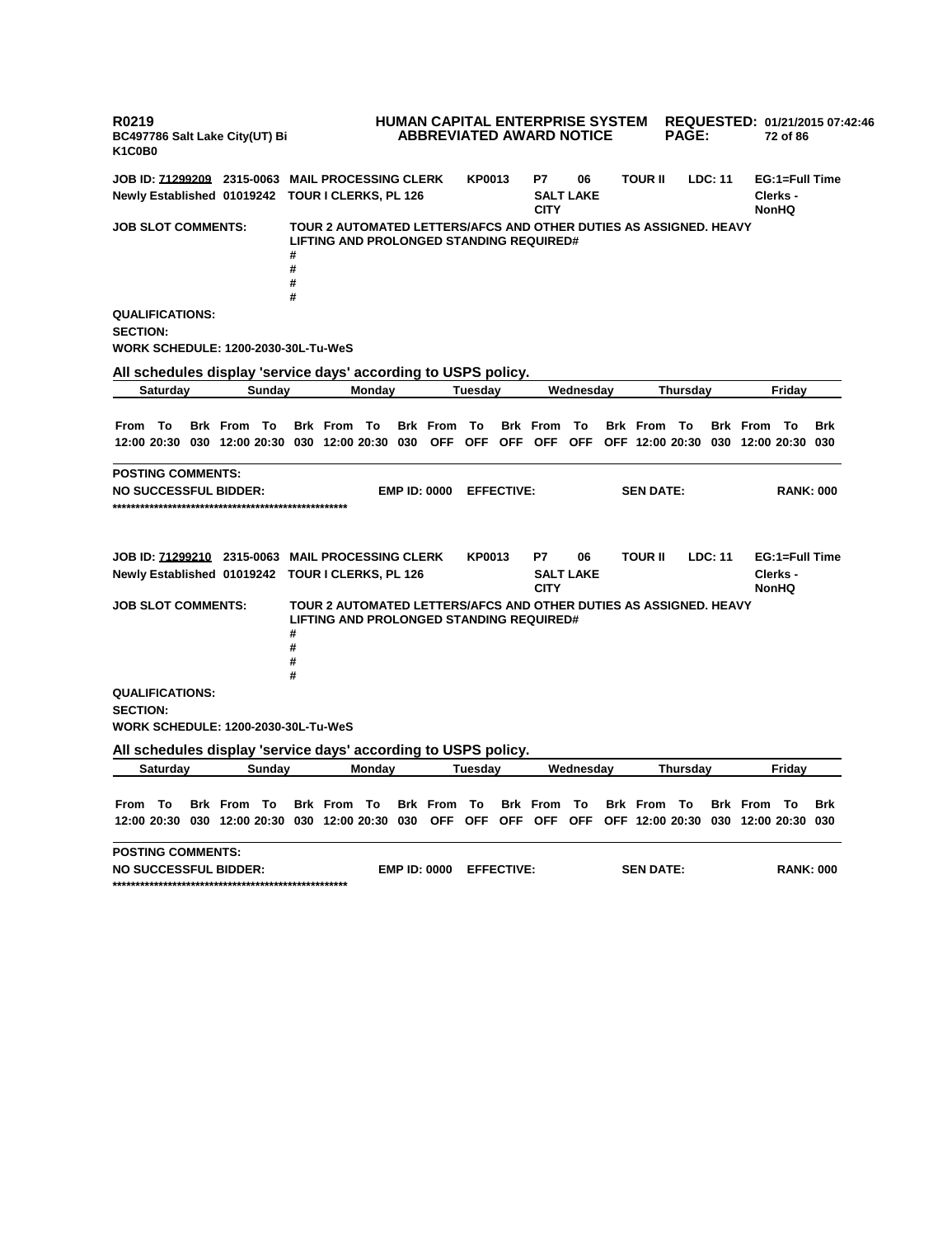**R0219 BC497786 Salt Lake City(UT) Bi K1C0B0 HUMAN CAPITAL ENTERPRISE SYSTEM REQUESTED: 01/21/2015 07:42:46 ABBREVIATED AWARD NOTICE PAGE: 72 of 86 JOB ID: 71299209 2315-0063 MAIL PROCESSING CLERK KP0013 P7 06 TOUR II LDC: 11 EG:1=Full Time Newly Established 01019242 TOUR I CLERKS, PL 126 SALT LAKE CITY Clerks - NonHQ JOB SLOT COMMENTS: TOUR 2 AUTOMATED LETTERS/AFCS AND OTHER DUTIES AS ASSIGNED. HEAVY LIFTING AND PROLONGED STANDING REQUIRED# # # # # QUALIFICATIONS: SECTION: WORK SCHEDULE: 1200-2030-30L-Tu-WeS All schedules display 'service days' according to USPS policy. Saturday Sunday Monday Tuesday Wednesday Thursday Friday** From To Brk From To Brk From To Brk From To Brk From To Brk From To Brk From To Brk 12:00 20:30 030 12:00 20:30 030 12:00 20:30 030 OFF OFF OFF OFF OFF OFF 12:00 20:30 030 12:00 20:30 030 **POSTING COMMENTS: NO SUCCESSFUL BIDDER: EMP ID: 0000 EFFECTIVE: SEN DATE: RANK: 000 \*\*\*\*\*\*\*\*\*\*\*\*\*\*\*\*\*\*\*\*\*\*\*\*\*\*\*\*\*\*\*\*\*\*\*\*\*\*\*\*\*\*\*\*\*\*\*\*\*\*\* JOB ID: 71299210 2315-0063 MAIL PROCESSING CLERK KP0013 P7 06 TOUR II LDC: 11 EG:1=Full Time Newly Established 01019242 TOUR I CLERKS, PL 126 SALT LAKE CITY Clerks - NonHQ JOB SLOT COMMENTS: TOUR 2 AUTOMATED LETTERS/AFCS AND OTHER DUTIES AS ASSIGNED. HEAVY LIFTING AND PROLONGED STANDING REQUIRED# # # # # QUALIFICATIONS: SECTION: WORK SCHEDULE: 1200-2030-30L-Tu-WeS All schedules display 'service days' according to USPS policy. Saturday Sunday Monday Tuesday Wednesday Thursday Friday** From To Brk From To Brk From To Brk From To Brk From To Brk From To Brk From To Brk 12:00 20:30 030 12:00 20:30 030 12:00 20:30 030 OFF OFF OFF OFF OFF OFF 12:00 20:30 030 12:00 20:30 030 **POSTING COMMENTS: NO SUCCESSFUL BIDDER: EMP ID: 0000 EFFECTIVE: SEN DATE: RANK: 000 \*\*\*\*\*\*\*\*\*\*\*\*\*\*\*\*\*\*\*\*\*\*\*\*\*\*\*\*\*\*\*\*\*\*\*\*\*\*\*\*\*\*\*\*\*\*\*\*\*\*\***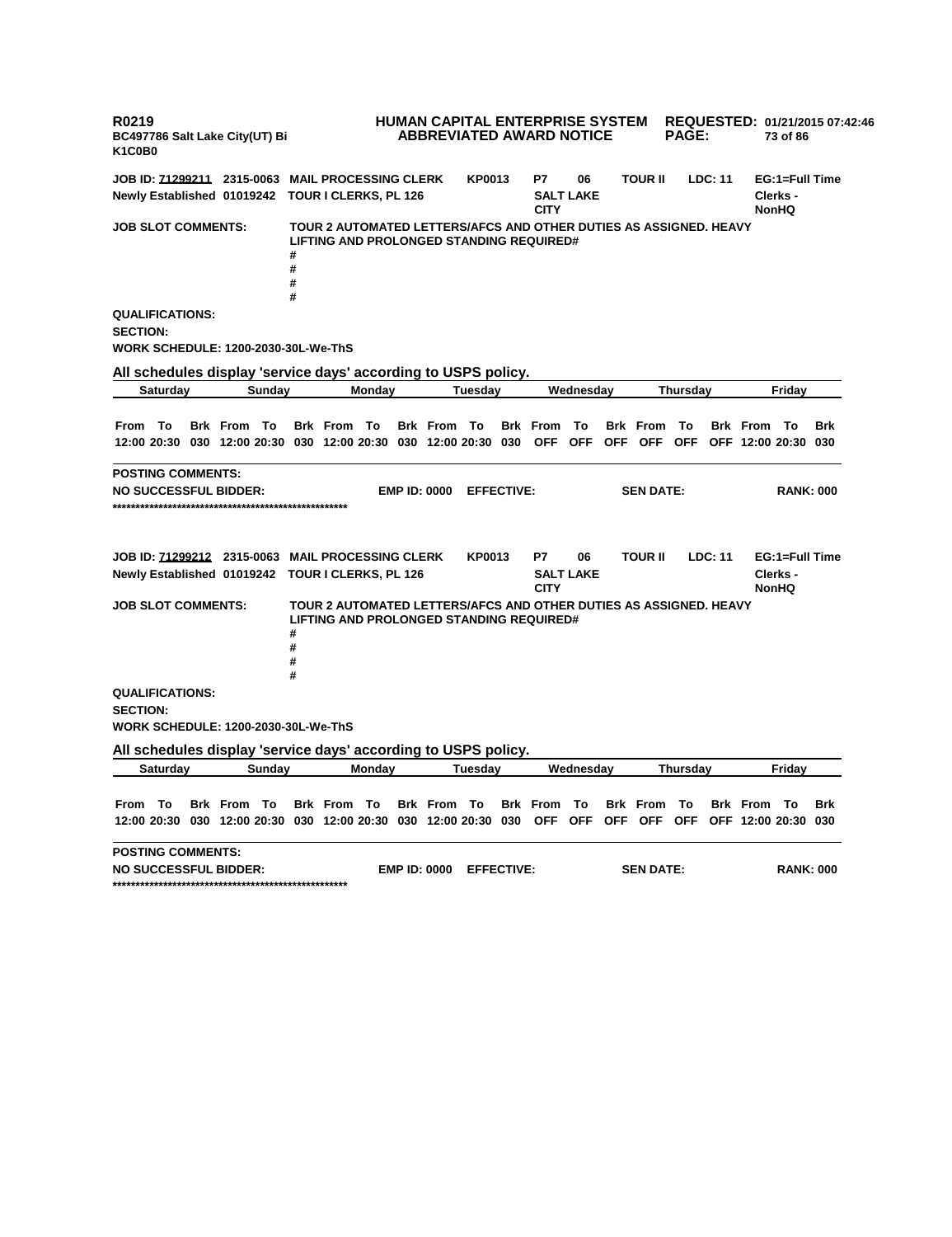**R0219 BC497786 Salt Lake City(UT) Bi K1C0B0 HUMAN CAPITAL ENTERPRISE SYSTEM REQUESTED: 01/21/2015 07:42:46 ABBREVIATED AWARD NOTICE PAGE: 73 of 86 JOB ID: 71299211 2315-0063 MAIL PROCESSING CLERK KP0013 P7 06 TOUR II LDC: 11 EG:1=Full Time Newly Established 01019242 TOUR I CLERKS, PL 126 SALT LAKE CITY Clerks - NonHQ JOB SLOT COMMENTS: TOUR 2 AUTOMATED LETTERS/AFCS AND OTHER DUTIES AS ASSIGNED. HEAVY LIFTING AND PROLONGED STANDING REQUIRED# # # # # QUALIFICATIONS: SECTION: WORK SCHEDULE: 1200-2030-30L-We-ThS All schedules display 'service days' according to USPS policy. Saturday Sunday Monday Tuesday Wednesday Thursday Friday** From To Brk From To Brk From To Brk From To Brk From To Brk From To Brk From To Brk 12:00 20:30 030 12:00 20:30 030 12:00 20:30 030 12:00 20:30 030 OFF OFF OFF OFF OFF OFF 12:00 20:30 030 **POSTING COMMENTS: NO SUCCESSFUL BIDDER: EMP ID: 0000 EFFECTIVE: SEN DATE: RANK: 000 \*\*\*\*\*\*\*\*\*\*\*\*\*\*\*\*\*\*\*\*\*\*\*\*\*\*\*\*\*\*\*\*\*\*\*\*\*\*\*\*\*\*\*\*\*\*\*\*\*\*\* JOB ID: 71299212 2315-0063 MAIL PROCESSING CLERK KP0013 P7 06 TOUR II LDC: 11 EG:1=Full Time Newly Established 01019242 TOUR I CLERKS, PL 126 SALT LAKE CITY Clerks - NonHQ JOB SLOT COMMENTS: TOUR 2 AUTOMATED LETTERS/AFCS AND OTHER DUTIES AS ASSIGNED. HEAVY LIFTING AND PROLONGED STANDING REQUIRED# # # # # QUALIFICATIONS: SECTION: WORK SCHEDULE: 1200-2030-30L-We-ThS All schedules display 'service days' according to USPS policy. Saturday Sunday Monday Tuesday Wednesday Thursday Friday** From To Brk From To Brk From To Brk From To Brk From To Brk From To Brk From To Brk 12:00 20:30 030 12:00 20:30 030 12:00 20:30 030 12:00 20:30 030 OFF OFF OFF OFF OFF OFF 12:00 20:30 030 **POSTING COMMENTS: NO SUCCESSFUL BIDDER: EMP ID: 0000 EFFECTIVE: SEN DATE: RANK: 000 \*\*\*\*\*\*\*\*\*\*\*\*\*\*\*\*\*\*\*\*\*\*\*\*\*\*\*\*\*\*\*\*\*\*\*\*\*\*\*\*\*\*\*\*\*\*\*\*\*\*\***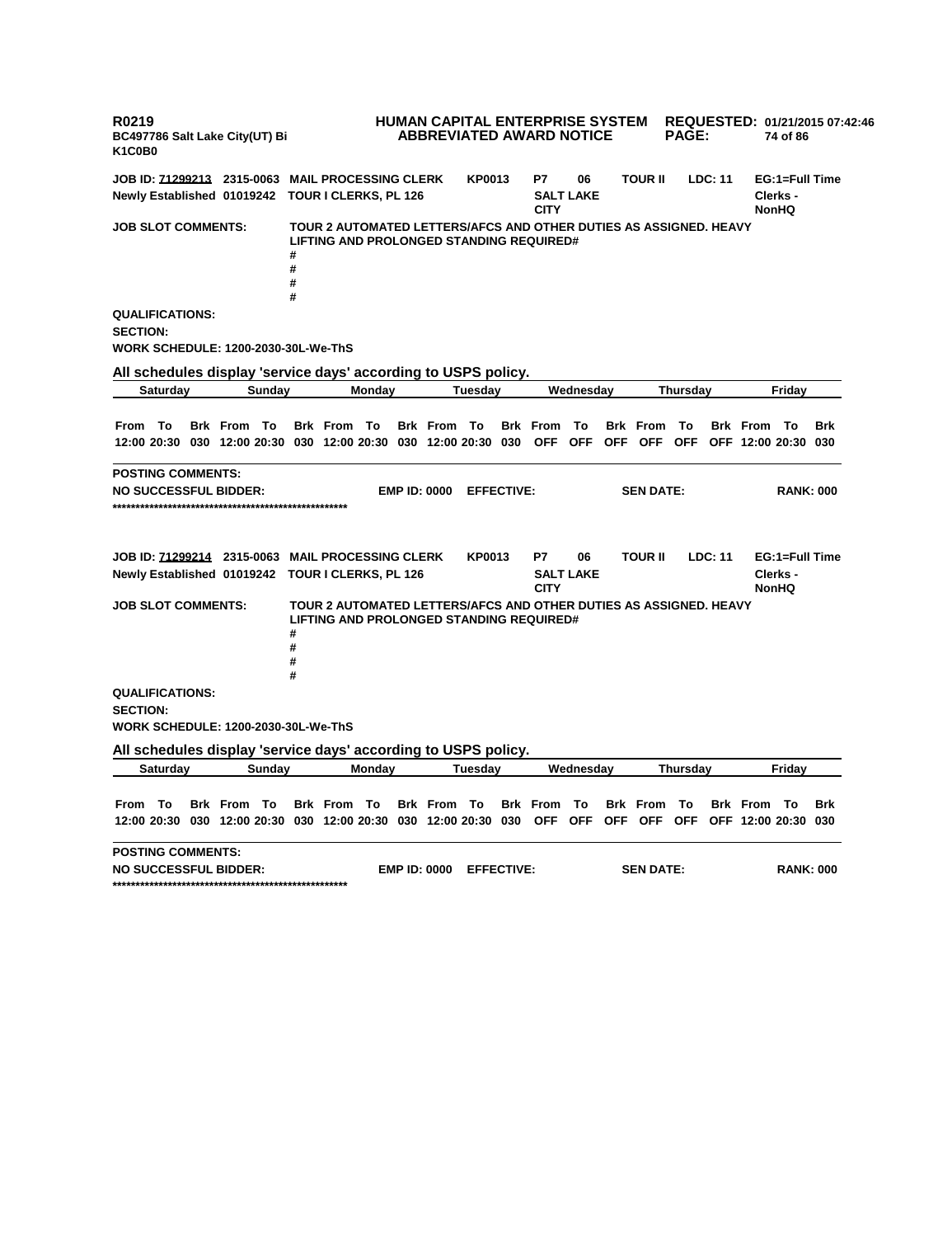**R0219 BC497786 Salt Lake City(UT) Bi K1C0B0 HUMAN CAPITAL ENTERPRISE SYSTEM REQUESTED: 01/21/2015 07:42:46 ABBREVIATED AWARD NOTICE PAGE: 74 of 86 JOB ID: 71299213 2315-0063 MAIL PROCESSING CLERK KP0013 P7 06 TOUR II LDC: 11 EG:1=Full Time Newly Established 01019242 TOUR I CLERKS, PL 126 SALT LAKE CITY Clerks - NonHQ JOB SLOT COMMENTS: TOUR 2 AUTOMATED LETTERS/AFCS AND OTHER DUTIES AS ASSIGNED. HEAVY LIFTING AND PROLONGED STANDING REQUIRED# # # # # QUALIFICATIONS: SECTION: WORK SCHEDULE: 1200-2030-30L-We-ThS All schedules display 'service days' according to USPS policy. Saturday Sunday Monday Tuesday Wednesday Thursday Friday** From To Brk From To Brk From To Brk From To Brk From To Brk From To Brk From To Brk 12:00 20:30 030 12:00 20:30 030 12:00 20:30 030 12:00 20:30 030 OFF OFF OFF OFF OFF OFF 12:00 20:30 030 **POSTING COMMENTS: NO SUCCESSFUL BIDDER: EMP ID: 0000 EFFECTIVE: SEN DATE: RANK: 000 \*\*\*\*\*\*\*\*\*\*\*\*\*\*\*\*\*\*\*\*\*\*\*\*\*\*\*\*\*\*\*\*\*\*\*\*\*\*\*\*\*\*\*\*\*\*\*\*\*\*\* JOB ID: 71299214 2315-0063 MAIL PROCESSING CLERK KP0013 P7 06 TOUR II LDC: 11 EG:1=Full Time Newly Established 01019242 TOUR I CLERKS, PL 126 SALT LAKE CITY Clerks - NonHQ JOB SLOT COMMENTS: TOUR 2 AUTOMATED LETTERS/AFCS AND OTHER DUTIES AS ASSIGNED. HEAVY LIFTING AND PROLONGED STANDING REQUIRED# # # # # QUALIFICATIONS: SECTION: WORK SCHEDULE: 1200-2030-30L-We-ThS All schedules display 'service days' according to USPS policy. Saturday Sunday Monday Tuesday Wednesday Thursday Friday** From To Brk From To Brk From To Brk From To Brk From To Brk From To Brk From To Brk 12:00 20:30 030 12:00 20:30 030 12:00 20:30 030 12:00 20:30 030 OFF OFF OFF OFF OFF OFF 12:00 20:30 030 **POSTING COMMENTS: NO SUCCESSFUL BIDDER: EMP ID: 0000 EFFECTIVE: SEN DATE: RANK: 000 \*\*\*\*\*\*\*\*\*\*\*\*\*\*\*\*\*\*\*\*\*\*\*\*\*\*\*\*\*\*\*\*\*\*\*\*\*\*\*\*\*\*\*\*\*\*\*\*\*\*\***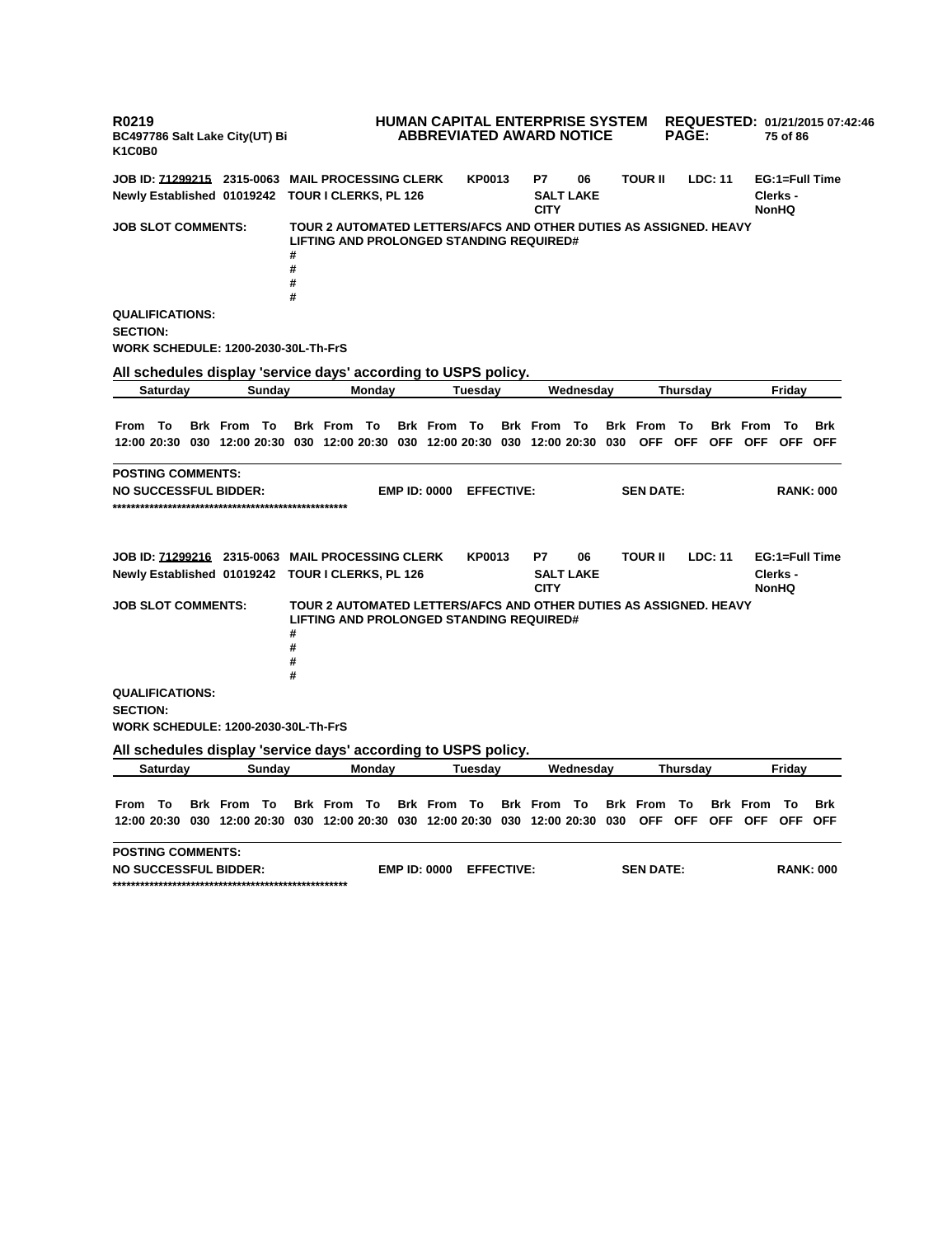**R0219 BC497786 Salt Lake City(UT) Bi K1C0B0 HUMAN CAPITAL ENTERPRISE SYSTEM REQUESTED: 01/21/2015 07:42:46 ABBREVIATED AWARD NOTICE PAGE: 75 of 86 JOB ID: 71299215 2315-0063 MAIL PROCESSING CLERK KP0013 P7 06 TOUR II LDC: 11 EG:1=Full Time Newly Established 01019242 TOUR I CLERKS, PL 126 SALT LAKE CITY Clerks - NonHQ JOB SLOT COMMENTS: TOUR 2 AUTOMATED LETTERS/AFCS AND OTHER DUTIES AS ASSIGNED. HEAVY LIFTING AND PROLONGED STANDING REQUIRED# # # # # QUALIFICATIONS: SECTION: WORK SCHEDULE: 1200-2030-30L-Th-FrS All schedules display 'service days' according to USPS policy. Saturday Sunday Monday Tuesday Wednesday Thursday Friday** From To Brk From To Brk From To Brk From To Brk From To Brk From To Brk From To Brk 12:00 20:30 030 12:00 20:30 030 12:00 20:30 030 12:00 20:30 030 12:00 20:30 030 OFF OFF OFF OFF OFF OFF **POSTING COMMENTS: NO SUCCESSFUL BIDDER: EMP ID: 0000 EFFECTIVE: SEN DATE: RANK: 000 \*\*\*\*\*\*\*\*\*\*\*\*\*\*\*\*\*\*\*\*\*\*\*\*\*\*\*\*\*\*\*\*\*\*\*\*\*\*\*\*\*\*\*\*\*\*\*\*\*\*\* JOB ID: 71299216 2315-0063 MAIL PROCESSING CLERK KP0013 P7 06 TOUR II LDC: 11 EG:1=Full Time Newly Established 01019242 TOUR I CLERKS, PL 126 SALT LAKE CITY Clerks - NonHQ JOB SLOT COMMENTS: TOUR 2 AUTOMATED LETTERS/AFCS AND OTHER DUTIES AS ASSIGNED. HEAVY LIFTING AND PROLONGED STANDING REQUIRED# # # # # QUALIFICATIONS: SECTION: WORK SCHEDULE: 1200-2030-30L-Th-FrS All schedules display 'service days' according to USPS policy. Saturday Sunday Monday Tuesday Wednesday Thursday Friday** From To Brk From To Brk From To Brk From To Brk From To Brk From To Brk From To Brk 12:00 20:30 030 12:00 20:30 030 12:00 20:30 030 12:00 20:30 030 12:00 20:30 030 OFF OFF OFF OFF OFF OFF **POSTING COMMENTS: NO SUCCESSFUL BIDDER: EMP ID: 0000 EFFECTIVE: SEN DATE: RANK: 000 \*\*\*\*\*\*\*\*\*\*\*\*\*\*\*\*\*\*\*\*\*\*\*\*\*\*\*\*\*\*\*\*\*\*\*\*\*\*\*\*\*\*\*\*\*\*\*\*\*\*\***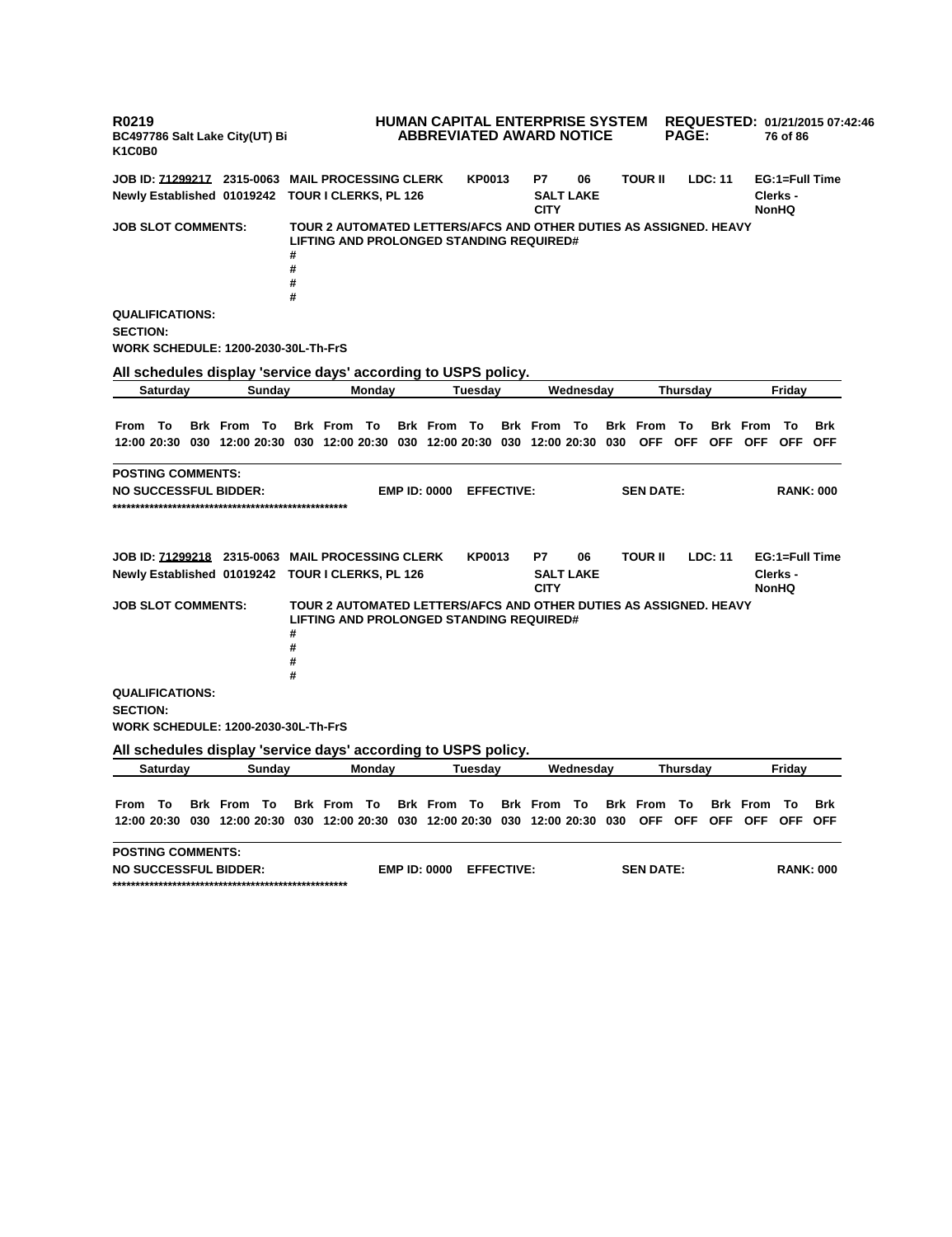**R0219 BC497786 Salt Lake City(UT) Bi K1C0B0 HUMAN CAPITAL ENTERPRISE SYSTEM REQUESTED: 01/21/2015 07:42:46 ABBREVIATED AWARD NOTICE PAGE: 76 of 86 JOB ID: 71299217 2315-0063 MAIL PROCESSING CLERK KP0013 P7 06 TOUR II LDC: 11 EG:1=Full Time Newly Established 01019242 TOUR I CLERKS, PL 126 SALT LAKE CITY Clerks - NonHQ JOB SLOT COMMENTS: TOUR 2 AUTOMATED LETTERS/AFCS AND OTHER DUTIES AS ASSIGNED. HEAVY LIFTING AND PROLONGED STANDING REQUIRED# # # # # QUALIFICATIONS: SECTION: WORK SCHEDULE: 1200-2030-30L-Th-FrS All schedules display 'service days' according to USPS policy. Saturday Sunday Monday Tuesday Wednesday Thursday Friday** From To Brk From To Brk From To Brk From To Brk From To Brk From To Brk From To Brk 12:00 20:30 030 12:00 20:30 030 12:00 20:30 030 12:00 20:30 030 12:00 20:30 030 OFF OFF OFF OFF OFF OFF **POSTING COMMENTS: NO SUCCESSFUL BIDDER: EMP ID: 0000 EFFECTIVE: SEN DATE: RANK: 000 \*\*\*\*\*\*\*\*\*\*\*\*\*\*\*\*\*\*\*\*\*\*\*\*\*\*\*\*\*\*\*\*\*\*\*\*\*\*\*\*\*\*\*\*\*\*\*\*\*\*\* JOB ID: 71299218 2315-0063 MAIL PROCESSING CLERK KP0013 P7 06 TOUR II LDC: 11 EG:1=Full Time Newly Established 01019242 TOUR I CLERKS, PL 126 SALT LAKE CITY Clerks - NonHQ JOB SLOT COMMENTS: TOUR 2 AUTOMATED LETTERS/AFCS AND OTHER DUTIES AS ASSIGNED. HEAVY LIFTING AND PROLONGED STANDING REQUIRED# # # # # QUALIFICATIONS: SECTION: WORK SCHEDULE: 1200-2030-30L-Th-FrS All schedules display 'service days' according to USPS policy. Saturday Sunday Monday Tuesday Wednesday Thursday Friday** From To Brk From To Brk From To Brk From To Brk From To Brk From To Brk From To Brk 12:00 20:30 030 12:00 20:30 030 12:00 20:30 030 12:00 20:30 030 12:00 20:30 030 OFF OFF OFF OFF OFF OFF **POSTING COMMENTS: NO SUCCESSFUL BIDDER: EMP ID: 0000 EFFECTIVE: SEN DATE: RANK: 000 \*\*\*\*\*\*\*\*\*\*\*\*\*\*\*\*\*\*\*\*\*\*\*\*\*\*\*\*\*\*\*\*\*\*\*\*\*\*\*\*\*\*\*\*\*\*\*\*\*\*\***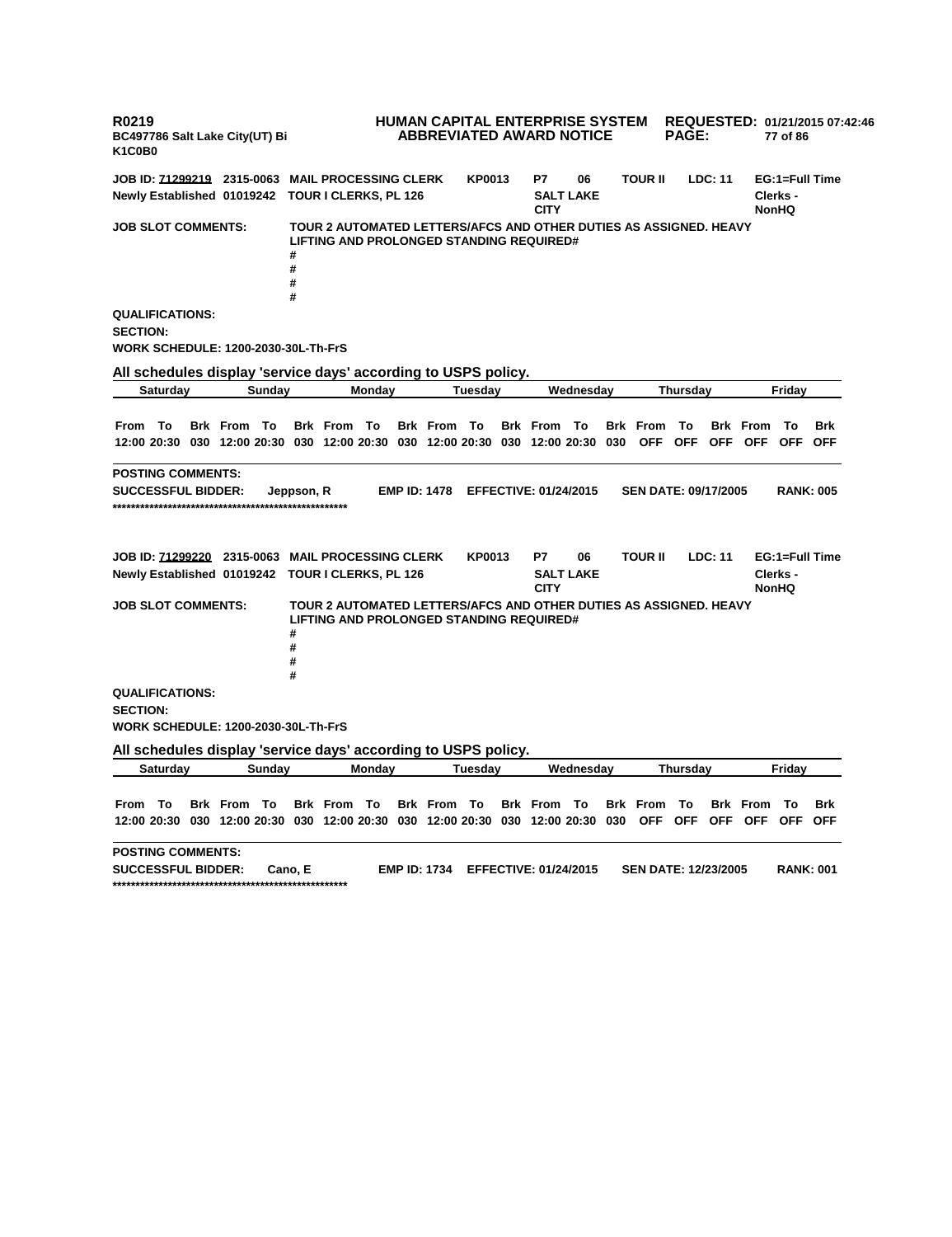**R0219 BC497786 Salt Lake City(UT) Bi K1C0B0 HUMAN CAPITAL ENTERPRISE SYSTEM REQUESTED: 01/21/2015 07:42:46 ABBREVIATED AWARD NOTICE PAGE: 77 of 86 JOB ID: 71299219 2315-0063 MAIL PROCESSING CLERK KP0013 P7 06 TOUR II LDC: 11 EG:1=Full Time Newly Established 01019242 TOUR I CLERKS, PL 126 SALT LAKE CITY Clerks - NonHQ JOB SLOT COMMENTS: TOUR 2 AUTOMATED LETTERS/AFCS AND OTHER DUTIES AS ASSIGNED. HEAVY LIFTING AND PROLONGED STANDING REQUIRED# # # # # QUALIFICATIONS: SECTION: WORK SCHEDULE: 1200-2030-30L-Th-FrS All schedules display 'service days' according to USPS policy. Saturday Sunday Monday Tuesday Wednesday Thursday Friday** From To Brk From To Brk From To Brk From To Brk From To Brk From To Brk From To Brk 12:00 20:30 030 12:00 20:30 030 12:00 20:30 030 12:00 20:30 030 12:00 20:30 030 OFF OFF OFF OFF OFF OFF **POSTING COMMENTS: SUCCESSFUL BIDDER: Jeppson, R EMP ID: 1478 EFFECTIVE: 01/24/2015 SEN DATE: 09/17/2005 RANK: 005 \*\*\*\*\*\*\*\*\*\*\*\*\*\*\*\*\*\*\*\*\*\*\*\*\*\*\*\*\*\*\*\*\*\*\*\*\*\*\*\*\*\*\*\*\*\*\*\*\*\*\* JOB ID: 71299220 2315-0063 MAIL PROCESSING CLERK KP0013 P7 06 TOUR II LDC: 11 EG:1=Full Time Newly Established 01019242 TOUR I CLERKS, PL 126 SALT LAKE CITY Clerks - NonHQ JOB SLOT COMMENTS: TOUR 2 AUTOMATED LETTERS/AFCS AND OTHER DUTIES AS ASSIGNED. HEAVY LIFTING AND PROLONGED STANDING REQUIRED# # # # # QUALIFICATIONS: SECTION: WORK SCHEDULE: 1200-2030-30L-Th-FrS All schedules display 'service days' according to USPS policy. Saturday Sunday Monday Tuesday Wednesday Thursday Friday** From To Brk From To Brk From To Brk From To Brk From To Brk From To Brk From To Brk 12:00 20:30 030 12:00 20:30 030 12:00 20:30 030 12:00 20:30 030 12:00 20:30 030 OFF OFF OFF OFF OFF OFF **POSTING COMMENTS: SUCCESSFUL BIDDER: Cano, E EMP ID: 1734 EFFECTIVE: 01/24/2015 SEN DATE: 12/23/2005 RANK: 001 \*\*\*\*\*\*\*\*\*\*\*\*\*\*\*\*\*\*\*\*\*\*\*\*\*\*\*\*\*\*\*\*\*\*\*\*\*\*\*\*\*\*\*\*\*\*\*\*\*\*\***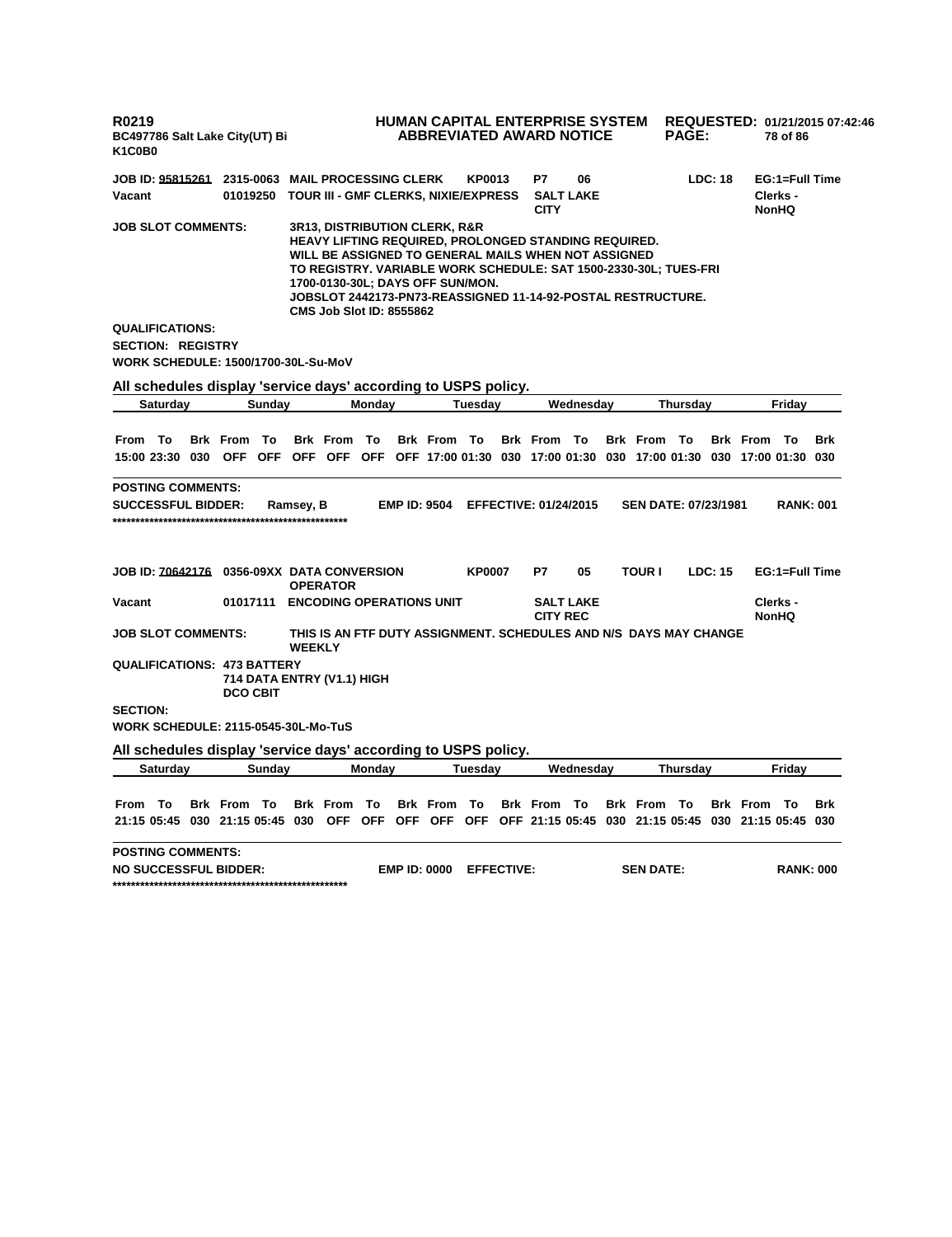| R0219<br>BC497786 Salt Lake City(UT) Bi<br>K1C0B0                                                                  |                                               |               |                                                                             |        |                     | <b>HUMAN CAPITAL ENTERPRISE SYSTEM</b><br><b>ABBREVIATED AWARD NOTICE</b>                                                                                                                                                                                                                  |                                    |                  |                                              | <b>PAGE:</b> |         |                    | 78 of 86                           | REQUESTED: 01/21/2015 07:42:46 |
|--------------------------------------------------------------------------------------------------------------------|-----------------------------------------------|---------------|-----------------------------------------------------------------------------|--------|---------------------|--------------------------------------------------------------------------------------------------------------------------------------------------------------------------------------------------------------------------------------------------------------------------------------------|------------------------------------|------------------|----------------------------------------------|--------------|---------|--------------------|------------------------------------|--------------------------------|
| <b>JOB ID: 95815261 2315-0063 MAIL PROCESSING CLERK</b>                                                            |                                               |               |                                                                             |        |                     | <b>KP0013</b>                                                                                                                                                                                                                                                                              | P7                                 | 06               |                                              |              | LDC: 18 |                    | EG:1=Full Time                     |                                |
| Vacant                                                                                                             | 01019250                                      |               |                                                                             |        |                     | TOUR III - GMF CLERKS, NIXIE/EXPRESS                                                                                                                                                                                                                                                       | <b>CITY</b>                        | <b>SALT LAKE</b> |                                              |              |         |                    | Clerks -<br><b>NonHQ</b>           |                                |
| <b>JOB SLOT COMMENTS:</b>                                                                                          |                                               |               | <b>3R13, DISTRIBUTION CLERK, R&amp;R</b><br><b>CMS Job Slot ID: 8555862</b> |        |                     | HEAVY LIFTING REQUIRED, PROLONGED STANDING REQUIRED.<br>WILL BE ASSIGNED TO GENERAL MAILS WHEN NOT ASSIGNED<br>TO REGISTRY. VARIABLE WORK SCHEDULE: SAT 1500-2330-30L; TUES-FRI<br>1700-0130-30L; DAYS OFF SUN/MON.<br><b>JOBSLOT 2442173-PN73-REASSIGNED 11-14-92-POSTAL RESTRUCTURE.</b> |                                    |                  |                                              |              |         |                    |                                    |                                |
| <b>QUALIFICATIONS:</b>                                                                                             |                                               |               |                                                                             |        |                     |                                                                                                                                                                                                                                                                                            |                                    |                  |                                              |              |         |                    |                                    |                                |
| <b>SECTION: REGISTRY</b>                                                                                           |                                               |               |                                                                             |        |                     |                                                                                                                                                                                                                                                                                            |                                    |                  |                                              |              |         |                    |                                    |                                |
| WORK SCHEDULE: 1500/1700-30L-Su-MoV                                                                                |                                               |               |                                                                             |        |                     |                                                                                                                                                                                                                                                                                            |                                    |                  |                                              |              |         |                    |                                    |                                |
| All schedules display 'service days' according to USPS policy.                                                     |                                               |               |                                                                             |        |                     |                                                                                                                                                                                                                                                                                            |                                    |                  |                                              |              |         |                    |                                    |                                |
| Saturday                                                                                                           | Sunday                                        |               |                                                                             | Monday |                     | Tuesday                                                                                                                                                                                                                                                                                    |                                    | Wednesday        |                                              | Thursday     |         |                    | Fridav                             |                                |
|                                                                                                                    |                                               |               |                                                                             |        |                     |                                                                                                                                                                                                                                                                                            |                                    |                  |                                              |              |         |                    |                                    |                                |
| From To<br>15:00 23:30 030 OFF OFF OFF OFF OFF OFF 17:00 01:30 030 17:00 01:30 030 17:00 01:30 030 17:00 01:30 030 | <b>Brk From To</b>                            |               | <b>Brk From To</b>                                                          |        | <b>Brk From To</b>  |                                                                                                                                                                                                                                                                                            | <b>Brk From To</b>                 |                  | <b>Brk From To</b>                           |              |         | <b>Brk From To</b> |                                    | Brk                            |
|                                                                                                                    |                                               |               |                                                                             |        |                     |                                                                                                                                                                                                                                                                                            |                                    |                  |                                              |              |         |                    |                                    |                                |
| <b>SUCCESSFUL BIDDER:</b><br>JOB ID: 70642176 0356-09XX DATA CONVERSION                                            |                                               | Ramsey, B     | <b>OPERATOR</b>                                                             |        | <b>EMP ID: 9504</b> | <b>KP0007</b>                                                                                                                                                                                                                                                                              | <b>EFFECTIVE: 01/24/2015</b><br>P7 | 05               | <b>SEN DATE: 07/23/1981</b><br><b>TOUR I</b> |              | LDC: 15 |                    | <b>RANK: 001</b><br>EG:1=Full Time |                                |
| Vacant                                                                                                             | 01017111 ENCODING OPERATIONS UNIT             |               |                                                                             |        |                     |                                                                                                                                                                                                                                                                                            | <b>CITY REC</b>                    | <b>SALT LAKE</b> |                                              |              |         |                    | Clerks -<br><b>NonHQ</b>           |                                |
| JOB SLOT COMMENTS:                                                                                                 |                                               | <b>WEEKLY</b> |                                                                             |        |                     | THIS IS AN FTF DUTY ASSIGNMENT. SCHEDULES AND N/S DAYS MAY CHANGE                                                                                                                                                                                                                          |                                    |                  |                                              |              |         |                    |                                    |                                |
| <b>QUALIFICATIONS: 473 BATTERY</b>                                                                                 | 714 DATA ENTRY (V1.1) HIGH<br><b>DCO CBIT</b> |               |                                                                             |        |                     |                                                                                                                                                                                                                                                                                            |                                    |                  |                                              |              |         |                    |                                    |                                |
| <b>SECTION:</b>                                                                                                    |                                               |               |                                                                             |        |                     |                                                                                                                                                                                                                                                                                            |                                    |                  |                                              |              |         |                    |                                    |                                |
| WORK SCHEDULE: 2115-0545-30L-Mo-TuS                                                                                |                                               |               |                                                                             |        |                     |                                                                                                                                                                                                                                                                                            |                                    |                  |                                              |              |         |                    |                                    |                                |
| All schedules display 'service days' according to USPS policy.                                                     |                                               |               |                                                                             |        |                     |                                                                                                                                                                                                                                                                                            |                                    |                  |                                              |              |         |                    |                                    |                                |
| Saturday                                                                                                           | Sunday                                        |               |                                                                             | Monday |                     | Tuesday                                                                                                                                                                                                                                                                                    |                                    | Wednesday        |                                              | Thursday     |         |                    | Friday                             |                                |
|                                                                                                                    |                                               |               |                                                                             |        |                     |                                                                                                                                                                                                                                                                                            |                                    |                  |                                              |              |         |                    |                                    |                                |
| From To                                                                                                            | <b>Brk From To</b>                            |               | <b>Brk From To</b>                                                          |        | <b>Brk From To</b>  |                                                                                                                                                                                                                                                                                            | <b>Brk From To</b>                 |                  | <b>Brk From To</b>                           |              |         | <b>Brk From To</b> |                                    | <b>Brk</b>                     |
| 21:15 05:45 030 21:15 05:45 030 OFF OFF OFF OFF OFF OFF 21:15 05:45 030 21:15 05:45 030 21:15 05:45 030            |                                               |               |                                                                             |        |                     |                                                                                                                                                                                                                                                                                            |                                    |                  |                                              |              |         |                    |                                    |                                |
| <b>POSTING COMMENTS:</b><br><b>NO SUCCESSFUL BIDDER:</b>                                                           |                                               |               |                                                                             |        | <b>EMP ID: 0000</b> | <b>EFFECTIVE:</b>                                                                                                                                                                                                                                                                          |                                    |                  | <b>SEN DATE:</b>                             |              |         |                    | <b>RANK: 000</b>                   |                                |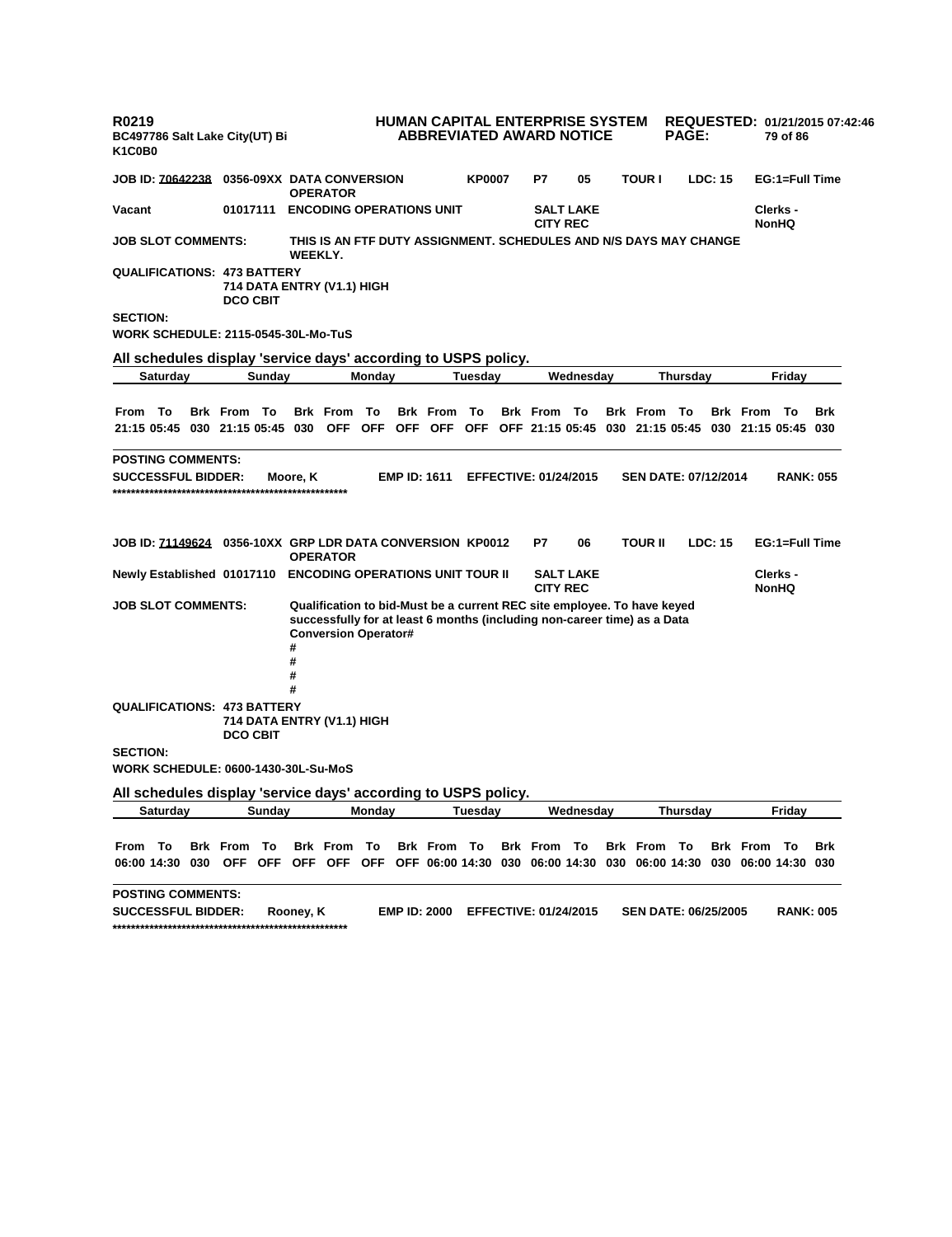| R0219<br>BC497786 Salt Lake City(UT) Bi<br>K <sub>1</sub> C <sub>0</sub> B <sub>0</sub>                                |                    |                                                                                                                                                                                                        | HUMAN CAPITAL ENTERPRISE SYSTEM | <b>ABBREVIATED AWARD NOTICE</b> |               |                              |                  |                    | <b>PAGE:</b>                |         |                    | 79 of 86                 | REQUESTED: 01/21/2015 07:42:46 |
|------------------------------------------------------------------------------------------------------------------------|--------------------|--------------------------------------------------------------------------------------------------------------------------------------------------------------------------------------------------------|---------------------------------|---------------------------------|---------------|------------------------------|------------------|--------------------|-----------------------------|---------|--------------------|--------------------------|--------------------------------|
| <b>JOB ID: 70642238</b>                                                                                                |                    | 0356-09XX DATA CONVERSION<br><b>OPERATOR</b>                                                                                                                                                           |                                 |                                 | <b>KP0007</b> | P7                           | 05               | <b>TOUR I</b>      |                             | LDC: 15 |                    | EG:1=Full Time           |                                |
| Vacant                                                                                                                 | 01017111           | <b>ENCODING OPERATIONS UNIT</b>                                                                                                                                                                        |                                 |                                 |               | <b>CITY REC</b>              | <b>SALT LAKE</b> |                    |                             |         |                    | Clerks -<br><b>NonHQ</b> |                                |
| <b>JOB SLOT COMMENTS:</b>                                                                                              |                    | THIS IS AN FTF DUTY ASSIGNMENT. SCHEDULES AND N/S DAYS MAY CHANGE<br>WEEKLY.                                                                                                                           |                                 |                                 |               |                              |                  |                    |                             |         |                    |                          |                                |
| <b>QUALIFICATIONS: 473 BATTERY</b>                                                                                     | <b>DCO CBIT</b>    | 714 DATA ENTRY (V1.1) HIGH                                                                                                                                                                             |                                 |                                 |               |                              |                  |                    |                             |         |                    |                          |                                |
| <b>SECTION:</b><br>WORK SCHEDULE: 2115-0545-30L-Mo-TuS                                                                 |                    |                                                                                                                                                                                                        |                                 |                                 |               |                              |                  |                    |                             |         |                    |                          |                                |
| All schedules display 'service days' according to USPS policy.                                                         |                    |                                                                                                                                                                                                        |                                 |                                 |               |                              |                  |                    |                             |         |                    |                          |                                |
| Saturday                                                                                                               | Sunday             |                                                                                                                                                                                                        | Monday                          |                                 | Tuesday       |                              | Wednesday        |                    | Thursday                    |         |                    | Friday                   |                                |
| From To                                                                                                                | <b>Brk From To</b> | <b>Brk</b> From                                                                                                                                                                                        | - To                            | <b>Brk</b> From                 | To            | <b>Brk From To</b>           |                  | <b>Brk From To</b> |                             |         | <b>Brk</b> From    | — То                     | <b>Brk</b>                     |
| 21:15 05:45 030 21:15 05:45 030 OFF OFF OFF OFF OFF OFF 21:15 05:45 030 21:15 05:45 030 21:15 05:45 030                |                    |                                                                                                                                                                                                        |                                 |                                 |               |                              |                  |                    |                             |         |                    |                          |                                |
| <b>POSTING COMMENTS:</b>                                                                                               |                    |                                                                                                                                                                                                        |                                 |                                 |               |                              |                  |                    |                             |         |                    |                          |                                |
| <b>SUCCESSFUL BIDDER:</b>                                                                                              |                    | Moore, K                                                                                                                                                                                               | <b>EMP ID: 1611</b>             |                                 |               | <b>EFFECTIVE: 01/24/2015</b> |                  |                    | <b>SEN DATE: 07/12/2014</b> |         |                    | <b>RANK: 055</b>         |                                |
| JOB ID: 71149624 0356-10XX GRP LDR DATA CONVERSION KP0012                                                              |                    | <b>OPERATOR</b>                                                                                                                                                                                        |                                 |                                 |               | P7                           | 06               | TOUR II            |                             | LDC: 15 |                    | EG:1=Full Time           |                                |
| Newly Established 01017110 ENCODING OPERATIONS UNIT TOUR II                                                            |                    |                                                                                                                                                                                                        |                                 |                                 |               | <b>CITY REC</b>              | <b>SALT LAKE</b> |                    |                             |         |                    | Clerks -<br><b>NonHQ</b> |                                |
| <b>JOB SLOT COMMENTS:</b>                                                                                              |                    | Qualification to bid-Must be a current REC site employee. To have keyed<br>successfully for at least 6 months (including non-career time) as a Data<br><b>Conversion Operator#</b><br>#<br>#<br>#<br># |                                 |                                 |               |                              |                  |                    |                             |         |                    |                          |                                |
| <b>QUALIFICATIONS: 473 BATTERY</b>                                                                                     | <b>DCO CBIT</b>    | 714 DATA ENTRY (V1.1) HIGH                                                                                                                                                                             |                                 |                                 |               |                              |                  |                    |                             |         |                    |                          |                                |
| <b>SECTION:</b><br><b>WORK SCHEDULE: 0600-1430-30L-Su-MoS</b>                                                          |                    |                                                                                                                                                                                                        |                                 |                                 |               |                              |                  |                    |                             |         |                    |                          |                                |
| All schedules display 'service days' according to USPS policy.                                                         |                    |                                                                                                                                                                                                        |                                 |                                 |               |                              |                  |                    |                             |         |                    |                          |                                |
| Saturdav                                                                                                               | Sunday             |                                                                                                                                                                                                        | Monday                          |                                 | Tuesdav       |                              | Wednesday        |                    | Thursdav                    |         |                    | Friday                   |                                |
| From To<br>06:00 14:30 030 OFF OFF OFF OFF OFF OFF OFF 06:00 14:30 030 06:00 14:30 030 06:00 14:30 030 06:00 14:30 030 | Brk From To        | Brk From To                                                                                                                                                                                            |                                 | Brk From To                     |               | <b>Brk From To</b>           |                  | <b>Brk From To</b> |                             |         | <b>Brk From To</b> |                          | Brk                            |
| <b>POSTING COMMENTS:</b><br><b>SUCCESSFUL BIDDER:</b>                                                                  |                    | Rooney, K                                                                                                                                                                                              | <b>EMP ID: 2000</b>             |                                 |               | <b>EFFECTIVE: 01/24/2015</b> |                  |                    | <b>SEN DATE: 06/25/2005</b> |         |                    | <b>RANK: 005</b>         |                                |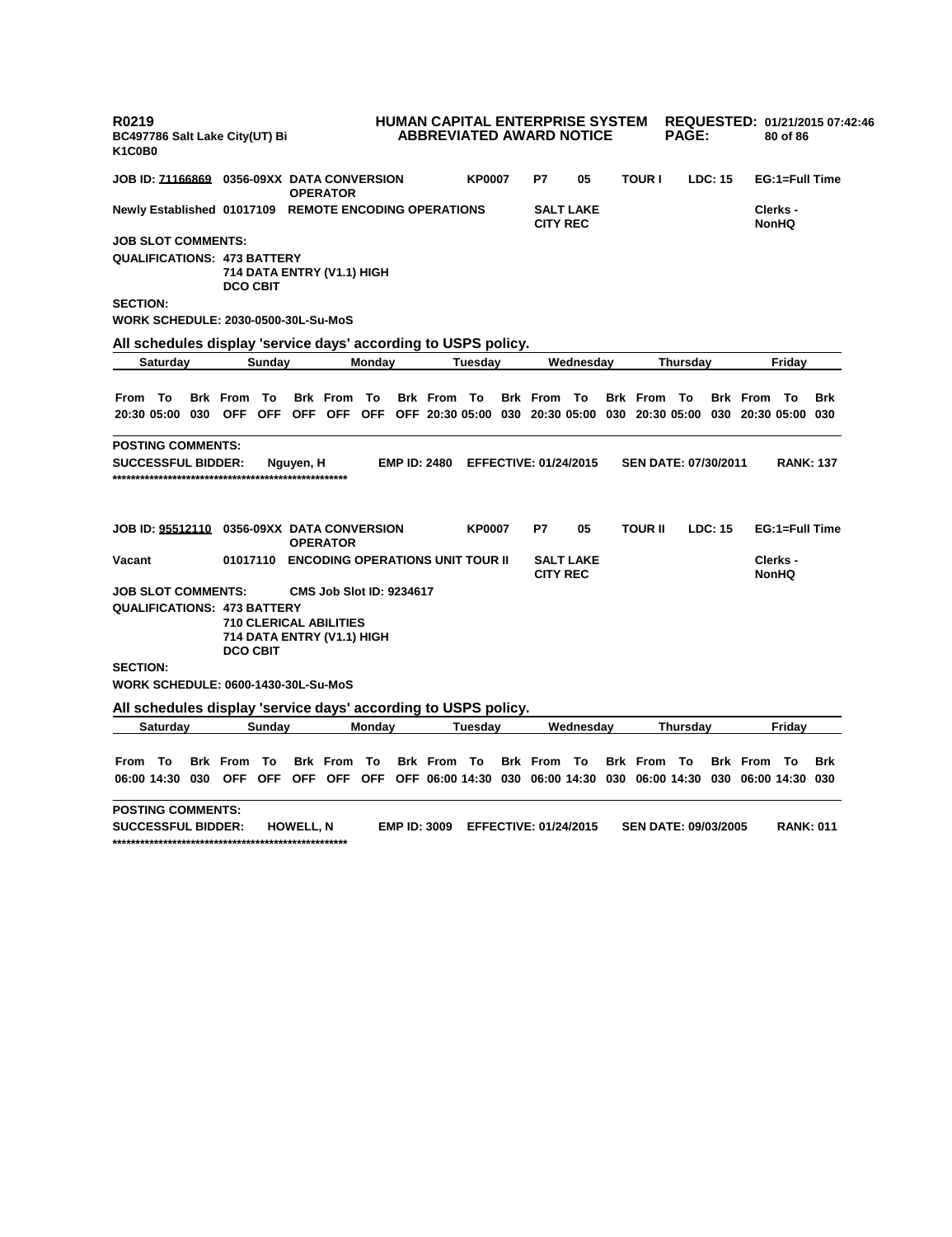| R0219<br>BC497786 Salt Lake City(UT) Bi<br>K1C0B0                                                       |                                                                                         |           |                                 |        |                     |               | <b>HUMAN CAPITAL ENTERPRISE SYSTEM</b><br><b>ABBREVIATED AWARD NOTICE</b> |                  |                    | <b>PAGE:</b>                |         |                    | 80 of 86                 | REQUESTED: 01/21/2015 07:42:46 |
|---------------------------------------------------------------------------------------------------------|-----------------------------------------------------------------------------------------|-----------|---------------------------------|--------|---------------------|---------------|---------------------------------------------------------------------------|------------------|--------------------|-----------------------------|---------|--------------------|--------------------------|--------------------------------|
| JOB ID: <u>71166869</u> 0356-09XX  DATA CONVERSION                                                      |                                                                                         |           | <b>OPERATOR</b>                 |        |                     | <b>KP0007</b> | P7                                                                        | 05               | <b>TOUR I</b>      |                             | LDC: 15 |                    | EG:1=Full Time           |                                |
| Newly Established 01017109 REMOTE ENCODING OPERATIONS                                                   |                                                                                         |           |                                 |        |                     |               | <b>CITY REC</b>                                                           | <b>SALT LAKE</b> |                    |                             |         |                    | Clerks -<br><b>NonHQ</b> |                                |
| <b>JOB SLOT COMMENTS:</b>                                                                               |                                                                                         |           |                                 |        |                     |               |                                                                           |                  |                    |                             |         |                    |                          |                                |
| QUALIFICATIONS: 473 BATTERY                                                                             | 714 DATA ENTRY (V1.1) HIGH<br><b>DCO CBIT</b>                                           |           |                                 |        |                     |               |                                                                           |                  |                    |                             |         |                    |                          |                                |
| <b>SECTION:</b>                                                                                         |                                                                                         |           |                                 |        |                     |               |                                                                           |                  |                    |                             |         |                    |                          |                                |
| WORK SCHEDULE: 2030-0500-30L-Su-MoS                                                                     |                                                                                         |           |                                 |        |                     |               |                                                                           |                  |                    |                             |         |                    |                          |                                |
| All schedules display 'service days' according to USPS policy.                                          |                                                                                         |           |                                 |        |                     |               |                                                                           |                  |                    |                             |         |                    |                          |                                |
| Saturday                                                                                                | Sunday                                                                                  |           |                                 | Monday |                     | Tuesday       |                                                                           | Wednesday        |                    | Thursday                    |         |                    | Friday                   |                                |
|                                                                                                         |                                                                                         |           |                                 |        |                     |               |                                                                           |                  |                    |                             |         |                    |                          |                                |
| From To                                                                                                 | <b>Brk From To</b>                                                                      |           | <b>Brk From To</b>              |        | <b>Brk From To</b>  |               | <b>Brk From To</b>                                                        |                  | <b>Brk From To</b> |                             |         | <b>Brk From To</b> |                          | <b>Brk</b>                     |
| 20:30 05:00 030 OFF OFF OFF OFF OFF OFF 20:30 05:00 030 20:30 05:00 030 20:30 05:00 030 20:30 05:00 030 |                                                                                         |           |                                 |        |                     |               |                                                                           |                  |                    |                             |         |                    |                          |                                |
| <b>POSTING COMMENTS:</b>                                                                                |                                                                                         |           |                                 |        |                     |               |                                                                           |                  |                    |                             |         |                    |                          |                                |
| <b>SUCCESSFUL BIDDER:</b>                                                                               |                                                                                         | Nguyen, H |                                 |        | <b>EMP ID: 2480</b> |               | <b>EFFECTIVE: 01/24/2015</b>                                              |                  |                    | <b>SEN DATE: 07/30/2011</b> |         |                    | <b>RANK: 137</b>         |                                |
|                                                                                                         |                                                                                         |           |                                 |        |                     |               |                                                                           |                  |                    |                             |         |                    |                          |                                |
| JOB ID: 95512110  0356-09XX DATA CONVERSION                                                             |                                                                                         |           | <b>OPERATOR</b>                 |        |                     | <b>KP0007</b> | P7                                                                        | 05               | <b>TOUR II</b>     |                             | LDC: 15 |                    | EG:1=Full Time           |                                |
| Vacant                                                                                                  | 01017110 ENCODING OPERATIONS UNIT TOUR II                                               |           |                                 |        |                     |               | <b>CITY REC</b>                                                           | <b>SALT LAKE</b> |                    |                             |         |                    | Clerks -<br><b>NonHQ</b> |                                |
| <b>JOB SLOT COMMENTS:</b>                                                                               |                                                                                         |           | <b>CMS Job Slot ID: 9234617</b> |        |                     |               |                                                                           |                  |                    |                             |         |                    |                          |                                |
| QUALIFICATIONS: 473 BATTERY                                                                             | <b>710 CLERICAL ABILITIES</b><br>714 DATA ENTRY (V1.1) HIGH<br><b>DCO CBIT</b>          |           |                                 |        |                     |               |                                                                           |                  |                    |                             |         |                    |                          |                                |
| <b>SECTION:</b>                                                                                         |                                                                                         |           |                                 |        |                     |               |                                                                           |                  |                    |                             |         |                    |                          |                                |
| WORK SCHEDULE: 0600-1430-30L-Su-MoS                                                                     |                                                                                         |           |                                 |        |                     |               |                                                                           |                  |                    |                             |         |                    |                          |                                |
| All schedules display 'service days' according to USPS policy.                                          |                                                                                         |           |                                 |        |                     |               |                                                                           |                  |                    |                             |         |                    |                          |                                |
| Saturday                                                                                                | Sunday                                                                                  |           |                                 | Monday |                     | Tuesday       |                                                                           | Wednesday        |                    | Thursday                    |         |                    | Friday                   |                                |
|                                                                                                         |                                                                                         |           |                                 |        |                     |               |                                                                           |                  |                    |                             |         |                    |                          |                                |
| From To                                                                                                 | - To<br><b>Brk</b> From                                                                 |           | <b>Brk From To</b>              |        | <b>Brk From To</b>  |               | <b>Brk From To</b>                                                        |                  | <b>Brk From To</b> |                             |         | <b>Brk From To</b> |                          | <b>Brk</b>                     |
| 06:00 14:30 030                                                                                         | OFF OFF OFF OFF OFF OFF 06:00 14:30 030 06:00 14:30 030 06:00 14:30 030 06:00 14:30 030 |           |                                 |        |                     |               |                                                                           |                  |                    |                             |         |                    |                          |                                |
| <b>POSTING COMMENTS:</b>                                                                                |                                                                                         |           |                                 |        |                     |               |                                                                           |                  |                    |                             |         |                    |                          |                                |
| <b>SUCCESSFUL BIDDER:</b>                                                                               |                                                                                         | HOWELL, N |                                 |        | <b>EMP ID: 3009</b> |               | <b>EFFECTIVE: 01/24/2015</b>                                              |                  |                    | <b>SEN DATE: 09/03/2005</b> |         |                    | <b>RANK: 011</b>         |                                |

**\*\*\*\*\*\*\*\*\*\*\*\*\*\*\*\*\*\*\*\*\*\*\*\*\*\*\*\*\*\*\*\*\*\*\*\*\*\*\*\*\*\*\*\*\*\*\*\*\*\*\***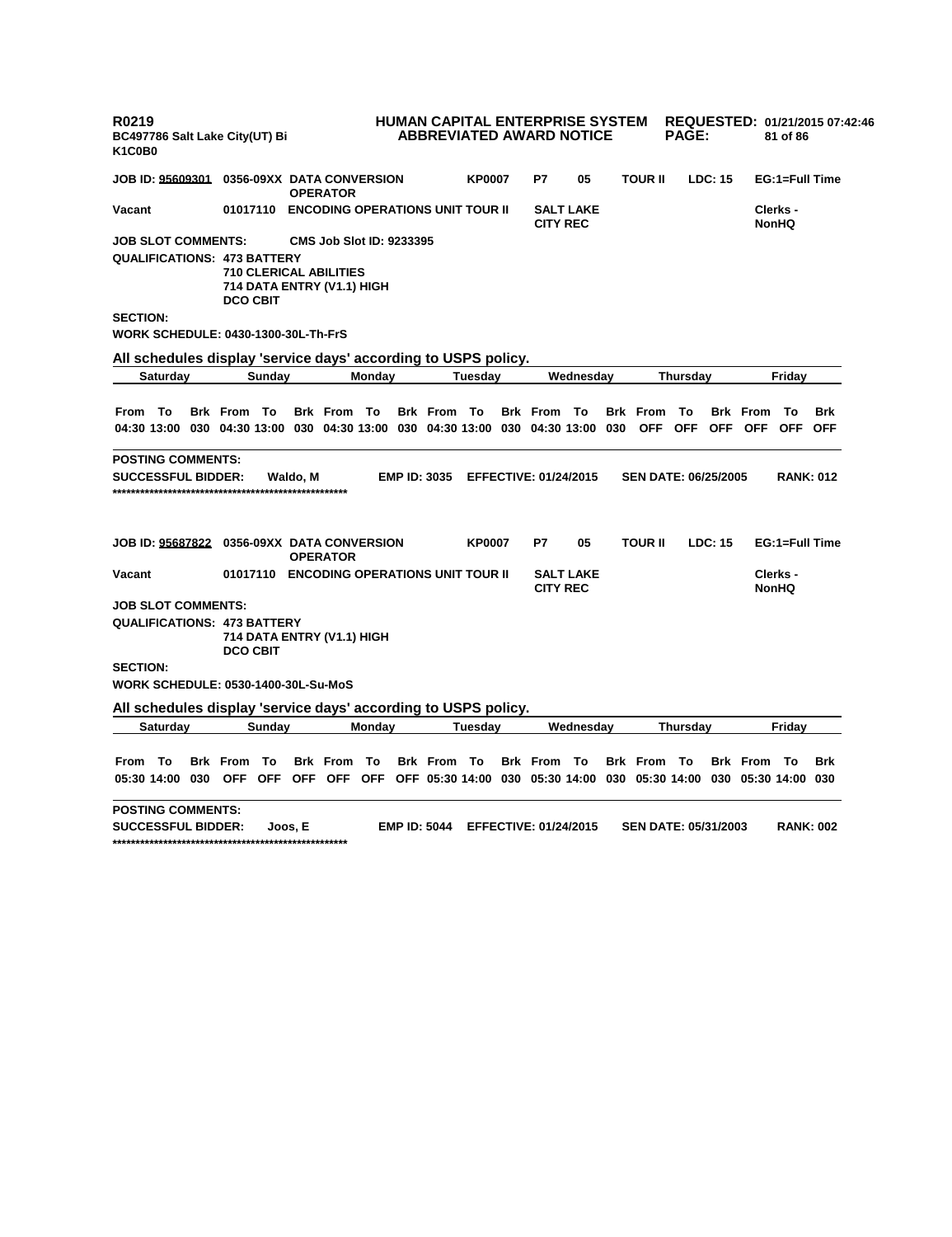| R0219<br>BC497786 Salt Lake City(UT) Bi<br>K <sub>1</sub> C <sub>0</sub> B <sub>0</sub>    |                       |                                                                                                               |        |                     | HUMAN CAPITAL ENTERPRISE SYSTEM<br><b>ABBREVIATED AWARD NOTICE</b> |                              |                  |                             | <b>PAGE:</b> |                |                                            | 81 of 86                 | REQUESTED: 01/21/2015 07:42:46 |
|--------------------------------------------------------------------------------------------|-----------------------|---------------------------------------------------------------------------------------------------------------|--------|---------------------|--------------------------------------------------------------------|------------------------------|------------------|-----------------------------|--------------|----------------|--------------------------------------------|--------------------------|--------------------------------|
| JOB ID: 95609301  0356-09XX  DATA CONVERSION                                               |                       | <b>OPERATOR</b>                                                                                               |        |                     | <b>KP0007</b>                                                      | P7                           | 05               | <b>TOUR II</b>              |              | <b>LDC: 15</b> |                                            |                          | EG:1=Full Time                 |
| Vacant                                                                                     |                       | 01017110 ENCODING OPERATIONS UNIT TOUR II                                                                     |        |                     |                                                                    | <b>CITY REC</b>              | <b>SALT LAKE</b> |                             |              |                |                                            | Clerks -<br><b>NonHQ</b> |                                |
| <b>JOB SLOT COMMENTS:</b><br><b>QUALIFICATIONS: 473 BATTERY</b><br><b>SECTION:</b>         | <b>DCO CBIT</b>       | <b>CMS Job Slot ID: 9233395</b><br><b>710 CLERICAL ABILITIES</b><br>714 DATA ENTRY (V1.1) HIGH                |        |                     |                                                                    |                              |                  |                             |              |                |                                            |                          |                                |
| WORK SCHEDULE: 0430-1300-30L-Th-FrS                                                        |                       |                                                                                                               |        |                     |                                                                    |                              |                  |                             |              |                |                                            |                          |                                |
| All schedules display 'service days' according to USPS policy.                             |                       |                                                                                                               |        |                     |                                                                    |                              |                  |                             |              |                |                                            |                          |                                |
| <b>Saturday</b>                                                                            | Sunday                |                                                                                                               | Monday |                     | Tuesday                                                            |                              | Wednesday        |                             | Thursday     |                |                                            | Friday                   |                                |
| From To<br>04:30 13:00 030 04:30 13:00 030 04:30 13:00 030 04:30 13:00 030 04:30 13:00 030 | Brk From To           | <b>Brk From To</b>                                                                                            |        | <b>Brk From To</b>  |                                                                    | <b>Brk</b> From              | То               | <b>Brk</b> From             | To           |                | <b>Brk</b> From<br>OFF OFF OFF OFF OFF OFF | Τо                       | <b>Brk</b>                     |
| <b>POSTING COMMENTS:</b><br><b>SUCCESSFUL BIDDER:</b>                                      |                       | Waldo. M                                                                                                      |        | <b>EMP ID: 3035</b> |                                                                    | <b>EFFECTIVE: 01/24/2015</b> |                  | <b>SEN DATE: 06/25/2005</b> |              |                |                                            | <b>RANK: 012</b>         |                                |
| JOB ID: 95687822 0356-09XX DATA CONVERSION                                                 |                       | <b>OPERATOR</b>                                                                                               |        |                     | <b>KP0007</b>                                                      | P7                           | 05               | <b>TOUR II</b>              |              | <b>LDC: 15</b> |                                            |                          | EG:1=Full Time                 |
| Vacant                                                                                     |                       | 01017110 ENCODING OPERATIONS UNIT TOUR II                                                                     |        |                     |                                                                    | <b>CITY REC</b>              | <b>SALT LAKE</b> |                             |              |                |                                            | Clerks -<br><b>NonHQ</b> |                                |
| JOB SLOT COMMENTS:<br><b>QUALIFICATIONS: 473 BATTERY</b>                                   | <b>DCO CBIT</b>       | 714 DATA ENTRY (V1.1) HIGH                                                                                    |        |                     |                                                                    |                              |                  |                             |              |                |                                            |                          |                                |
| <b>SECTION:</b><br><b>WORK SCHEDULE: 0530-1400-30L-Su-MoS</b>                              |                       |                                                                                                               |        |                     |                                                                    |                              |                  |                             |              |                |                                            |                          |                                |
| All schedules display 'service days' according to USPS policy.                             |                       |                                                                                                               |        |                     |                                                                    |                              |                  |                             |              |                |                                            |                          |                                |
| Saturday                                                                                   | Sunday                |                                                                                                               | Monday |                     | Tuesdav                                                            |                              | Wednesday        |                             | Thursday     |                |                                            | Friday                   |                                |
| From To<br>05:30 14:00 030                                                                 | То<br><b>Brk</b> From | <b>Brk From To</b><br>OFF OFF OFF OFF OFF OFF 05:30 14:00 030 05:30 14:00 030 05:30 14:00 030 05:30 14:00 030 |        | <b>Brk From To</b>  |                                                                    | <b>Brk</b> From              | - To             | <b>Brk From To</b>          |              |                | <b>Brk</b> From                            | - To                     | <b>Brk</b>                     |
| <b>POSTING COMMENTS:</b><br><b>SUCCESSFUL BIDDER:</b>                                      |                       | Joos. E                                                                                                       |        | <b>EMP ID: 5044</b> |                                                                    | <b>EFFECTIVE: 01/24/2015</b> |                  | <b>SEN DATE: 05/31/2003</b> |              |                |                                            | <b>RANK: 002</b>         |                                |

**\*\*\*\*\*\*\*\*\*\*\*\*\*\*\*\*\*\*\*\*\*\*\*\*\*\*\*\*\*\*\*\*\*\*\*\*\*\*\*\*\*\*\*\*\*\*\*\*\*\*\***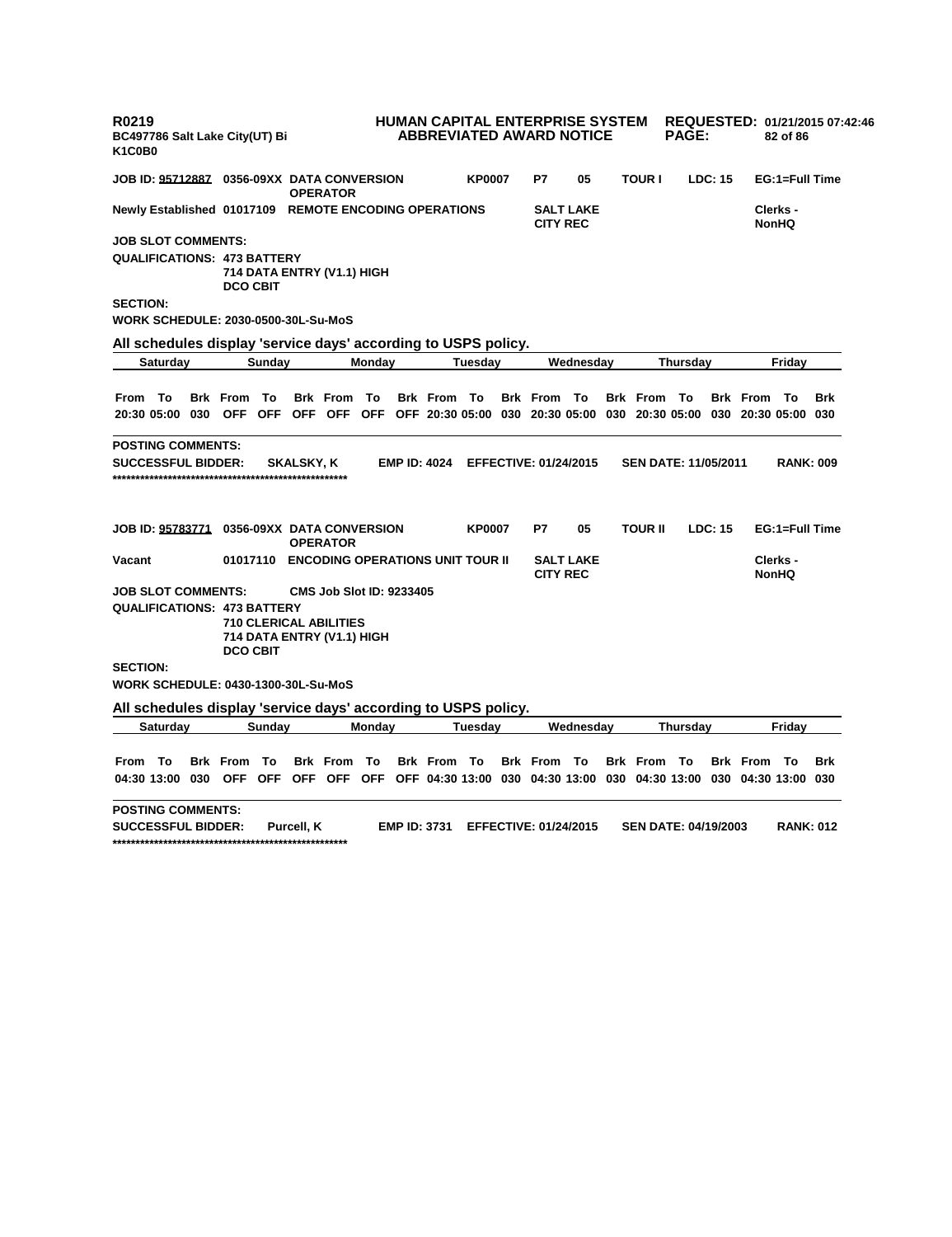| R0219<br>BC497786 Salt Lake City(UT) Bi<br>K1C0B0                                                       |                    |                                                                                         |        |                     |               | <b>HUMAN CAPITAL ENTERPRISE SYSTEM</b><br><b>ABBREVIATED AWARD NOTICE</b> |                  |                    | <b>PAGE:</b>                |         |                    | 82 of 86                 | REQUESTED: 01/21/2015 07:42:46 |
|---------------------------------------------------------------------------------------------------------|--------------------|-----------------------------------------------------------------------------------------|--------|---------------------|---------------|---------------------------------------------------------------------------|------------------|--------------------|-----------------------------|---------|--------------------|--------------------------|--------------------------------|
| JOB ID: <u>95712887</u> 0356-09XX  DATA CONVERSION                                                      |                    | <b>OPERATOR</b>                                                                         |        |                     | <b>KP0007</b> | P7                                                                        | 05               | <b>TOUR I</b>      |                             | LDC: 15 |                    | EG:1=Full Time           |                                |
| Newly Established 01017109 REMOTE ENCODING OPERATIONS                                                   |                    |                                                                                         |        |                     |               | <b>CITY REC</b>                                                           | <b>SALT LAKE</b> |                    |                             |         |                    | Clerks -<br><b>NonHQ</b> |                                |
| <b>JOB SLOT COMMENTS:</b>                                                                               |                    |                                                                                         |        |                     |               |                                                                           |                  |                    |                             |         |                    |                          |                                |
| QUALIFICATIONS: 473 BATTERY                                                                             | <b>DCO CBIT</b>    | 714 DATA ENTRY (V1.1) HIGH                                                              |        |                     |               |                                                                           |                  |                    |                             |         |                    |                          |                                |
| <b>SECTION:</b>                                                                                         |                    |                                                                                         |        |                     |               |                                                                           |                  |                    |                             |         |                    |                          |                                |
| WORK SCHEDULE: 2030-0500-30L-Su-MoS                                                                     |                    |                                                                                         |        |                     |               |                                                                           |                  |                    |                             |         |                    |                          |                                |
| All schedules display 'service days' according to USPS policy.                                          |                    |                                                                                         |        |                     |               |                                                                           |                  |                    |                             |         |                    |                          |                                |
| Saturday                                                                                                | Sunday             |                                                                                         | Monday |                     | Tuesday       |                                                                           | Wednesday        |                    | Thursday                    |         |                    | Friday                   |                                |
|                                                                                                         |                    |                                                                                         |        |                     |               |                                                                           |                  |                    |                             |         |                    |                          |                                |
| From To                                                                                                 | <b>Brk From To</b> | <b>Brk From To</b>                                                                      |        | <b>Brk From To</b>  |               | <b>Brk From To</b>                                                        |                  | <b>Brk From To</b> |                             |         | <b>Brk From To</b> |                          | <b>Brk</b>                     |
| 20:30 05:00 030 OFF OFF OFF OFF OFF OFF 20:30 05:00 030 20:30 05:00 030 20:30 05:00 030 20:30 05:00 030 |                    |                                                                                         |        |                     |               |                                                                           |                  |                    |                             |         |                    |                          |                                |
| <b>POSTING COMMENTS:</b>                                                                                |                    |                                                                                         |        |                     |               |                                                                           |                  |                    |                             |         |                    |                          |                                |
| <b>SUCCESSFUL BIDDER:</b>                                                                               |                    | <b>SKALSKY, K</b>                                                                       |        | <b>EMP ID: 4024</b> |               | <b>EFFECTIVE: 01/24/2015</b>                                              |                  |                    | <b>SEN DATE: 11/05/2011</b> |         |                    | <b>RANK: 009</b>         |                                |
|                                                                                                         |                    |                                                                                         |        |                     |               |                                                                           |                  |                    |                             |         |                    |                          |                                |
| JOB ID: 95783771  0356-09XX DATA CONVERSION                                                             |                    | <b>OPERATOR</b>                                                                         |        |                     | <b>KP0007</b> | P7                                                                        | 05               | <b>TOUR II</b>     |                             | LDC: 15 |                    | EG:1=Full Time           |                                |
| Vacant                                                                                                  |                    | 01017110 ENCODING OPERATIONS UNIT TOUR II                                               |        |                     |               | <b>CITY REC</b>                                                           | <b>SALT LAKE</b> |                    |                             |         |                    | Clerks -<br><b>NonHQ</b> |                                |
| <b>JOB SLOT COMMENTS:</b>                                                                               |                    | <b>CMS Job Slot ID: 9233405</b>                                                         |        |                     |               |                                                                           |                  |                    |                             |         |                    |                          |                                |
| QUALIFICATIONS: 473 BATTERY                                                                             | <b>DCO CBIT</b>    | <b>710 CLERICAL ABILITIES</b><br>714 DATA ENTRY (V1.1) HIGH                             |        |                     |               |                                                                           |                  |                    |                             |         |                    |                          |                                |
| <b>SECTION:</b>                                                                                         |                    |                                                                                         |        |                     |               |                                                                           |                  |                    |                             |         |                    |                          |                                |
| WORK SCHEDULE: 0430-1300-30L-Su-MoS                                                                     |                    |                                                                                         |        |                     |               |                                                                           |                  |                    |                             |         |                    |                          |                                |
| All schedules display 'service days' according to USPS policy.                                          |                    |                                                                                         |        |                     |               |                                                                           |                  |                    |                             |         |                    |                          |                                |
| Saturday                                                                                                | Sunday             |                                                                                         | Monday |                     | Tuesday       |                                                                           | Wednesday        |                    | Thursday                    |         |                    | Friday                   |                                |
|                                                                                                         |                    |                                                                                         |        |                     |               |                                                                           |                  |                    |                             |         |                    |                          |                                |
| From To                                                                                                 | <b>Brk From To</b> | <b>Brk From To</b>                                                                      |        | <b>Brk From To</b>  |               | <b>Brk From To</b>                                                        |                  | <b>Brk From To</b> |                             |         | <b>Brk From To</b> |                          | <b>Brk</b>                     |
| 04:30 13:00 030                                                                                         |                    | OFF OFF OFF OFF OFF OFF 04:30 13:00 030 04:30 13:00 030 04:30 13:00 030 04:30 13:00 030 |        |                     |               |                                                                           |                  |                    |                             |         |                    |                          |                                |
| <b>POSTING COMMENTS:</b>                                                                                |                    |                                                                                         |        |                     |               |                                                                           |                  |                    |                             |         |                    |                          |                                |
| <b>SUCCESSFUL BIDDER:</b>                                                                               |                    | Purcell. K                                                                              |        | <b>EMP ID: 3731</b> |               | <b>EFFECTIVE: 01/24/2015</b>                                              |                  |                    | <b>SEN DATE: 04/19/2003</b> |         |                    | <b>RANK: 012</b>         |                                |

**\*\*\*\*\*\*\*\*\*\*\*\*\*\*\*\*\*\*\*\*\*\*\*\*\*\*\*\*\*\*\*\*\*\*\*\*\*\*\*\*\*\*\*\*\*\*\*\*\*\*\***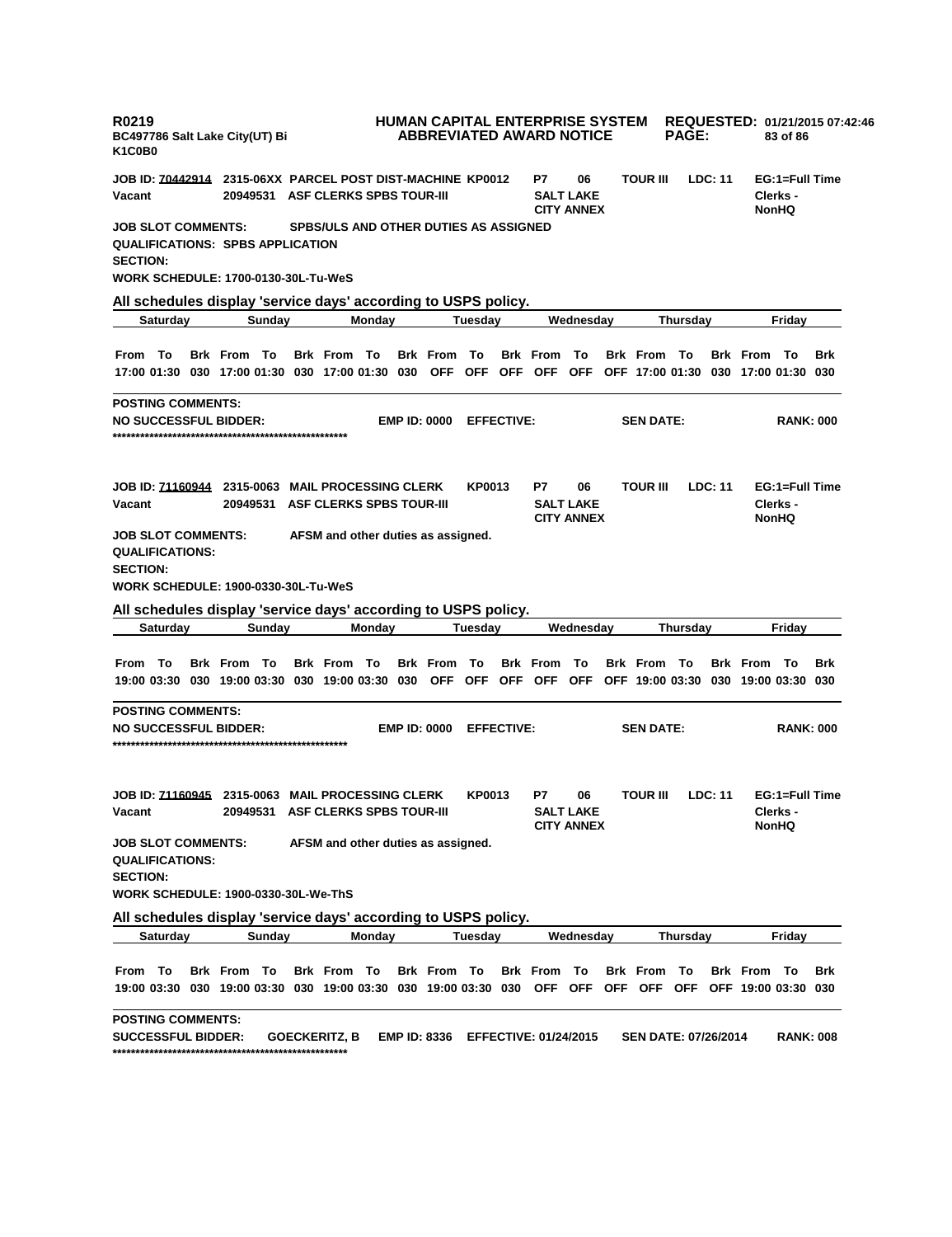| R0219<br>K <sub>1</sub> C <sub>0</sub> B <sub>0</sub>                  |                 | BC497786 Salt Lake City(UT) Bi                                                                                                |        |                                       |        |                     |               |                   | HUMAN CAPITAL ENTERPRISE SYSTEM<br><b>ABBREVIATED AWARD NOTICE</b> |                                             |                             | <b>PAGE:</b> |                |                    | 83 of 86                                   | REQUESTED: 01/21/2015 07:42:46 |
|------------------------------------------------------------------------|-----------------|-------------------------------------------------------------------------------------------------------------------------------|--------|---------------------------------------|--------|---------------------|---------------|-------------------|--------------------------------------------------------------------|---------------------------------------------|-----------------------------|--------------|----------------|--------------------|--------------------------------------------|--------------------------------|
| Vacant                                                                 |                 |                                                                                                                               |        | 20949531 ASF CLERKS SPBS TOUR-III     |        |                     |               |                   | P7                                                                 | 06<br><b>SALT LAKE</b><br><b>CITY ANNEX</b> | <b>TOUR III</b>             |              | LDC: 11        |                    | EG:1=Full Time<br>Clerks -<br><b>NonHQ</b> |                                |
| <b>JOB SLOT COMMENTS:</b><br><b>SECTION:</b>                           |                 | <b>QUALIFICATIONS: SPBS APPLICATION</b><br>WORK SCHEDULE: 1700-0130-30L-Tu-WeS                                                |        | SPBS/ULS AND OTHER DUTIES AS ASSIGNED |        |                     |               |                   |                                                                    |                                             |                             |              |                |                    |                                            |                                |
|                                                                        |                 | All schedules display 'service days' according to USPS policy.                                                                |        |                                       |        |                     |               |                   |                                                                    |                                             |                             |              |                |                    |                                            |                                |
|                                                                        | <b>Saturday</b> |                                                                                                                               | Sunday |                                       | Monday |                     | Tuesday       |                   |                                                                    | Wednesday                                   |                             | Thursday     |                |                    | Friday                                     |                                |
| From To                                                                |                 | <b>Brk From To</b><br>17:00 01:30 030 17:00 01:30 030 17:00 01:30 030 OFF OFF OFF OFF OFF OFF 17:00 01:30 030 17:00 01:30 030 |        | <b>Brk From To</b>                    |        | <b>Brk From To</b>  |               |                   | <b>Brk From To</b>                                                 |                                             | <b>Brk From To</b>          |              |                | <b>Brk From To</b> |                                            | <b>Brk</b>                     |
| <b>POSTING COMMENTS:</b>                                               |                 | <b>NO SUCCESSFUL BIDDER:</b>                                                                                                  |        |                                       |        | <b>EMP ID: 0000</b> |               | <b>EFFECTIVE:</b> |                                                                    |                                             | <b>SEN DATE:</b>            |              |                |                    | <b>RANK: 000</b>                           |                                |
| Vacant                                                                 |                 | <b>JOB ID: 71160944 2315-0063 MAIL PROCESSING CLERK</b><br>20949531                                                           |        | <b>ASF CLERKS SPBS TOUR-III</b>       |        |                     | KP0013        |                   | P7                                                                 | 06<br><b>SALT LAKE</b><br><b>CITY ANNEX</b> | <b>TOUR III</b>             |              | <b>LDC: 11</b> |                    | EG:1=Full Time<br>Clerks -<br><b>NonHQ</b> |                                |
| <b>JOB SLOT COMMENTS:</b><br><b>QUALIFICATIONS:</b><br><b>SECTION:</b> |                 | <b>WORK SCHEDULE: 1900-0330-30L-Tu-WeS</b>                                                                                    |        | AFSM and other duties as assigned.    |        |                     |               |                   |                                                                    |                                             |                             |              |                |                    |                                            |                                |
|                                                                        | Saturday        | All schedules display 'service days' according to USPS policy.                                                                | Sunday |                                       | Monday |                     | Tuesday       |                   |                                                                    | Wednesday                                   |                             | Thursday     |                |                    | Friday                                     |                                |
|                                                                        |                 |                                                                                                                               |        |                                       |        |                     |               |                   |                                                                    |                                             |                             |              |                |                    |                                            |                                |
| From To                                                                |                 | <b>Brk From To</b><br>19:00 03:30 030 19:00 03:30 030 19:00 03:30 030 OFF OFF OFF OFF OFF OFF 19:00 03:30 030 19:00 03:30 030 |        | Brk From To                           |        | <b>Brk From To</b>  |               |                   | <b>Brk From To</b>                                                 |                                             | <b>Brk From To</b>          |              |                | <b>Brk From To</b> |                                            | <b>Brk</b>                     |
| <b>POSTING COMMENTS:</b>                                               |                 | <b>NO SUCCESSFUL BIDDER:</b>                                                                                                  |        |                                       |        | <b>EMP ID: 0000</b> |               | <b>EFFECTIVE:</b> |                                                                    |                                             | <b>SEN DATE:</b>            |              |                |                    | <b>RANK: 000</b>                           |                                |
| Vacant                                                                 |                 | JOB ID: 71160945 2315-0063 MAIL PROCESSING CLERK                                                                              |        | 20949531 ASF CLERKS SPBS TOUR-III     |        |                     | <b>KP0013</b> |                   | P7                                                                 | 06<br><b>SALT LAKE</b><br><b>CITY ANNEX</b> | <b>TOUR III</b>             |              | <b>LDC: 11</b> |                    | EG:1=Full Time<br>Clerks -<br><b>NonHQ</b> |                                |
| <b>JOB SLOT COMMENTS:</b><br><b>QUALIFICATIONS:</b><br><b>SECTION:</b> |                 |                                                                                                                               |        | AFSM and other duties as assigned.    |        |                     |               |                   |                                                                    |                                             |                             |              |                |                    |                                            |                                |
|                                                                        |                 | <b>WORK SCHEDULE: 1900-0330-30L-We-ThS</b>                                                                                    |        |                                       |        |                     |               |                   |                                                                    |                                             |                             |              |                |                    |                                            |                                |
|                                                                        | Saturday        | All schedules display 'service days' according to USPS policy.                                                                | Sundav |                                       | Monday |                     | Tuesday       |                   |                                                                    | Wednesday                                   |                             | Thursday     |                |                    | Friday                                     |                                |
| From To                                                                |                 | <b>Brk From To</b><br>19:00 03:30 030 19:00 03:30 030 19:00 03:30 030 19:00 03:30 030 OFF OFF OFF OFF OFF OFF 19:00 03:30 030 |        | Brk From To                           |        | Brk From To         |               |                   | <b>Brk From To</b>                                                 |                                             | Brk From To                 |              |                | Brk From To        |                                            | <b>Brk</b>                     |
| <b>POSTING COMMENTS:</b><br><b>SUCCESSFUL BIDDER:</b>                  |                 |                                                                                                                               |        | <b>GOECKERITZ, B</b>                  |        |                     |               |                   | EMP ID: 8336 EFFECTIVE: 01/24/2015                                 |                                             | <b>SEN DATE: 07/26/2014</b> |              |                |                    | <b>RANK: 008</b>                           |                                |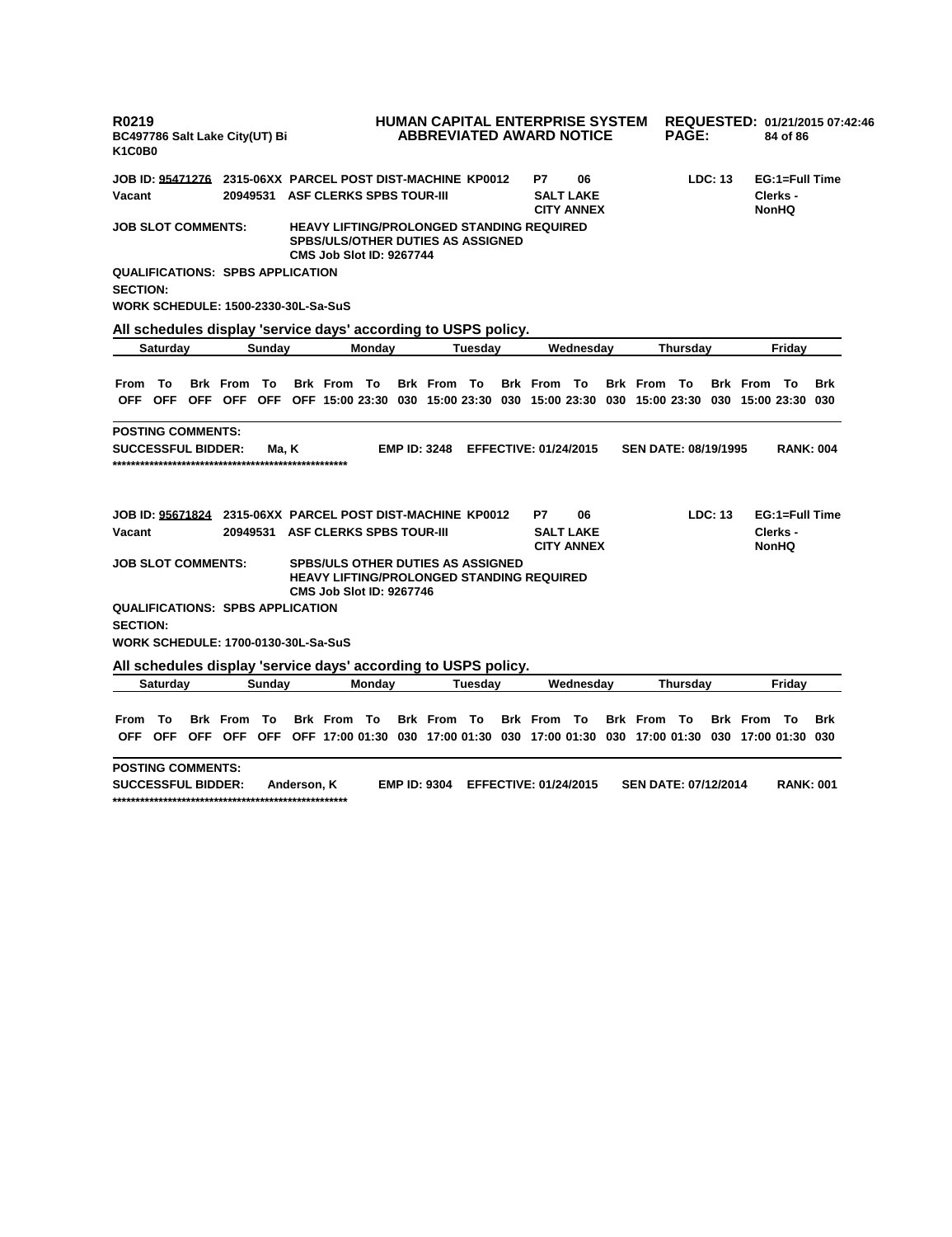| R0219<br>BC497786 Salt Lake City(UT) Bi<br>K1C0B0                 |          |                    |        |             |                                   |        |                     |                                          | HUMAN CAPITAL ENTERPRISE SYSTEM<br><b>ABBREVIATED AWARD NOTICE</b>                                                            |                                       |                             | <b>PAGE:</b> |                |                    | 84 of 86                 | REQUESTED: 01/21/2015 07:42:46 |
|-------------------------------------------------------------------|----------|--------------------|--------|-------------|-----------------------------------|--------|---------------------|------------------------------------------|-------------------------------------------------------------------------------------------------------------------------------|---------------------------------------|-----------------------------|--------------|----------------|--------------------|--------------------------|--------------------------------|
| JOB ID: 95471276 2315-06XX PARCEL POST DIST-MACHINE_KP0012        |          |                    |        |             |                                   |        |                     |                                          | P7                                                                                                                            | 06                                    |                             |              | LDC: 13        |                    | EG:1=Full Time           |                                |
| Vacant                                                            |          | 20949531           |        |             | <b>ASF CLERKS SPBS TOUR-III</b>   |        |                     |                                          |                                                                                                                               | <b>SALT LAKE</b><br><b>CITY ANNEX</b> |                             |              |                |                    | Clerks -<br><b>NonHQ</b> |                                |
| <b>JOB SLOT COMMENTS:</b>                                         |          |                    |        |             | <b>CMS Job Slot ID: 9267744</b>   |        |                     | <b>SPBS/ULS/OTHER DUTIES AS ASSIGNED</b> | <b>HEAVY LIFTING/PROLONGED STANDING REQUIRED</b>                                                                              |                                       |                             |              |                |                    |                          |                                |
| <b>QUALIFICATIONS: SPBS APPLICATION</b><br><b>SECTION:</b>        |          |                    |        |             |                                   |        |                     |                                          |                                                                                                                               |                                       |                             |              |                |                    |                          |                                |
| <b>WORK SCHEDULE: 1500-2330-30L-Sa-SuS</b>                        |          |                    |        |             |                                   |        |                     |                                          |                                                                                                                               |                                       |                             |              |                |                    |                          |                                |
| All schedules display 'service days' according to USPS policy.    |          |                    |        |             |                                   |        |                     |                                          |                                                                                                                               |                                       |                             |              |                |                    |                          |                                |
|                                                                   | Saturday |                    | Sunday |             |                                   | Monday |                     | Tuesday                                  |                                                                                                                               | Wednesday                             |                             | Thursday     |                |                    | Friday                   |                                |
|                                                                   |          |                    |        |             |                                   |        |                     |                                          |                                                                                                                               |                                       |                             |              |                |                    |                          |                                |
| From                                                              | — То     | <b>Brk From To</b> |        |             | <b>Brk From To</b>                |        | <b>Brk From To</b>  |                                          | <b>Brk From To</b>                                                                                                            |                                       | <b>Brk From To</b>          |              |                | <b>Brk From To</b> |                          | <b>Brk</b>                     |
|                                                                   |          |                    |        |             |                                   |        |                     |                                          | OFF OFF OFF OFF OFF OFF 15:00 23:30 030 15:00 23:30 030 15:00 23:30 030 15:00 23:30 030 15:00 23:30 030                       |                                       |                             |              |                |                    |                          |                                |
| <b>POSTING COMMENTS:</b><br><b>SUCCESSFUL BIDDER:</b>             |          |                    | Ma, K  |             |                                   |        | <b>EMP ID: 3248</b> |                                          | <b>EFFECTIVE: 01/24/2015</b>                                                                                                  |                                       | <b>SEN DATE: 08/19/1995</b> |              |                |                    | <b>RANK: 004</b>         |                                |
| <b>JOB ID: 95671824 2315-06XX PARCEL POST DIST-MACHINE KP0012</b> |          |                    |        |             |                                   |        |                     |                                          | P7                                                                                                                            | 06                                    |                             |              | <b>LDC: 13</b> |                    | EG:1=Full Time           |                                |
| Vacant                                                            |          |                    |        |             | 20949531 ASF CLERKS SPBS TOUR-III |        |                     |                                          |                                                                                                                               | <b>SALT LAKE</b><br><b>CITY ANNEX</b> |                             |              |                |                    | Clerks -<br><b>NonHQ</b> |                                |
| <b>JOB SLOT COMMENTS:</b>                                         |          |                    |        |             | <b>CMS Job Slot ID: 9267746</b>   |        |                     | <b>SPBS/ULS OTHER DUTIES AS ASSIGNED</b> | <b>HEAVY LIFTING/PROLONGED STANDING REQUIRED</b>                                                                              |                                       |                             |              |                |                    |                          |                                |
| <b>QUALIFICATIONS: SPBS APPLICATION</b><br><b>SECTION:</b>        |          |                    |        |             |                                   |        |                     |                                          |                                                                                                                               |                                       |                             |              |                |                    |                          |                                |
| <b>WORK SCHEDULE: 1700-0130-30L-Sa-SuS</b>                        |          |                    |        |             |                                   |        |                     |                                          |                                                                                                                               |                                       |                             |              |                |                    |                          |                                |
| All schedules display 'service days' according to USPS policy.    |          |                    |        |             |                                   |        |                     |                                          |                                                                                                                               |                                       |                             |              |                |                    |                          |                                |
|                                                                   | Saturday |                    | Sunday |             |                                   | Monday |                     | <b>Tuesday</b>                           |                                                                                                                               | Wednesday                             |                             | Thursday     |                |                    | Friday                   |                                |
| From                                                              | - То     | <b>Brk From To</b> |        |             | <b>Brk From To</b>                |        | <b>Brk From To</b>  |                                          | <b>Brk From To</b><br>OFF OFF OFF OFF OFF OFF 17:00 01:30 030 17:00 01:30 030 17:00 01:30 030 17:00 01:30 030 17:00 01:30 030 |                                       | <b>Brk From To</b>          |              |                | <b>Brk From To</b> |                          | <b>Brk</b>                     |
| <b>POSTING COMMENTS:</b><br><b>SUCCESSFUL BIDDER:</b>             |          |                    |        | Anderson, K |                                   |        |                     |                                          | EMP ID: 9304 EFFECTIVE: 01/24/2015                                                                                            |                                       | <b>SEN DATE: 07/12/2014</b> |              |                |                    | <b>RANK: 001</b>         |                                |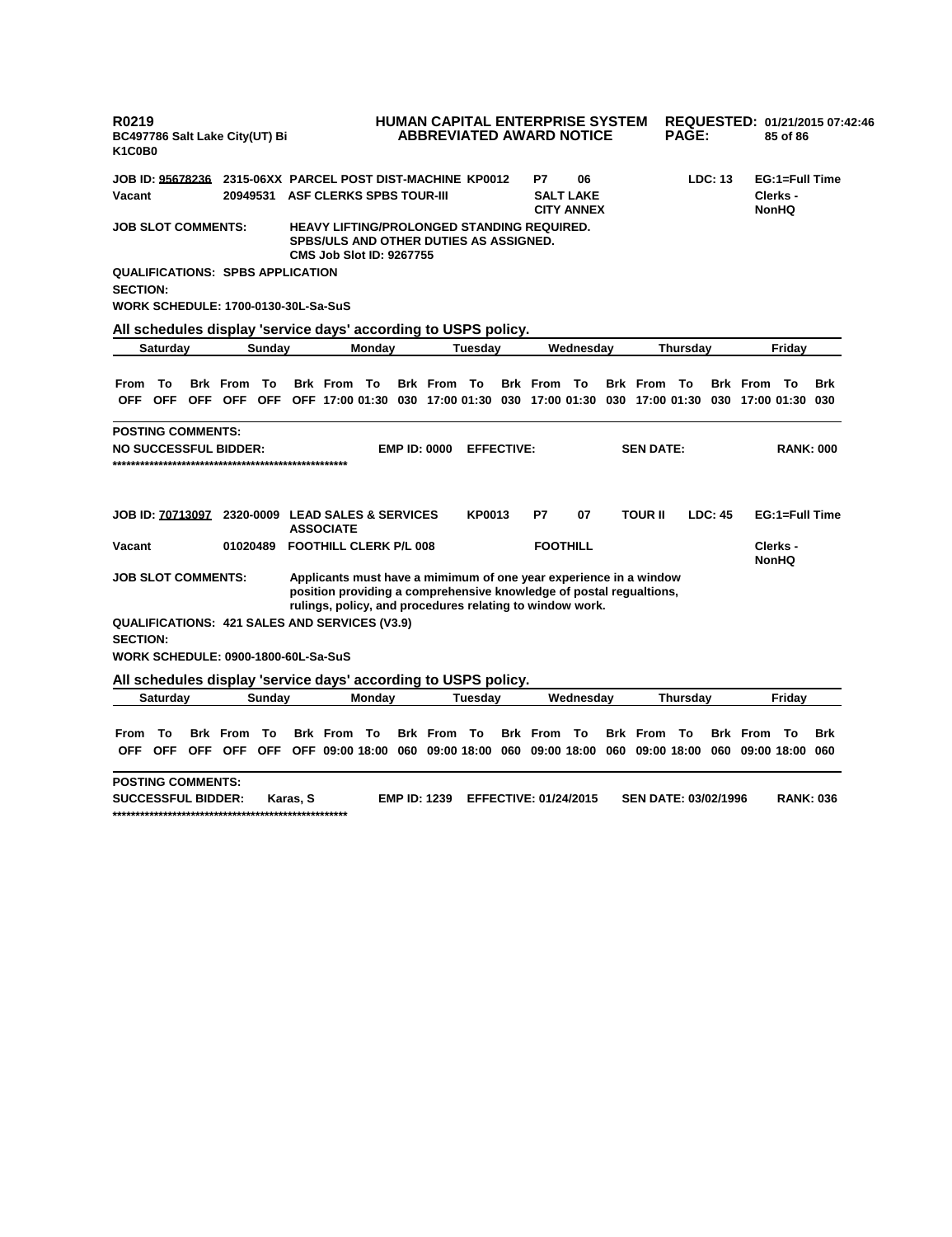| R0219<br>BC497786 Salt Lake City(UT) Bi<br>K <sub>1</sub> C <sub>0</sub> B <sub>0</sub>                                                                                  | HUMAN CAPITAL ENTERPRISE SYSTEM<br><b>ABBREVIATED AWARD NOTICE</b>                                                                                                                                   | <b>PAGE:</b>                           | REQUESTED: 01/21/2015 07:42:46<br>85 of 86 |
|--------------------------------------------------------------------------------------------------------------------------------------------------------------------------|------------------------------------------------------------------------------------------------------------------------------------------------------------------------------------------------------|----------------------------------------|--------------------------------------------|
| <b>JOB ID: 95678236</b>                                                                                                                                                  | 2315-06XX PARCEL POST DIST-MACHINE KP0012<br>P7                                                                                                                                                      | LDC: 13<br>06                          | EG:1=Full Time                             |
| Vacant<br>20949531                                                                                                                                                       | <b>ASF CLERKS SPBS TOUR-III</b>                                                                                                                                                                      | <b>SALT LAKE</b><br><b>CITY ANNEX</b>  | Clerks -<br><b>NonHQ</b>                   |
| <b>JOB SLOT COMMENTS:</b>                                                                                                                                                | <b>HEAVY LIFTING/PROLONGED STANDING REQUIRED.</b><br>SPBS/ULS AND OTHER DUTIES AS ASSIGNED.<br><b>CMS Job Slot ID: 9267755</b>                                                                       |                                        |                                            |
| <b>QUALIFICATIONS: SPBS APPLICATION</b><br><b>SECTION:</b>                                                                                                               |                                                                                                                                                                                                      |                                        |                                            |
| WORK SCHEDULE: 1700-0130-30L-Sa-SuS                                                                                                                                      |                                                                                                                                                                                                      |                                        |                                            |
| All schedules display 'service days' according to USPS policy.                                                                                                           |                                                                                                                                                                                                      |                                        |                                            |
| Saturday<br>Sunday                                                                                                                                                       | Monday<br><b>Tuesday</b>                                                                                                                                                                             | Wednesday<br>Thursday                  | Friday                                     |
| То<br><b>Brk From To</b><br><b>Brk From To</b><br><b>From</b><br>OFF OFF OFF OFF OFF OFF 17:00 01:30 030 17:00 01:30 030 17:00 01:30 030 17:00 01:30 030 17:00 01:30 030 | <b>Brk From To</b><br><b>Brk From To</b>                                                                                                                                                             | <b>Brk From To</b>                     | <b>Brk</b> From<br><b>Brk</b><br>- To      |
| <b>POSTING COMMENTS:</b>                                                                                                                                                 |                                                                                                                                                                                                      |                                        |                                            |
| <b>NO SUCCESSFUL BIDDER:</b>                                                                                                                                             | <b>EMP ID: 0000</b><br><b>EFFECTIVE:</b>                                                                                                                                                             | <b>SEN DATE:</b>                       | <b>RANK: 000</b>                           |
| JOB ID: 70713097 2320-0009 LEAD SALES & SERVICES<br><b>ASSOCIATE</b>                                                                                                     | <b>KP0013</b><br>P7                                                                                                                                                                                  | <b>TOUR II</b><br>07<br><b>LDC: 45</b> | EG:1=Full Time                             |
| Vacant<br>01020489                                                                                                                                                       | <b>FOOTHILL CLERK P/L 008</b>                                                                                                                                                                        | <b>FOOTHILL</b>                        | Clerks -<br><b>NonHQ</b>                   |
| JOB SLOT COMMENTS:                                                                                                                                                       | Applicants must have a mimimum of one year experience in a window<br>position providing a comprehensive knowledge of postal regualtions,<br>rulings, policy, and procedures relating to window work. |                                        |                                            |
| <b>QUALIFICATIONS: 421 SALES AND SERVICES (V3.9)</b><br><b>SECTION:</b>                                                                                                  |                                                                                                                                                                                                      |                                        |                                            |
| WORK SCHEDULE: 0900-1800-60L-Sa-SuS                                                                                                                                      |                                                                                                                                                                                                      |                                        |                                            |
| All schedules display 'service days' according to USPS policy.                                                                                                           |                                                                                                                                                                                                      |                                        |                                            |
| <b>Saturday</b><br>Sunday                                                                                                                                                | Monday<br><b>Tuesday</b>                                                                                                                                                                             | Wednesday<br>Thursday                  | Friday                                     |
| То<br><b>Brk</b> From<br>To<br><b>Brk</b> From<br><b>From</b><br><b>OFF</b><br><b>OFF</b>                                                                                | То<br><b>Brk</b> From<br>То<br><b>Brk</b> From<br>OFF OFF OFF OFF 09:00 18:00 060 09:00 18:00 060 09:00 18:00 060 09:00 18:00 060 09:00 18:00 060                                                    | Тο<br><b>Brk</b> From<br>То            | <b>Brk</b> From<br>То<br><b>Brk</b>        |
| <b>POSTING COMMENTS:</b>                                                                                                                                                 |                                                                                                                                                                                                      |                                        |                                            |
| <b>SUCCESSFUL BIDDER:</b><br>Karas, S                                                                                                                                    | <b>EMP ID: 1239</b><br><b>EFFECTIVE: 01/24/2015</b>                                                                                                                                                  | <b>SEN DATE: 03/02/1996</b>            | <b>RANK: 036</b>                           |